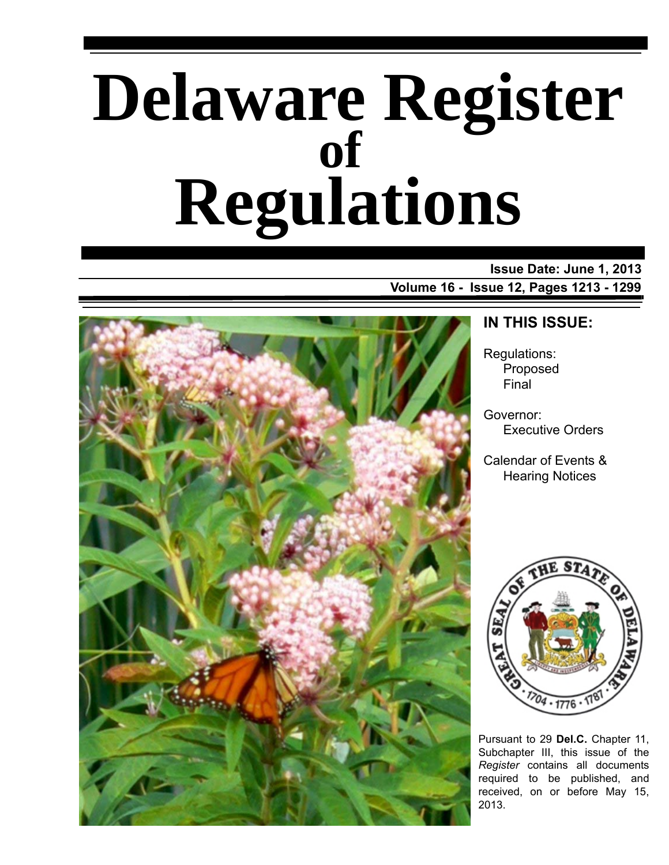# **Delaware Register Regulations of**

# **Issue Date: June 1, 2013 Volume 16 - Issue 12, Pages 1213 - 1299**



# **IN THIS ISSUE:**

Regulations: Proposed Final

Governor: Executive Orders

Calendar of Events & Hearing Notices



Pursuant to 29 **Del.C.** Chapter 11, Subchapter III, this issue of the *Register* contains all documents required to be published, and received, on or before May 15, 2013.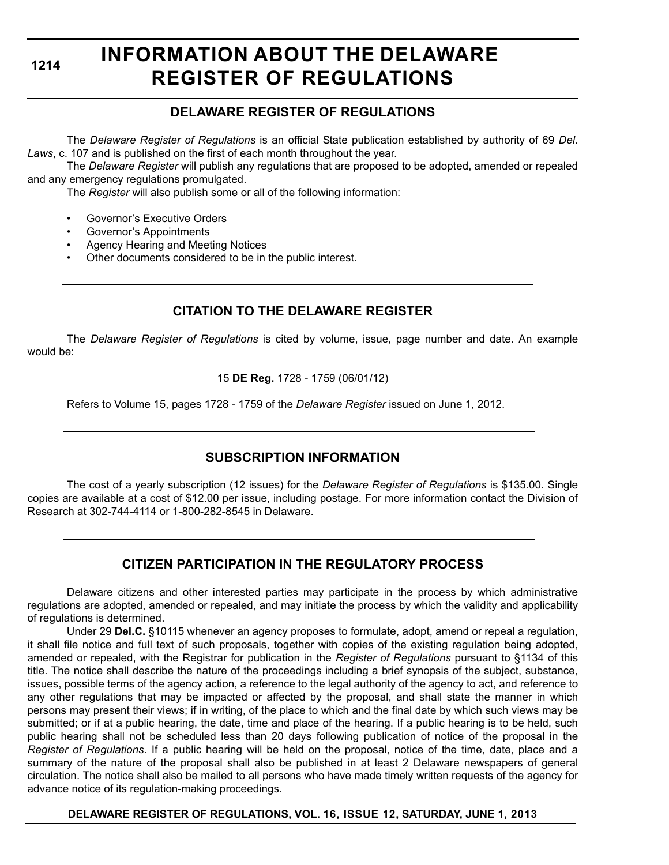# **INFORMATION ABOUT THE DELAWARE REGISTER OF REGULATIONS**

# **DELAWARE REGISTER OF REGULATIONS**

The *Delaware Register of Regulations* is an official State publication established by authority of 69 *Del. Laws*, c. 107 and is published on the first of each month throughout the year.

The *Delaware Register* will publish any regulations that are proposed to be adopted, amended or repealed and any emergency regulations promulgated.

The *Register* will also publish some or all of the following information:

- Governor's Executive Orders
- Governor's Appointments
- Agency Hearing and Meeting Notices
- Other documents considered to be in the public interest.

# **CITATION TO THE DELAWARE REGISTER**

The *Delaware Register of Regulations* is cited by volume, issue, page number and date. An example would be:

15 **DE Reg.** 1728 - 1759 (06/01/12)

Refers to Volume 15, pages 1728 - 1759 of the *Delaware Register* issued on June 1, 2012.

# **SUBSCRIPTION INFORMATION**

The cost of a yearly subscription (12 issues) for the *Delaware Register of Regulations* is \$135.00. Single copies are available at a cost of \$12.00 per issue, including postage. For more information contact the Division of Research at 302-744-4114 or 1-800-282-8545 in Delaware.

# **CITIZEN PARTICIPATION IN THE REGULATORY PROCESS**

Delaware citizens and other interested parties may participate in the process by which administrative regulations are adopted, amended or repealed, and may initiate the process by which the validity and applicability of regulations is determined.

Under 29 **Del.C.** §10115 whenever an agency proposes to formulate, adopt, amend or repeal a regulation, it shall file notice and full text of such proposals, together with copies of the existing regulation being adopted, amended or repealed, with the Registrar for publication in the *Register of Regulations* pursuant to §1134 of this title. The notice shall describe the nature of the proceedings including a brief synopsis of the subject, substance, issues, possible terms of the agency action, a reference to the legal authority of the agency to act, and reference to any other regulations that may be impacted or affected by the proposal, and shall state the manner in which persons may present their views; if in writing, of the place to which and the final date by which such views may be submitted; or if at a public hearing, the date, time and place of the hearing. If a public hearing is to be held, such public hearing shall not be scheduled less than 20 days following publication of notice of the proposal in the *Register of Regulations*. If a public hearing will be held on the proposal, notice of the time, date, place and a summary of the nature of the proposal shall also be published in at least 2 Delaware newspapers of general circulation. The notice shall also be mailed to all persons who have made timely written requests of the agency for advance notice of its regulation-making proceedings.

**DELAWARE REGISTER OF REGULATIONS, VOL. 16, ISSUE 12, SATURDAY, JUNE 1, 2013**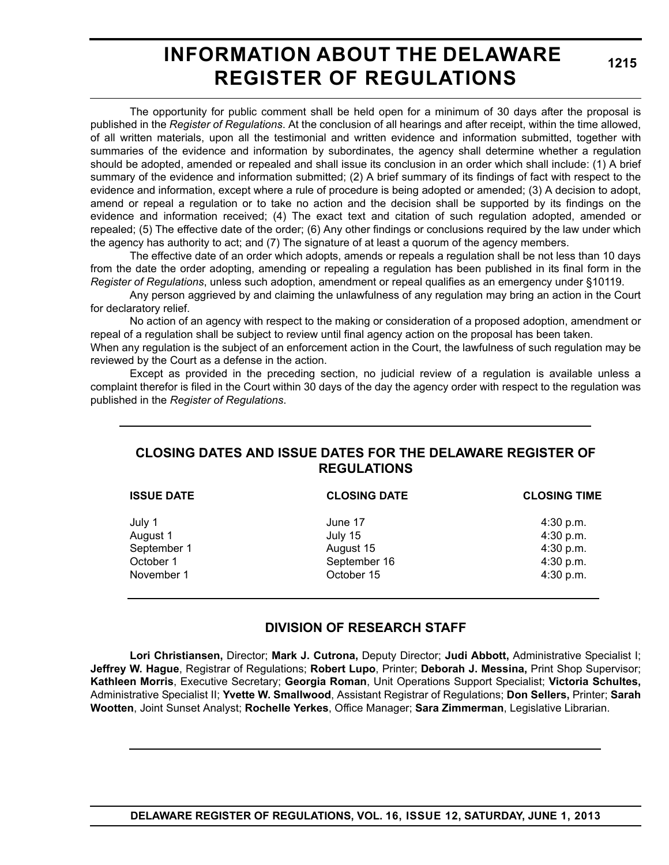# **INFORMATION ABOUT THE DELAWARE REGISTER OF REGULATIONS**

**1215**

The opportunity for public comment shall be held open for a minimum of 30 days after the proposal is published in the *Register of Regulations*. At the conclusion of all hearings and after receipt, within the time allowed, of all written materials, upon all the testimonial and written evidence and information submitted, together with summaries of the evidence and information by subordinates, the agency shall determine whether a regulation should be adopted, amended or repealed and shall issue its conclusion in an order which shall include: (1) A brief summary of the evidence and information submitted; (2) A brief summary of its findings of fact with respect to the evidence and information, except where a rule of procedure is being adopted or amended; (3) A decision to adopt, amend or repeal a regulation or to take no action and the decision shall be supported by its findings on the evidence and information received; (4) The exact text and citation of such regulation adopted, amended or repealed; (5) The effective date of the order; (6) Any other findings or conclusions required by the law under which the agency has authority to act; and (7) The signature of at least a quorum of the agency members.

The effective date of an order which adopts, amends or repeals a regulation shall be not less than 10 days from the date the order adopting, amending or repealing a regulation has been published in its final form in the *Register of Regulations*, unless such adoption, amendment or repeal qualifies as an emergency under §10119.

Any person aggrieved by and claiming the unlawfulness of any regulation may bring an action in the Court for declaratory relief.

No action of an agency with respect to the making or consideration of a proposed adoption, amendment or repeal of a regulation shall be subject to review until final agency action on the proposal has been taken.

When any regulation is the subject of an enforcement action in the Court, the lawfulness of such regulation may be reviewed by the Court as a defense in the action.

Except as provided in the preceding section, no judicial review of a regulation is available unless a complaint therefor is filed in the Court within 30 days of the day the agency order with respect to the regulation was published in the *Register of Regulations*.

# **CLOSING DATES AND ISSUE DATES FOR THE DELAWARE REGISTER OF REGULATIONS**

| <b>ISSUE DATE</b>       | <b>CLOSING DATE</b>  | <b>CLOSING TIME</b>    |
|-------------------------|----------------------|------------------------|
| July 1                  | June 17              | $4:30$ p.m.            |
| August 1<br>September 1 | July 15<br>August 15 | 4:30 p.m.<br>4:30 p.m. |
| October 1               | September 16         | 4:30 p.m.              |
| November 1              | October 15           | 4:30 p.m.              |
|                         |                      |                        |

# **DIVISION OF RESEARCH STAFF**

**Lori Christiansen,** Director; **Mark J. Cutrona,** Deputy Director; **Judi Abbott,** Administrative Specialist I; **Jeffrey W. Hague**, Registrar of Regulations; **Robert Lupo**, Printer; **Deborah J. Messina,** Print Shop Supervisor; **Kathleen Morris**, Executive Secretary; **Georgia Roman**, Unit Operations Support Specialist; **Victoria Schultes,** Administrative Specialist II; **Yvette W. Smallwood**, Assistant Registrar of Regulations; **Don Sellers,** Printer; **Sarah Wootten**, Joint Sunset Analyst; **Rochelle Yerkes**, Office Manager; **Sara Zimmerman**, Legislative Librarian.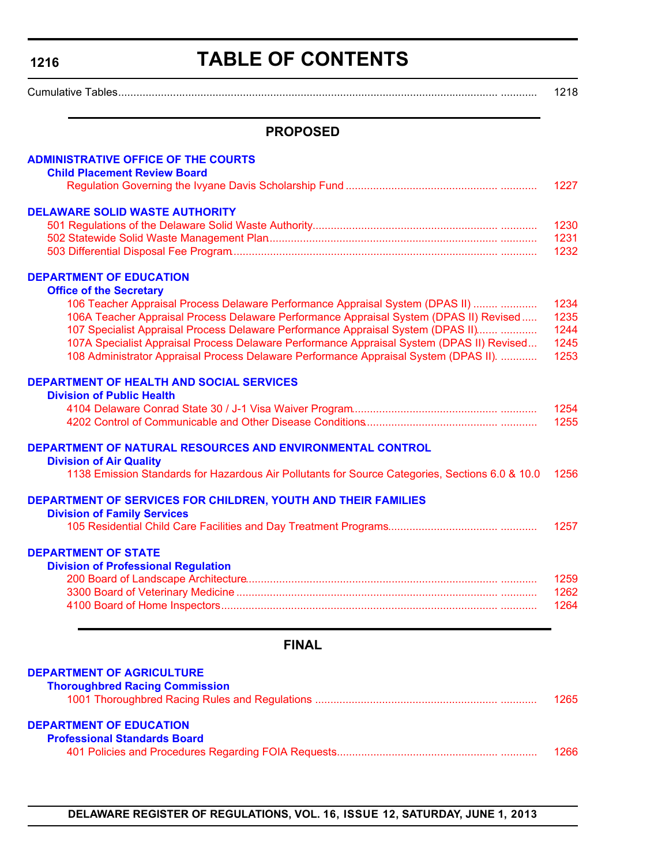# **TABLE OF CONTENTS**

<span id="page-3-0"></span>

| $\sim$<br>wurn |  |
|----------------|--|
|----------------|--|

# **PROPOSED**

| <b>FINAL</b><br><b>DEPARTMENT OF AGRICULTURE</b>                                                                                                                                                                                                                                                                                                                                                                                                                                                                     |                                      |
|----------------------------------------------------------------------------------------------------------------------------------------------------------------------------------------------------------------------------------------------------------------------------------------------------------------------------------------------------------------------------------------------------------------------------------------------------------------------------------------------------------------------|--------------------------------------|
| <b>Division of Professional Regulation</b>                                                                                                                                                                                                                                                                                                                                                                                                                                                                           | 1259<br>1262<br>1264                 |
| <b>DEPARTMENT OF STATE</b>                                                                                                                                                                                                                                                                                                                                                                                                                                                                                           | 1257                                 |
| DEPARTMENT OF SERVICES FOR CHILDREN, YOUTH AND THEIR FAMILIES<br><b>Division of Family Services</b>                                                                                                                                                                                                                                                                                                                                                                                                                  |                                      |
| DEPARTMENT OF NATURAL RESOURCES AND ENVIRONMENTAL CONTROL<br><b>Division of Air Quality</b><br>1138 Emission Standards for Hazardous Air Pollutants for Source Categories, Sections 6.0 & 10.0                                                                                                                                                                                                                                                                                                                       | 1256                                 |
| <b>DEPARTMENT OF HEALTH AND SOCIAL SERVICES</b><br><b>Division of Public Health</b>                                                                                                                                                                                                                                                                                                                                                                                                                                  | 1254<br>1255                         |
| <b>DEPARTMENT OF EDUCATION</b><br><b>Office of the Secretary</b><br>106 Teacher Appraisal Process Delaware Performance Appraisal System (DPAS II)<br>106A Teacher Appraisal Process Delaware Performance Appraisal System (DPAS II) Revised<br>107 Specialist Appraisal Process Delaware Performance Appraisal System (DPAS II)<br>107A Specialist Appraisal Process Delaware Performance Appraisal System (DPAS II) Revised<br>108 Administrator Appraisal Process Delaware Performance Appraisal System (DPAS II). | 1234<br>1235<br>1244<br>1245<br>1253 |
| <b>DELAWARE SOLID WASTE AUTHORITY</b>                                                                                                                                                                                                                                                                                                                                                                                                                                                                                | 1230<br>1231<br>1232                 |
| <b>ADMINISTRATIVE OFFICE OF THE COURTS</b><br><b>Child Placement Review Board</b>                                                                                                                                                                                                                                                                                                                                                                                                                                    | 1227                                 |

| <b>Thoroughbred Racing Commission</b> | 1265 |
|---------------------------------------|------|
|                                       |      |
| <b>DEPARTMENT OF EDUCATION</b>        |      |
| <b>Professional Standards Board</b>   |      |
|                                       | 1266 |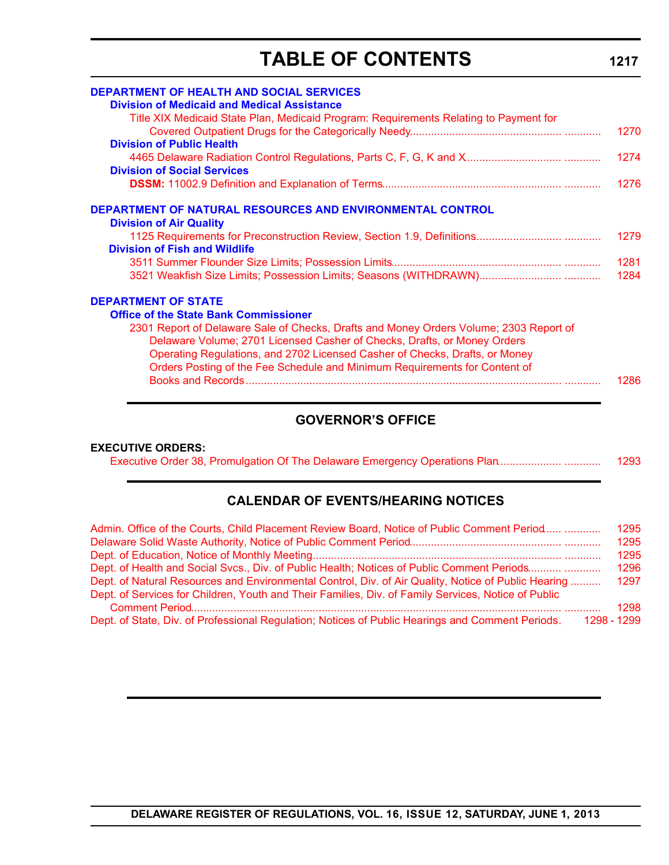# **TABLE OF CONTENTS**

| <b>DEPARTMENT OF HEALTH AND SOCIAL SERVICES</b>                                        |      |
|----------------------------------------------------------------------------------------|------|
| <b>Division of Medicaid and Medical Assistance</b>                                     |      |
| Title XIX Medicaid State Plan, Medicaid Program: Requirements Relating to Payment for  |      |
|                                                                                        | 1270 |
| <b>Division of Public Health</b>                                                       |      |
|                                                                                        | 1274 |
| <b>Division of Social Services</b>                                                     |      |
|                                                                                        | 1276 |
| <b>DEPARTMENT OF NATURAL RESOURCES AND ENVIRONMENTAL CONTROL</b>                       |      |
| <b>Division of Air Quality</b>                                                         |      |
|                                                                                        | 1279 |
| <b>Division of Fish and Wildlife</b>                                                   |      |
|                                                                                        | 1281 |
|                                                                                        | 1284 |
| <b>DEPARTMENT OF STATE</b>                                                             |      |
| <b>Office of the State Bank Commissioner</b>                                           |      |
| 2301 Report of Delaware Sale of Checks, Drafts and Money Orders Volume; 2303 Report of |      |
| Delaware Volume; 2701 Licensed Casher of Checks, Drafts, or Money Orders               |      |
| Operating Regulations, and 2702 Licensed Casher of Checks, Drafts, or Money            |      |
| Orders Posting of the Fee Schedule and Minimum Requirements for Content of             |      |
|                                                                                        | 1286 |
|                                                                                        |      |

# **GOVERNOR'S OFFICE**

#### **EXECUTIVE ORDERS:**

|  |  |  | 1293 |
|--|--|--|------|
|--|--|--|------|

# **CALENDAR OF EVENTS/HEARING NOTICES**

| Admin. Office of the Courts, Child Placement Review Board, Notice of Public Comment Period                      | 1295 |
|-----------------------------------------------------------------------------------------------------------------|------|
|                                                                                                                 | 1295 |
|                                                                                                                 | 1295 |
| Dept. of Health and Social Svcs., Div. of Public Health; Notices of Public Comment Periods                      | 1296 |
| Dept. of Natural Resources and Environmental Control, Div. of Air Quality, Notice of Public Hearing             | 1297 |
| Dept. of Services for Children, Youth and Their Families, Div. of Family Services, Notice of Public             |      |
|                                                                                                                 | 1298 |
| Dept. of State, Div. of Professional Regulation; Notices of Public Hearings and Comment Periods.<br>1298 - 1299 |      |

**1217**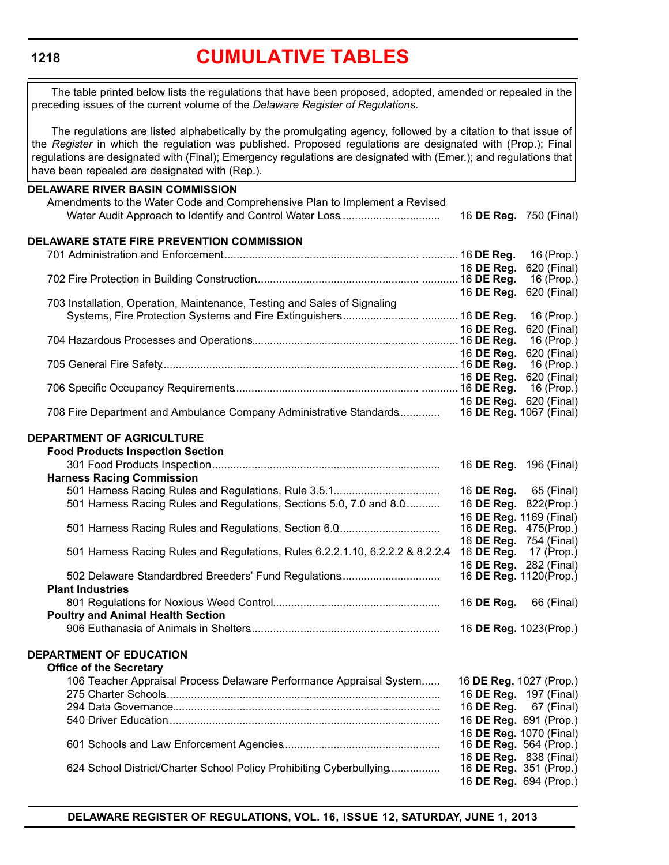# **[CUMULATIVE TABLES](#page-3-0)**

The table printed below lists the regulations that have been proposed, adopted, amended or repealed in the preceding issues of the current volume of the *Delaware Register of Regulations*.

The regulations are listed alphabetically by the promulgating agency, followed by a citation to that issue of the *Register* in which the regulation was published. Proposed regulations are designated with (Prop.); Final regulations are designated with (Final); Emergency regulations are designated with (Emer.); and regulations that have been repealed are designated with (Rep.).

| <b>DELAWARE RIVER BASIN COMMISSION</b>                                                     |            |                           |
|--------------------------------------------------------------------------------------------|------------|---------------------------|
| Amendments to the Water Code and Comprehensive Plan to Implement a Revised                 |            |                           |
|                                                                                            |            | 16 DE Reg. 750 (Final)    |
| DELAWARE STATE FIRE PREVENTION COMMISSION                                                  |            |                           |
|                                                                                            |            | 16 (Prop.)                |
|                                                                                            | 16 DE Reg. | 620 (Final)               |
|                                                                                            |            | 16 (Prop.)                |
|                                                                                            | 16 DE Reg. | 620 (Final)               |
| 703 Installation, Operation, Maintenance, Testing and Sales of Signaling                   |            |                           |
|                                                                                            |            |                           |
|                                                                                            | 16 DE Reg. | 620 (Final)               |
|                                                                                            |            | 16 (Prop.)                |
|                                                                                            | 16 DE Reg. | 620 (Final)               |
|                                                                                            |            | 16 (Prop.)                |
|                                                                                            | 16 DE Reg. | 620 (Final)<br>16 (Prop.) |
|                                                                                            |            | 16 DE Reg. 620 (Final)    |
| 708 Fire Department and Ambulance Company Administrative Standards 16 DE Reg. 1067 (Final) |            |                           |
|                                                                                            |            |                           |
| DEPARTMENT OF AGRICULTURE                                                                  |            |                           |
| <b>Food Products Inspection Section</b>                                                    |            |                           |
|                                                                                            |            | 16 DE Reg. 196 (Final)    |
| <b>Harness Racing Commission</b>                                                           |            |                           |
|                                                                                            |            | 16 DE Reg. 65 (Final)     |
| 501 Harness Racing Rules and Regulations, Sections 5.0, 7.0 and 8.0                        |            | 16 DE Reg. 822(Prop.)     |
|                                                                                            |            | 16 DE Reg. 1169 (Final)   |
|                                                                                            |            | 16 DE Reg. 475(Prop.)     |
|                                                                                            |            | 16 DE Reg. 754 (Final)    |
| 501 Harness Racing Rules and Regulations, Rules 6.2.2.1.10, 6.2.2.2 & 8.2.2.4              | 16 DE Reg. | 17 (Prop.)                |
|                                                                                            |            | 16 DE Reg. 282 (Final)    |
| 502 Delaware Standardbred Breeders' Fund Regulations                                       |            | 16 DE Reg. 1120(Prop.)    |
| <b>Plant Industries</b>                                                                    |            |                           |
|                                                                                            | 16 DE Reg. | 66 (Final)                |
| <b>Poultry and Animal Health Section</b>                                                   |            |                           |
|                                                                                            |            | 16 DE Reg. 1023(Prop.)    |
| DEPARTMENT OF EDUCATION                                                                    |            |                           |
| <b>Office of the Secretary</b>                                                             |            |                           |
| 106 Teacher Appraisal Process Delaware Performance Appraisal System                        |            | 16 DE Reg. 1027 (Prop.)   |
|                                                                                            |            | 16 DE Reg. 197 (Final)    |
|                                                                                            | 16 DE Reg. | 67 (Final)                |
|                                                                                            |            | 16 DE Reg. 691 (Prop.)    |
|                                                                                            |            | 16 DE Reg. 1070 (Final)   |
|                                                                                            |            | 16 DE Reg. 564 (Prop.)    |
|                                                                                            |            | 16 DE Reg. 838 (Final)    |
| 624 School District/Charter School Policy Prohibiting Cyberbullying                        |            | 16 DE Reg. 351 (Prop.)    |
|                                                                                            |            | 16 DE Reg. 694 (Prop.)    |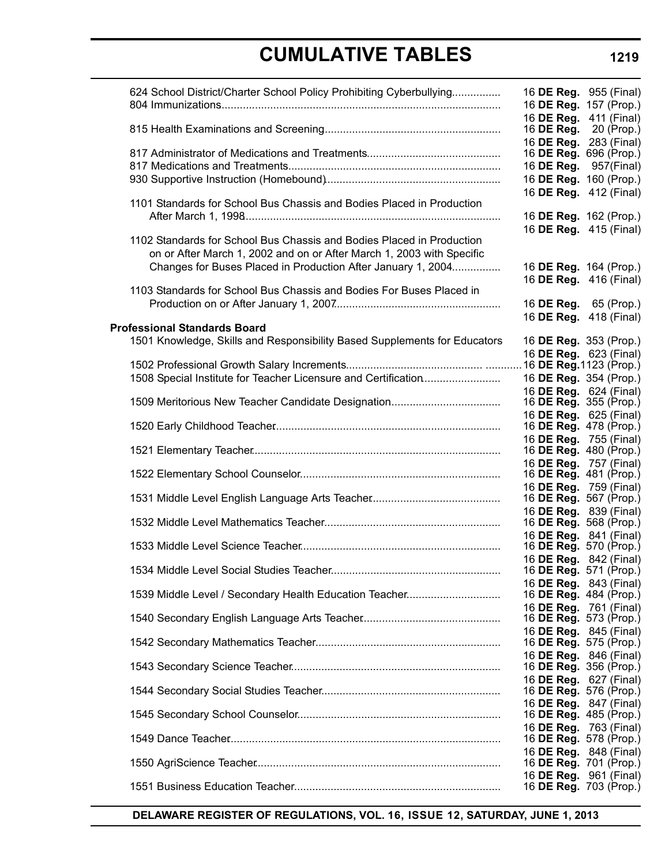| 624 School District/Charter School Policy Prohibiting Cyberbullying       | 16 DE Reg. 955 (Final)<br>16 DE Reg. 157 (Prop.) |
|---------------------------------------------------------------------------|--------------------------------------------------|
|                                                                           | 16 DE Reg. 411 (Final)<br>16 DE Reg. 20 (Prop.)  |
|                                                                           | 16 DE Reg. 283 (Final)<br>16 DE Reg. 696 (Prop.) |
|                                                                           | 16 <b>DE Reg.</b> 957(Final)                     |
|                                                                           | 16 DE Reg. 160 (Prop.)                           |
|                                                                           | 16 DE Reg. 412 (Final)                           |
| 1101 Standards for School Bus Chassis and Bodies Placed in Production     |                                                  |
|                                                                           | 16 DE Reg. 162 (Prop.)                           |
|                                                                           | 16 DE Reg. 415 (Final)                           |
| 1102 Standards for School Bus Chassis and Bodies Placed in Production     |                                                  |
| on or After March 1, 2002 and on or After March 1, 2003 with Specific     |                                                  |
| Changes for Buses Placed in Production After January 1, 2004              | 16 DE Reg. 164 (Prop.)                           |
|                                                                           | 16 DE Reg. 416 (Final)                           |
| 1103 Standards for School Bus Chassis and Bodies For Buses Placed in      |                                                  |
|                                                                           | 16 <b>DE Reg.</b> 65 (Prop.)                     |
|                                                                           | 16 DE Reg. 418 (Final)                           |
| <b>Professional Standards Board</b>                                       |                                                  |
| 1501 Knowledge, Skills and Responsibility Based Supplements for Educators | 16 DE Reg. 353 (Prop.)                           |
|                                                                           | 16 DE Reg. 623 (Final)                           |
|                                                                           |                                                  |
| 1508 Special Institute for Teacher Licensure and Certification            | 16 DE Reg. 354 (Prop.)                           |
|                                                                           | 16 DE Reg. 624 (Final)                           |
|                                                                           | 16 <b>DE Reg.</b> 355 (Prop.)                    |
|                                                                           | 16 DE Reg. 625 (Final)<br>16 DE Reg. 478 (Prop.) |
|                                                                           | 16 DE Reg. 755 (Final)                           |
|                                                                           | 16 DE Reg. 480 (Prop.)                           |
|                                                                           | 16 DE Reg. 757 (Final)                           |
|                                                                           | 16 DE Reg. 481 (Prop.)                           |
|                                                                           | 16 DE Reg. 759 (Final)                           |
|                                                                           | 16 DE Reg. 567 (Prop.)                           |
|                                                                           | 16 DE Reg. 839 (Final)                           |
|                                                                           | 16 <b>DE Reg.</b> 568 (Prop.)                    |
|                                                                           | 16 DE Reg. 841 (Final)                           |
|                                                                           | 16 <b>DE Reg.</b> 570 (Prop.)                    |
|                                                                           | 16 DE Reg. 842 (Final)                           |
|                                                                           | 16 DE Reg. 571 (Prop.)                           |
|                                                                           | 16 DE Reg. 843 (Final)<br>16 DE Reg. 484 (Prop.) |
|                                                                           | 16 DE Reg. 761 (Final)                           |
|                                                                           | 16 DE Reg. 573 (Prop.)                           |
|                                                                           | 16 DE Reg. 845 (Final)                           |
|                                                                           | 16 DE Reg. 575 (Prop.)                           |
|                                                                           | 16 DE Reg. 846 (Final)                           |
|                                                                           | 16 DE Reg. 356 (Prop.)                           |
|                                                                           | 16 DE Reg. 627 (Final)                           |
|                                                                           | 16 DE Reg. 576 (Prop.)                           |
|                                                                           | 16 DE Reg. 847 (Final)                           |
|                                                                           | 16 DE Reg. 485 (Prop.)                           |
|                                                                           | 16 DE Reg. 763 (Final)                           |
|                                                                           | 16 DE Reg. 578 (Prop.)                           |
|                                                                           | 16 DE Reg. 848 (Final)<br>16 DE Reg. 701 (Prop.) |
|                                                                           | 16 DE Reg. 961 (Final)                           |
|                                                                           | 16 DE Reg. 703 (Prop.)                           |

**DELAWARE REGISTER OF REGULATIONS, VOL. 16, ISSUE 12, SATURDAY, JUNE 1, 2013**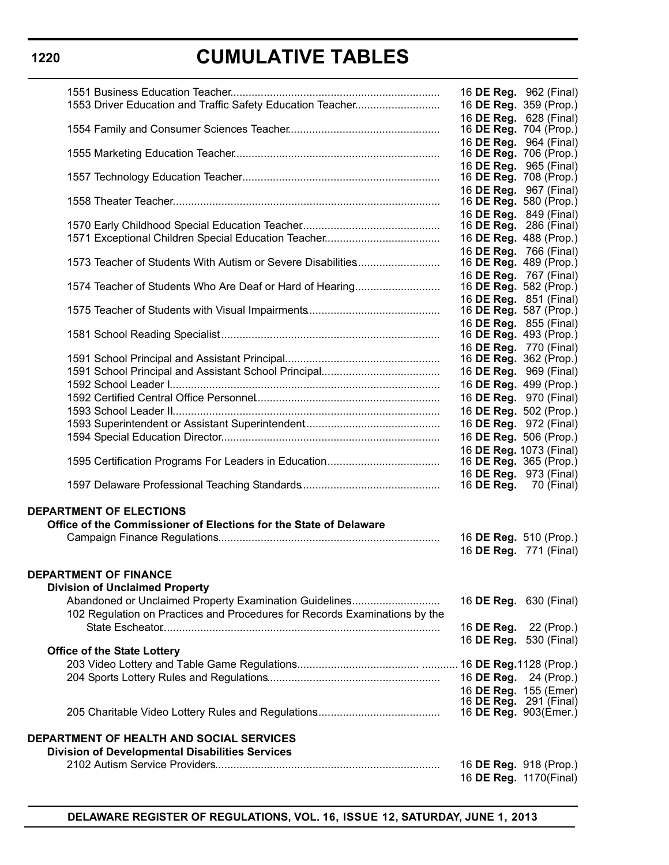| 1553 Driver Education and Traffic Safety Education Teacher                                                                           | 16 DE Reg. 962 (Final)<br>16 DE Reg. 359 (Prop.)                           |  |
|--------------------------------------------------------------------------------------------------------------------------------------|----------------------------------------------------------------------------|--|
|                                                                                                                                      | 16 DE Reg. 628 (Final)<br>16 DE Reg. 704 (Prop.)<br>16 DE Reg. 964 (Final) |  |
|                                                                                                                                      | 16 DE Reg. 706 (Prop.)                                                     |  |
|                                                                                                                                      | 16 DE Reg. 965 (Final)<br>16 DE Reg. 708 (Prop.)                           |  |
|                                                                                                                                      | 16 DE Reg. 967 (Final)<br>16 DE Reg. 580 (Prop.)                           |  |
|                                                                                                                                      | 16 DE Reg. 849 (Final)<br>16 DE Reg. 286 (Final)                           |  |
|                                                                                                                                      | 16 DE Reg. 488 (Prop.)<br>16 DE Reg. 766 (Final)                           |  |
| 1573 Teacher of Students With Autism or Severe Disabilities                                                                          | 16 DE Reg. 489 (Prop.)<br>16 DE Reg. 767 (Final)                           |  |
| 1574 Teacher of Students Who Are Deaf or Hard of Hearing                                                                             | 16 DE Reg. 582 (Prop.)<br>16 DE Reg. 851 (Final)                           |  |
|                                                                                                                                      | 16 DE Reg. 587 (Prop.)<br>16 DE Reg. 855 (Final)                           |  |
|                                                                                                                                      | 16 DE Reg. 493 (Prop.)                                                     |  |
|                                                                                                                                      | 16 DE Reg. 770 (Final)<br>16 <b>DE Reg.</b> 362 (Prop.)                    |  |
|                                                                                                                                      | 16 DE Reg. 969 (Final)                                                     |  |
|                                                                                                                                      | 16 DE Reg. 499 (Prop.)                                                     |  |
|                                                                                                                                      | 16 DE Reg. 970 (Final)                                                     |  |
|                                                                                                                                      | 16 DE Reg. 502 (Prop.)                                                     |  |
|                                                                                                                                      | 16 DE Reg. 972 (Final)                                                     |  |
|                                                                                                                                      | 16 DE Reg. 506 (Prop.)                                                     |  |
|                                                                                                                                      | 16 DE Reg. 1073 (Final)                                                    |  |
|                                                                                                                                      | 16 DE Reg. 365 (Prop.)                                                     |  |
|                                                                                                                                      | 16 DE Reg. 973 (Final)<br>16 <b>DE Reg.</b> 70 (Final)                     |  |
| <b>DEPARTMENT OF ELECTIONS</b>                                                                                                       |                                                                            |  |
| Office of the Commissioner of Elections for the State of Delaware                                                                    |                                                                            |  |
|                                                                                                                                      | 16 DE Reg. 510 (Prop.)                                                     |  |
|                                                                                                                                      | 16 DE Reg. 771 (Final)                                                     |  |
| <b>DEPARTMENT OF FINANCE</b><br><b>Division of Unclaimed Property</b>                                                                |                                                                            |  |
| Abandoned or Unclaimed Property Examination Guidelines<br>102 Regulation on Practices and Procedures for Records Examinations by the | 16 DE Reg. 630 (Final)                                                     |  |
|                                                                                                                                      | 16 <b>DE Reg.</b> 22 (Prop.)                                               |  |
|                                                                                                                                      | 16 DE Reg. 530 (Final)                                                     |  |
| <b>Office of the State Lottery</b>                                                                                                   |                                                                            |  |
|                                                                                                                                      | 16 DE Reg. 24 (Prop.)                                                      |  |
|                                                                                                                                      | 16 DE Reg. 155 (Emer)                                                      |  |
|                                                                                                                                      | 16 DE Reg. 291 (Final)                                                     |  |
|                                                                                                                                      | 16 DE Reg. 903(Emer.)                                                      |  |
| DEPARTMENT OF HEALTH AND SOCIAL SERVICES                                                                                             |                                                                            |  |
| <b>Division of Developmental Disabilities Services</b>                                                                               |                                                                            |  |
|                                                                                                                                      | 16 DE Reg. 918 (Prop.)<br>16 DE Reg. 1170(Final)                           |  |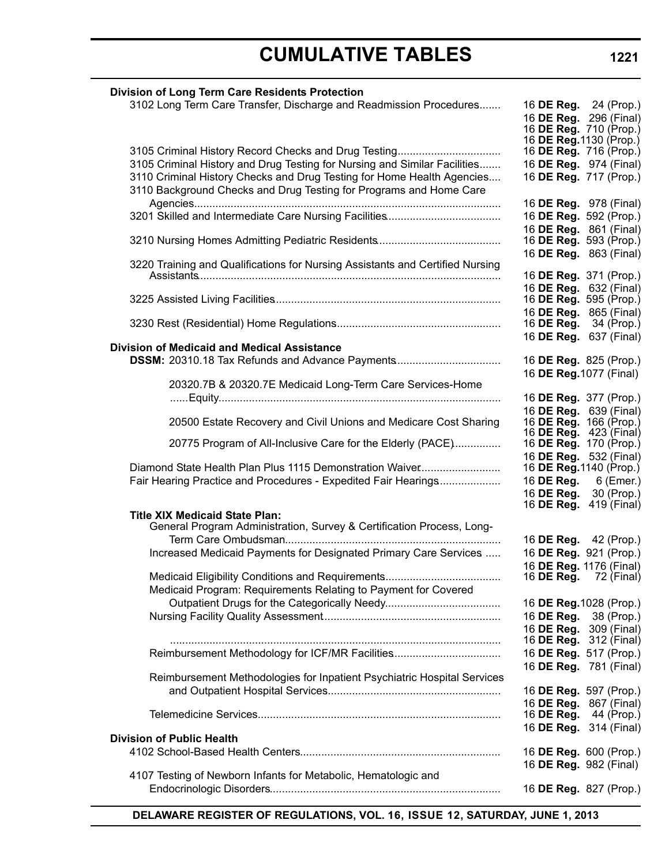3102 Long Term Care Transfer, Discharge and Readmission Procedures........ 16 **DE Reg.** 24 (Prop.)

|                                                                                                                                              | 16 DE Reg. 296 (Final)<br>16 <b>DE Reg.</b> 710 (Prop.)       |
|----------------------------------------------------------------------------------------------------------------------------------------------|---------------------------------------------------------------|
|                                                                                                                                              | 16 <b>DE Reg.</b> 1130 (Prop.)<br>16 DE Reg. 716 (Prop.)      |
| 3105 Criminal History and Drug Testing for Nursing and Similar Facilities                                                                    | 16 DE Reg. 974 (Final)                                        |
| 3110 Criminal History Checks and Drug Testing for Home Health Agencies<br>3110 Background Checks and Drug Testing for Programs and Home Care | 16 DE Reg. 717 (Prop.)                                        |
|                                                                                                                                              | 16 DE Reg. 978 (Final)                                        |
|                                                                                                                                              | 16 DE Reg. 592 (Prop.)<br>16 DE Reg. 861 (Final)              |
|                                                                                                                                              | 16 DE Reg. 593 (Prop.)                                        |
| 3220 Training and Qualifications for Nursing Assistants and Certified Nursing                                                                | 16 DE Reg. 863 (Final)                                        |
|                                                                                                                                              | 16 DE Reg. 371 (Prop.)<br>16 DE Reg. 632 (Final)              |
|                                                                                                                                              | 16 DE Reg. 595 (Prop.)                                        |
|                                                                                                                                              | 16 DE Reg. 865 (Final)<br>16 <b>DE Reg.</b> 34 (Prop.)        |
|                                                                                                                                              | 16 DE Reg. 637 (Final)                                        |
| <b>Division of Medicaid and Medical Assistance</b>                                                                                           |                                                               |
| DSSM: 20310.18 Tax Refunds and Advance Payments                                                                                              | 16 DE Reg. 825 (Prop.)<br>16 DE Reg. 1077 (Final)             |
| 20320.7B & 20320.7E Medicaid Long-Term Care Services-Home                                                                                    |                                                               |
|                                                                                                                                              | 16 DE Reg. 377 (Prop.)                                        |
| 20500 Estate Recovery and Civil Unions and Medicare Cost Sharing                                                                             | 16 DE Reg. 639 (Final)<br>16 <b>DE Reg.</b> 166 (Prop.)       |
|                                                                                                                                              | 16 DE Reg. 423 (Final)                                        |
| 20775 Program of All-Inclusive Care for the Elderly (PACE)                                                                                   | 16 DE Reg. 170 (Prop.)<br>16 DE Reg. 532 (Final)              |
| Diamond State Health Plan Plus 1115 Demonstration Waiver                                                                                     | 16 <b>DE Reg.</b> 1140 (Prop.)                                |
| Fair Hearing Practice and Procedures - Expedited Fair Hearings                                                                               | 16 <b>DE Reg.</b> 6 (Emer.)                                   |
|                                                                                                                                              | 16 <b>DE Reg.</b> 30 (Prop.)<br>16 <b>DE Reg.</b> 419 (Final) |
| <b>Title XIX Medicaid State Plan:</b>                                                                                                        |                                                               |
| General Program Administration, Survey & Certification Process, Long-                                                                        | 16 DE Reg. 42 (Prop.)                                         |
| Increased Medicaid Payments for Designated Primary Care Services                                                                             | 16 DE Reg. 921 (Prop.)                                        |
|                                                                                                                                              | 16 DE Reg. 1176 (Final)                                       |
| Medicaid Program: Requirements Relating to Payment for Covered                                                                               | 16 <b>DE Reg.</b> 72 (Final)                                  |
|                                                                                                                                              | 16 DE Reg. 1028 (Prop.)                                       |
|                                                                                                                                              | 16 DE Reg. 38 (Prop.)                                         |
|                                                                                                                                              | 16 DE Reg. 309 (Final)                                        |
|                                                                                                                                              | 16 DE Reg. 312 (Final)                                        |
| Reimbursement Methodology for ICF/MR Facilities                                                                                              | 16 DE Reg. 517 (Prop.)                                        |
| Reimbursement Methodologies for Inpatient Psychiatric Hospital Services                                                                      | 16 DE Reg. 781 (Final)                                        |
|                                                                                                                                              | 16 DE Reg. 597 (Prop.)                                        |
|                                                                                                                                              | 16 DE Reg. 867 (Final)<br>16 DE Reg.<br>44 (Prop.)            |
|                                                                                                                                              | 16 DE Reg. 314 (Final)                                        |
| <b>Division of Public Health</b>                                                                                                             |                                                               |
|                                                                                                                                              | 16 DE Reg. 600 (Prop.)                                        |
| 4107 Testing of Newborn Infants for Metabolic, Hematologic and                                                                               | 16 DE Reg. 982 (Final)                                        |
|                                                                                                                                              | 16 DE Reg. 827 (Prop.)                                        |
|                                                                                                                                              |                                                               |

**DELAWARE REGISTER OF REGULATIONS, VOL. 16, ISSUE 12, SATURDAY, JUNE 1, 2013**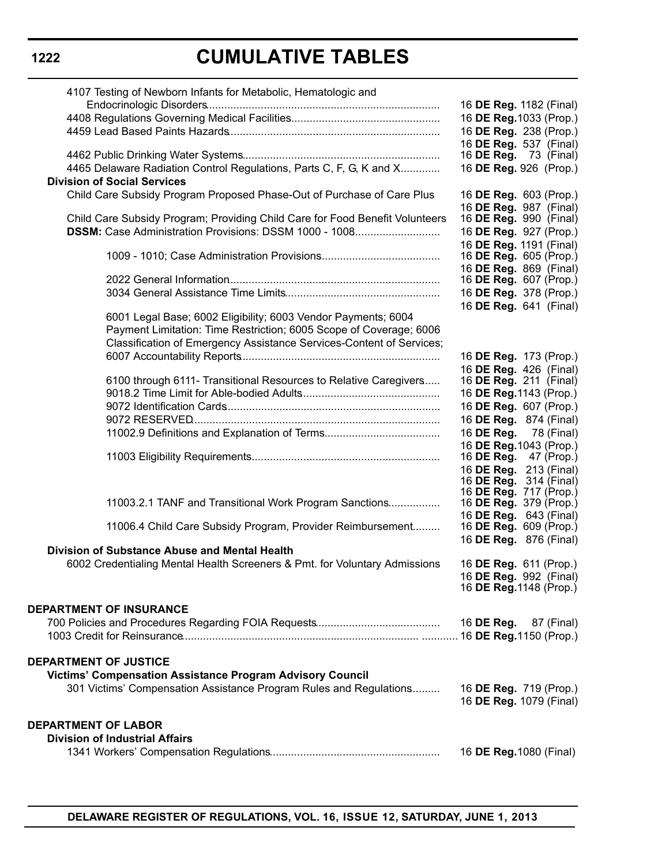| 4107 Testing of Newborn Infants for Metabolic, Hematologic and                                            |                                                         |
|-----------------------------------------------------------------------------------------------------------|---------------------------------------------------------|
|                                                                                                           | 16 DE Reg. 1182 (Final)                                 |
|                                                                                                           | 16 DE Reg. 1033 (Prop.)                                 |
|                                                                                                           | 16 DE Reg. 238 (Prop.)                                  |
|                                                                                                           | 16 DE Reg. 537 (Final)                                  |
|                                                                                                           | 16 <b>DE Reg.</b> 73 (Final)                            |
| 4465 Delaware Radiation Control Regulations, Parts C, F, G, K and X<br><b>Division of Social Services</b> | 16 DE Reg. 926 (Prop.)                                  |
| Child Care Subsidy Program Proposed Phase-Out of Purchase of Care Plus                                    | 16 DE Reg. 603 (Prop.)                                  |
|                                                                                                           | 16 DE Reg. 987 (Final)                                  |
| Child Care Subsidy Program; Providing Child Care for Food Benefit Volunteers                              | 16 DE Reg. 990 (Final)                                  |
| DSSM: Case Administration Provisions: DSSM 1000 - 1008                                                    | 16 DE Reg. 927 (Prop.)                                  |
|                                                                                                           | 16 DE Reg. 1191 (Final)                                 |
|                                                                                                           | 16 DE Reg. 605 (Prop.)                                  |
|                                                                                                           | 16 DE Reg. 869 (Final)                                  |
|                                                                                                           | 16 <b>DE Reg.</b> 607 (Prop.)                           |
|                                                                                                           | 16 DE Reg. 378 (Prop.)                                  |
| 6001 Legal Base; 6002 Eligibility; 6003 Vendor Payments; 6004                                             | 16 DE Reg. 641 (Final)                                  |
| Payment Limitation: Time Restriction; 6005 Scope of Coverage; 6006                                        |                                                         |
| Classification of Emergency Assistance Services-Content of Services;                                      |                                                         |
|                                                                                                           | 16 DE Reg. 173 (Prop.)                                  |
|                                                                                                           | 16 DE Reg. 426 (Final)                                  |
| 6100 through 6111- Transitional Resources to Relative Caregivers                                          | 16 DE Reg. 211 (Final)                                  |
|                                                                                                           | 16 DE Reg. 1143 (Prop.)                                 |
|                                                                                                           | 16 DE Reg. 607 (Prop.)                                  |
|                                                                                                           | 16 DE Reg. 874 (Final)                                  |
|                                                                                                           | 16 DE Reg. 78 (Final)                                   |
|                                                                                                           | 16 DE Reg. 1043 (Prop.)                                 |
|                                                                                                           | 16 DE Reg.<br>47 (Prop.)                                |
|                                                                                                           | 16 DE Reg. 213 (Final)<br>16 <b>DE Reg.</b> 314 (Final) |
|                                                                                                           | 16 DE Reg. 717 (Prop.)                                  |
| 11003.2.1 TANF and Transitional Work Program Sanctions                                                    | 16 <b>DE Reg.</b> 379 (Prop.)                           |
|                                                                                                           | 16 DE Reg. 643 (Final)                                  |
| 11006.4 Child Care Subsidy Program, Provider Reimbursement                                                | 16 DE Reg. 609 (Prop.)                                  |
| Division of Substance Abuse and Mental Health                                                             | 16 DE Reg. 876 (Final)                                  |
| 6002 Credentialing Mental Health Screeners & Pmt. for Voluntary Admissions                                | 16 DE Reg. 611 (Prop.)                                  |
|                                                                                                           | 16 <b>DE Reg.</b> 992 (Final)                           |
|                                                                                                           | 16 <b>DE Reg.</b> 1148 (Prop.)                          |
|                                                                                                           |                                                         |
| <b>DEPARTMENT OF INSURANCE</b>                                                                            |                                                         |
|                                                                                                           | 16 DE Reg.<br>87 (Final)                                |
|                                                                                                           |                                                         |
| <b>DEPARTMENT OF JUSTICE</b>                                                                              |                                                         |
| Victims' Compensation Assistance Program Advisory Council                                                 |                                                         |
| 301 Victims' Compensation Assistance Program Rules and Regulations                                        | 16 DE Reg. 719 (Prop.)                                  |
|                                                                                                           | 16 DE Reg. 1079 (Final)                                 |
|                                                                                                           |                                                         |
| <b>DEPARTMENT OF LABOR</b>                                                                                |                                                         |
| <b>Division of Industrial Affairs</b>                                                                     |                                                         |
|                                                                                                           | 16 DE Reg. 1080 (Final)                                 |
|                                                                                                           |                                                         |

# **1222**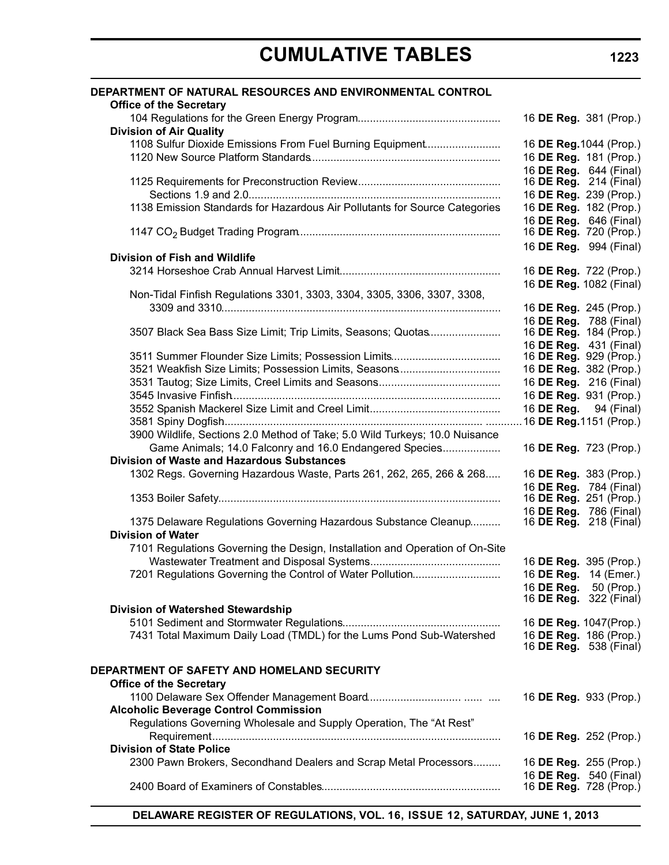| DEPARTMENT OF NATURAL RESOURCES AND ENVIRONMENTAL CONTROL<br><b>Office of the Secretary</b> |                         |                                                  |
|---------------------------------------------------------------------------------------------|-------------------------|--------------------------------------------------|
| <b>Division of Air Quality</b>                                                              | 16 DE Reg. 381 (Prop.)  |                                                  |
|                                                                                             |                         |                                                  |
| 1108 Sulfur Dioxide Emissions From Fuel Burning Equipment                                   | 16 DE Reg. 1044 (Prop.) |                                                  |
|                                                                                             | 16 DE Reg. 181 (Prop.)  |                                                  |
|                                                                                             |                         | 16 DE Reg. 644 (Final)                           |
|                                                                                             | 16 DE Reg. 214 (Final)  |                                                  |
|                                                                                             |                         | 16 DE Reg. 239 (Prop.)                           |
| 1138 Emission Standards for Hazardous Air Pollutants for Source Categories                  | 16 DE Reg. 182 (Prop.)  |                                                  |
|                                                                                             |                         | 16 DE Reg. 646 (Final)<br>16 DE Reg. 720 (Prop.) |
|                                                                                             | 16 DE Reg. 994 (Final)  |                                                  |
| <b>Division of Fish and Wildlife</b>                                                        |                         |                                                  |
|                                                                                             | 16 DE Reg. 722 (Prop.)  |                                                  |
|                                                                                             |                         | 16 DE Reg. 1082 (Final)                          |
| Non-Tidal Finfish Regulations 3301, 3303, 3304, 3305, 3306, 3307, 3308,                     |                         |                                                  |
|                                                                                             | 16 DE Reg. 245 (Prop.)  |                                                  |
|                                                                                             | 16 DE Reg. 788 (Final)  |                                                  |
| 3507 Black Sea Bass Size Limit; Trip Limits, Seasons; Quotas                                | 16 DE Reg. 184 (Prop.)  |                                                  |
|                                                                                             | 16 DE Reg. 431 (Final)  |                                                  |
|                                                                                             | 16 DE Reg. 929 (Prop.)  |                                                  |
| 3521 Weakfish Size Limits; Possession Limits, Seasons                                       | 16 DE Reg. 382 (Prop.)  |                                                  |
|                                                                                             | 16 DE Reg. 216 (Final)  |                                                  |
|                                                                                             | 16 DE Reg. 931 (Prop.)  |                                                  |
|                                                                                             | 16 DE Reg. 94 (Final)   |                                                  |
|                                                                                             | .16 DE Reg.1151 (Prop.) |                                                  |
| 3900 Wildlife, Sections 2.0 Method of Take; 5.0 Wild Turkeys; 10.0 Nuisance                 |                         |                                                  |
| Game Animals; 14.0 Falconry and 16.0 Endangered Species                                     | 16 DE Reg. 723 (Prop.)  |                                                  |
| <b>Division of Waste and Hazardous Substances</b>                                           |                         |                                                  |
| 1302 Regs. Governing Hazardous Waste, Parts 261, 262, 265, 266 & 268                        | 16 DE Reg. 383 (Prop.)  |                                                  |
|                                                                                             |                         | 16 DE Reg. 784 (Final)                           |
|                                                                                             | 16 DE Reg. 251 (Prop.)  |                                                  |
|                                                                                             |                         | 16 DE Reg. 786 (Final)                           |
| 1375 Delaware Regulations Governing Hazardous Substance Cleanup<br><b>Division of Water</b> | 16 DE Reg. 218 (Final)  |                                                  |
| 7101 Regulations Governing the Design, Installation and Operation of On-Site                |                         |                                                  |
|                                                                                             | 16 DE Reg. 395 (Prop.)  |                                                  |
| 7201 Regulations Governing the Control of Water Pollution                                   | 16 DE Reg. 14 (Emer.)   |                                                  |
|                                                                                             | 16 DE Reg. 50 (Prop.)   |                                                  |
|                                                                                             | 16 DE Reg. 322 (Final)  |                                                  |
| Division of Watershed Stewardship                                                           |                         |                                                  |
|                                                                                             | 16 DE Reg. 1047(Prop.)  |                                                  |
| 7431 Total Maximum Daily Load (TMDL) for the Lums Pond Sub-Watershed                        | 16 DE Reg. 186 (Prop.)  |                                                  |
|                                                                                             |                         | 16 DE Reg. 538 (Final)                           |
| DEPARTMENT OF SAFETY AND HOMELAND SECURITY                                                  |                         |                                                  |
| <b>Office of the Secretary</b>                                                              |                         |                                                  |
|                                                                                             | 16 DE Reg. 933 (Prop.)  |                                                  |
| <b>Alcoholic Beverage Control Commission</b>                                                |                         |                                                  |
| Regulations Governing Wholesale and Supply Operation, The "At Rest"                         |                         |                                                  |
|                                                                                             | 16 DE Reg. 252 (Prop.)  |                                                  |
| <b>Division of State Police</b>                                                             |                         |                                                  |
| 2300 Pawn Brokers, Secondhand Dealers and Scrap Metal Processors                            | 16 DE Reg. 255 (Prop.)  |                                                  |
|                                                                                             | 16 DE Reg. 540 (Final)  |                                                  |
|                                                                                             |                         | 16 DE Reg. 728 (Prop.)                           |

**DELAWARE REGISTER OF REGULATIONS, VOL. 16, ISSUE 12, SATURDAY, JUNE 1, 2013**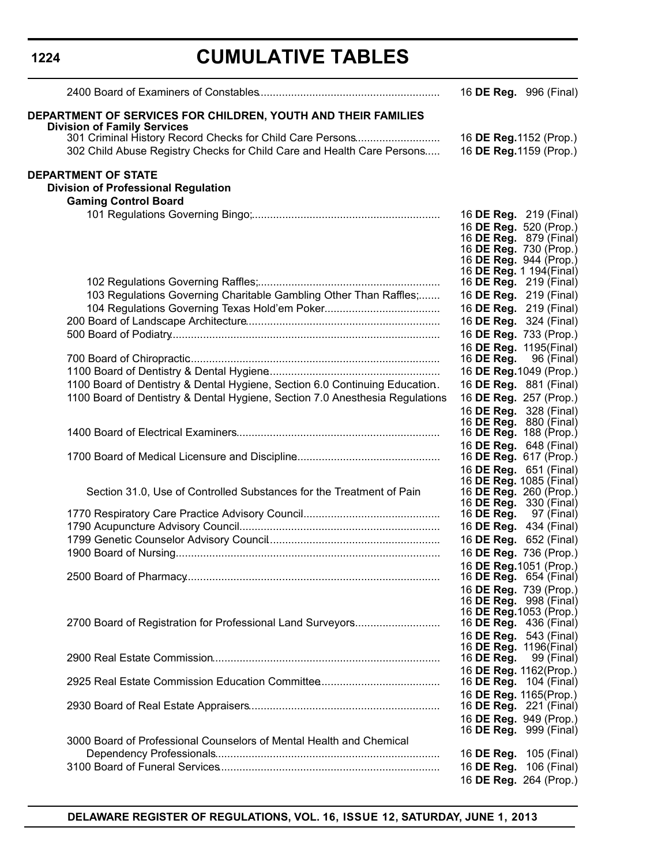| <b>Division of Family Services</b><br>16 DE Reg. 1152 (Prop.)<br>302 Child Abuse Registry Checks for Child Care and Health Care Persons<br>16 DE Reg. 1159 (Prop.)<br><b>Division of Professional Regulation</b><br><b>Gaming Control Board</b><br>16 <b>DE Reg.</b> 219 (Final)<br>16 DE Reg. 520 (Prop.)<br>16 <b>DE Reg.</b> 879 (Final)<br>16 DE Reg. 730 (Prop.)<br>16 DE Reg. 944 (Prop.)<br>16 DE Reg. 1 194 (Final)<br>16 <b>DE Reg.</b> 219 (Final)<br>103 Regulations Governing Charitable Gambling Other Than Raffles;<br>16 DE Reg. 219 (Final)<br>16 DE Reg. 219 (Final)<br>16 DE Reg. 324 (Final)<br>16 DE Reg. 733 (Prop.)<br>16 DE Reg. 1195(Final)<br>16 DE Reg.<br>96 (Final)<br>16 DE Reg. 1049 (Prop.)<br>1100 Board of Dentistry & Dental Hygiene, Section 6.0 Continuing Education.<br>16 DE Reg. 881 (Final)<br>1100 Board of Dentistry & Dental Hygiene, Section 7.0 Anesthesia Regulations<br>16 DE Reg. 257 (Prop.)<br>16 DE Reg. 328 (Final)<br>16 <b>DE Reg.</b> 880 (Final)<br>16 DE Reg. 188 (Prop.)<br>16 DE Reg. 648 (Final)<br>16 DE Reg. 617 (Prop.)<br>16 DE Reg. 651 (Final)<br>16 DE Reg. 1085 (Final)<br>Section 31.0, Use of Controlled Substances for the Treatment of Pain<br>16 DE Reg. 260 (Prop.)<br>16 <b>DE Reg.</b> 330 (Final)<br>16 DE Reg.<br>97 (Final)<br>16 DE Reg. 434 (Final)<br>16 DE Reg. 652 (Final)<br>16 DE Reg. 736 (Prop.)<br>16 DE Reg. 1051 (Prop.)<br>16 <b>DE Reg.</b> 654 (Final)<br>16 DE Reg. 739 (Prop.)<br>16 DE Reg. 998 (Final)<br>16 DE Reg. 1053 (Prop.)<br>2700 Board of Registration for Professional Land Surveyors<br>16 <b>DE Reg.</b> 436 (Final)<br>16 DE Reg. 543 (Final)<br>16 <b>DE Reg.</b> 1196(Final)<br>16 DE Reg.<br>99 (Final)<br>16 DE Reg. 1162(Prop.)<br>16 <b>DE Reg.</b> 104 (Final)<br>16 DE Reg. 1165(Prop.)<br>16 DE Reg. 221 (Final)<br>16 DE Reg. 949 (Prop.)<br>16 DE Reg. 999 (Final)<br>3000 Board of Professional Counselors of Mental Health and Chemical<br>16 <b>DE Reg.</b> 105 (Final)<br>16 DE Reg. 106 (Final) |                                                                      | 16 DE Reg. 996 (Final) |
|--------------------------------------------------------------------------------------------------------------------------------------------------------------------------------------------------------------------------------------------------------------------------------------------------------------------------------------------------------------------------------------------------------------------------------------------------------------------------------------------------------------------------------------------------------------------------------------------------------------------------------------------------------------------------------------------------------------------------------------------------------------------------------------------------------------------------------------------------------------------------------------------------------------------------------------------------------------------------------------------------------------------------------------------------------------------------------------------------------------------------------------------------------------------------------------------------------------------------------------------------------------------------------------------------------------------------------------------------------------------------------------------------------------------------------------------------------------------------------------------------------------------------------------------------------------------------------------------------------------------------------------------------------------------------------------------------------------------------------------------------------------------------------------------------------------------------------------------------------------------------------------------------------------------------------------------------------------------------------------------------------------------------------|----------------------------------------------------------------------|------------------------|
|                                                                                                                                                                                                                                                                                                                                                                                                                                                                                                                                                                                                                                                                                                                                                                                                                                                                                                                                                                                                                                                                                                                                                                                                                                                                                                                                                                                                                                                                                                                                                                                                                                                                                                                                                                                                                                                                                                                                                                                                                                | <b>DEPARTMENT OF SERVICES FOR CHILDREN, YOUTH AND THEIR FAMILIES</b> |                        |
|                                                                                                                                                                                                                                                                                                                                                                                                                                                                                                                                                                                                                                                                                                                                                                                                                                                                                                                                                                                                                                                                                                                                                                                                                                                                                                                                                                                                                                                                                                                                                                                                                                                                                                                                                                                                                                                                                                                                                                                                                                |                                                                      |                        |
|                                                                                                                                                                                                                                                                                                                                                                                                                                                                                                                                                                                                                                                                                                                                                                                                                                                                                                                                                                                                                                                                                                                                                                                                                                                                                                                                                                                                                                                                                                                                                                                                                                                                                                                                                                                                                                                                                                                                                                                                                                |                                                                      |                        |
|                                                                                                                                                                                                                                                                                                                                                                                                                                                                                                                                                                                                                                                                                                                                                                                                                                                                                                                                                                                                                                                                                                                                                                                                                                                                                                                                                                                                                                                                                                                                                                                                                                                                                                                                                                                                                                                                                                                                                                                                                                | <b>DEPARTMENT OF STATE</b>                                           |                        |
|                                                                                                                                                                                                                                                                                                                                                                                                                                                                                                                                                                                                                                                                                                                                                                                                                                                                                                                                                                                                                                                                                                                                                                                                                                                                                                                                                                                                                                                                                                                                                                                                                                                                                                                                                                                                                                                                                                                                                                                                                                |                                                                      |                        |
|                                                                                                                                                                                                                                                                                                                                                                                                                                                                                                                                                                                                                                                                                                                                                                                                                                                                                                                                                                                                                                                                                                                                                                                                                                                                                                                                                                                                                                                                                                                                                                                                                                                                                                                                                                                                                                                                                                                                                                                                                                |                                                                      |                        |
|                                                                                                                                                                                                                                                                                                                                                                                                                                                                                                                                                                                                                                                                                                                                                                                                                                                                                                                                                                                                                                                                                                                                                                                                                                                                                                                                                                                                                                                                                                                                                                                                                                                                                                                                                                                                                                                                                                                                                                                                                                |                                                                      |                        |
|                                                                                                                                                                                                                                                                                                                                                                                                                                                                                                                                                                                                                                                                                                                                                                                                                                                                                                                                                                                                                                                                                                                                                                                                                                                                                                                                                                                                                                                                                                                                                                                                                                                                                                                                                                                                                                                                                                                                                                                                                                |                                                                      |                        |
|                                                                                                                                                                                                                                                                                                                                                                                                                                                                                                                                                                                                                                                                                                                                                                                                                                                                                                                                                                                                                                                                                                                                                                                                                                                                                                                                                                                                                                                                                                                                                                                                                                                                                                                                                                                                                                                                                                                                                                                                                                |                                                                      |                        |
|                                                                                                                                                                                                                                                                                                                                                                                                                                                                                                                                                                                                                                                                                                                                                                                                                                                                                                                                                                                                                                                                                                                                                                                                                                                                                                                                                                                                                                                                                                                                                                                                                                                                                                                                                                                                                                                                                                                                                                                                                                |                                                                      |                        |
|                                                                                                                                                                                                                                                                                                                                                                                                                                                                                                                                                                                                                                                                                                                                                                                                                                                                                                                                                                                                                                                                                                                                                                                                                                                                                                                                                                                                                                                                                                                                                                                                                                                                                                                                                                                                                                                                                                                                                                                                                                |                                                                      |                        |
|                                                                                                                                                                                                                                                                                                                                                                                                                                                                                                                                                                                                                                                                                                                                                                                                                                                                                                                                                                                                                                                                                                                                                                                                                                                                                                                                                                                                                                                                                                                                                                                                                                                                                                                                                                                                                                                                                                                                                                                                                                |                                                                      |                        |
|                                                                                                                                                                                                                                                                                                                                                                                                                                                                                                                                                                                                                                                                                                                                                                                                                                                                                                                                                                                                                                                                                                                                                                                                                                                                                                                                                                                                                                                                                                                                                                                                                                                                                                                                                                                                                                                                                                                                                                                                                                |                                                                      |                        |
|                                                                                                                                                                                                                                                                                                                                                                                                                                                                                                                                                                                                                                                                                                                                                                                                                                                                                                                                                                                                                                                                                                                                                                                                                                                                                                                                                                                                                                                                                                                                                                                                                                                                                                                                                                                                                                                                                                                                                                                                                                |                                                                      |                        |
|                                                                                                                                                                                                                                                                                                                                                                                                                                                                                                                                                                                                                                                                                                                                                                                                                                                                                                                                                                                                                                                                                                                                                                                                                                                                                                                                                                                                                                                                                                                                                                                                                                                                                                                                                                                                                                                                                                                                                                                                                                |                                                                      |                        |
|                                                                                                                                                                                                                                                                                                                                                                                                                                                                                                                                                                                                                                                                                                                                                                                                                                                                                                                                                                                                                                                                                                                                                                                                                                                                                                                                                                                                                                                                                                                                                                                                                                                                                                                                                                                                                                                                                                                                                                                                                                |                                                                      |                        |
|                                                                                                                                                                                                                                                                                                                                                                                                                                                                                                                                                                                                                                                                                                                                                                                                                                                                                                                                                                                                                                                                                                                                                                                                                                                                                                                                                                                                                                                                                                                                                                                                                                                                                                                                                                                                                                                                                                                                                                                                                                |                                                                      |                        |
|                                                                                                                                                                                                                                                                                                                                                                                                                                                                                                                                                                                                                                                                                                                                                                                                                                                                                                                                                                                                                                                                                                                                                                                                                                                                                                                                                                                                                                                                                                                                                                                                                                                                                                                                                                                                                                                                                                                                                                                                                                |                                                                      |                        |
|                                                                                                                                                                                                                                                                                                                                                                                                                                                                                                                                                                                                                                                                                                                                                                                                                                                                                                                                                                                                                                                                                                                                                                                                                                                                                                                                                                                                                                                                                                                                                                                                                                                                                                                                                                                                                                                                                                                                                                                                                                |                                                                      |                        |
|                                                                                                                                                                                                                                                                                                                                                                                                                                                                                                                                                                                                                                                                                                                                                                                                                                                                                                                                                                                                                                                                                                                                                                                                                                                                                                                                                                                                                                                                                                                                                                                                                                                                                                                                                                                                                                                                                                                                                                                                                                |                                                                      |                        |
|                                                                                                                                                                                                                                                                                                                                                                                                                                                                                                                                                                                                                                                                                                                                                                                                                                                                                                                                                                                                                                                                                                                                                                                                                                                                                                                                                                                                                                                                                                                                                                                                                                                                                                                                                                                                                                                                                                                                                                                                                                |                                                                      |                        |
|                                                                                                                                                                                                                                                                                                                                                                                                                                                                                                                                                                                                                                                                                                                                                                                                                                                                                                                                                                                                                                                                                                                                                                                                                                                                                                                                                                                                                                                                                                                                                                                                                                                                                                                                                                                                                                                                                                                                                                                                                                |                                                                      |                        |
|                                                                                                                                                                                                                                                                                                                                                                                                                                                                                                                                                                                                                                                                                                                                                                                                                                                                                                                                                                                                                                                                                                                                                                                                                                                                                                                                                                                                                                                                                                                                                                                                                                                                                                                                                                                                                                                                                                                                                                                                                                |                                                                      |                        |
|                                                                                                                                                                                                                                                                                                                                                                                                                                                                                                                                                                                                                                                                                                                                                                                                                                                                                                                                                                                                                                                                                                                                                                                                                                                                                                                                                                                                                                                                                                                                                                                                                                                                                                                                                                                                                                                                                                                                                                                                                                |                                                                      |                        |
|                                                                                                                                                                                                                                                                                                                                                                                                                                                                                                                                                                                                                                                                                                                                                                                                                                                                                                                                                                                                                                                                                                                                                                                                                                                                                                                                                                                                                                                                                                                                                                                                                                                                                                                                                                                                                                                                                                                                                                                                                                |                                                                      |                        |
|                                                                                                                                                                                                                                                                                                                                                                                                                                                                                                                                                                                                                                                                                                                                                                                                                                                                                                                                                                                                                                                                                                                                                                                                                                                                                                                                                                                                                                                                                                                                                                                                                                                                                                                                                                                                                                                                                                                                                                                                                                |                                                                      |                        |
|                                                                                                                                                                                                                                                                                                                                                                                                                                                                                                                                                                                                                                                                                                                                                                                                                                                                                                                                                                                                                                                                                                                                                                                                                                                                                                                                                                                                                                                                                                                                                                                                                                                                                                                                                                                                                                                                                                                                                                                                                                |                                                                      |                        |
|                                                                                                                                                                                                                                                                                                                                                                                                                                                                                                                                                                                                                                                                                                                                                                                                                                                                                                                                                                                                                                                                                                                                                                                                                                                                                                                                                                                                                                                                                                                                                                                                                                                                                                                                                                                                                                                                                                                                                                                                                                |                                                                      |                        |
|                                                                                                                                                                                                                                                                                                                                                                                                                                                                                                                                                                                                                                                                                                                                                                                                                                                                                                                                                                                                                                                                                                                                                                                                                                                                                                                                                                                                                                                                                                                                                                                                                                                                                                                                                                                                                                                                                                                                                                                                                                |                                                                      |                        |
|                                                                                                                                                                                                                                                                                                                                                                                                                                                                                                                                                                                                                                                                                                                                                                                                                                                                                                                                                                                                                                                                                                                                                                                                                                                                                                                                                                                                                                                                                                                                                                                                                                                                                                                                                                                                                                                                                                                                                                                                                                |                                                                      |                        |
|                                                                                                                                                                                                                                                                                                                                                                                                                                                                                                                                                                                                                                                                                                                                                                                                                                                                                                                                                                                                                                                                                                                                                                                                                                                                                                                                                                                                                                                                                                                                                                                                                                                                                                                                                                                                                                                                                                                                                                                                                                |                                                                      |                        |
|                                                                                                                                                                                                                                                                                                                                                                                                                                                                                                                                                                                                                                                                                                                                                                                                                                                                                                                                                                                                                                                                                                                                                                                                                                                                                                                                                                                                                                                                                                                                                                                                                                                                                                                                                                                                                                                                                                                                                                                                                                |                                                                      |                        |
|                                                                                                                                                                                                                                                                                                                                                                                                                                                                                                                                                                                                                                                                                                                                                                                                                                                                                                                                                                                                                                                                                                                                                                                                                                                                                                                                                                                                                                                                                                                                                                                                                                                                                                                                                                                                                                                                                                                                                                                                                                |                                                                      |                        |
|                                                                                                                                                                                                                                                                                                                                                                                                                                                                                                                                                                                                                                                                                                                                                                                                                                                                                                                                                                                                                                                                                                                                                                                                                                                                                                                                                                                                                                                                                                                                                                                                                                                                                                                                                                                                                                                                                                                                                                                                                                |                                                                      |                        |
|                                                                                                                                                                                                                                                                                                                                                                                                                                                                                                                                                                                                                                                                                                                                                                                                                                                                                                                                                                                                                                                                                                                                                                                                                                                                                                                                                                                                                                                                                                                                                                                                                                                                                                                                                                                                                                                                                                                                                                                                                                |                                                                      |                        |
|                                                                                                                                                                                                                                                                                                                                                                                                                                                                                                                                                                                                                                                                                                                                                                                                                                                                                                                                                                                                                                                                                                                                                                                                                                                                                                                                                                                                                                                                                                                                                                                                                                                                                                                                                                                                                                                                                                                                                                                                                                |                                                                      |                        |
|                                                                                                                                                                                                                                                                                                                                                                                                                                                                                                                                                                                                                                                                                                                                                                                                                                                                                                                                                                                                                                                                                                                                                                                                                                                                                                                                                                                                                                                                                                                                                                                                                                                                                                                                                                                                                                                                                                                                                                                                                                |                                                                      |                        |
|                                                                                                                                                                                                                                                                                                                                                                                                                                                                                                                                                                                                                                                                                                                                                                                                                                                                                                                                                                                                                                                                                                                                                                                                                                                                                                                                                                                                                                                                                                                                                                                                                                                                                                                                                                                                                                                                                                                                                                                                                                |                                                                      |                        |
|                                                                                                                                                                                                                                                                                                                                                                                                                                                                                                                                                                                                                                                                                                                                                                                                                                                                                                                                                                                                                                                                                                                                                                                                                                                                                                                                                                                                                                                                                                                                                                                                                                                                                                                                                                                                                                                                                                                                                                                                                                |                                                                      |                        |
|                                                                                                                                                                                                                                                                                                                                                                                                                                                                                                                                                                                                                                                                                                                                                                                                                                                                                                                                                                                                                                                                                                                                                                                                                                                                                                                                                                                                                                                                                                                                                                                                                                                                                                                                                                                                                                                                                                                                                                                                                                |                                                                      |                        |
|                                                                                                                                                                                                                                                                                                                                                                                                                                                                                                                                                                                                                                                                                                                                                                                                                                                                                                                                                                                                                                                                                                                                                                                                                                                                                                                                                                                                                                                                                                                                                                                                                                                                                                                                                                                                                                                                                                                                                                                                                                |                                                                      |                        |
|                                                                                                                                                                                                                                                                                                                                                                                                                                                                                                                                                                                                                                                                                                                                                                                                                                                                                                                                                                                                                                                                                                                                                                                                                                                                                                                                                                                                                                                                                                                                                                                                                                                                                                                                                                                                                                                                                                                                                                                                                                |                                                                      |                        |
|                                                                                                                                                                                                                                                                                                                                                                                                                                                                                                                                                                                                                                                                                                                                                                                                                                                                                                                                                                                                                                                                                                                                                                                                                                                                                                                                                                                                                                                                                                                                                                                                                                                                                                                                                                                                                                                                                                                                                                                                                                |                                                                      |                        |
|                                                                                                                                                                                                                                                                                                                                                                                                                                                                                                                                                                                                                                                                                                                                                                                                                                                                                                                                                                                                                                                                                                                                                                                                                                                                                                                                                                                                                                                                                                                                                                                                                                                                                                                                                                                                                                                                                                                                                                                                                                |                                                                      |                        |
|                                                                                                                                                                                                                                                                                                                                                                                                                                                                                                                                                                                                                                                                                                                                                                                                                                                                                                                                                                                                                                                                                                                                                                                                                                                                                                                                                                                                                                                                                                                                                                                                                                                                                                                                                                                                                                                                                                                                                                                                                                |                                                                      | 16 DE Reg. 264 (Prop.) |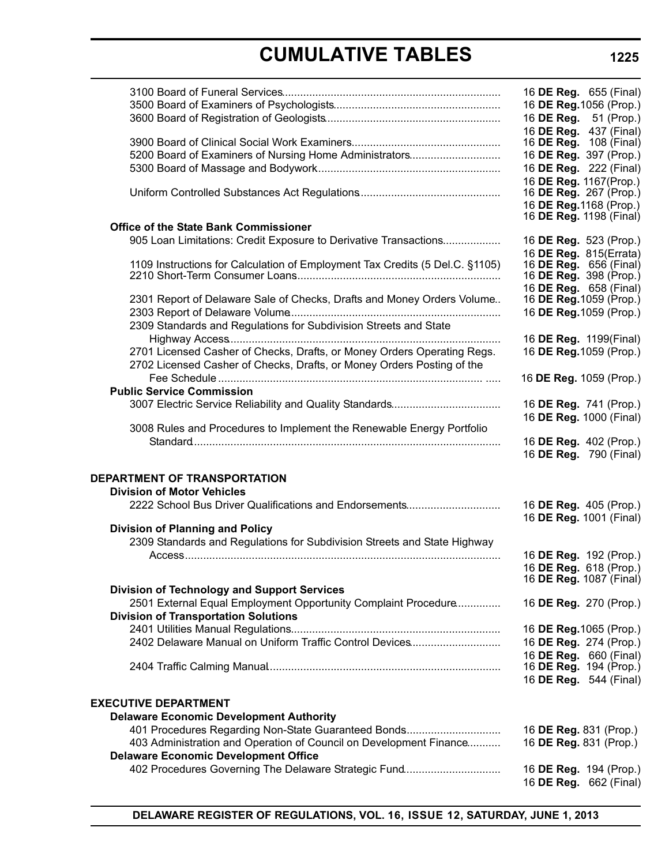|                                                                                                                                                                     | 16 DE Reg. 655 (Final)<br>16 DE Reg. 1056 (Prop.)<br>16 DE Reg. 51 (Prop.)<br>16 DE Reg. 437 (Final)        |
|---------------------------------------------------------------------------------------------------------------------------------------------------------------------|-------------------------------------------------------------------------------------------------------------|
| 5200 Board of Examiners of Nursing Home Administrators                                                                                                              | 16 <b>DE Reg.</b> 108 (Final)<br>16 DE Reg. 397 (Prop.)<br>16 DE Reg. 222 (Final)<br>16 DE Reg. 1167(Prop.) |
|                                                                                                                                                                     | 16 DE Reg. 267 (Prop.)<br>16 DE Reg. 1168 (Prop.)<br>16 DE Reg. 1198 (Final)                                |
| <b>Office of the State Bank Commissioner</b>                                                                                                                        |                                                                                                             |
| 905 Loan Limitations: Credit Exposure to Derivative Transactions                                                                                                    | 16 DE Reg. 523 (Prop.)<br>16 DE Reg. 815(Errata)                                                            |
| 1109 Instructions for Calculation of Employment Tax Credits (5 Del.C. §1105)                                                                                        | 16 DE Reg. 656 (Final)<br>16 DE Reg. 398 (Prop.)<br>16 DE Reg. 658 (Final)                                  |
| 2301 Report of Delaware Sale of Checks, Drafts and Money Orders Volume                                                                                              | 16 DE Reg. 1059 (Prop.)                                                                                     |
|                                                                                                                                                                     | 16 DE Reg. 1059 (Prop.)                                                                                     |
| 2309 Standards and Regulations for Subdivision Streets and State                                                                                                    | 16 DE Reg. 1199(Final)                                                                                      |
| 2701 Licensed Casher of Checks, Drafts, or Money Orders Operating Regs.<br>2702 Licensed Casher of Checks, Drafts, or Money Orders Posting of the                   | 16 DE Reg. 1059 (Prop.)                                                                                     |
|                                                                                                                                                                     | 16 DE Reg. 1059 (Prop.)                                                                                     |
| <b>Public Service Commission</b>                                                                                                                                    |                                                                                                             |
|                                                                                                                                                                     | 16 DE Reg. 741 (Prop.)                                                                                      |
| 3008 Rules and Procedures to Implement the Renewable Energy Portfolio                                                                                               | 16 DE Reg. 1000 (Final)                                                                                     |
|                                                                                                                                                                     | 16 DE Reg. 402 (Prop.)<br>16 DE Reg. 790 (Final)                                                            |
| DEPARTMENT OF TRANSPORTATION                                                                                                                                        |                                                                                                             |
| <b>Division of Motor Vehicles</b>                                                                                                                                   |                                                                                                             |
| 2222 School Bus Driver Qualifications and Endorsements                                                                                                              | 16 DE Reg. 405 (Prop.)                                                                                      |
| <b>Division of Planning and Policy</b>                                                                                                                              | 16 DE Reg. 1001 (Final)                                                                                     |
| 2309 Standards and Regulations for Subdivision Streets and State Highway                                                                                            |                                                                                                             |
|                                                                                                                                                                     | 16 DE Reg. 192 (Prop.)                                                                                      |
|                                                                                                                                                                     | 16 DE Reg. 618 (Prop.)                                                                                      |
|                                                                                                                                                                     | 16 DE Reg. 1087 (Final)                                                                                     |
| <b>Division of Technology and Support Services</b><br>2501 External Equal Employment Opportunity Complaint Procedure<br><b>Division of Transportation Solutions</b> | 16 DE Reg. 270 (Prop.)                                                                                      |
|                                                                                                                                                                     | 16 DE Reg. 1065 (Prop.)                                                                                     |
| 2402 Delaware Manual on Uniform Traffic Control Devices                                                                                                             | 16 DE Reg. 274 (Prop.)                                                                                      |
|                                                                                                                                                                     | 16 DE Reg. 660 (Final)                                                                                      |
|                                                                                                                                                                     | 16 DE Reg. 194 (Prop.)                                                                                      |
|                                                                                                                                                                     | 16 DE Reg. 544 (Final)                                                                                      |
| <b>EXECUTIVE DEPARTMENT</b><br><b>Delaware Economic Development Authority</b>                                                                                       |                                                                                                             |
| 401 Procedures Regarding Non-State Guaranteed Bonds                                                                                                                 | 16 DE Reg. 831 (Prop.)                                                                                      |
| 403 Administration and Operation of Council on Development Finance<br><b>Delaware Economic Development Office</b>                                                   | 16 DE Reg. 831 (Prop.)                                                                                      |
| 402 Procedures Governing The Delaware Strategic Fund                                                                                                                | 16 DE Reg. 194 (Prop.)                                                                                      |
|                                                                                                                                                                     | 16 DE Reg. 662 (Final)                                                                                      |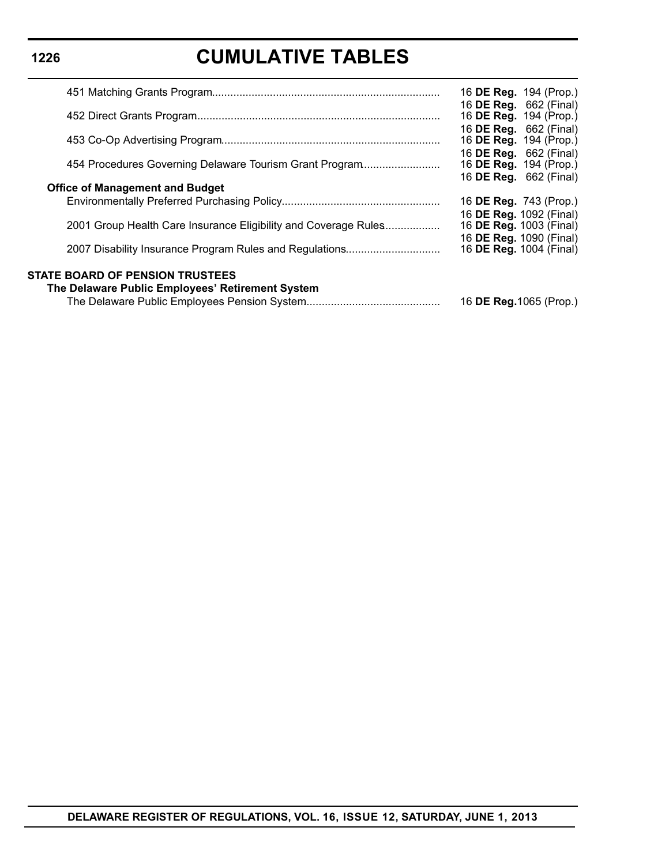|                                                                 | 16 DE Reg. 194 (Prop.)                                         |
|-----------------------------------------------------------------|----------------------------------------------------------------|
|                                                                 | 16 <b>DE Reg.</b> 662 (Final)<br>16 <b>DE Reg.</b> 194 (Prop.) |
|                                                                 | 16 DE Reg. 662 (Final)<br>16 DE Reg. 194 (Prop.)               |
| 454 Procedures Governing Delaware Tourism Grant Program         | 16 DE Reg. 662 (Final)<br>16 DE Reg. 194 (Prop.)               |
| <b>Office of Management and Budget</b>                          | 16 <b>DE Reg.</b> 662 (Final)                                  |
|                                                                 | 16 <b>DE Reg.</b> 743 (Prop.)                                  |
| 2001 Group Health Care Insurance Eligibility and Coverage Rules | 16 DE Reg. 1092 (Final)<br>16 DE Reg. 1003 (Final)             |
| 2007 Disability Insurance Program Rules and Regulations         | 16 DE Reg. 1090 (Final)<br>16 <b>DE Reg.</b> 1004 (Final)      |
| <b>STATE BOARD OF PENSION TRUSTEES</b>                          |                                                                |
| The Delaware Public Employees' Retirement System                |                                                                |
|                                                                 | 16 <b>DE Reg.</b> 1065 (Prop.)                                 |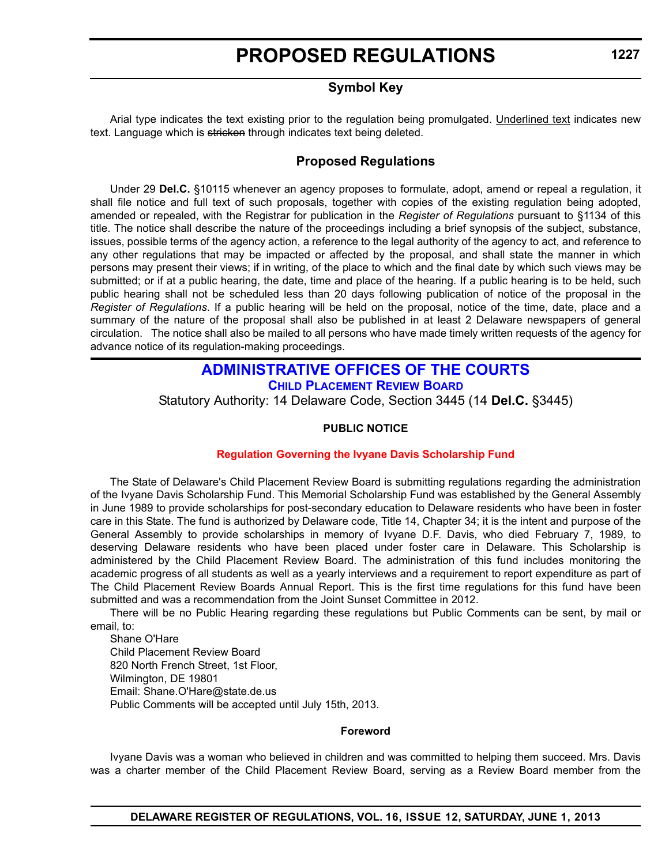# **Symbol Key**

Arial type indicates the text existing prior to the regulation being promulgated. Underlined text indicates new text. Language which is stricken through indicates text being deleted.

# **Proposed Regulations**

Under 29 **Del.C.** §10115 whenever an agency proposes to formulate, adopt, amend or repeal a regulation, it shall file notice and full text of such proposals, together with copies of the existing regulation being adopted, amended or repealed, with the Registrar for publication in the *Register of Regulations* pursuant to §1134 of this title. The notice shall describe the nature of the proceedings including a brief synopsis of the subject, substance, issues, possible terms of the agency action, a reference to the legal authority of the agency to act, and reference to any other regulations that may be impacted or affected by the proposal, and shall state the manner in which persons may present their views; if in writing, of the place to which and the final date by which such views may be submitted; or if at a public hearing, the date, time and place of the hearing. If a public hearing is to be held, such public hearing shall not be scheduled less than 20 days following publication of notice of the proposal in the *Register of Regulations*. If a public hearing will be held on the proposal, notice of the time, date, place and a summary of the nature of the proposal shall also be published in at least 2 Delaware newspapers of general circulation. The notice shall also be mailed to all persons who have made timely written requests of the agency for advance notice of its regulation-making proceedings.

# **[ADMINISTRATIVE OFFICES OF THE COURTS](http://courts.delaware.gov/aoc/) CHILD PLACEMENT REVIEW BOARD**

Statutory Authority: 14 Delaware Code, Section 3445 (14 **Del.C.** §3445)

### **PUBLIC NOTICE**

### **[Regulation Governing the Ivyane Davis Scholarship Fund](#page-3-0)**

The State of Delaware's Child Placement Review Board is submitting regulations regarding the administration of the Ivyane Davis Scholarship Fund. This Memorial Scholarship Fund was established by the General Assembly in June 1989 to provide scholarships for post-secondary education to Delaware residents who have been in foster care in this State. The fund is authorized by Delaware code, Title 14, Chapter 34; it is the intent and purpose of the General Assembly to provide scholarships in memory of Ivyane D.F. Davis, who died February 7, 1989, to deserving Delaware residents who have been placed under foster care in Delaware. This Scholarship is administered by the Child Placement Review Board. The administration of this fund includes monitoring the academic progress of all students as well as a yearly interviews and a requirement to report expenditure as part of The Child Placement Review Boards Annual Report. This is the first time regulations for this fund have been submitted and was a recommendation from the Joint Sunset Committee in 2012.

There will be no Public Hearing regarding these regulations but Public Comments can be sent, by mail or email, to:

Shane O'Hare Child Placement Review Board 820 North French Street, 1st Floor, Wilmington, DE 19801 Email: Shane.O'Hare@state.de.us Public Comments will be accepted until July 15th, 2013.

#### **Foreword**

Ivyane Davis was a woman who believed in children and was committed to helping them succeed. Mrs. Davis was a charter member of the Child Placement Review Board, serving as a Review Board member from the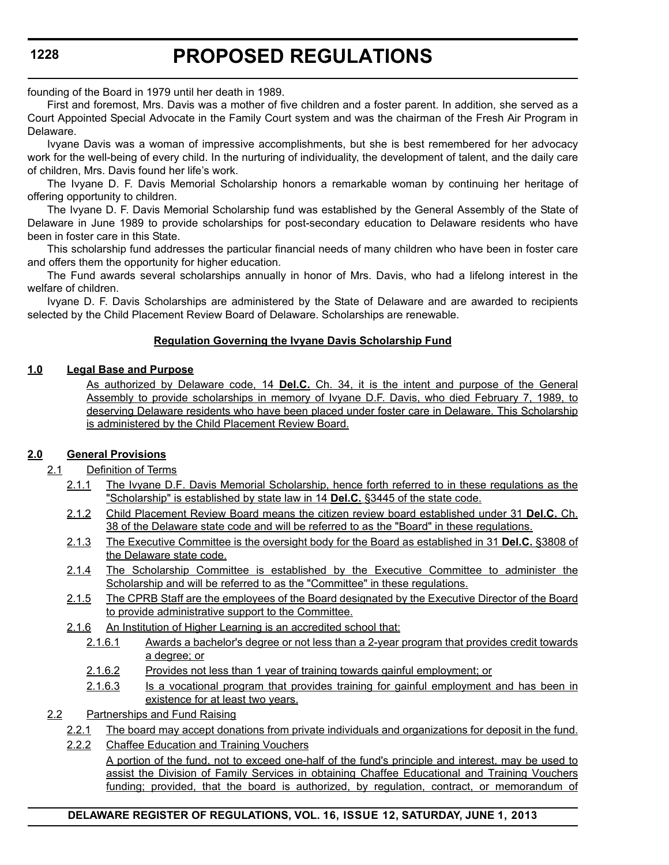# **PROPOSED REGULATIONS**

founding of the Board in 1979 until her death in 1989.

First and foremost, Mrs. Davis was a mother of five children and a foster parent. In addition, she served as a Court Appointed Special Advocate in the Family Court system and was the chairman of the Fresh Air Program in Delaware.

Ivyane Davis was a woman of impressive accomplishments, but she is best remembered for her advocacy work for the well-being of every child. In the nurturing of individuality, the development of talent, and the daily care of children, Mrs. Davis found her life's work.

The Ivyane D. F. Davis Memorial Scholarship honors a remarkable woman by continuing her heritage of offering opportunity to children.

The Ivyane D. F. Davis Memorial Scholarship fund was established by the General Assembly of the State of Delaware in June 1989 to provide scholarships for post-secondary education to Delaware residents who have been in foster care in this State.

This scholarship fund addresses the particular financial needs of many children who have been in foster care and offers them the opportunity for higher education.

The Fund awards several scholarships annually in honor of Mrs. Davis, who had a lifelong interest in the welfare of children.

Ivyane D. F. Davis Scholarships are administered by the State of Delaware and are awarded to recipients selected by the Child Placement Review Board of Delaware. Scholarships are renewable.

### **Regulation Governing the Ivyane Davis Scholarship Fund**

# **1.0 Legal Base and Purpose**

As authorized by Delaware code, 14 **Del.C.** Ch. 34, it is the intent and purpose of the General Assembly to provide scholarships in memory of Ivyane D.F. Davis, who died February 7, 1989, to deserving Delaware residents who have been placed under foster care in Delaware. This Scholarship is administered by the Child Placement Review Board.

# **2.0 General Provisions**

- 2.1 Definition of Terms
	- 2.1.1 The Ivyane D.F. Davis Memorial Scholarship, hence forth referred to in these regulations as the "Scholarship" is established by state law in 14 **Del.C.** §3445 of the state code.
	- 2.1.2 Child Placement Review Board means the citizen review board established under 31 **Del.C.** Ch. 38 of the Delaware state code and will be referred to as the "Board" in these regulations.
	- 2.1.3 The Executive Committee is the oversight body for the Board as established in 31 **Del.C.** §3808 of the Delaware state code.
	- 2.1.4 The Scholarship Committee is established by the Executive Committee to administer the Scholarship and will be referred to as the "Committee" in these regulations.
	- 2.1.5 The CPRB Staff are the employees of the Board designated by the Executive Director of the Board to provide administrative support to the Committee.
	- 2.1.6 An Institution of Higher Learning is an accredited school that:
		- 2.1.6.1 Awards a bachelor's degree or not less than a 2-year program that provides credit towards a degree; or
		- 2.1.6.2 Provides not less than 1 year of training towards gainful employment; or
		- 2.1.6.3 Is a vocational program that provides training for gainful employment and has been in existence for at least two years.
- 2.2 Partnerships and Fund Raising
	- 2.2.1 The board may accept donations from private individuals and organizations for deposit in the fund.
	- 2.2.2 Chaffee Education and Training Vouchers

A portion of the fund, not to exceed one-half of the fund's principle and interest, may be used to assist the Division of Family Services in obtaining Chaffee Educational and Training Vouchers funding; provided, that the board is authorized, by regulation, contract, or memorandum of

### **DELAWARE REGISTER OF REGULATIONS, VOL. 16, ISSUE 12, SATURDAY, JUNE 1, 2013**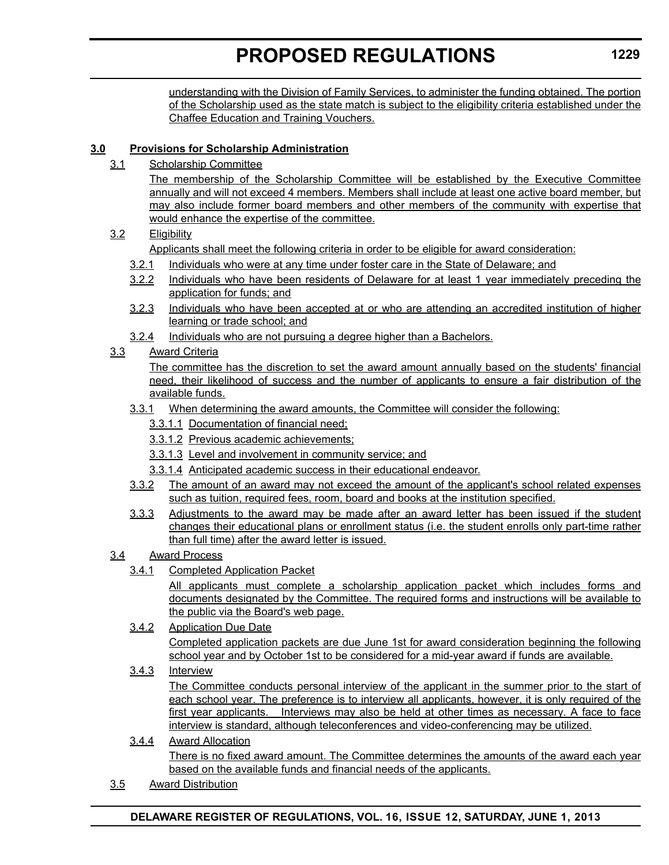<span id="page-16-0"></span>understanding with the Division of Family Services, to administer the funding obtained. The portion of the Scholarship used as the state match is subject to the eligibility criteria established under the Chaffee Education and Training Vouchers.

# **3.0 Provisions for Scholarship Administration**

3.1 Scholarship Committee

The membership of the Scholarship Committee will be established by the Executive Committee annually and will not exceed 4 members. Members shall include at least one active board member, but may also include former board members and other members of the community with expertise that would enhance the expertise of the committee.

3.2 Eligibility

Applicants shall meet the following criteria in order to be eligible for award consideration:

- 3.2.1 Individuals who were at any time under foster care in the State of Delaware; and
- 3.2.2 Individuals who have been residents of Delaware for at least 1 year immediately preceding the application for funds; and
- 3.2.3 Individuals who have been accepted at or who are attending an accredited institution of higher learning or trade school; and
- 3.2.4 Individuals who are not pursuing a degree higher than a Bachelors.

# 3.3 Award Criteria

The committee has the discretion to set the award amount annually based on the students' financial need, their likelihood of success and the number of applicants to ensure a fair distribution of the available funds.

# 3.3.1 When determining the award amounts, the Committee will consider the following:

- 3.3.1.1 Documentation of financial need;
- 3.3.1.2 Previous academic achievements;
- 3.3.1.3 Level and involvement in community service; and
- 3.3.1.4 Anticipated academic success in their educational endeavor.
- 3.3.2 The amount of an award may not exceed the amount of the applicant's school related expenses such as tuition, required fees, room, board and books at the institution specified.
- 3.3.3 Adjustments to the award may be made after an award letter has been issued if the student changes their educational plans or enrollment status (i.e. the student enrolls only part-time rather than full time) after the award letter is issued.
- 3.4 Award Process
	- 3.4.1 Completed Application Packet

All applicants must complete a scholarship application packet which includes forms and documents designated by the Committee. The required forms and instructions will be available to the public via the Board's web page.

3.4.2 Application Due Date Completed application packets are due June 1st for award consideration beginning the following school year and by October 1st to be considered for a mid-year award if funds are available.

# 3.4.3 Interview

The Committee conducts personal interview of the applicant in the summer prior to the start of each school year. The preference is to interview all applicants, however, it is only required of the first year applicants. Interviews may also be held at other times as necessary. A face to face interview is standard, although teleconferences and video-conferencing may be utilized.

- 3.4.4 Award Allocation There is no fixed award amount. The Committee determines the amounts of the award each year based on the available funds and financial needs of the applicants.
- 3.5 Award Distribution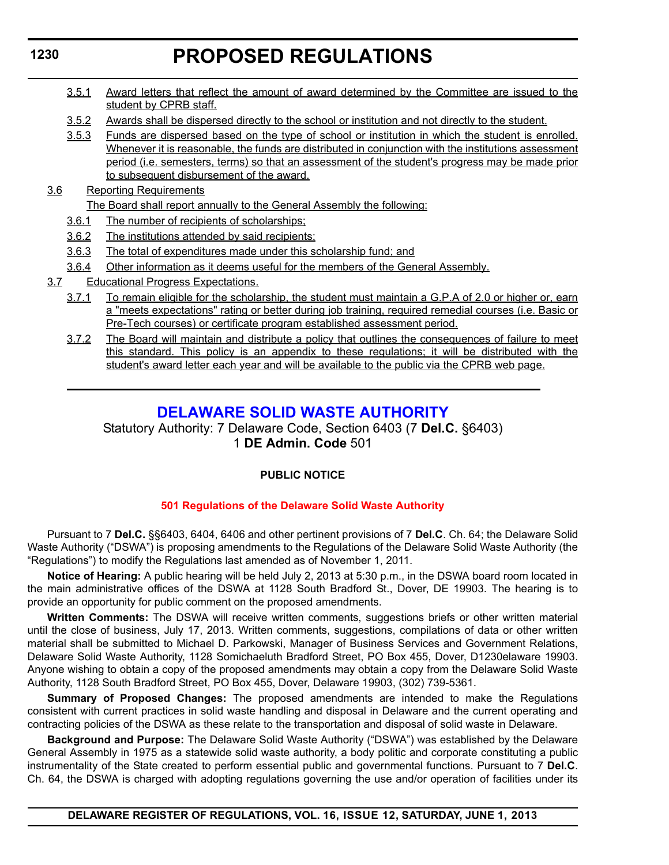- 3.5.1 Award letters that reflect the amount of award determined by the Committee are issued to the student by CPRB staff.
- 3.5.2 Awards shall be dispersed directly to the school or institution and not directly to the student.
- 3.5.3 Funds are dispersed based on the type of school or institution in which the student is enrolled. Whenever it is reasonable, the funds are distributed in conjunction with the institutions assessment period (i.e. semesters, terms) so that an assessment of the student's progress may be made prior to subsequent disbursement of the award.
- 3.6 Reporting Requirements

The Board shall report annually to the General Assembly the following:

- 3.6.1 The number of recipients of scholarships;
- 3.6.2 The institutions attended by said recipients;
- 3.6.3 The total of expenditures made under this scholarship fund; and
- 3.6.4 Other information as it deems useful for the members of the General Assembly.
- 3.7 Educational Progress Expectations.
	- 3.7.1 To remain eligible for the scholarship, the student must maintain a G.P.A of 2.0 or higher or, earn a "meets expectations" rating or better during job training, required remedial courses (i.e. Basic or Pre-Tech courses) or certificate program established assessment period.
	- 3.7.2 The Board will maintain and distribute a policy that outlines the consequences of failure to meet this standard. This policy is an appendix to these regulations; it will be distributed with the student's award letter each year and will be available to the public via the CPRB web page.

# **[DELAWARE SOLID WASTE AUTHORITY](http://www.dswa.com/)**

Statutory Authority: 7 Delaware Code, Section 6403 (7 **Del.C.** §6403) 1 **DE Admin. Code** 501

### **PUBLIC NOTICE**

### **[501 Regulations of the Delaware Solid Waste Authority](#page-3-0)**

Pursuant to 7 **Del.C.** §§6403, 6404, 6406 and other pertinent provisions of 7 **Del.C**. Ch. 64; the Delaware Solid Waste Authority ("DSWA") is proposing amendments to the Regulations of the Delaware Solid Waste Authority (the "Regulations") to modify the Regulations last amended as of November 1, 2011.

**Notice of Hearing:** A public hearing will be held July 2, 2013 at 5:30 p.m., in the DSWA board room located in the main administrative offices of the DSWA at 1128 South Bradford St., Dover, DE 19903. The hearing is to provide an opportunity for public comment on the proposed amendments.

**Written Comments:** The DSWA will receive written comments, suggestions briefs or other written material until the close of business, July 17, 2013. Written comments, suggestions, compilations of data or other written material shall be submitted to Michael D. Parkowski, Manager of Business Services and Government Relations, Delaware Solid Waste Authority, 1128 Somichaeluth Bradford Street, PO Box 455, Dover, D1230elaware 19903. Anyone wishing to obtain a copy of the proposed amendments may obtain a copy from the Delaware Solid Waste Authority, 1128 South Bradford Street, PO Box 455, Dover, Delaware 19903, (302) 739-5361.

**Summary of Proposed Changes:** The proposed amendments are intended to make the Regulations consistent with current practices in solid waste handling and disposal in Delaware and the current operating and contracting policies of the DSWA as these relate to the transportation and disposal of solid waste in Delaware.

**Background and Purpose:** The Delaware Solid Waste Authority ("DSWA") was established by the Delaware General Assembly in 1975 as a statewide solid waste authority, a body politic and corporate constituting a public instrumentality of the State created to perform essential public and governmental functions. Pursuant to 7 **Del.C**. Ch. 64, the DSWA is charged with adopting regulations governing the use and/or operation of facilities under its

**DELAWARE REGISTER OF REGULATIONS, VOL. 16, ISSUE 12, SATURDAY, JUNE 1, 2013**

# <span id="page-17-0"></span>**1230**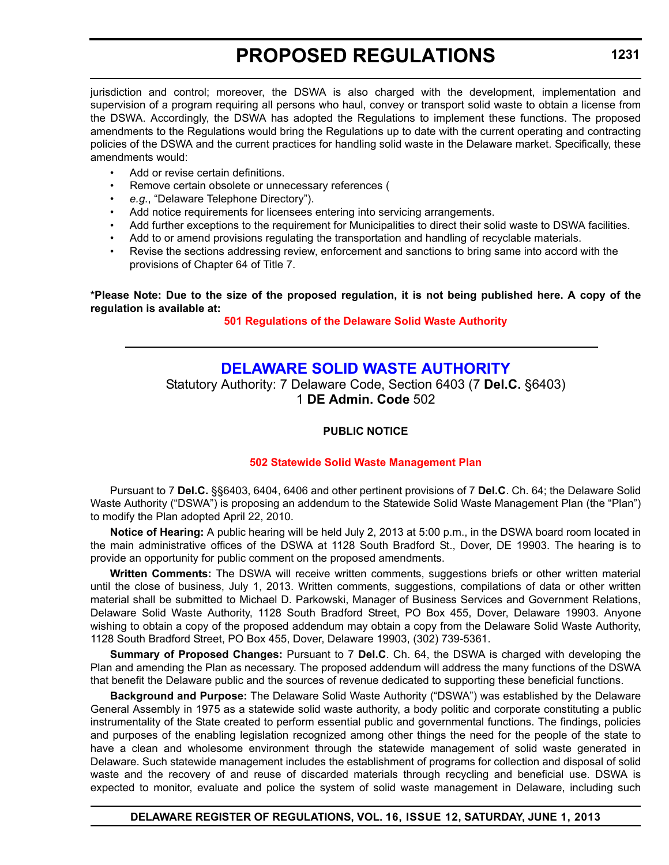<span id="page-18-0"></span>jurisdiction and control; moreover, the DSWA is also charged with the development, implementation and supervision of a program requiring all persons who haul, convey or transport solid waste to obtain a license from the DSWA. Accordingly, the DSWA has adopted the Regulations to implement these functions. The proposed amendments to the Regulations would bring the Regulations up to date with the current operating and contracting policies of the DSWA and the current practices for handling solid waste in the Delaware market. Specifically, these amendments would:

- Add or revise certain definitions.
- Remove certain obsolete or unnecessary references (
- *e.g*., "Delaware Telephone Directory").
- Add notice requirements for licensees entering into servicing arrangements.
- Add further exceptions to the requirement for Municipalities to direct their solid waste to DSWA facilities.
- Add to or amend provisions regulating the transportation and handling of recyclable materials.
- Revise the sections addressing review, enforcement and sanctions to bring same into accord with the provisions of Chapter 64 of Title 7.

#### **\*Please Note: Due to the size of the proposed regulation, it is not being published here. A copy of the regulation is available at:**

# **[501 Regulations of the Delaware Solid Waste Authority](http://regulations.delaware.gov/register/june2013/proposed/16 DE Reg 1230 06-01-13.htm)**

# **[DELAWARE SOLID WASTE AUTHORITY](http://www.dswa.com/)**

Statutory Authority: 7 Delaware Code, Section 6403 (7 **Del.C.** §6403) 1 **DE Admin. Code** 502

# **PUBLIC NOTICE**

# **[502 Statewide Solid Waste Management Plan](#page-3-0)**

Pursuant to 7 **Del.C.** §§6403, 6404, 6406 and other pertinent provisions of 7 **Del.C**. Ch. 64; the Delaware Solid Waste Authority ("DSWA") is proposing an addendum to the Statewide Solid Waste Management Plan (the "Plan") to modify the Plan adopted April 22, 2010.

**Notice of Hearing:** A public hearing will be held July 2, 2013 at 5:00 p.m., in the DSWA board room located in the main administrative offices of the DSWA at 1128 South Bradford St., Dover, DE 19903. The hearing is to provide an opportunity for public comment on the proposed amendments.

**Written Comments:** The DSWA will receive written comments, suggestions briefs or other written material until the close of business, July 1, 2013. Written comments, suggestions, compilations of data or other written material shall be submitted to Michael D. Parkowski, Manager of Business Services and Government Relations, Delaware Solid Waste Authority, 1128 South Bradford Street, PO Box 455, Dover, Delaware 19903. Anyone wishing to obtain a copy of the proposed addendum may obtain a copy from the Delaware Solid Waste Authority, 1128 South Bradford Street, PO Box 455, Dover, Delaware 19903, (302) 739-5361.

**Summary of Proposed Changes:** Pursuant to 7 **Del.C**. Ch. 64, the DSWA is charged with developing the Plan and amending the Plan as necessary. The proposed addendum will address the many functions of the DSWA that benefit the Delaware public and the sources of revenue dedicated to supporting these beneficial functions.

**Background and Purpose:** The Delaware Solid Waste Authority ("DSWA") was established by the Delaware General Assembly in 1975 as a statewide solid waste authority, a body politic and corporate constituting a public instrumentality of the State created to perform essential public and governmental functions. The findings, policies and purposes of the enabling legislation recognized among other things the need for the people of the state to have a clean and wholesome environment through the statewide management of solid waste generated in Delaware. Such statewide management includes the establishment of programs for collection and disposal of solid waste and the recovery of and reuse of discarded materials through recycling and beneficial use. DSWA is expected to monitor, evaluate and police the system of solid waste management in Delaware, including such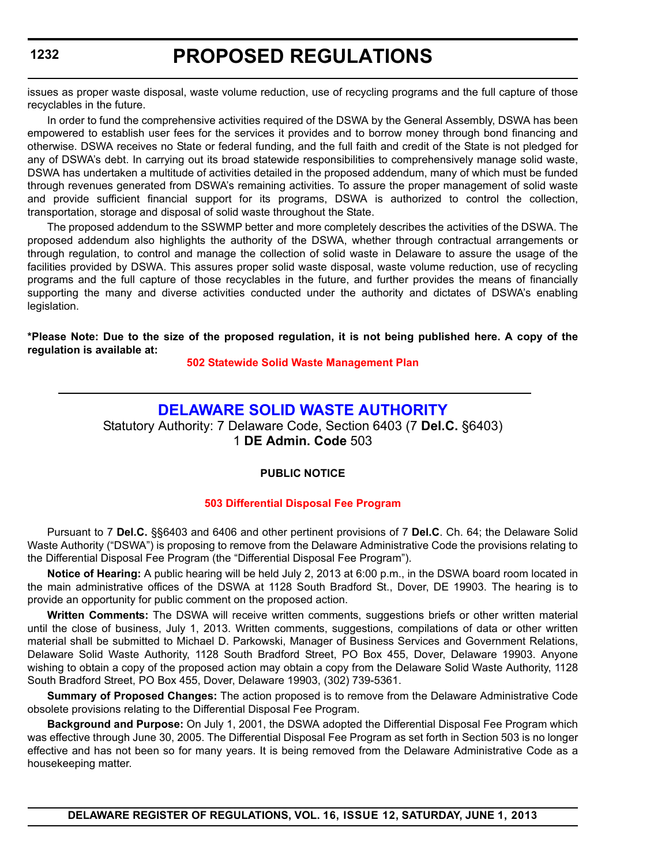# **PROPOSED REGULATIONS**

<span id="page-19-0"></span>issues as proper waste disposal, waste volume reduction, use of recycling programs and the full capture of those recyclables in the future.

In order to fund the comprehensive activities required of the DSWA by the General Assembly, DSWA has been empowered to establish user fees for the services it provides and to borrow money through bond financing and otherwise. DSWA receives no State or federal funding, and the full faith and credit of the State is not pledged for any of DSWA's debt. In carrying out its broad statewide responsibilities to comprehensively manage solid waste, DSWA has undertaken a multitude of activities detailed in the proposed addendum, many of which must be funded through revenues generated from DSWA's remaining activities. To assure the proper management of solid waste and provide sufficient financial support for its programs, DSWA is authorized to control the collection, transportation, storage and disposal of solid waste throughout the State.

The proposed addendum to the SSWMP better and more completely describes the activities of the DSWA. The proposed addendum also highlights the authority of the DSWA, whether through contractual arrangements or through regulation, to control and manage the collection of solid waste in Delaware to assure the usage of the facilities provided by DSWA. This assures proper solid waste disposal, waste volume reduction, use of recycling programs and the full capture of those recyclables in the future, and further provides the means of financially supporting the many and diverse activities conducted under the authority and dictates of DSWA's enabling legislation.

**\*Please Note: Due to the size of the proposed regulation, it is not being published here. A copy of the regulation is available at:**

#### **[502 Statewide Solid Waste Management Plan](http://regulations.delaware.gov/register/june2013/proposed/16 DE Reg 1231 06-01-13.htm)**

# **[DELAWARE SOLID WASTE AUTHORITY](http://www.dswa.com/)**

Statutory Authority: 7 Delaware Code, Section 6403 (7 **Del.C.** §6403) 1 **DE Admin. Code** 503

### **PUBLIC NOTICE**

### **[503 Differential Disposal Fee Program](#page-3-0)**

Pursuant to 7 **Del.C.** §§6403 and 6406 and other pertinent provisions of 7 **Del.C**. Ch. 64; the Delaware Solid Waste Authority ("DSWA") is proposing to remove from the Delaware Administrative Code the provisions relating to the Differential Disposal Fee Program (the "Differential Disposal Fee Program").

**Notice of Hearing:** A public hearing will be held July 2, 2013 at 6:00 p.m., in the DSWA board room located in the main administrative offices of the DSWA at 1128 South Bradford St., Dover, DE 19903. The hearing is to provide an opportunity for public comment on the proposed action.

**Written Comments:** The DSWA will receive written comments, suggestions briefs or other written material until the close of business, July 1, 2013. Written comments, suggestions, compilations of data or other written material shall be submitted to Michael D. Parkowski, Manager of Business Services and Government Relations, Delaware Solid Waste Authority, 1128 South Bradford Street, PO Box 455, Dover, Delaware 19903. Anyone wishing to obtain a copy of the proposed action may obtain a copy from the Delaware Solid Waste Authority, 1128 South Bradford Street, PO Box 455, Dover, Delaware 19903, (302) 739-5361.

**Summary of Proposed Changes:** The action proposed is to remove from the Delaware Administrative Code obsolete provisions relating to the Differential Disposal Fee Program.

**Background and Purpose:** On July 1, 2001, the DSWA adopted the Differential Disposal Fee Program which was effective through June 30, 2005. The Differential Disposal Fee Program as set forth in Section 503 is no longer effective and has not been so for many years. It is being removed from the Delaware Administrative Code as a housekeeping matter.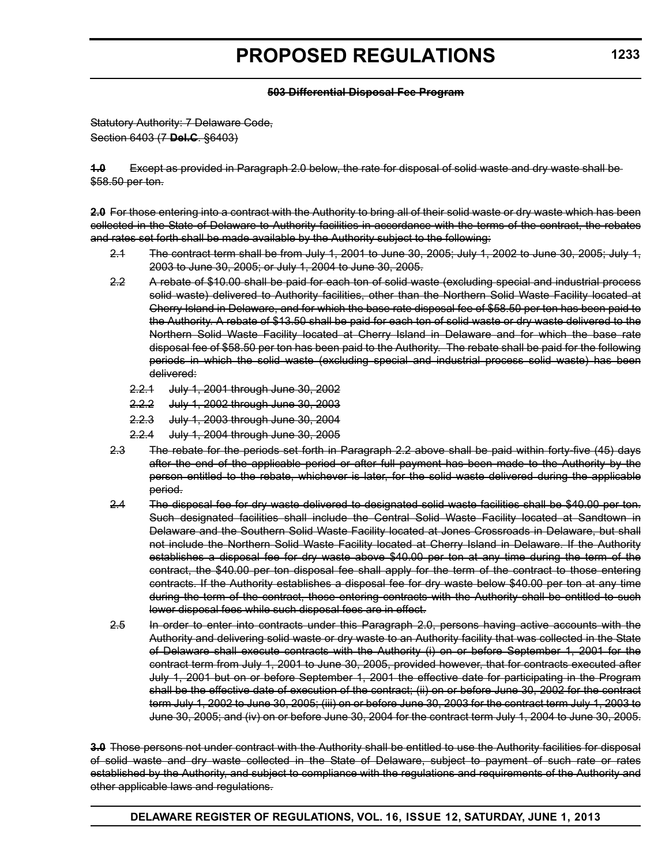#### **503 Differential Disposal Fee Program**

Statutory Authority: 7 Delaware Code, Section 6403 (7 **Del.C**. §6403)

**1.0** Except as provided in Paragraph 2.0 below, the rate for disposal of solid waste and dry waste shall be \$58.50 per ton.

**2.0** For those entering into a contract with the Authority to bring all of their solid waste or dry waste which has been collected in the State of Delaware to Authority facilities in accordance with the terms of the contract, the rebates and rates set forth shall be made available by the Authority subject to the following:

- 2.1 The contract term shall be from July 1, 2001 to June 30, 2005; July 1, 2002 to June 30, 2005; July 1, 2003 to June 30, 2005; or July 1, 2004 to June 30, 2005.
- 2.2 A rebate of \$10.00 shall be paid for each ton of solid waste (excluding special and industrial process solid waste) delivered to Authority facilities, other than the Northern Solid Waste Facility located at Cherry Island in Delaware, and for which the base rate disposal fee of \$58.50 per ton has been paid to the Authority. A rebate of \$13.50 shall be paid for each ton of solid waste or dry waste delivered to the Northern Solid Waste Facility located at Cherry Island in Delaware and for which the base rate disposal fee of \$58.50 per ton has been paid to the Authority. The rebate shall be paid for the following periods in which the solid waste (excluding special and industrial process solid waste) has been delivered:
	- 2.2.1 July 1, 2001 through June 30, 2002
	- 2.2.2 July 1, 2002 through June 30, 2003
	- 2.2.3 July 1, 2003 through June 30, 2004
	- 2.2.4 July 1, 2004 through June 30, 2005
- 2.3 The rebate for the periods set forth in Paragraph 2.2 above shall be paid within forty-five (45) days after the end of the applicable period or after full payment has been made to the Authority by the person entitled to the rebate, whichever is later, for the solid waste delivered during the applicable period.
- 2.4 The disposal fee for dry waste delivered to designated solid waste facilities shall be \$40.00 per ton. Such designated facilities shall include the Central Solid Waste Facility located at Sandtown in Delaware and the Southern Solid Waste Facility located at Jones Crossroads in Delaware, but shall not include the Northern Solid Waste Facility located at Cherry Island in Delaware. If the Authority establishes a disposal fee for dry waste above \$40.00 per ton at any time during the term of the contract, the \$40.00 per ton disposal fee shall apply for the term of the contract to those entering contracts. If the Authority establishes a disposal fee for dry waste below \$40.00 per ton at any time during the term of the contract, those entering contracts with the Authority shall be entitled to such lower disposal fees while such disposal fees are in effect.
- 2.5 In order to enter into contracts under this Paragraph 2.0, persons having active accounts with the Authority and delivering solid waste or dry waste to an Authority facility that was collected in the State of Delaware shall execute contracts with the Authority (i) on or before September 1, 2001 for the contract term from July 1, 2001 to June 30, 2005, provided however, that for contracts executed after July 1, 2001 but on or before September 1, 2001 the effective date for participating in the Program shall be the effective date of execution of the contract; (ii) on or before June 30, 2002 for the contract term July 1, 2002 to June 30, 2005; (iii) on or before June 30, 2003 for the contract term July 1, 2003 to June 30, 2005; and (iv) on or before June 30, 2004 for the contract term July 1, 2004 to June 30, 2005.

**3.0** Those persons not under contract with the Authority shall be entitled to use the Authority facilities for disposal of solid waste and dry waste collected in the State of Delaware, subject to payment of such rate or rates established by the Authority, and subject to compliance with the regulations and requirements of the Authority and other applicable laws and regulations.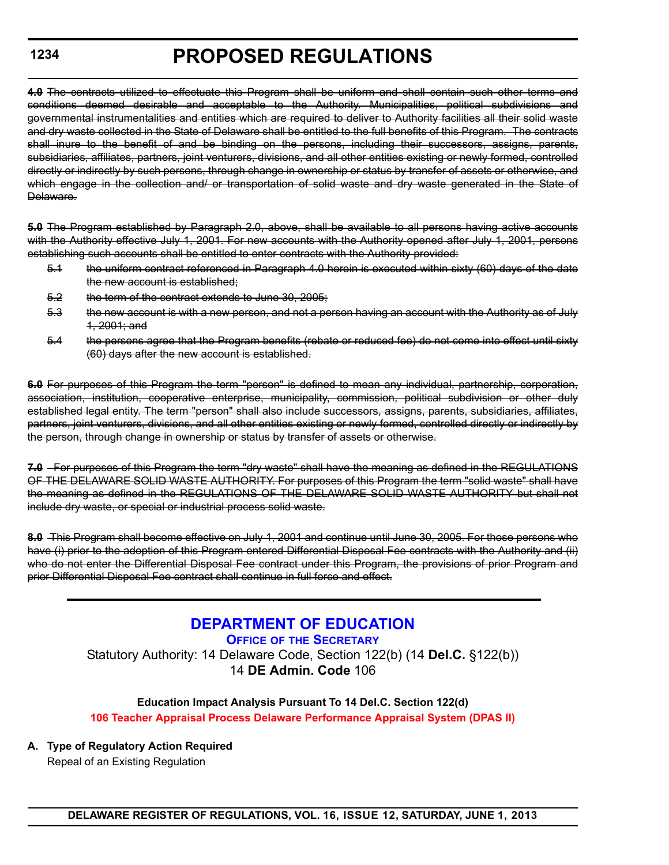# **PROPOSED REGULATIONS**

<span id="page-21-0"></span>**4.0** The contracts utilized to effectuate this Program shall be uniform and shall contain such other terms and conditions deemed desirable and acceptable to the Authority. Municipalities, political subdivisions and governmental instrumentalities and entities which are required to deliver to Authority facilities all their solid waste and dry waste collected in the State of Delaware shall be entitled to the full benefits of this Program. The contracts shall inure to the benefit of and be binding on the persons, including their successors, assigns, parents, subsidiaries, affiliates, partners, joint venturers, divisions, and all other entities existing or newly formed, controlled directly or indirectly by such persons, through change in ownership or status by transfer of assets or otherwise, and which engage in the collection and/ or transportation of solid waste and dry waste generated in the State of Delaware.

**5.0** The Program established by Paragraph 2.0, above, shall be available to all persons having active accounts with the Authority effective July 1, 2001. For new accounts with the Authority opened after July 1, 2001, persons establishing such accounts shall be entitled to enter contracts with the Authority provided:

- 5.1 the uniform contract referenced in Paragraph 4.0 herein is executed within sixty (60) days of the date the new account is established;
- 5.2 the term of the contract extends to June 30, 2005;
- 5.3 the new account is with a new person, and not a person having an account with the Authority as of July 1, 2001; and
- 5.4 the persons agree that the Program benefits (rebate or reduced fee) do not come into effect until sixty (60) days after the new account is established.

**6.0** For purposes of this Program the term "person" is defined to mean any individual, partnership, corporation, association, institution, cooperative enterprise, municipality, commission, political subdivision or other duly established legal entity. The term "person" shall also include successors, assigns, parents, subsidiaries, affiliates, partners, joint venturers, divisions, and all other entities existing or newly formed, controlled directly or indirectly by the person, through change in ownership or status by transfer of assets or otherwise.

**7.0** For purposes of this Program the term "dry waste" shall have the meaning as defined in the REGULATIONS OF THE DELAWARE SOLID WASTE AUTHORITY. For purposes of this Program the term "solid waste" shall have the meaning as defined in the REGULATIONS OF THE DELAWARE SOLID WASTE AUTHORITY but shall not include dry waste, or special or industrial process solid waste.

**8.0** This Program shall become effective on July 1, 2001 and continue until June 30, 2005. For those persons who have (i) prior to the adoption of this Program entered Differential Disposal Fee contracts with the Authority and (ii) who do not enter the Differential Disposal Fee contract under this Program, the provisions of prior Program and prior Differential Disposal Fee contract shall continue in full force and effect.

> **[DEPARTMENT OF EDUCATION](http://www.doe.k12.de.us/) OFFICE OF THE SECRETARY** Statutory Authority: 14 Delaware Code, Section 122(b) (14 **Del.C.** §122(b)) 14 **DE Admin. Code** 106

# **Education Impact Analysis Pursuant To 14 Del.C. Section 122(d) [106 Teacher Appraisal Process Delaware Performance Appraisal System \(DPAS II\)](#page-3-0)**

**A. Type of Regulatory Action Required**

Repeal of an Existing Regulation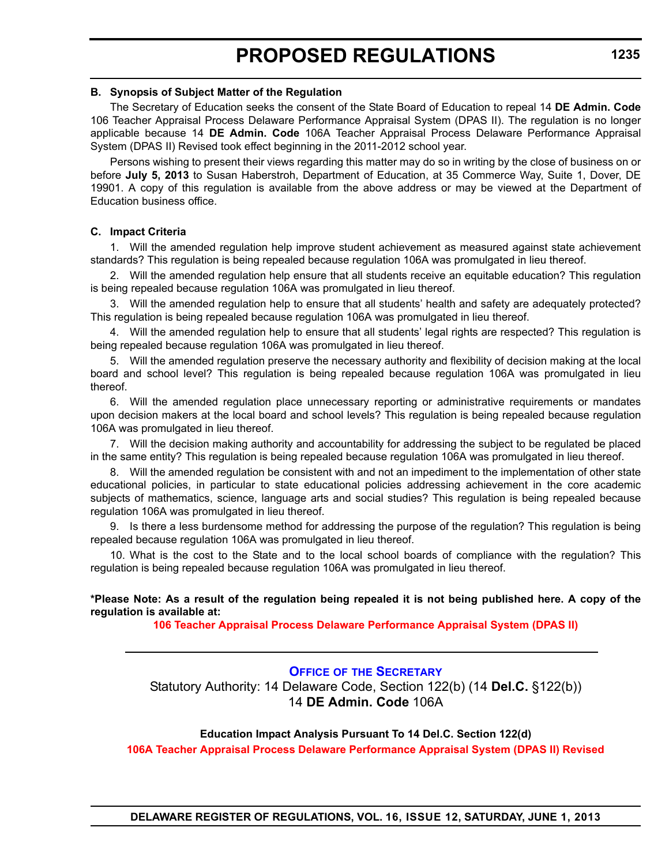#### <span id="page-22-0"></span>**B. Synopsis of Subject Matter of the Regulation**

The Secretary of Education seeks the consent of the State Board of Education to repeal 14 **DE Admin. Code** 106 Teacher Appraisal Process Delaware Performance Appraisal System (DPAS II). The regulation is no longer applicable because 14 **DE Admin. Code** 106A Teacher Appraisal Process Delaware Performance Appraisal System (DPAS II) Revised took effect beginning in the 2011-2012 school year.

Persons wishing to present their views regarding this matter may do so in writing by the close of business on or before **July 5, 2013** to Susan Haberstroh, Department of Education, at 35 Commerce Way, Suite 1, Dover, DE 19901. A copy of this regulation is available from the above address or may be viewed at the Department of Education business office.

### **C. Impact Criteria**

1. Will the amended regulation help improve student achievement as measured against state achievement standards? This regulation is being repealed because regulation 106A was promulgated in lieu thereof.

2. Will the amended regulation help ensure that all students receive an equitable education? This regulation is being repealed because regulation 106A was promulgated in lieu thereof.

3. Will the amended regulation help to ensure that all students' health and safety are adequately protected? This regulation is being repealed because regulation 106A was promulgated in lieu thereof.

4. Will the amended regulation help to ensure that all students' legal rights are respected? This regulation is being repealed because regulation 106A was promulgated in lieu thereof.

5. Will the amended regulation preserve the necessary authority and flexibility of decision making at the local board and school level? This regulation is being repealed because regulation 106A was promulgated in lieu thereof.

6. Will the amended regulation place unnecessary reporting or administrative requirements or mandates upon decision makers at the local board and school levels? This regulation is being repealed because regulation 106A was promulgated in lieu thereof.

7. Will the decision making authority and accountability for addressing the subject to be regulated be placed in the same entity? This regulation is being repealed because regulation 106A was promulgated in lieu thereof.

8. Will the amended regulation be consistent with and not an impediment to the implementation of other state educational policies, in particular to state educational policies addressing achievement in the core academic subjects of mathematics, science, language arts and social studies? This regulation is being repealed because regulation 106A was promulgated in lieu thereof.

9. Is there a less burdensome method for addressing the purpose of the regulation? This regulation is being repealed because regulation 106A was promulgated in lieu thereof.

10. What is the cost to the State and to the local school boards of compliance with the regulation? This regulation is being repealed because regulation 106A was promulgated in lieu thereof.

### **\*Please Note: As a result of the regulation being repealed it is not being published here. A copy of the regulation is available at:**

**[106 Teacher Appraisal Process Delaware Performance Appraisal System \(DPAS II\)](http://regulations.delaware.gov/register/june2013/proposed/16 DE Reg 1234 06-01-13.htm)**

# **OFFICE OF [THE SECRETARY](http://www.doe.k12.de.us/)**

Statutory Authority: 14 Delaware Code, Section 122(b) (14 **Del.C.** §122(b)) 14 **DE Admin. Code** 106A

### **Education Impact Analysis Pursuant To 14 Del.C. Section 122(d)**

**[106A Teacher Appraisal Process Delaware Performance Appraisal System \(DPAS II\) Revised](#page-3-0)**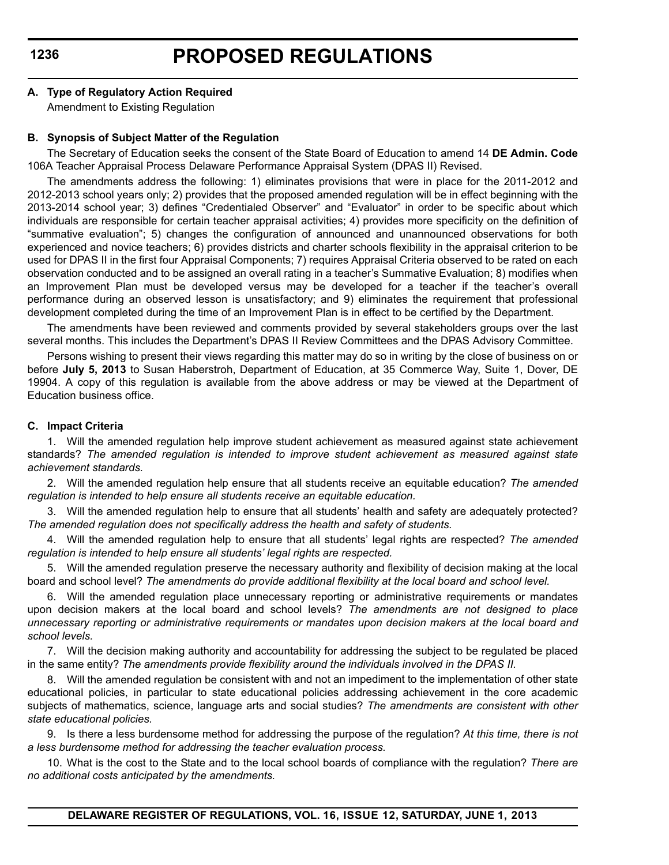# **A. Type of Regulatory Action Required**

Amendment to Existing Regulation

### **B. Synopsis of Subject Matter of the Regulation**

The Secretary of Education seeks the consent of the State Board of Education to amend 14 **DE Admin. Code** 106A Teacher Appraisal Process Delaware Performance Appraisal System (DPAS II) Revised.

The amendments address the following: 1) eliminates provisions that were in place for the 2011-2012 and 2012-2013 school years only; 2) provides that the proposed amended regulation will be in effect beginning with the 2013-2014 school year; 3) defines "Credentialed Observer" and "Evaluator" in order to be specific about which individuals are responsible for certain teacher appraisal activities; 4) provides more specificity on the definition of "summative evaluation"; 5) changes the configuration of announced and unannounced observations for both experienced and novice teachers; 6) provides districts and charter schools flexibility in the appraisal criterion to be used for DPAS II in the first four Appraisal Components; 7) requires Appraisal Criteria observed to be rated on each observation conducted and to be assigned an overall rating in a teacher's Summative Evaluation; 8) modifies when an Improvement Plan must be developed versus may be developed for a teacher if the teacher's overall performance during an observed lesson is unsatisfactory; and 9) eliminates the requirement that professional development completed during the time of an Improvement Plan is in effect to be certified by the Department.

The amendments have been reviewed and comments provided by several stakeholders groups over the last several months. This includes the Department's DPAS II Review Committees and the DPAS Advisory Committee.

Persons wishing to present their views regarding this matter may do so in writing by the close of business on or before **July 5, 2013** to Susan Haberstroh, Department of Education, at 35 Commerce Way, Suite 1, Dover, DE 19904. A copy of this regulation is available from the above address or may be viewed at the Department of Education business office.

### **C. Impact Criteria**

1. Will the amended regulation help improve student achievement as measured against state achievement standards? *The amended regulation is intended to improve student achievement as measured against state achievement standards.*

2. Will the amended regulation help ensure that all students receive an equitable education? *The amended regulation is intended to help ensure all students receive an equitable education.*

3. Will the amended regulation help to ensure that all students' health and safety are adequately protected? *The amended regulation does not specifically address the health and safety of students.*

4. Will the amended regulation help to ensure that all students' legal rights are respected? *The amended regulation is intended to help ensure all students' legal rights are respected.*

5. Will the amended regulation preserve the necessary authority and flexibility of decision making at the local board and school level? *The amendments do provide additional flexibility at the local board and school level.*

6. Will the amended regulation place unnecessary reporting or administrative requirements or mandates upon decision makers at the local board and school levels? *The amendments are not designed to place unnecessary reporting or administrative requirements or mandates upon decision makers at the local board and school levels.*

7. Will the decision making authority and accountability for addressing the subject to be regulated be placed in the same entity? *The amendments provide flexibility around the individuals involved in the DPAS II.*

8. Will the amended regulation be consistent with and not an impediment to the implementation of other state educational policies, in particular to state educational policies addressing achievement in the core academic subjects of mathematics, science, language arts and social studies? *The amendments are consistent with other state educational policies.* 

9. Is there a less burdensome method for addressing the purpose of the regulation? *At this time, there is not a less burdensome method for addressing the teacher evaluation process.* 

10. What is the cost to the State and to the local school boards of compliance with the regulation? *There are no additional costs anticipated by the amendments.*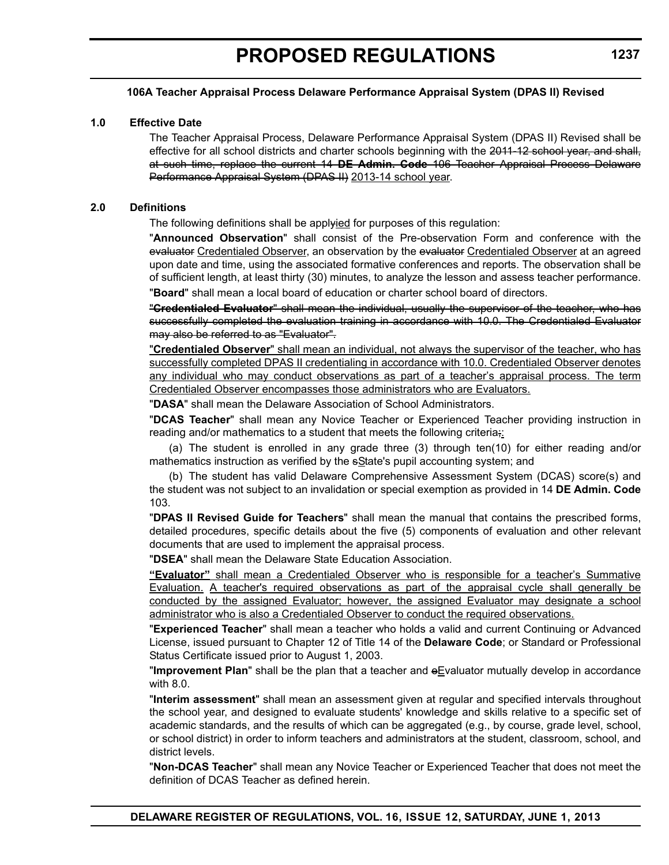### **106A Teacher Appraisal Process Delaware Performance Appraisal System (DPAS II) Revised**

#### **1.0 Effective Date**

The Teacher Appraisal Process, Delaware Performance Appraisal System (DPAS II) Revised shall be effective for all school districts and charter schools beginning with the 2011-12 school year, and shall, at such time, replace the current 14 **DE Admin. Code** 106 Teacher Appraisal Process Delaware Performance Appraisal System (DPAS II) 2013-14 school year.

#### **2.0 Definitions**

The following definitions shall be applyied for purposes of this regulation:

"**Announced Observation**" shall consist of the Pre-observation Form and conference with the evaluator Credentialed Observer, an observation by the evaluator Credentialed Observer at an agreed upon date and time, using the associated formative conferences and reports. The observation shall be of sufficient length, at least thirty (30) minutes, to analyze the lesson and assess teacher performance. "**Board**" shall mean a local board of education or charter school board of directors.

"**Credentialed Evaluator**" shall mean the individual, usually the supervisor of the teacher, who has successfully completed the evaluation training in accordance with 10.0. The Credentialed Evaluator may also be referred to as "Evaluator".

"**Credentialed Observer**" shall mean an individual, not always the supervisor of the teacher, who has successfully completed DPAS II credentialing in accordance with 10.0. Credentialed Observer denotes any individual who may conduct observations as part of a teacher's appraisal process. The term Credentialed Observer encompasses those administrators who are Evaluators.

"**DASA**" shall mean the Delaware Association of School Administrators.

"**DCAS Teacher**" shall mean any Novice Teacher or Experienced Teacher providing instruction in reading and/or mathematics to a student that meets the following criteria;

(a) The student is enrolled in any grade three (3) through ten(10) for either reading and/or mathematics instruction as verified by the sState's pupil accounting system; and

(b) The student has valid Delaware Comprehensive Assessment System (DCAS) score(s) and the student was not subject to an invalidation or special exemption as provided in 14 **DE Admin. Code** 103.

"**DPAS II Revised Guide for Teachers**" shall mean the manual that contains the prescribed forms, detailed procedures, specific details about the five (5) components of evaluation and other relevant documents that are used to implement the appraisal process.

"**DSEA**" shall mean the Delaware State Education Association.

**"Evaluator"** shall mean a Credentialed Observer who is responsible for a teacher's Summative Evaluation. A teacher's required observations as part of the appraisal cycle shall generally be conducted by the assigned Evaluator; however, the assigned Evaluator may designate a school administrator who is also a Credentialed Observer to conduct the required observations.

"**Experienced Teacher**" shall mean a teacher who holds a valid and current Continuing or Advanced License, issued pursuant to Chapter 12 of Title 14 of the **Delaware Code**; or Standard or Professional Status Certificate issued prior to August 1, 2003.

"**Improvement Plan**" shall be the plan that a teacher and eEvaluator mutually develop in accordance with 8.0.

"**Interim assessment**" shall mean an assessment given at regular and specified intervals throughout the school year, and designed to evaluate students' knowledge and skills relative to a specific set of academic standards, and the results of which can be aggregated (e.g., by course, grade level, school, or school district) in order to inform teachers and administrators at the student, classroom, school, and district levels.

"**Non-DCAS Teacher**" shall mean any Novice Teacher or Experienced Teacher that does not meet the definition of DCAS Teacher as defined herein.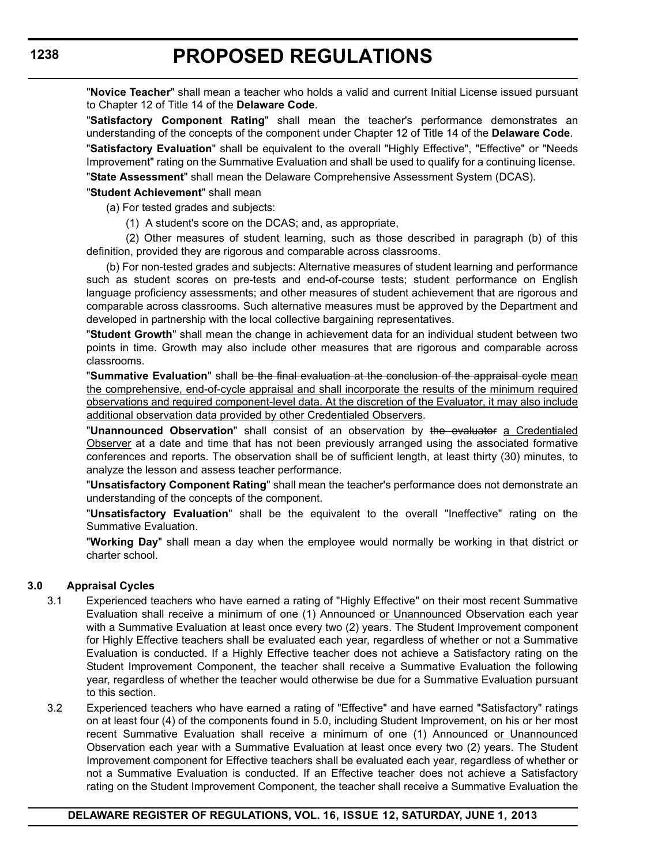"**Novice Teacher**" shall mean a teacher who holds a valid and current Initial License issued pursuant to Chapter 12 of Title 14 of the **Delaware Code**.

"**Satisfactory Component Rating**" shall mean the teacher's performance demonstrates an understanding of the concepts of the component under Chapter 12 of Title 14 of the **Delaware Code**. "**Satisfactory Evaluation**" shall be equivalent to the overall "Highly Effective", "Effective" or "Needs

Improvement" rating on the Summative Evaluation and shall be used to qualify for a continuing license.

"**State Assessment**" shall mean the Delaware Comprehensive Assessment System (DCAS).

#### "**Student Achievement**" shall mean

(a) For tested grades and subjects:

(1) A student's score on the DCAS; and, as appropriate,

(2) Other measures of student learning, such as those described in paragraph (b) of this definition, provided they are rigorous and comparable across classrooms.

(b) For non-tested grades and subjects: Alternative measures of student learning and performance such as student scores on pre-tests and end-of-course tests; student performance on English language proficiency assessments; and other measures of student achievement that are rigorous and comparable across classrooms. Such alternative measures must be approved by the Department and developed in partnership with the local collective bargaining representatives.

"**Student Growth**" shall mean the change in achievement data for an individual student between two points in time. Growth may also include other measures that are rigorous and comparable across classrooms.

"**Summative Evaluation**" shall be the final evaluation at the conclusion of the appraisal cycle mean the comprehensive, end-of-cycle appraisal and shall incorporate the results of the minimum required observations and required component-level data. At the discretion of the Evaluator, it may also include additional observation data provided by other Credentialed Observers.

"**Unannounced Observation**" shall consist of an observation by the evaluator a Credentialed Observer at a date and time that has not been previously arranged using the associated formative conferences and reports. The observation shall be of sufficient length, at least thirty (30) minutes, to analyze the lesson and assess teacher performance.

"**Unsatisfactory Component Rating**" shall mean the teacher's performance does not demonstrate an understanding of the concepts of the component.

"**Unsatisfactory Evaluation**" shall be the equivalent to the overall "Ineffective" rating on the Summative Evaluation.

"**Working Day**" shall mean a day when the employee would normally be working in that district or charter school.

### **3.0 Appraisal Cycles**

- 3.1 Experienced teachers who have earned a rating of "Highly Effective" on their most recent Summative Evaluation shall receive a minimum of one (1) Announced or Unannounced Observation each year with a Summative Evaluation at least once every two (2) years. The Student Improvement component for Highly Effective teachers shall be evaluated each year, regardless of whether or not a Summative Evaluation is conducted. If a Highly Effective teacher does not achieve a Satisfactory rating on the Student Improvement Component, the teacher shall receive a Summative Evaluation the following year, regardless of whether the teacher would otherwise be due for a Summative Evaluation pursuant to this section.
- 3.2 Experienced teachers who have earned a rating of "Effective" and have earned "Satisfactory" ratings on at least four (4) of the components found in 5.0, including Student Improvement, on his or her most recent Summative Evaluation shall receive a minimum of one (1) Announced or Unannounced Observation each year with a Summative Evaluation at least once every two (2) years. The Student Improvement component for Effective teachers shall be evaluated each year, regardless of whether or not a Summative Evaluation is conducted. If an Effective teacher does not achieve a Satisfactory rating on the Student Improvement Component, the teacher shall receive a Summative Evaluation the

**1238**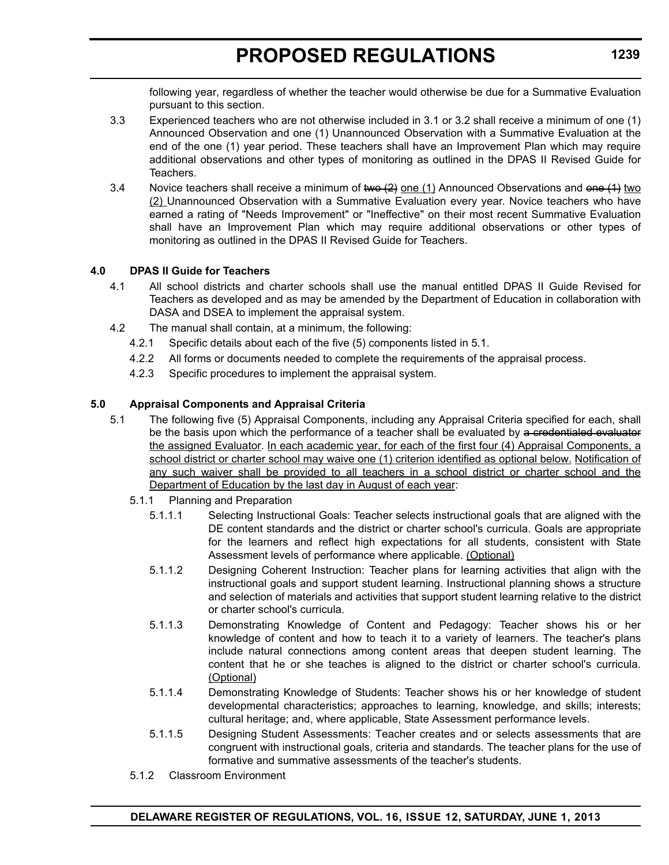following year, regardless of whether the teacher would otherwise be due for a Summative Evaluation pursuant to this section.

- 3.3 Experienced teachers who are not otherwise included in 3.1 or 3.2 shall receive a minimum of one (1) Announced Observation and one (1) Unannounced Observation with a Summative Evaluation at the end of the one (1) year period. These teachers shall have an Improvement Plan which may require additional observations and other types of monitoring as outlined in the DPAS II Revised Guide for Teachers.
- 3.4 Novice teachers shall receive a minimum of two  $(2)$  one  $(1)$  Announced Observations and one  $(1)$  two (2) Unannounced Observation with a Summative Evaluation every year. Novice teachers who have earned a rating of "Needs Improvement" or "Ineffective" on their most recent Summative Evaluation shall have an Improvement Plan which may require additional observations or other types of monitoring as outlined in the DPAS II Revised Guide for Teachers.

# **4.0 DPAS II Guide for Teachers**

- 4.1 All school districts and charter schools shall use the manual entitled DPAS II Guide Revised for Teachers as developed and as may be amended by the Department of Education in collaboration with DASA and DSEA to implement the appraisal system.
- 4.2 The manual shall contain, at a minimum, the following:
	- 4.2.1 Specific details about each of the five (5) components listed in 5.1.
	- 4.2.2 All forms or documents needed to complete the requirements of the appraisal process.
	- 4.2.3 Specific procedures to implement the appraisal system.

# **5.0 Appraisal Components and Appraisal Criteria**

- 5.1 The following five (5) Appraisal Components, including any Appraisal Criteria specified for each, shall be the basis upon which the performance of a teacher shall be evaluated by a credentialed evaluator the assigned Evaluator. In each academic year, for each of the first four (4) Appraisal Components, a school district or charter school may waive one (1) criterion identified as optional below. Notification of any such waiver shall be provided to all teachers in a school district or charter school and the Department of Education by the last day in August of each year:
	- 5.1.1 Planning and Preparation
		- 5.1.1.1 Selecting Instructional Goals: Teacher selects instructional goals that are aligned with the DE content standards and the district or charter school's curricula. Goals are appropriate for the learners and reflect high expectations for all students, consistent with State Assessment levels of performance where applicable. (Optional)
		- 5.1.1.2 Designing Coherent Instruction: Teacher plans for learning activities that align with the instructional goals and support student learning. Instructional planning shows a structure and selection of materials and activities that support student learning relative to the district or charter school's curricula.
		- 5.1.1.3 Demonstrating Knowledge of Content and Pedagogy: Teacher shows his or her knowledge of content and how to teach it to a variety of learners. The teacher's plans include natural connections among content areas that deepen student learning. The content that he or she teaches is aligned to the district or charter school's curricula. (Optional)
		- 5.1.1.4 Demonstrating Knowledge of Students: Teacher shows his or her knowledge of student developmental characteristics; approaches to learning, knowledge, and skills; interests; cultural heritage; and, where applicable, State Assessment performance levels.
		- 5.1.1.5 Designing Student Assessments: Teacher creates and or selects assessments that are congruent with instructional goals, criteria and standards. The teacher plans for the use of formative and summative assessments of the teacher's students.
	- 5.1.2 Classroom Environment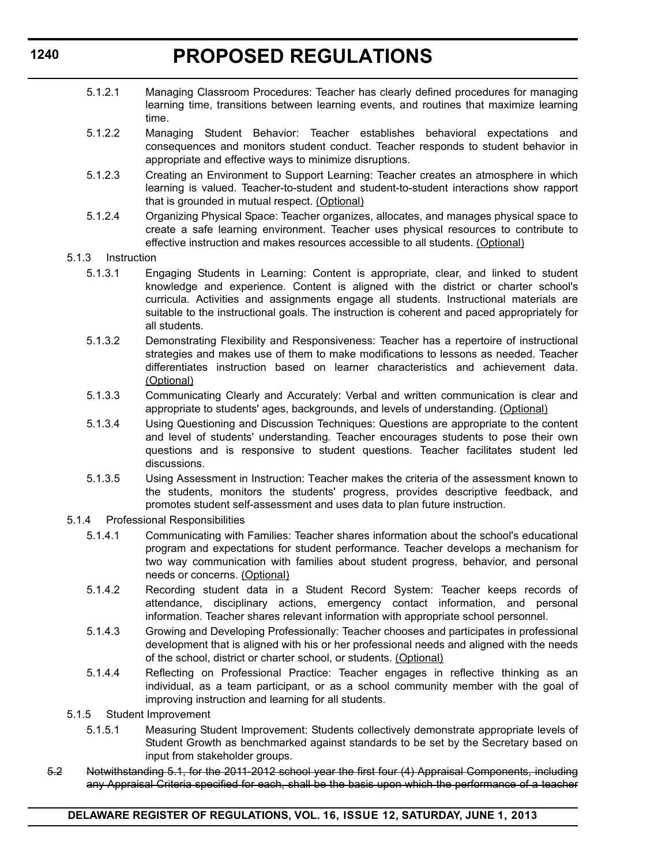- 5.1.2.1 Managing Classroom Procedures: Teacher has clearly defined procedures for managing learning time, transitions between learning events, and routines that maximize learning time.
- 5.1.2.2 Managing Student Behavior: Teacher establishes behavioral expectations and consequences and monitors student conduct. Teacher responds to student behavior in appropriate and effective ways to minimize disruptions.
- 5.1.2.3 Creating an Environment to Support Learning: Teacher creates an atmosphere in which learning is valued. Teacher-to-student and student-to-student interactions show rapport that is grounded in mutual respect. (Optional)
- 5.1.2.4 Organizing Physical Space: Teacher organizes, allocates, and manages physical space to create a safe learning environment. Teacher uses physical resources to contribute to effective instruction and makes resources accessible to all students. (Optional)
- 5.1.3 Instruction
	- 5.1.3.1 Engaging Students in Learning: Content is appropriate, clear, and linked to student knowledge and experience. Content is aligned with the district or charter school's curricula. Activities and assignments engage all students. Instructional materials are suitable to the instructional goals. The instruction is coherent and paced appropriately for all students.
	- 5.1.3.2 Demonstrating Flexibility and Responsiveness: Teacher has a repertoire of instructional strategies and makes use of them to make modifications to lessons as needed. Teacher differentiates instruction based on learner characteristics and achievement data. (Optional)
	- 5.1.3.3 Communicating Clearly and Accurately: Verbal and written communication is clear and appropriate to students' ages, backgrounds, and levels of understanding. (Optional)
	- 5.1.3.4 Using Questioning and Discussion Techniques: Questions are appropriate to the content and level of students' understanding. Teacher encourages students to pose their own questions and is responsive to student questions. Teacher facilitates student led discussions.
	- 5.1.3.5 Using Assessment in Instruction: Teacher makes the criteria of the assessment known to the students, monitors the students' progress, provides descriptive feedback, and promotes student self-assessment and uses data to plan future instruction.
- 5.1.4 Professional Responsibilities
	- 5.1.4.1 Communicating with Families: Teacher shares information about the school's educational program and expectations for student performance. Teacher develops a mechanism for two way communication with families about student progress, behavior, and personal needs or concerns. (Optional)
	- 5.1.4.2 Recording student data in a Student Record System: Teacher keeps records of attendance, disciplinary actions, emergency contact information, and personal information. Teacher shares relevant information with appropriate school personnel.
	- 5.1.4.3 Growing and Developing Professionally: Teacher chooses and participates in professional development that is aligned with his or her professional needs and aligned with the needs of the school, district or charter school, or students. (Optional)
	- 5.1.4.4 Reflecting on Professional Practice: Teacher engages in reflective thinking as an individual, as a team participant, or as a school community member with the goal of improving instruction and learning for all students.
- 5.1.5 Student Improvement
	- 5.1.5.1 Measuring Student Improvement: Students collectively demonstrate appropriate levels of Student Growth as benchmarked against standards to be set by the Secretary based on input from stakeholder groups.
- 5.2 Notwithstanding 5.1, for the 2011-2012 school year the first four (4) Appraisal Components, including any Appraisal Criteria specified for each, shall be the basis upon which the performance of a teacher

**1240**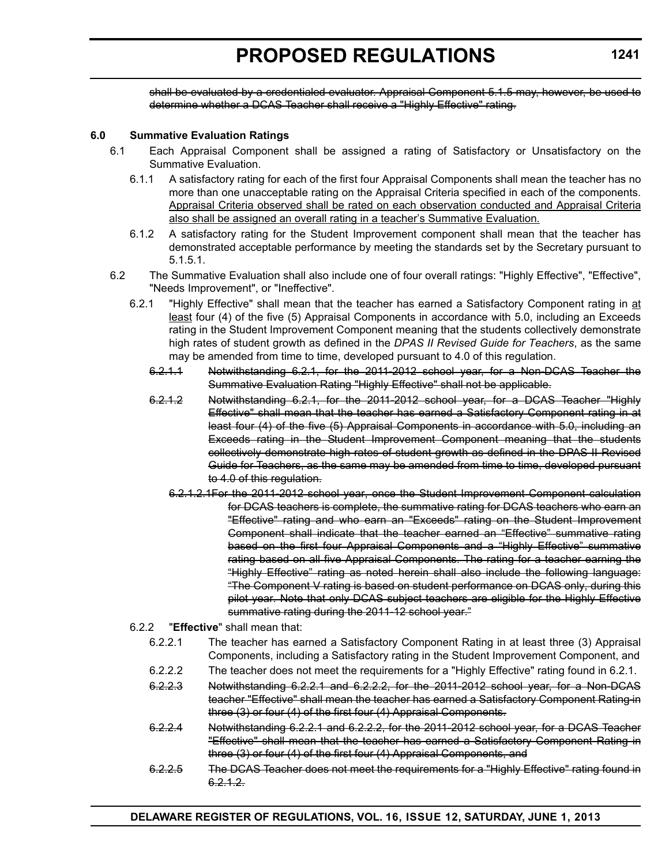shall be evaluated by a credentialed evaluator. Appraisal Component 5.1.5 may, however, be used to determine whether a DCAS Teacher shall receive a "Highly Effective" rating.

### **6.0 Summative Evaluation Ratings**

- 6.1 Each Appraisal Component shall be assigned a rating of Satisfactory or Unsatisfactory on the Summative Evaluation.
	- 6.1.1 A satisfactory rating for each of the first four Appraisal Components shall mean the teacher has no more than one unacceptable rating on the Appraisal Criteria specified in each of the components. Appraisal Criteria observed shall be rated on each observation conducted and Appraisal Criteria also shall be assigned an overall rating in a teacher's Summative Evaluation.
	- 6.1.2 A satisfactory rating for the Student Improvement component shall mean that the teacher has demonstrated acceptable performance by meeting the standards set by the Secretary pursuant to 5.1.5.1.
- 6.2 The Summative Evaluation shall also include one of four overall ratings: "Highly Effective", "Effective", "Needs Improvement", or "Ineffective".
	- 6.2.1 "Highly Effective" shall mean that the teacher has earned a Satisfactory Component rating in at least four (4) of the five (5) Appraisal Components in accordance with 5.0, including an Exceeds rating in the Student Improvement Component meaning that the students collectively demonstrate high rates of student growth as defined in the *DPAS II Revised Guide for Teachers*, as the same may be amended from time to time, developed pursuant to 4.0 of this regulation.
		- 6.2.1.1 Notwithstanding 6.2.1, for the 2011-2012 school year, for a Non-DCAS Teacher the Summative Evaluation Rating "Highly Effective" shall not be applicable.
		- 6.2.1.2 Notwithstanding 6.2.1, for the 2011-2012 school year, for a DCAS Teacher "Highly Effective" shall mean that the teacher has earned a Satisfactory Component rating in at least four (4) of the five (5) Appraisal Components in accordance with 5.0, including an Exceeds rating in the Student Improvement Component meaning that the students collectively demonstrate high rates of student growth as defined in the DPAS II Revised Guide for Teachers, as the same may be amended from time to time, developed pursuant to 4.0 of this regulation.
			- 6.2.1.2.1For the 2011-2012 school year, once the Student Improvement Component calculation for DCAS teachers is complete, the summative rating for DCAS teachers who earn an "Effective" rating and who earn an "Exceeds" rating on the Student Improvement Component shall indicate that the teacher earned an "Effective" summative rating based on the first four Appraisal Components and a "Highly Effective" summative rating based on all five Appraisal Components. The rating for a teacher earning the "Highly Effective" rating as noted herein shall also include the following language: "The Component V rating is based on student performance on DCAS only, during this pilot year. Note that only DCAS subject teachers are eligible for the Highly Effective summative rating during the 2011-12 school year."

# 6.2.2 "**Effective**" shall mean that:

- 6.2.2.1 The teacher has earned a Satisfactory Component Rating in at least three (3) Appraisal Components, including a Satisfactory rating in the Student Improvement Component, and
- 6.2.2.2 The teacher does not meet the requirements for a "Highly Effective" rating found in 6.2.1.
- 6.2.2.3 Notwithstanding 6.2.2.1 and 6.2.2.2, for the 2011-2012 school year, for a Non-DCAS teacher "Effective" shall mean the teacher has earned a Satisfactory Component Rating in three (3) or four (4) of the first four (4) Appraisal Components.
- 6.2.2.4 Notwithstanding 6.2.2.1 and 6.2.2.2, for the 2011-2012 school year, for a DCAS Teacher "Effective" shall mean that the teacher has earned a Satisfactory Component Rating in three (3) or four (4) of the first four (4) Appraisal Components, and
- 6.2.2.5 The DCAS Teacher does not meet the requirements for a "Highly Effective" rating found in  $6.2.1.2.$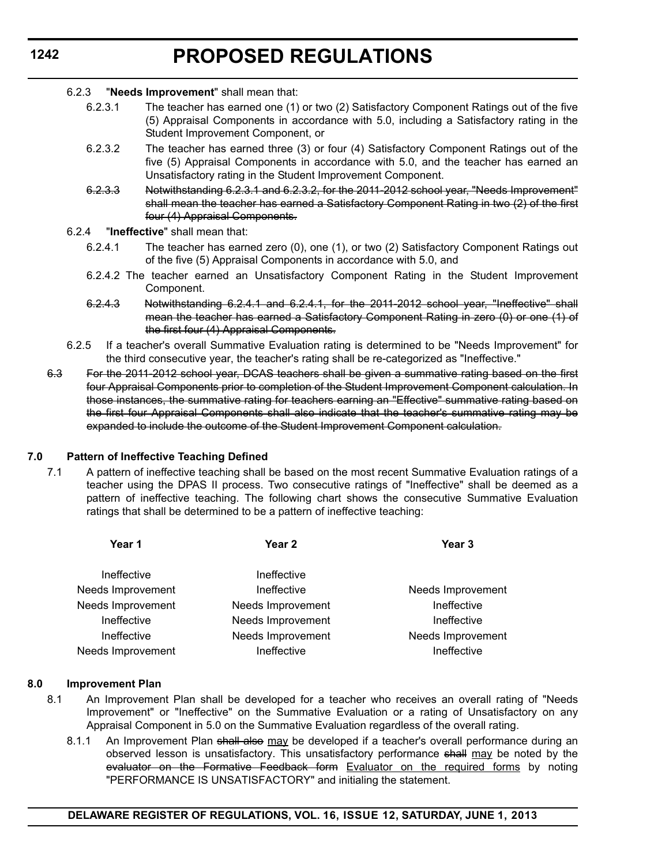#### 6.2.3 "**Needs Improvement**" shall mean that:

- 6.2.3.1 The teacher has earned one (1) or two (2) Satisfactory Component Ratings out of the five (5) Appraisal Components in accordance with 5.0, including a Satisfactory rating in the Student Improvement Component, or
- 6.2.3.2 The teacher has earned three (3) or four (4) Satisfactory Component Ratings out of the five (5) Appraisal Components in accordance with 5.0, and the teacher has earned an Unsatisfactory rating in the Student Improvement Component.
- 6.2.3.3 Notwithstanding 6.2.3.1 and 6.2.3.2, for the 2011-2012 school year, "Needs Improvement" shall mean the teacher has earned a Satisfactory Component Rating in two (2) of the first four (4) Appraisal Components.
- 6.2.4 "**Ineffective**" shall mean that:
	- 6.2.4.1 The teacher has earned zero (0), one (1), or two (2) Satisfactory Component Ratings out of the five (5) Appraisal Components in accordance with 5.0, and
	- 6.2.4.2 The teacher earned an Unsatisfactory Component Rating in the Student Improvement Component.
	- 6.2.4.3 Notwithstanding 6.2.4.1 and 6.2.4.1, for the 2011-2012 school year, "Ineffective" shall mean the teacher has earned a Satisfactory Component Rating in zero (0) or one (1) of the first four (4) Appraisal Components.
- 6.2.5 If a teacher's overall Summative Evaluation rating is determined to be "Needs Improvement" for the third consecutive year, the teacher's rating shall be re-categorized as "Ineffective."
- 6.3 For the 2011-2012 school year, DCAS teachers shall be given a summative rating based on the first four Appraisal Components prior to completion of the Student Improvement Component calculation. In those instances, the summative rating for teachers earning an "Effective" summative rating based on the first four Appraisal Components shall also indicate that the teacher's summative rating may be expanded to include the outcome of the Student Improvement Component calculation.

### **7.0 Pattern of Ineffective Teaching Defined**

7.1 A pattern of ineffective teaching shall be based on the most recent Summative Evaluation ratings of a teacher using the DPAS II process. Two consecutive ratings of "Ineffective" shall be deemed as a pattern of ineffective teaching. The following chart shows the consecutive Summative Evaluation ratings that shall be determined to be a pattern of ineffective teaching:

| Year 1                   | Year <sub>2</sub> | Year <sub>3</sub> |
|--------------------------|-------------------|-------------------|
| Ineffective              | Ineffective       |                   |
| Needs Improvement        | Ineffective       | Needs Improvement |
| Needs Improvement        | Needs Improvement | Ineffective       |
| Ineffective              | Needs Improvement | Ineffective       |
| Ineffective              | Needs Improvement | Needs Improvement |
| <b>Needs Improvement</b> | Ineffective       | Ineffective       |
|                          |                   |                   |

#### **8.0 Improvement Plan**

- 8.1 An Improvement Plan shall be developed for a teacher who receives an overall rating of "Needs Improvement" or "Ineffective" on the Summative Evaluation or a rating of Unsatisfactory on any Appraisal Component in 5.0 on the Summative Evaluation regardless of the overall rating.
	- 8.1.1 An Improvement Plan shall also may be developed if a teacher's overall performance during an observed lesson is unsatisfactory. This unsatisfactory performance shall may be noted by the evaluator on the Formative Feedback form Evaluator on the required forms by noting "PERFORMANCE IS UNSATISFACTORY" and initialing the statement.

# **1242**

### **DELAWARE REGISTER OF REGULATIONS, VOL. 16, ISSUE 12, SATURDAY, JUNE 1, 2013**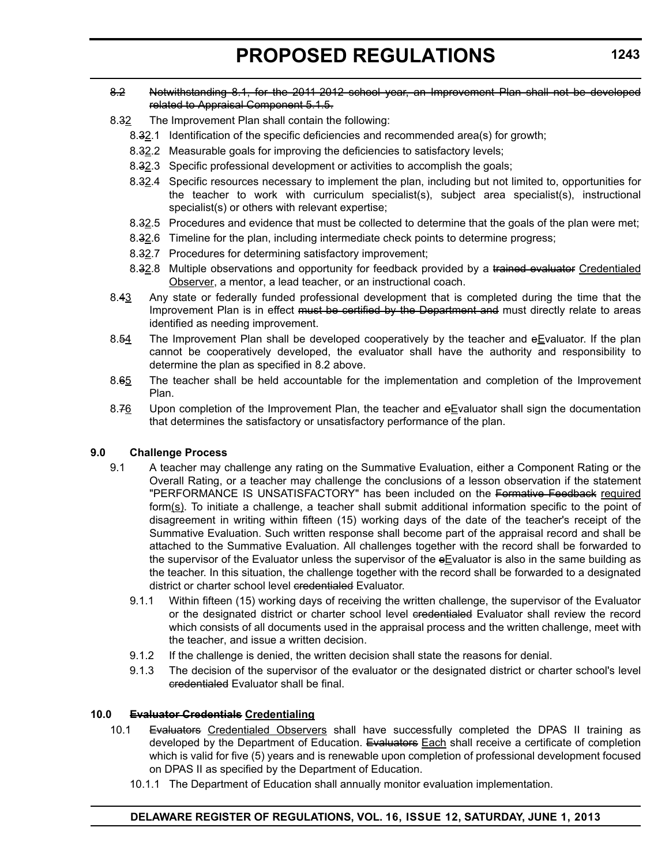### 8.2 Notwithstanding 8.1, for the 2011-2012 school year, an Improvement Plan shall not be developed related to Appraisal Component 5.1.5.

- 8.32 The Improvement Plan shall contain the following:
	- 8.32.1 Identification of the specific deficiencies and recommended area(s) for growth;
	- 8.32.2 Measurable goals for improving the deficiencies to satisfactory levels;
	- 8.32.3 Specific professional development or activities to accomplish the goals;
	- 8.32.4 Specific resources necessary to implement the plan, including but not limited to, opportunities for the teacher to work with curriculum specialist(s), subject area specialist(s), instructional specialist(s) or others with relevant expertise;
	- 8.32.5 Procedures and evidence that must be collected to determine that the goals of the plan were met;
	- 8.32.6 Timeline for the plan, including intermediate check points to determine progress;
	- 8.32.7 Procedures for determining satisfactory improvement;
	- 8.32.8 Multiple observations and opportunity for feedback provided by a trained evaluator Credentialed Observer, a mentor, a lead teacher, or an instructional coach.
- 8.43 Any state or federally funded professional development that is completed during the time that the Improvement Plan is in effect must be certified by the Department and must directly relate to areas identified as needing improvement.
- 8.54 The Improvement Plan shall be developed cooperatively by the teacher and eEvaluator. If the plan cannot be cooperatively developed, the evaluator shall have the authority and responsibility to determine the plan as specified in 8.2 above.
- 8.65 The teacher shall be held accountable for the implementation and completion of the Improvement Plan.
- 8.76 Upon completion of the Improvement Plan, the teacher and  $eE$ valuator shall sign the documentation that determines the satisfactory or unsatisfactory performance of the plan.

### **9.0 Challenge Process**

- 9.1 A teacher may challenge any rating on the Summative Evaluation, either a Component Rating or the Overall Rating, or a teacher may challenge the conclusions of a lesson observation if the statement "PERFORMANCE IS UNSATISFACTORY" has been included on the Formative Feedback required form( $s$ ). To initiate a challenge, a teacher shall submit additional information specific to the point of disagreement in writing within fifteen (15) working days of the date of the teacher's receipt of the Summative Evaluation. Such written response shall become part of the appraisal record and shall be attached to the Summative Evaluation. All challenges together with the record shall be forwarded to the supervisor of the Evaluator unless the supervisor of the  $e$ Evaluator is also in the same building as the teacher. In this situation, the challenge together with the record shall be forwarded to a designated district or charter school level credentialed Evaluator.
	- 9.1.1 Within fifteen (15) working days of receiving the written challenge, the supervisor of the Evaluator or the designated district or charter school level credentialed Evaluator shall review the record which consists of all documents used in the appraisal process and the written challenge, meet with the teacher, and issue a written decision.
	- 9.1.2 If the challenge is denied, the written decision shall state the reasons for denial.
	- 9.1.3 The decision of the supervisor of the evaluator or the designated district or charter school's level credentialed Evaluator shall be final.

### **10.0 Evaluator Credentials Credentialing**

- 10.1 Evaluators Credentialed Observers shall have successfully completed the DPAS II training as developed by the Department of Education. Evaluators Each shall receive a certificate of completion which is valid for five (5) years and is renewable upon completion of professional development focused on DPAS II as specified by the Department of Education.
	- 10.1.1 The Department of Education shall annually monitor evaluation implementation.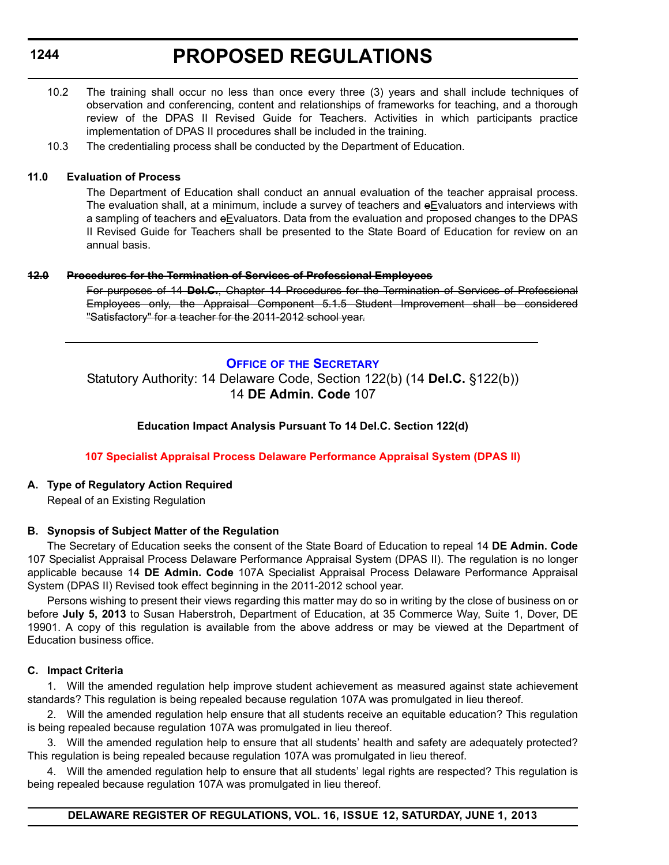# **PROPOSED REGULATIONS**

- <span id="page-31-0"></span>10.2 The training shall occur no less than once every three (3) years and shall include techniques of observation and conferencing, content and relationships of frameworks for teaching, and a thorough review of the DPAS II Revised Guide for Teachers. Activities in which participants practice implementation of DPAS II procedures shall be included in the training.
- 10.3 The credentialing process shall be conducted by the Department of Education.

#### **11.0 Evaluation of Process**

The Department of Education shall conduct an annual evaluation of the teacher appraisal process. The evaluation shall, at a minimum, include a survey of teachers and  $eE$ valuators and interviews with a sampling of teachers and eEvaluators. Data from the evaluation and proposed changes to the DPAS II Revised Guide for Teachers shall be presented to the State Board of Education for review on an annual basis.

#### **12.0 Procedures for the Termination of Services of Professional Employees**

For purposes of 14 **Del.C.**, Chapter 14 Procedures for the Termination of Services of Professional Employees only, the Appraisal Component 5.1.5 Student Improvement shall be considered "Satisfactory" for a teacher for the 2011-2012 school year.

# **OFFICE OF [THE SECRETARY](http://www.doe.k12.de.us/)** Statutory Authority: 14 Delaware Code, Section 122(b) (14 **Del.C.** §122(b))

# 14 **DE Admin. Code** 107

# **Education Impact Analysis Pursuant To 14 Del.C. Section 122(d)**

### **[107 Specialist Appraisal Process Delaware Performance Appraisal System \(DPAS II\)](#page-3-0)**

### **A. Type of Regulatory Action Required**

Repeal of an Existing Regulation

### **B. Synopsis of Subject Matter of the Regulation**

The Secretary of Education seeks the consent of the State Board of Education to repeal 14 **DE Admin. Code** 107 Specialist Appraisal Process Delaware Performance Appraisal System (DPAS II). The regulation is no longer applicable because 14 **DE Admin. Code** 107A Specialist Appraisal Process Delaware Performance Appraisal System (DPAS II) Revised took effect beginning in the 2011-2012 school year.

Persons wishing to present their views regarding this matter may do so in writing by the close of business on or before **July 5, 2013** to Susan Haberstroh, Department of Education, at 35 Commerce Way, Suite 1, Dover, DE 19901. A copy of this regulation is available from the above address or may be viewed at the Department of Education business office.

### **C. Impact Criteria**

1. Will the amended regulation help improve student achievement as measured against state achievement standards? This regulation is being repealed because regulation 107A was promulgated in lieu thereof.

2. Will the amended regulation help ensure that all students receive an equitable education? This regulation is being repealed because regulation 107A was promulgated in lieu thereof.

3. Will the amended regulation help to ensure that all students' health and safety are adequately protected? This regulation is being repealed because regulation 107A was promulgated in lieu thereof.

4. Will the amended regulation help to ensure that all students' legal rights are respected? This regulation is being repealed because regulation 107A was promulgated in lieu thereof.

### **DELAWARE REGISTER OF REGULATIONS, VOL. 16, ISSUE 12, SATURDAY, JUNE 1, 2013**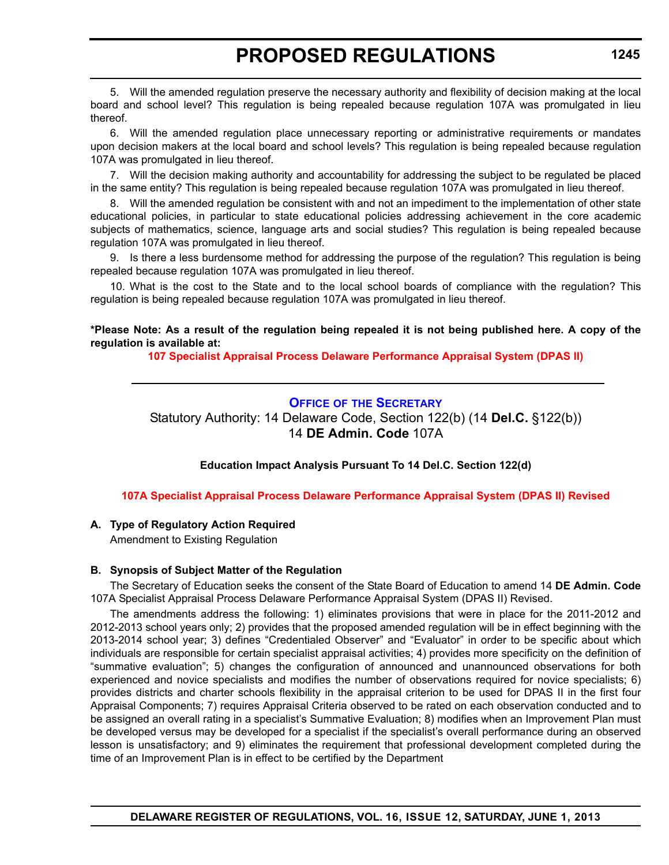<span id="page-32-0"></span>5. Will the amended regulation preserve the necessary authority and flexibility of decision making at the local board and school level? This regulation is being repealed because regulation 107A was promulgated in lieu thereof.

6. Will the amended regulation place unnecessary reporting or administrative requirements or mandates upon decision makers at the local board and school levels? This regulation is being repealed because regulation 107A was promulgated in lieu thereof.

7. Will the decision making authority and accountability for addressing the subject to be regulated be placed in the same entity? This regulation is being repealed because regulation 107A was promulgated in lieu thereof.

8. Will the amended regulation be consistent with and not an impediment to the implementation of other state educational policies, in particular to state educational policies addressing achievement in the core academic subjects of mathematics, science, language arts and social studies? This regulation is being repealed because regulation 107A was promulgated in lieu thereof.

9. Is there a less burdensome method for addressing the purpose of the regulation? This regulation is being repealed because regulation 107A was promulgated in lieu thereof.

10. What is the cost to the State and to the local school boards of compliance with the regulation? This regulation is being repealed because regulation 107A was promulgated in lieu thereof.

**\*Please Note: As a result of the regulation being repealed it is not being published here. A copy of the regulation is available at:**

**[107 Specialist Appraisal Process Delaware Performance Appraisal System \(DPAS II\)](http://regulations.delaware.gov/register/june2013/proposed/16 DE Reg 1244 06-01-13.htm)**

# **OFFICE OF [THE SECRETARY](http://www.doe.k12.de.us/)**

Statutory Authority: 14 Delaware Code, Section 122(b) (14 **Del.C.** §122(b)) 14 **DE Admin. Code** 107A

### **Education Impact Analysis Pursuant To 14 Del.C. Section 122(d)**

### **[107A Specialist Appraisal Process Delaware Performance Appraisal System \(DPAS II\) Revised](#page-3-0)**

### **A. Type of Regulatory Action Required**

Amendment to Existing Regulation

### **B. Synopsis of Subject Matter of the Regulation**

The Secretary of Education seeks the consent of the State Board of Education to amend 14 **DE Admin. Code** 107A Specialist Appraisal Process Delaware Performance Appraisal System (DPAS II) Revised.

The amendments address the following: 1) eliminates provisions that were in place for the 2011-2012 and 2012-2013 school years only; 2) provides that the proposed amended regulation will be in effect beginning with the 2013-2014 school year; 3) defines "Credentialed Observer" and "Evaluator" in order to be specific about which individuals are responsible for certain specialist appraisal activities; 4) provides more specificity on the definition of "summative evaluation"; 5) changes the configuration of announced and unannounced observations for both experienced and novice specialists and modifies the number of observations required for novice specialists; 6) provides districts and charter schools flexibility in the appraisal criterion to be used for DPAS II in the first four Appraisal Components; 7) requires Appraisal Criteria observed to be rated on each observation conducted and to be assigned an overall rating in a specialist's Summative Evaluation; 8) modifies when an Improvement Plan must be developed versus may be developed for a specialist if the specialist's overall performance during an observed lesson is unsatisfactory; and 9) eliminates the requirement that professional development completed during the time of an Improvement Plan is in effect to be certified by the Department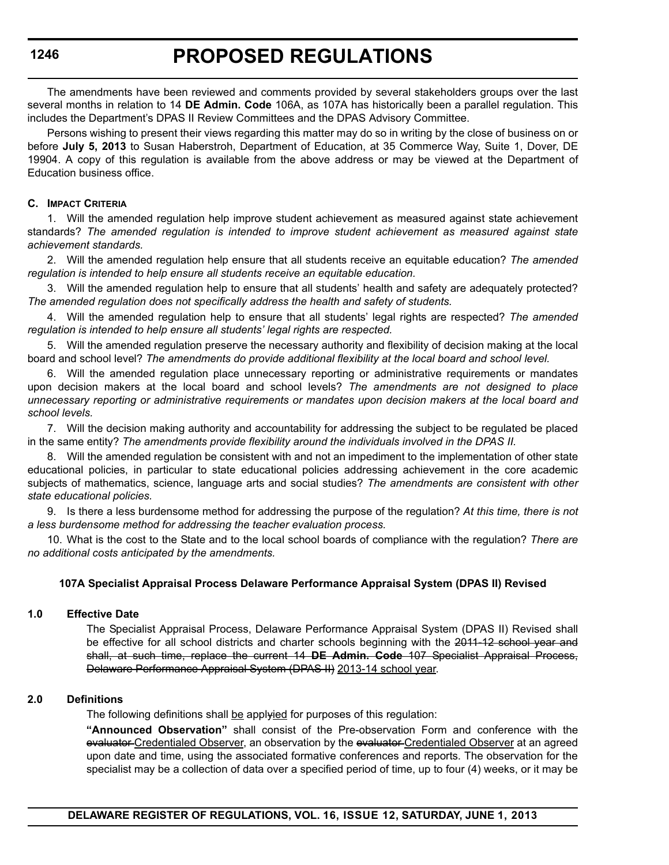The amendments have been reviewed and comments provided by several stakeholders groups over the last several months in relation to 14 **DE Admin. Code** 106A, as 107A has historically been a parallel regulation. This includes the Department's DPAS II Review Committees and the DPAS Advisory Committee.

Persons wishing to present their views regarding this matter may do so in writing by the close of business on or before **July 5, 2013** to Susan Haberstroh, Department of Education, at 35 Commerce Way, Suite 1, Dover, DE 19904. A copy of this regulation is available from the above address or may be viewed at the Department of Education business office.

### **C. IMPACT CRITERIA**

1. Will the amended regulation help improve student achievement as measured against state achievement standards? *The amended regulation is intended to improve student achievement as measured against state achievement standards.*

2. Will the amended regulation help ensure that all students receive an equitable education? *The amended regulation is intended to help ensure all students receive an equitable education.*

3. Will the amended regulation help to ensure that all students' health and safety are adequately protected? *The amended regulation does not specifically address the health and safety of students.*

4. Will the amended regulation help to ensure that all students' legal rights are respected? *The amended regulation is intended to help ensure all students' legal rights are respected.*

5. Will the amended regulation preserve the necessary authority and flexibility of decision making at the local board and school level? *The amendments do provide additional flexibility at the local board and school level.*

6. Will the amended regulation place unnecessary reporting or administrative requirements or mandates upon decision makers at the local board and school levels? *The amendments are not designed to place unnecessary reporting or administrative requirements or mandates upon decision makers at the local board and school levels.*

7. Will the decision making authority and accountability for addressing the subject to be regulated be placed in the same entity? *The amendments provide flexibility around the individuals involved in the DPAS II.*

8. Will the amended regulation be consistent with and not an impediment to the implementation of other state educational policies, in particular to state educational policies addressing achievement in the core academic subjects of mathematics, science, language arts and social studies? *The amendments are consistent with other state educational policies.* 

9. Is there a less burdensome method for addressing the purpose of the regulation? *At this time, there is not a less burdensome method for addressing the teacher evaluation process.* 

10. What is the cost to the State and to the local school boards of compliance with the regulation? *There are no additional costs anticipated by the amendments.*

### **107A Specialist Appraisal Process Delaware Performance Appraisal System (DPAS II) Revised**

### **1.0 Effective Date**

The Specialist Appraisal Process, Delaware Performance Appraisal System (DPAS II) Revised shall be effective for all school districts and charter schools beginning with the 2011-12 school year and shall, at such time, replace the current 14 **DE Admin. Code** 107 Specialist Appraisal Process, Delaware Performance Appraisal System (DPAS II) 2013-14 school year.

### **2.0 Definitions**

The following definitions shall be applyied for purposes of this regulation:

**"Announced Observation"** shall consist of the Pre-observation Form and conference with the evaluator Credentialed Observer, an observation by the evaluator Credentialed Observer at an agreed upon date and time, using the associated formative conferences and reports. The observation for the specialist may be a collection of data over a specified period of time, up to four (4) weeks, or it may be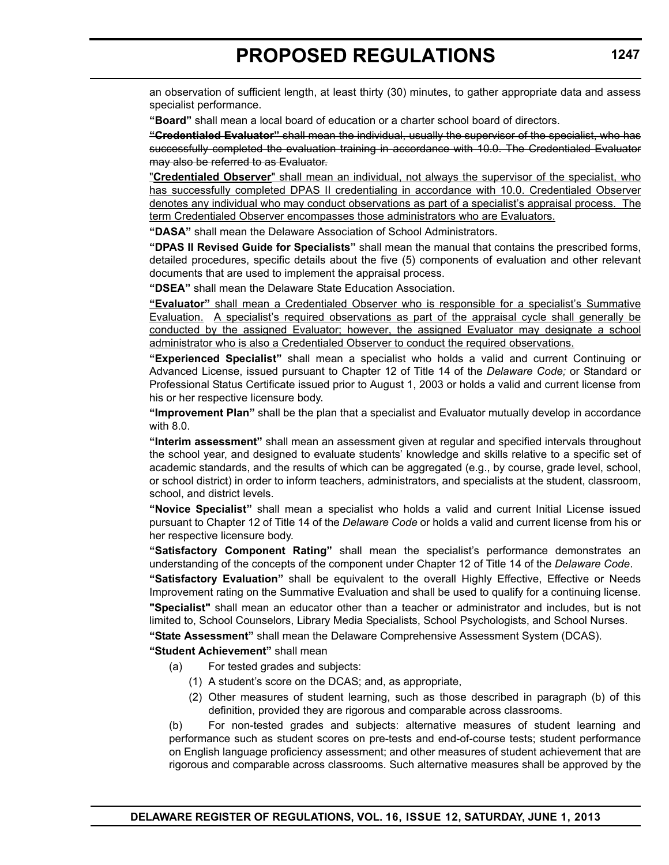an observation of sufficient length, at least thirty (30) minutes, to gather appropriate data and assess specialist performance.

**"Board"** shall mean a local board of education or a charter school board of directors.

**"Credentialed Evaluator"** shall mean the individual, usually the supervisor of the specialist, who has successfully completed the evaluation training in accordance with 10.0. The Credentialed Evaluator may also be referred to as Evaluator.

"**Credentialed Observer**" shall mean an individual, not always the supervisor of the specialist, who has successfully completed DPAS II credentialing in accordance with 10.0. Credentialed Observer denotes any individual who may conduct observations as part of a specialist's appraisal process. The term Credentialed Observer encompasses those administrators who are Evaluators.

**"DASA"** shall mean the Delaware Association of School Administrators.

**"DPAS II Revised Guide for Specialists"** shall mean the manual that contains the prescribed forms, detailed procedures, specific details about the five (5) components of evaluation and other relevant documents that are used to implement the appraisal process.

**"DSEA"** shall mean the Delaware State Education Association.

**"Evaluator"** shall mean a Credentialed Observer who is responsible for a specialist's Summative Evaluation. A specialist's required observations as part of the appraisal cycle shall generally be conducted by the assigned Evaluator; however, the assigned Evaluator may designate a school administrator who is also a Credentialed Observer to conduct the required observations.

**"Experienced Specialist"** shall mean a specialist who holds a valid and current Continuing or Advanced License, issued pursuant to Chapter 12 of Title 14 of the *Delaware Code;* or Standard or Professional Status Certificate issued prior to August 1, 2003 or holds a valid and current license from his or her respective licensure body.

**"Improvement Plan"** shall be the plan that a specialist and Evaluator mutually develop in accordance with 8.0.

**"Interim assessment"** shall mean an assessment given at regular and specified intervals throughout the school year, and designed to evaluate students' knowledge and skills relative to a specific set of academic standards, and the results of which can be aggregated (e.g., by course, grade level, school, or school district) in order to inform teachers, administrators, and specialists at the student, classroom, school, and district levels.

**"Novice Specialist"** shall mean a specialist who holds a valid and current Initial License issued pursuant to Chapter 12 of Title 14 of the *Delaware Code* or holds a valid and current license from his or her respective licensure body.

**"Satisfactory Component Rating"** shall mean the specialist's performance demonstrates an understanding of the concepts of the component under Chapter 12 of Title 14 of the *Delaware Code*.

**"Satisfactory Evaluation"** shall be equivalent to the overall Highly Effective, Effective or Needs Improvement rating on the Summative Evaluation and shall be used to qualify for a continuing license. **"Specialist"** shall mean an educator other than a teacher or administrator and includes, but is not limited to, School Counselors, Library Media Specialists, School Psychologists, and School Nurses.

**"State Assessment"** shall mean the Delaware Comprehensive Assessment System (DCAS).

### **"Student Achievement"** shall mean

- (a) For tested grades and subjects:
	- (1) A student's score on the DCAS; and, as appropriate,
	- (2) Other measures of student learning, such as those described in paragraph (b) of this definition, provided they are rigorous and comparable across classrooms.

(b) For non-tested grades and subjects: alternative measures of student learning and performance such as student scores on pre-tests and end-of-course tests; student performance on English language proficiency assessment; and other measures of student achievement that are rigorous and comparable across classrooms. Such alternative measures shall be approved by the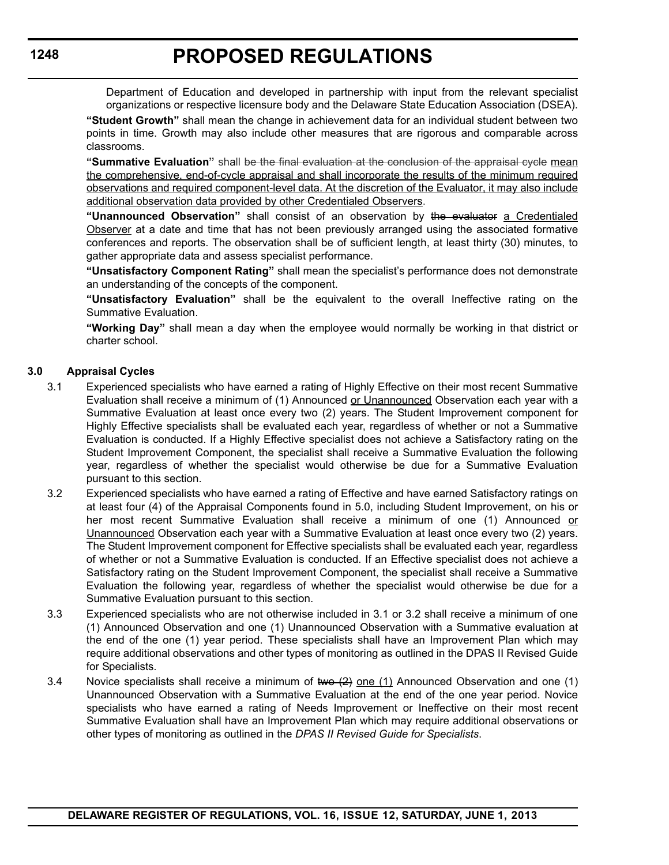Department of Education and developed in partnership with input from the relevant specialist organizations or respective licensure body and the Delaware State Education Association (DSEA).

**"Student Growth"** shall mean the change in achievement data for an individual student between two points in time. Growth may also include other measures that are rigorous and comparable across classrooms.

**"Summative Evaluation"** shall be the final evaluation at the conclusion of the appraisal cycle mean the comprehensive, end-of-cycle appraisal and shall incorporate the results of the minimum required observations and required component-level data. At the discretion of the Evaluator, it may also include additional observation data provided by other Credentialed Observers.

**"Unannounced Observation"** shall consist of an observation by the evaluator a Credentialed Observer at a date and time that has not been previously arranged using the associated formative conferences and reports. The observation shall be of sufficient length, at least thirty (30) minutes, to gather appropriate data and assess specialist performance.

**"Unsatisfactory Component Rating"** shall mean the specialist's performance does not demonstrate an understanding of the concepts of the component.

**"Unsatisfactory Evaluation"** shall be the equivalent to the overall Ineffective rating on the Summative Evaluation.

**"Working Day"** shall mean a day when the employee would normally be working in that district or charter school.

# **3.0 Appraisal Cycles**

- 3.1 Experienced specialists who have earned a rating of Highly Effective on their most recent Summative Evaluation shall receive a minimum of (1) Announced or Unannounced Observation each year with a Summative Evaluation at least once every two (2) years. The Student Improvement component for Highly Effective specialists shall be evaluated each year, regardless of whether or not a Summative Evaluation is conducted. If a Highly Effective specialist does not achieve a Satisfactory rating on the Student Improvement Component, the specialist shall receive a Summative Evaluation the following year, regardless of whether the specialist would otherwise be due for a Summative Evaluation pursuant to this section.
- 3.2 Experienced specialists who have earned a rating of Effective and have earned Satisfactory ratings on at least four (4) of the Appraisal Components found in 5.0, including Student Improvement, on his or her most recent Summative Evaluation shall receive a minimum of one (1) Announced or Unannounced Observation each year with a Summative Evaluation at least once every two (2) years. The Student Improvement component for Effective specialists shall be evaluated each year, regardless of whether or not a Summative Evaluation is conducted. If an Effective specialist does not achieve a Satisfactory rating on the Student Improvement Component, the specialist shall receive a Summative Evaluation the following year, regardless of whether the specialist would otherwise be due for a Summative Evaluation pursuant to this section.
- 3.3 Experienced specialists who are not otherwise included in 3.1 or 3.2 shall receive a minimum of one (1) Announced Observation and one (1) Unannounced Observation with a Summative evaluation at the end of the one (1) year period. These specialists shall have an Improvement Plan which may require additional observations and other types of monitoring as outlined in the DPAS II Revised Guide for Specialists.
- 3.4 Novice specialists shall receive a minimum of two  $(2)$  one  $(1)$  Announced Observation and one  $(1)$ Unannounced Observation with a Summative Evaluation at the end of the one year period. Novice specialists who have earned a rating of Needs Improvement or Ineffective on their most recent Summative Evaluation shall have an Improvement Plan which may require additional observations or other types of monitoring as outlined in the *DPAS II Revised Guide for Specialists*.

**1248**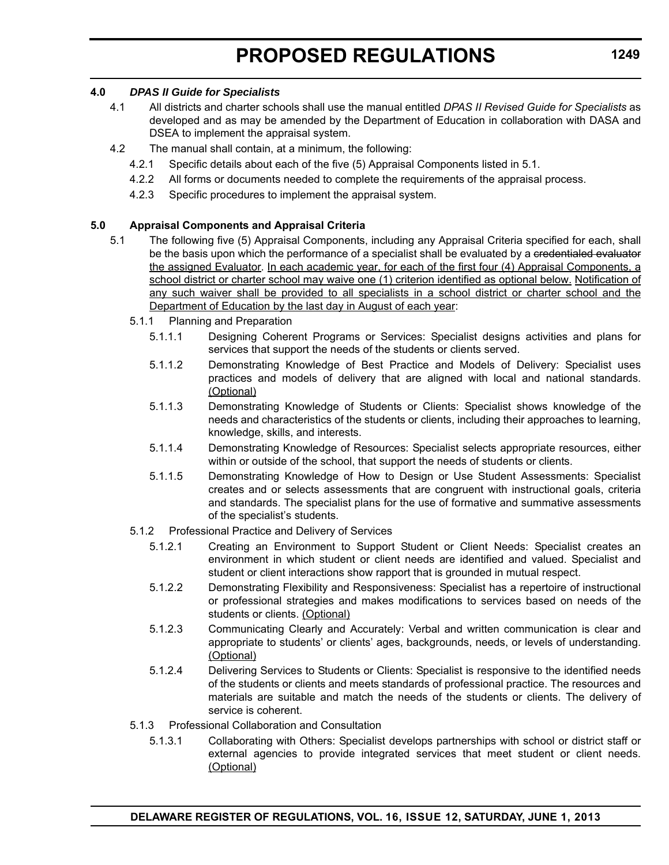### **4.0** *DPAS II Guide for Specialists*

- 4.1 All districts and charter schools shall use the manual entitled *DPAS II Revised Guide for Specialists* as developed and as may be amended by the Department of Education in collaboration with DASA and DSEA to implement the appraisal system.
- 4.2 The manual shall contain, at a minimum, the following:
	- 4.2.1 Specific details about each of the five (5) Appraisal Components listed in 5.1.
	- 4.2.2 All forms or documents needed to complete the requirements of the appraisal process.
	- 4.2.3 Specific procedures to implement the appraisal system.

### **5.0 Appraisal Components and Appraisal Criteria**

- 5.1 The following five (5) Appraisal Components, including any Appraisal Criteria specified for each, shall be the basis upon which the performance of a specialist shall be evaluated by a eredentialed evaluator the assigned Evaluator. In each academic year, for each of the first four (4) Appraisal Components, a school district or charter school may waive one (1) criterion identified as optional below. Notification of any such waiver shall be provided to all specialists in a school district or charter school and the Department of Education by the last day in August of each year:
	- 5.1.1 Planning and Preparation
		- 5.1.1.1 Designing Coherent Programs or Services: Specialist designs activities and plans for services that support the needs of the students or clients served.
		- 5.1.1.2 Demonstrating Knowledge of Best Practice and Models of Delivery: Specialist uses practices and models of delivery that are aligned with local and national standards. (Optional)
		- 5.1.1.3 Demonstrating Knowledge of Students or Clients: Specialist shows knowledge of the needs and characteristics of the students or clients, including their approaches to learning, knowledge, skills, and interests.
		- 5.1.1.4 Demonstrating Knowledge of Resources: Specialist selects appropriate resources, either within or outside of the school, that support the needs of students or clients.
		- 5.1.1.5 Demonstrating Knowledge of How to Design or Use Student Assessments: Specialist creates and or selects assessments that are congruent with instructional goals, criteria and standards. The specialist plans for the use of formative and summative assessments of the specialist's students.
	- 5.1.2 Professional Practice and Delivery of Services
		- 5.1.2.1 Creating an Environment to Support Student or Client Needs: Specialist creates an environment in which student or client needs are identified and valued. Specialist and student or client interactions show rapport that is grounded in mutual respect.
		- 5.1.2.2 Demonstrating Flexibility and Responsiveness: Specialist has a repertoire of instructional or professional strategies and makes modifications to services based on needs of the students or clients. (Optional)
		- 5.1.2.3 Communicating Clearly and Accurately: Verbal and written communication is clear and appropriate to students' or clients' ages, backgrounds, needs, or levels of understanding. (Optional)
		- 5.1.2.4 Delivering Services to Students or Clients: Specialist is responsive to the identified needs of the students or clients and meets standards of professional practice. The resources and materials are suitable and match the needs of the students or clients. The delivery of service is coherent.
	- 5.1.3 Professional Collaboration and Consultation
		- 5.1.3.1 Collaborating with Others: Specialist develops partnerships with school or district staff or external agencies to provide integrated services that meet student or client needs. (Optional)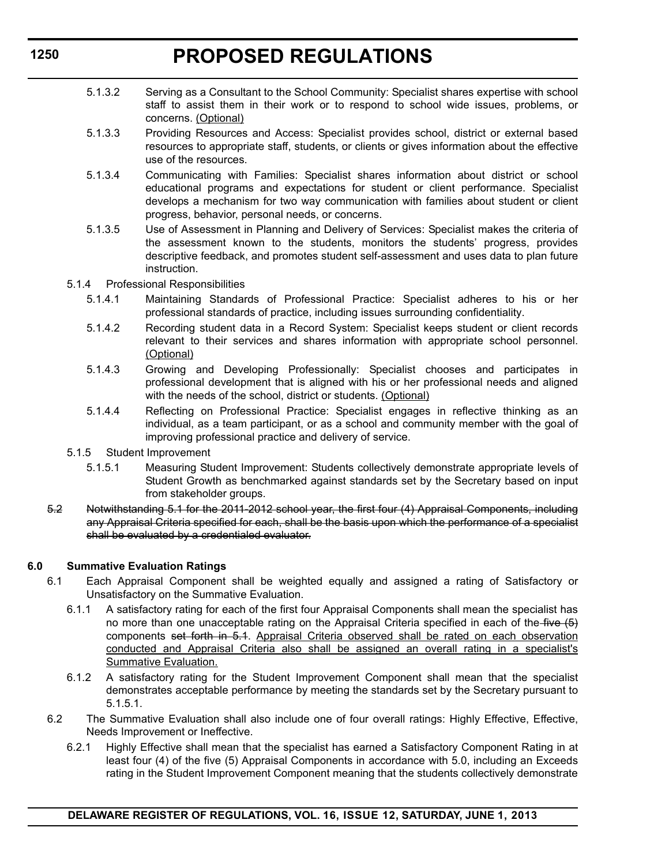- 5.1.3.2 Serving as a Consultant to the School Community: Specialist shares expertise with school staff to assist them in their work or to respond to school wide issues, problems, or concerns. (Optional)
- 5.1.3.3 Providing Resources and Access: Specialist provides school, district or external based resources to appropriate staff, students, or clients or gives information about the effective use of the resources.
- 5.1.3.4 Communicating with Families: Specialist shares information about district or school educational programs and expectations for student or client performance. Specialist develops a mechanism for two way communication with families about student or client progress, behavior, personal needs, or concerns.
- 5.1.3.5 Use of Assessment in Planning and Delivery of Services: Specialist makes the criteria of the assessment known to the students, monitors the students' progress, provides descriptive feedback, and promotes student self-assessment and uses data to plan future instruction.
- 5.1.4 Professional Responsibilities
	- 5.1.4.1 Maintaining Standards of Professional Practice: Specialist adheres to his or her professional standards of practice, including issues surrounding confidentiality.
	- 5.1.4.2 Recording student data in a Record System: Specialist keeps student or client records relevant to their services and shares information with appropriate school personnel. (Optional)
	- 5.1.4.3 Growing and Developing Professionally: Specialist chooses and participates in professional development that is aligned with his or her professional needs and aligned with the needs of the school, district or students. (Optional)
	- 5.1.4.4 Reflecting on Professional Practice: Specialist engages in reflective thinking as an individual, as a team participant, or as a school and community member with the goal of improving professional practice and delivery of service.
- 5.1.5 Student Improvement
	- 5.1.5.1 Measuring Student Improvement: Students collectively demonstrate appropriate levels of Student Growth as benchmarked against standards set by the Secretary based on input from stakeholder groups.
- 5.2 Notwithstanding 5.1 for the 2011-2012 school year, the first four (4) Appraisal Components, including any Appraisal Criteria specified for each, shall be the basis upon which the performance of a specialist shall be evaluated by a credentialed evaluator.

### **6.0 Summative Evaluation Ratings**

- 6.1 Each Appraisal Component shall be weighted equally and assigned a rating of Satisfactory or Unsatisfactory on the Summative Evaluation.
	- 6.1.1 A satisfactory rating for each of the first four Appraisal Components shall mean the specialist has no more than one unacceptable rating on the Appraisal Criteria specified in each of the five  $(5)$ components set forth in 5.1. Appraisal Criteria observed shall be rated on each observation conducted and Appraisal Criteria also shall be assigned an overall rating in a specialist's Summative Evaluation.
	- 6.1.2 A satisfactory rating for the Student Improvement Component shall mean that the specialist demonstrates acceptable performance by meeting the standards set by the Secretary pursuant to 5.1.5.1.
- 6.2 The Summative Evaluation shall also include one of four overall ratings: Highly Effective, Effective, Needs Improvement or Ineffective.
	- 6.2.1 Highly Effective shall mean that the specialist has earned a Satisfactory Component Rating in at least four (4) of the five (5) Appraisal Components in accordance with 5.0, including an Exceeds rating in the Student Improvement Component meaning that the students collectively demonstrate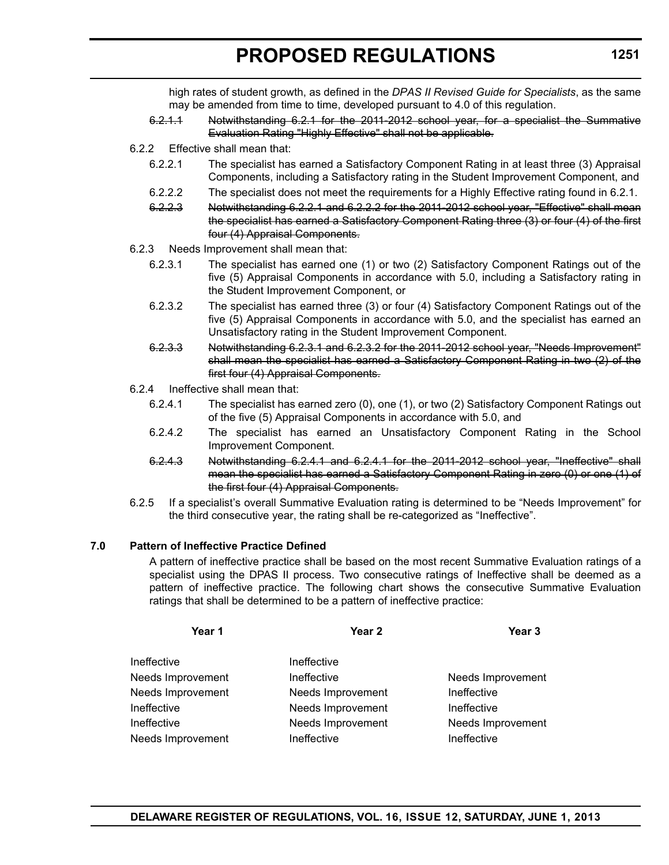high rates of student growth, as defined in the *DPAS II Revised Guide for Specialists*, as the same may be amended from time to time, developed pursuant to 4.0 of this regulation.

- 6.2.1.1 Notwithstanding 6.2.1 for the 2011-2012 school year, for a specialist the Summative Evaluation Rating "Highly Effective" shall not be applicable.
- 6.2.2 Effective shall mean that:
	- 6.2.2.1 The specialist has earned a Satisfactory Component Rating in at least three (3) Appraisal Components, including a Satisfactory rating in the Student Improvement Component, and
	- 6.2.2.2 The specialist does not meet the requirements for a Highly Effective rating found in 6.2.1.
	- 6.2.2.3 Notwithstanding 6.2.2.1 and 6.2.2.2 for the 2011-2012 school year, "Effective" shall mean the specialist has earned a Satisfactory Component Rating three (3) or four (4) of the first four (4) Appraisal Components.
- 6.2.3 Needs Improvement shall mean that:
	- 6.2.3.1 The specialist has earned one (1) or two (2) Satisfactory Component Ratings out of the five (5) Appraisal Components in accordance with 5.0, including a Satisfactory rating in the Student Improvement Component, or
	- 6.2.3.2 The specialist has earned three (3) or four (4) Satisfactory Component Ratings out of the five (5) Appraisal Components in accordance with 5.0, and the specialist has earned an Unsatisfactory rating in the Student Improvement Component.
	- 6.2.3.3 Notwithstanding 6.2.3.1 and 6.2.3.2 for the 2011-2012 school year, "Needs Improvement" shall mean the specialist has earned a Satisfactory Component Rating in two (2) of the first four (4) Appraisal Components.
- 6.2.4 Ineffective shall mean that:
	- 6.2.4.1 The specialist has earned zero (0), one (1), or two (2) Satisfactory Component Ratings out of the five (5) Appraisal Components in accordance with 5.0, and
	- 6.2.4.2 The specialist has earned an Unsatisfactory Component Rating in the School Improvement Component.
	- 6.2.4.3 Notwithstanding 6.2.4.1 and 6.2.4.1 for the 2011-2012 school year, "Ineffective" shall mean the specialist has earned a Satisfactory Component Rating in zero (0) or one (1) of the first four (4) Appraisal Components.
- 6.2.5 If a specialist's overall Summative Evaluation rating is determined to be "Needs Improvement" for the third consecutive year, the rating shall be re-categorized as "Ineffective".

### **7.0 Pattern of Ineffective Practice Defined**

A pattern of ineffective practice shall be based on the most recent Summative Evaluation ratings of a specialist using the DPAS II process. Two consecutive ratings of Ineffective shall be deemed as a pattern of ineffective practice. The following chart shows the consecutive Summative Evaluation ratings that shall be determined to be a pattern of ineffective practice:

| Year <sub>2</sub> | Year <sub>3</sub> |
|-------------------|-------------------|
| Ineffective       |                   |
| Ineffective       | Needs Improvement |
| Needs Improvement | Ineffective       |
| Needs Improvement | Ineffective       |
| Needs Improvement | Needs Improvement |
| Ineffective       | Ineffective       |
|                   |                   |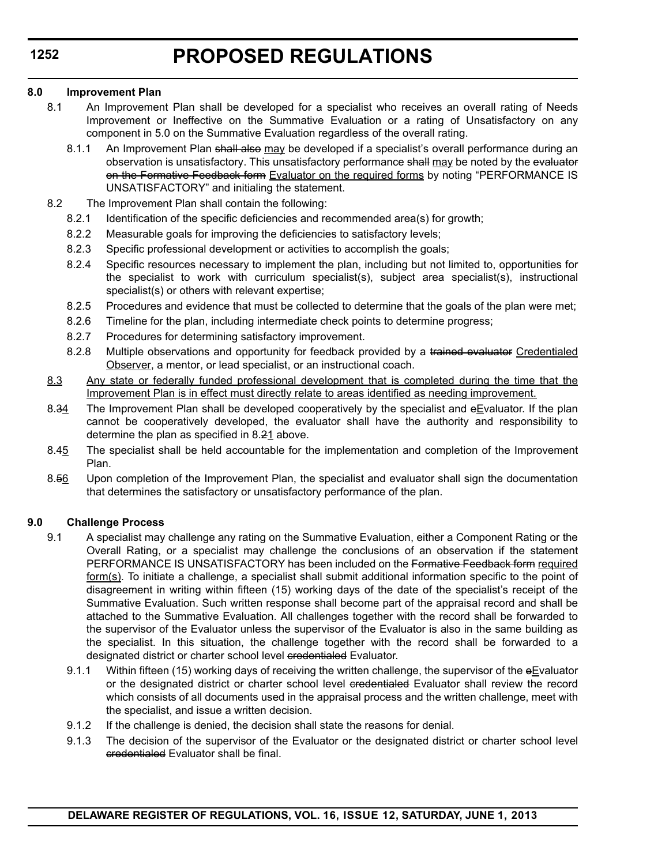### **8.0 Improvement Plan**

- 8.1 An Improvement Plan shall be developed for a specialist who receives an overall rating of Needs Improvement or Ineffective on the Summative Evaluation or a rating of Unsatisfactory on any component in 5.0 on the Summative Evaluation regardless of the overall rating.
	- 8.1.1 An Improvement Plan shall also may be developed if a specialist's overall performance during an observation is unsatisfactory. This unsatisfactory performance shall may be noted by the evaluator on the Formative Feedback form Evaluator on the required forms by noting "PERFORMANCE IS UNSATISFACTORY" and initialing the statement.
- 8.2 The Improvement Plan shall contain the following:
	- 8.2.1 Identification of the specific deficiencies and recommended area(s) for growth;
	- 8.2.2 Measurable goals for improving the deficiencies to satisfactory levels;
	- 8.2.3 Specific professional development or activities to accomplish the goals;
	- 8.2.4 Specific resources necessary to implement the plan, including but not limited to, opportunities for the specialist to work with curriculum specialist(s), subject area specialist(s), instructional specialist(s) or others with relevant expertise;
	- 8.2.5 Procedures and evidence that must be collected to determine that the goals of the plan were met;
	- 8.2.6 Timeline for the plan, including intermediate check points to determine progress;
	- 8.2.7 Procedures for determining satisfactory improvement.
	- 8.2.8 Multiple observations and opportunity for feedback provided by a trained evaluator Credentialed Observer, a mentor, or lead specialist, or an instructional coach.
- 8.3 Any state or federally funded professional development that is completed during the time that the Improvement Plan is in effect must directly relate to areas identified as needing improvement.
- 8.34 The Improvement Plan shall be developed cooperatively by the specialist and  $e$ Evaluator. If the plan cannot be cooperatively developed, the evaluator shall have the authority and responsibility to determine the plan as specified in 8.21 above.
- 8.45 The specialist shall be held accountable for the implementation and completion of the Improvement Plan.
- 8.56 Upon completion of the Improvement Plan, the specialist and evaluator shall sign the documentation that determines the satisfactory or unsatisfactory performance of the plan.

### **9.0 Challenge Process**

- 9.1 A specialist may challenge any rating on the Summative Evaluation, either a Component Rating or the Overall Rating, or a specialist may challenge the conclusions of an observation if the statement PERFORMANCE IS UNSATISFACTORY has been included on the Formative Feedback form required form(s). To initiate a challenge, a specialist shall submit additional information specific to the point of disagreement in writing within fifteen (15) working days of the date of the specialist's receipt of the Summative Evaluation. Such written response shall become part of the appraisal record and shall be attached to the Summative Evaluation. All challenges together with the record shall be forwarded to the supervisor of the Evaluator unless the supervisor of the Evaluator is also in the same building as the specialist. In this situation, the challenge together with the record shall be forwarded to a designated district or charter school level credentialed Evaluator.
	- 9.1.1 Within fifteen (15) working days of receiving the written challenge, the supervisor of the eEvaluator or the designated district or charter school level eredentialed Evaluator shall review the record which consists of all documents used in the appraisal process and the written challenge, meet with the specialist, and issue a written decision.
	- 9.1.2 If the challenge is denied, the decision shall state the reasons for denial.
	- 9.1.3 The decision of the supervisor of the Evaluator or the designated district or charter school level credentialed Evaluator shall be final.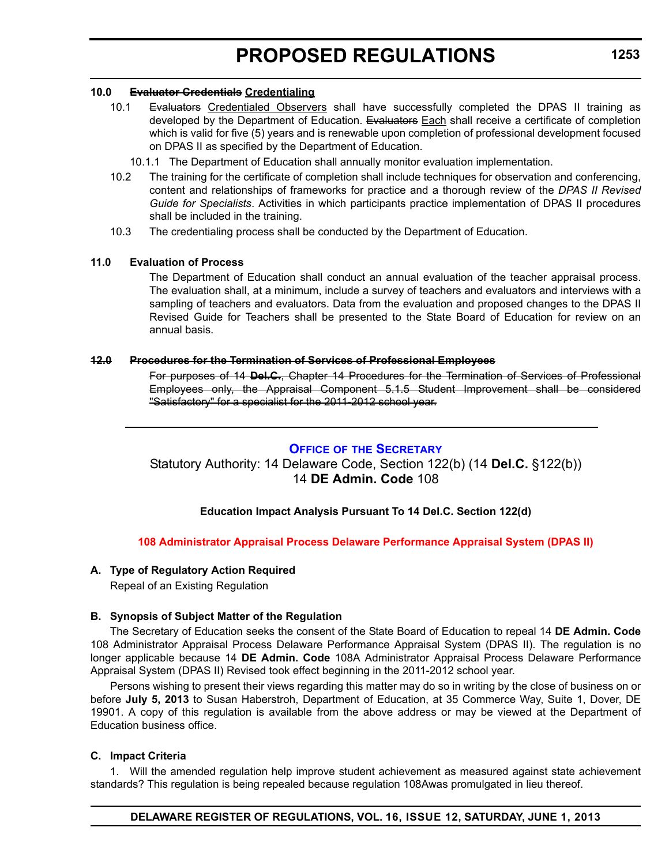### **10.0 Evaluator Credentials Credentialing**

- 10.1 Evaluators Credentialed Observers shall have successfully completed the DPAS II training as developed by the Department of Education. Evaluators Each shall receive a certificate of completion which is valid for five (5) years and is renewable upon completion of professional development focused on DPAS II as specified by the Department of Education.
	- 10.1.1 The Department of Education shall annually monitor evaluation implementation.
- 10.2 The training for the certificate of completion shall include techniques for observation and conferencing, content and relationships of frameworks for practice and a thorough review of the *DPAS II Revised Guide for Specialists*. Activities in which participants practice implementation of DPAS II procedures shall be included in the training.
- 10.3 The credentialing process shall be conducted by the Department of Education.

### **11.0 Evaluation of Process**

The Department of Education shall conduct an annual evaluation of the teacher appraisal process. The evaluation shall, at a minimum, include a survey of teachers and evaluators and interviews with a sampling of teachers and evaluators. Data from the evaluation and proposed changes to the DPAS II Revised Guide for Teachers shall be presented to the State Board of Education for review on an annual basis.

### **12.0 Procedures for the Termination of Services of Professional Employees**

For purposes of 14 **Del.C.**, Chapter 14 Procedures for the Termination of Services of Professional Employees only, the Appraisal Component 5.1.5 Student Improvement shall be considered "Satisfactory" for a specialist for the 2011-2012 school year.

### **OFFICE OF [THE SECRETARY](http://www.doe.k12.de.us/)**

### Statutory Authority: 14 Delaware Code, Section 122(b) (14 **Del.C.** §122(b)) 14 **DE Admin. Code** 108

### **Education Impact Analysis Pursuant To 14 Del.C. Section 122(d)**

### **[108 Administrator Appraisal Process Delaware Performance Appraisal System \(DPAS II\)](#page-3-0)**

### **A. Type of Regulatory Action Required**

Repeal of an Existing Regulation

### **B. Synopsis of Subject Matter of the Regulation**

The Secretary of Education seeks the consent of the State Board of Education to repeal 14 **DE Admin. Code** 108 Administrator Appraisal Process Delaware Performance Appraisal System (DPAS II). The regulation is no longer applicable because 14 **DE Admin. Code** 108A Administrator Appraisal Process Delaware Performance Appraisal System (DPAS II) Revised took effect beginning in the 2011-2012 school year.

Persons wishing to present their views regarding this matter may do so in writing by the close of business on or before **July 5, 2013** to Susan Haberstroh, Department of Education, at 35 Commerce Way, Suite 1, Dover, DE 19901. A copy of this regulation is available from the above address or may be viewed at the Department of Education business office.

### **C. Impact Criteria**

1. Will the amended regulation help improve student achievement as measured against state achievement standards? This regulation is being repealed because regulation 108Awas promulgated in lieu thereof.

### **DELAWARE REGISTER OF REGULATIONS, VOL. 16, ISSUE 12, SATURDAY, JUNE 1, 2013**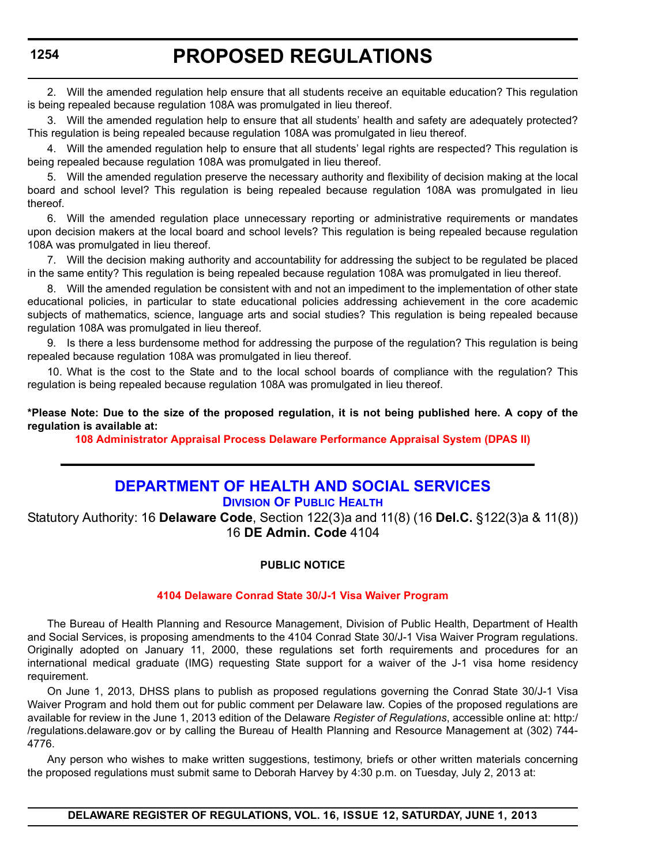## **PROPOSED REGULATIONS**

2. Will the amended regulation help ensure that all students receive an equitable education? This regulation is being repealed because regulation 108A was promulgated in lieu thereof.

3. Will the amended regulation help to ensure that all students' health and safety are adequately protected? This regulation is being repealed because regulation 108A was promulgated in lieu thereof.

4. Will the amended regulation help to ensure that all students' legal rights are respected? This regulation is being repealed because regulation 108A was promulgated in lieu thereof.

5. Will the amended regulation preserve the necessary authority and flexibility of decision making at the local board and school level? This regulation is being repealed because regulation 108A was promulgated in lieu thereof.

6. Will the amended regulation place unnecessary reporting or administrative requirements or mandates upon decision makers at the local board and school levels? This regulation is being repealed because regulation 108A was promulgated in lieu thereof.

7. Will the decision making authority and accountability for addressing the subject to be regulated be placed in the same entity? This regulation is being repealed because regulation 108A was promulgated in lieu thereof.

8. Will the amended regulation be consistent with and not an impediment to the implementation of other state educational policies, in particular to state educational policies addressing achievement in the core academic subjects of mathematics, science, language arts and social studies? This regulation is being repealed because regulation 108A was promulgated in lieu thereof.

9. Is there a less burdensome method for addressing the purpose of the regulation? This regulation is being repealed because regulation 108A was promulgated in lieu thereof.

10. What is the cost to the State and to the local school boards of compliance with the regulation? This regulation is being repealed because regulation 108A was promulgated in lieu thereof.

**\*Please Note: Due to the size of the proposed regulation, it is not being published here. A copy of the regulation is available at:**

**[108 Administrator Appraisal Process Delaware Performance Appraisal System \(DPAS II\)](http://regulations.delaware.gov/register/june2013/proposed/16 DE Reg 1253 06-01-13.htm)**

## **[DEPARTMENT OF HEALTH AND SOCIAL SERVICES](http://www.dhss.delaware.gov/dhss/dph/index.html)**

### **DIVISION OF PUBLIC HEALTH**

Statutory Authority: 16 **Delaware Code**, Section 122(3)a and 11(8) (16 **Del.C.** §122(3)a & 11(8)) 16 **DE Admin. Code** 4104

### **PUBLIC NOTICE**

### **[4104 Delaware Conrad State 30/J-1 Visa Waiver Program](#page-3-0)**

The Bureau of Health Planning and Resource Management, Division of Public Health, Department of Health and Social Services, is proposing amendments to the 4104 Conrad State 30/J-1 Visa Waiver Program regulations. Originally adopted on January 11, 2000, these regulations set forth requirements and procedures for an international medical graduate (IMG) requesting State support for a waiver of the J-1 visa home residency requirement.

On June 1, 2013, DHSS plans to publish as proposed regulations governing the Conrad State 30/J-1 Visa Waiver Program and hold them out for public comment per Delaware law. Copies of the proposed regulations are available for review in the June 1, 2013 edition of the Delaware *Register of Regulations*, accessible online at: http:/ /regulations.delaware.gov or by calling the Bureau of Health Planning and Resource Management at (302) 744- 4776.

Any person who wishes to make written suggestions, testimony, briefs or other written materials concerning the proposed regulations must submit same to Deborah Harvey by 4:30 p.m. on Tuesday, July 2, 2013 at: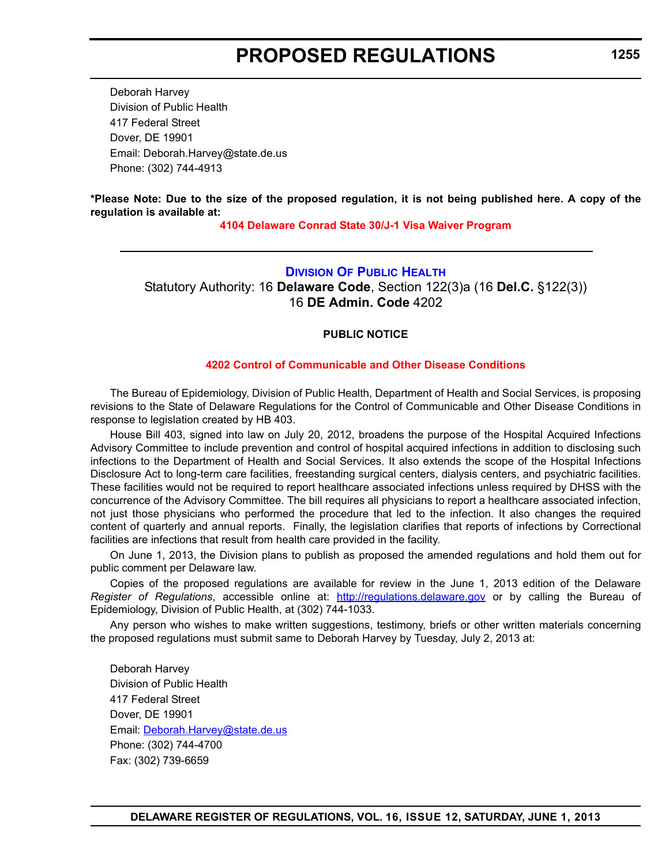Deborah Harvey Division of Public Health 417 Federal Street Dover, DE 19901 Email: Deborah.Harvey@state.de.us Phone: (302) 744-4913

**\*Please Note: Due to the size of the proposed regulation, it is not being published here. A copy of the regulation is available at:**

**[4104 Delaware Conrad State 30/J-1 Visa Waiver Program](http://regulations.delaware.gov/register/june2013/proposed/16 DE Reg 1254 06-01-13.htm)**

### **[DIVISION OF PUBLIC HEALTH](http://www.dhss.delaware.gov/dhss/dph/index.html)**

Statutory Authority: 16 **Delaware Code**, Section 122(3)a (16 **Del.C.** §122(3)) 16 **DE Admin. Code** 4202

### **PUBLIC NOTICE**

### **[4202 Control of Communicable and Other Disease Conditions](#page-3-0)**

The Bureau of Epidemiology, Division of Public Health, Department of Health and Social Services, is proposing revisions to the State of Delaware Regulations for the Control of Communicable and Other Disease Conditions in response to legislation created by HB 403.

House Bill 403, signed into law on July 20, 2012, broadens the purpose of the Hospital Acquired Infections Advisory Committee to include prevention and control of hospital acquired infections in addition to disclosing such infections to the Department of Health and Social Services. It also extends the scope of the Hospital Infections Disclosure Act to long-term care facilities, freestanding surgical centers, dialysis centers, and psychiatric facilities. These facilities would not be required to report healthcare associated infections unless required by DHSS with the concurrence of the Advisory Committee. The bill requires all physicians to report a healthcare associated infection, not just those physicians who performed the procedure that led to the infection. It also changes the required content of quarterly and annual reports. Finally, the legislation clarifies that reports of infections by Correctional facilities are infections that result from health care provided in the facility.

On June 1, 2013, the Division plans to publish as proposed the amended regulations and hold them out for public comment per Delaware law.

Copies of the proposed regulations are available for review in the June 1, 2013 edition of the Delaware *Register of Regulations*, accessible online at: <http://regulations.delaware.gov>or by calling the Bureau of Epidemiology, Division of Public Health, at (302) 744-1033.

Any person who wishes to make written suggestions, testimony, briefs or other written materials concerning the proposed regulations must submit same to Deborah Harvey by Tuesday, July 2, 2013 at:

Deborah Harvey Division of Public Health 417 Federal Street Dover, DE 19901 Email: [Deborah.Harvey@state.de.us](mailto:Deborah.Harvey@state.de.us) Phone: (302) 744-4700 Fax: (302) 739-6659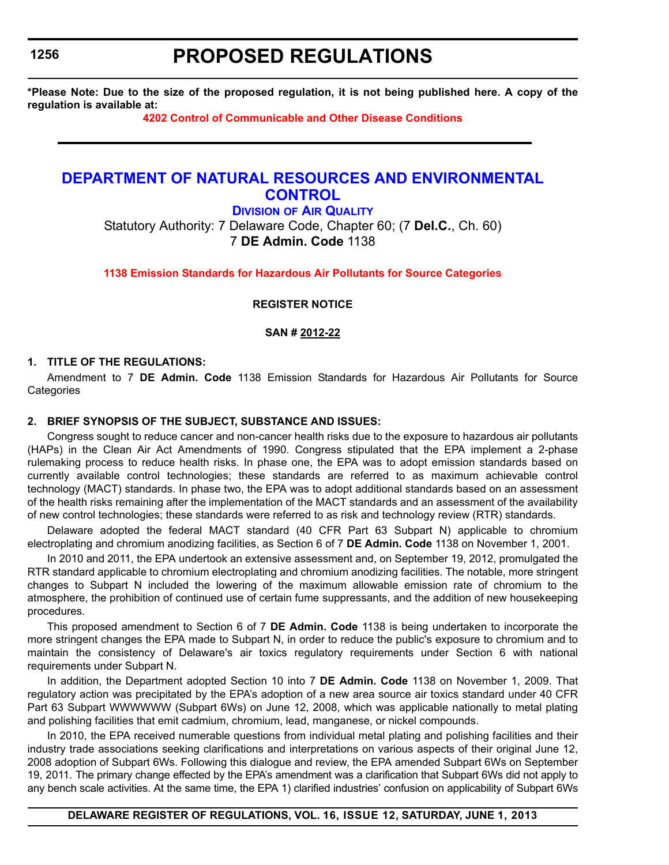## **PROPOSED REGULATIONS**

**\*Please Note: Due to the size of the proposed regulation, it is not being published here. A copy of the regulation is available at:**

**[4202 Control of Communicable and Other Disease Conditions](http://regulations.delaware.gov/register/june2013/proposed/16 DE Reg 1255 06-01-13.htm)**

## **[DEPARTMENT OF NATURAL RESOURCES AND ENVIRONMENTAL](http://www.dnrec.delaware.gov/whs/awm/AQM/Pages/Default.aspx)  CONTROL**

**DIVISION OF AIR QUALITY** Statutory Authority: 7 Delaware Code, Chapter 60; (7 **Del.C.**, Ch. 60) 7 **DE Admin. Code** 1138

**[1138 Emission Standards for Hazardous Air Pollutants for Source Categories](#page-3-0)**

**REGISTER NOTICE**

**SAN # 2012-22**

### **1. TITLE OF THE REGULATIONS:**

Amendment to 7 **DE Admin. Code** 1138 Emission Standards for Hazardous Air Pollutants for Source **Categories** 

### **2. BRIEF SYNOPSIS OF THE SUBJECT, SUBSTANCE AND ISSUES:**

Congress sought to reduce cancer and non-cancer health risks due to the exposure to hazardous air pollutants (HAPs) in the Clean Air Act Amendments of 1990. Congress stipulated that the EPA implement a 2-phase rulemaking process to reduce health risks. In phase one, the EPA was to adopt emission standards based on currently available control technologies; these standards are referred to as maximum achievable control technology (MACT) standards. In phase two, the EPA was to adopt additional standards based on an assessment of the health risks remaining after the implementation of the MACT standards and an assessment of the availability of new control technologies; these standards were referred to as risk and technology review (RTR) standards.

Delaware adopted the federal MACT standard (40 CFR Part 63 Subpart N) applicable to chromium electroplating and chromium anodizing facilities, as Section 6 of 7 **DE Admin. Code** 1138 on November 1, 2001.

In 2010 and 2011, the EPA undertook an extensive assessment and, on September 19, 2012, promulgated the RTR standard applicable to chromium electroplating and chromium anodizing facilities. The notable, more stringent changes to Subpart N included the lowering of the maximum allowable emission rate of chromium to the atmosphere, the prohibition of continued use of certain fume suppressants, and the addition of new housekeeping procedures.

This proposed amendment to Section 6 of 7 **DE Admin. Code** 1138 is being undertaken to incorporate the more stringent changes the EPA made to Subpart N, in order to reduce the public's exposure to chromium and to maintain the consistency of Delaware's air toxics regulatory requirements under Section 6 with national requirements under Subpart N.

In addition, the Department adopted Section 10 into 7 **DE Admin. Code** 1138 on November 1, 2009. That regulatory action was precipitated by the EPA's adoption of a new area source air toxics standard under 40 CFR Part 63 Subpart WWWWWW (Subpart 6Ws) on June 12, 2008, which was applicable nationally to metal plating and polishing facilities that emit cadmium, chromium, lead, manganese, or nickel compounds.

In 2010, the EPA received numerable questions from individual metal plating and polishing facilities and their industry trade associations seeking clarifications and interpretations on various aspects of their original June 12, 2008 adoption of Subpart 6Ws. Following this dialogue and review, the EPA amended Subpart 6Ws on September 19, 2011. The primary change effected by the EPA's amendment was a clarification that Subpart 6Ws did not apply to any bench scale activities. At the same time, the EPA 1) clarified industries' confusion on applicability of Subpart 6Ws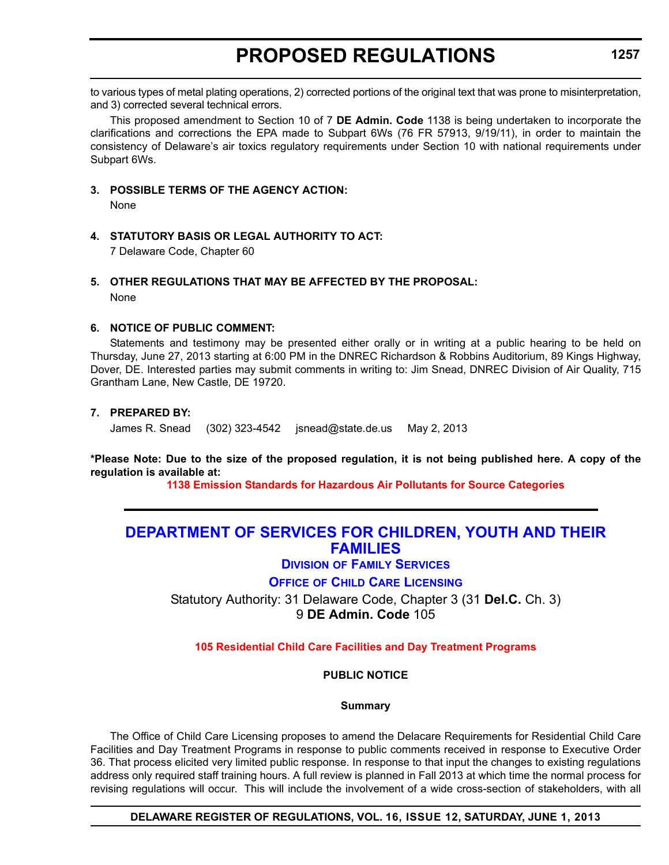to various types of metal plating operations, 2) corrected portions of the original text that was prone to misinterpretation, and 3) corrected several technical errors.

This proposed amendment to Section 10 of 7 **DE Admin. Code** 1138 is being undertaken to incorporate the clarifications and corrections the EPA made to Subpart 6Ws (76 FR 57913, 9/19/11), in order to maintain the consistency of Delaware's air toxics regulatory requirements under Section 10 with national requirements under Subpart 6Ws.

**3. POSSIBLE TERMS OF THE AGENCY ACTION:**

None

**4. STATUTORY BASIS OR LEGAL AUTHORITY TO ACT:**

7 Delaware Code, Chapter 60

### **5. OTHER REGULATIONS THAT MAY BE AFFECTED BY THE PROPOSAL:**

None

### **6. NOTICE OF PUBLIC COMMENT:**

Statements and testimony may be presented either orally or in writing at a public hearing to be held on Thursday, June 27, 2013 starting at 6:00 PM in the DNREC Richardson & Robbins Auditorium, 89 Kings Highway, Dover, DE. Interested parties may submit comments in writing to: Jim Snead, DNREC Division of Air Quality, 715 Grantham Lane, New Castle, DE 19720.

### **7. PREPARED BY:**

James R. Snead (302) 323-4542 jsnead@state.de.us May 2, 2013

**\*Please Note: Due to the size of the proposed regulation, it is not being published here. A copy of the regulation is available at:**

**[1138 Emission Standards for Hazardous Air Pollutants for Source Categories](http://regulations.delaware.gov/register/june2013/proposed/16 DE Reg 1256 06-01-13.htm)**

## **[DEPARTMENT OF SERVICES FOR CHILDREN, YOUTH AND THEIR](http://kids.delaware.gov/fs/fs.shtml)  FAMILIES**

**DIVISION OF FAMILY SERVICES**

**OFFICE OF CHILD CARE LICENSING**

Statutory Authority: 31 Delaware Code, Chapter 3 (31 **Del.C.** Ch. 3) 9 **DE Admin. Code** 105

**[105 Residential Child Care Facilities and Day Treatment Programs](#page-3-0)**

**PUBLIC NOTICE**

### **Summary**

The Office of Child Care Licensing proposes to amend the Delacare Requirements for Residential Child Care Facilities and Day Treatment Programs in response to public comments received in response to Executive Order 36. That process elicited very limited public response. In response to that input the changes to existing regulations address only required staff training hours. A full review is planned in Fall 2013 at which time the normal process for revising regulations will occur. This will include the involvement of a wide cross-section of stakeholders, with all

**DELAWARE REGISTER OF REGULATIONS, VOL. 16, ISSUE 12, SATURDAY, JUNE 1, 2013**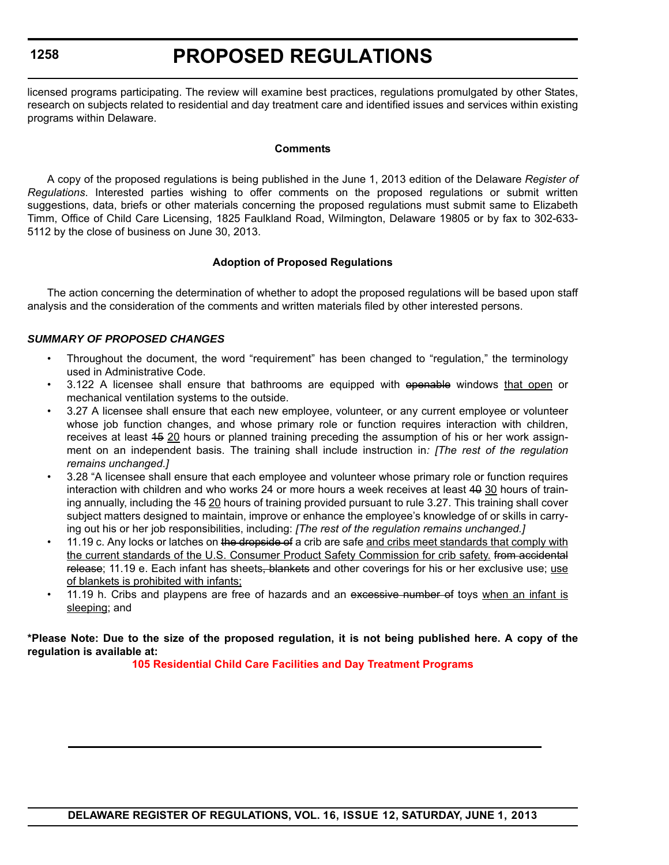# **PROPOSED REGULATIONS**

licensed programs participating. The review will examine best practices, regulations promulgated by other States, research on subjects related to residential and day treatment care and identified issues and services within existing programs within Delaware.

### **Comments**

A copy of the proposed regulations is being published in the June 1, 2013 edition of the Delaware *Register of Regulations*. Interested parties wishing to offer comments on the proposed regulations or submit written suggestions, data, briefs or other materials concerning the proposed regulations must submit same to Elizabeth Timm, Office of Child Care Licensing, 1825 Faulkland Road, Wilmington, Delaware 19805 or by fax to 302-633- 5112 by the close of business on June 30, 2013.

### **Adoption of Proposed Regulations**

The action concerning the determination of whether to adopt the proposed regulations will be based upon staff analysis and the consideration of the comments and written materials filed by other interested persons.

### *SUMMARY OF PROPOSED CHANGES*

- Throughout the document, the word "requirement" has been changed to "regulation," the terminology used in Administrative Code.
- 3.122 A licensee shall ensure that bathrooms are equipped with openable windows that open or mechanical ventilation systems to the outside.
- 3.27 A licensee shall ensure that each new employee, volunteer, or any current employee or volunteer whose job function changes, and whose primary role or function requires interaction with children, receives at least 15 20 hours or planned training preceding the assumption of his or her work assignment on an independent basis. The training shall include instruction in*: [The rest of the regulation remains unchanged.]*
- 3.28 "A licensee shall ensure that each employee and volunteer whose primary role or function requires interaction with children and who works 24 or more hours a week receives at least 40 30 hours of training annually, including the 45 20 hours of training provided pursuant to rule 3.27. This training shall cover subject matters designed to maintain, improve or enhance the employee's knowledge of or skills in carrying out his or her job responsibilities, including: *[The rest of the regulation remains unchanged.]*
- 11.19 c. Any locks or latches on the dropside of a crib are safe and cribs meet standards that comply with the current standards of the U.S. Consumer Product Safety Commission for crib safety. from accidental release; 11.19 e. Each infant has sheets, blankets and other coverings for his or her exclusive use; use of blankets is prohibited with infants;
- 11.19 h. Cribs and playpens are free of hazards and an excessive number of toys when an infant is sleeping; and

**\*Please Note: Due to the size of the proposed regulation, it is not being published here. A copy of the regulation is available at:**

**[105 Residential Child Care Facilities and Day Treatment Programs](http://regulations.delaware.gov/register/june2013/proposed/16 DE Reg 1257 06-01-13.htm)**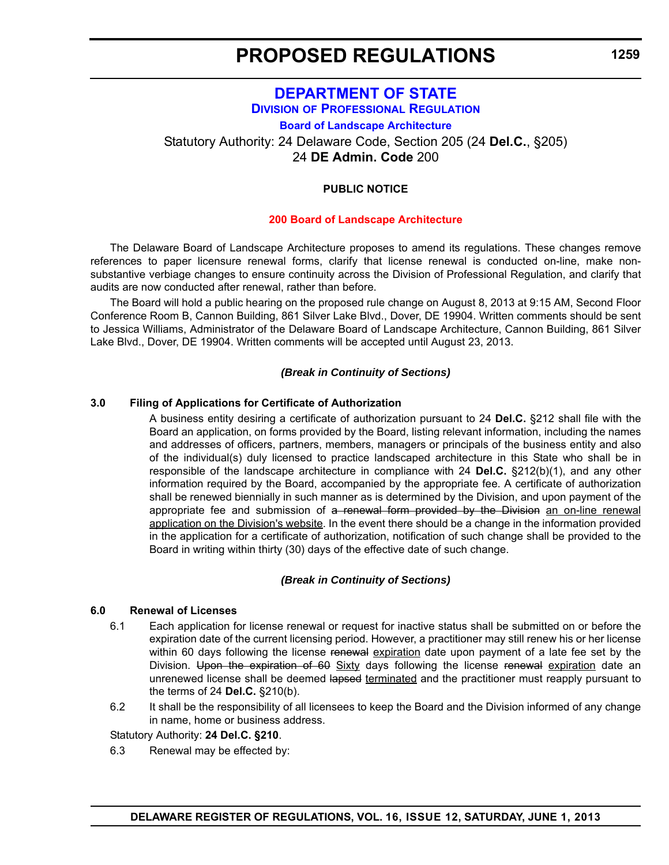## **[DEPARTMENT OF STATE](http://dpr.delaware.gov/) DIVISION OF PROFESSIONAL REGULATION**

**Board of Landscape Architecture**

Statutory Authority: 24 Delaware Code, Section 205 (24 **Del.C.**, §205) 24 **DE Admin. Code** 200

### **PUBLIC NOTICE**

### **[200 Board of Landscape Architecture](#page-3-0)**

The Delaware Board of Landscape Architecture proposes to amend its regulations. These changes remove references to paper licensure renewal forms, clarify that license renewal is conducted on-line, make nonsubstantive verbiage changes to ensure continuity across the Division of Professional Regulation, and clarify that audits are now conducted after renewal, rather than before.

The Board will hold a public hearing on the proposed rule change on August 8, 2013 at 9:15 AM, Second Floor Conference Room B, Cannon Building, 861 Silver Lake Blvd., Dover, DE 19904. Written comments should be sent to Jessica Williams, Administrator of the Delaware Board of Landscape Architecture, Cannon Building, 861 Silver Lake Blvd., Dover, DE 19904. Written comments will be accepted until August 23, 2013.

### *(Break in Continuity of Sections)*

### **3.0 Filing of Applications for Certificate of Authorization**

A business entity desiring a certificate of authorization pursuant to 24 **Del.C.** §212 shall file with the Board an application, on forms provided by the Board, listing relevant information, including the names and addresses of officers, partners, members, managers or principals of the business entity and also of the individual(s) duly licensed to practice landscaped architecture in this State who shall be in responsible of the landscape architecture in compliance with 24 **Del.C.** §212(b)(1), and any other information required by the Board, accompanied by the appropriate fee. A certificate of authorization shall be renewed biennially in such manner as is determined by the Division, and upon payment of the appropriate fee and submission of a renewal form provided by the Division an on-line renewal application on the Division's website. In the event there should be a change in the information provided in the application for a certificate of authorization, notification of such change shall be provided to the Board in writing within thirty (30) days of the effective date of such change.

### *(Break in Continuity of Sections)*

### **6.0 Renewal of Licenses**

- 6.1 Each application for license renewal or request for inactive status shall be submitted on or before the expiration date of the current licensing period. However, a practitioner may still renew his or her license within 60 days following the license renewal expiration date upon payment of a late fee set by the Division. Upon the expiration of 60 Sixty days following the license renewal expiration date an unrenewed license shall be deemed lapsed terminated and the practitioner must reapply pursuant to the terms of 24 **Del.C.** §210(b).
- 6.2 It shall be the responsibility of all licensees to keep the Board and the Division informed of any change in name, home or business address.

Statutory Authority: **24 Del.C. §210**.

6.3 Renewal may be effected by: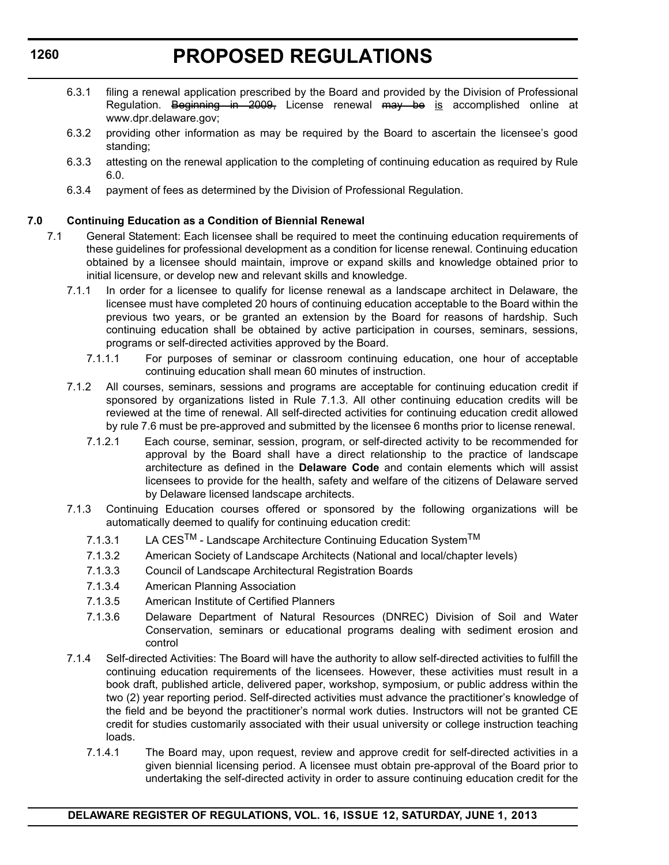# **PROPOSED REGULATIONS**

- 6.3.1 filing a renewal application prescribed by the Board and provided by the Division of Professional Regulation. Beginning in 2009, License renewal may be is accomplished online at www.dpr.delaware.gov;
- 6.3.2 providing other information as may be required by the Board to ascertain the licensee's good standing;
- 6.3.3 attesting on the renewal application to the completing of continuing education as required by Rule 6.0.
- 6.3.4 payment of fees as determined by the Division of Professional Regulation.

### **7.0 Continuing Education as a Condition of Biennial Renewal**

- 7.1 General Statement: Each licensee shall be required to meet the continuing education requirements of these guidelines for professional development as a condition for license renewal. Continuing education obtained by a licensee should maintain, improve or expand skills and knowledge obtained prior to initial licensure, or develop new and relevant skills and knowledge.
	- 7.1.1 In order for a licensee to qualify for license renewal as a landscape architect in Delaware, the licensee must have completed 20 hours of continuing education acceptable to the Board within the previous two years, or be granted an extension by the Board for reasons of hardship. Such continuing education shall be obtained by active participation in courses, seminars, sessions, programs or self-directed activities approved by the Board.
		- 7.1.1.1 For purposes of seminar or classroom continuing education, one hour of acceptable continuing education shall mean 60 minutes of instruction.
	- 7.1.2 All courses, seminars, sessions and programs are acceptable for continuing education credit if sponsored by organizations listed in Rule 7.1.3. All other continuing education credits will be reviewed at the time of renewal. All self-directed activities for continuing education credit allowed by rule 7.6 must be pre-approved and submitted by the licensee 6 months prior to license renewal.
		- 7.1.2.1 Each course, seminar, session, program, or self-directed activity to be recommended for approval by the Board shall have a direct relationship to the practice of landscape architecture as defined in the **Delaware Code** and contain elements which will assist licensees to provide for the health, safety and welfare of the citizens of Delaware served by Delaware licensed landscape architects.
	- 7.1.3 Continuing Education courses offered or sponsored by the following organizations will be automatically deemed to qualify for continuing education credit:
		- 7.1.3.1 LA CES<sup>TM</sup> Landscape Architecture Continuing Education System<sup>TM</sup>
		- 7.1.3.2 American Society of Landscape Architects (National and local/chapter levels)
		- 7.1.3.3 Council of Landscape Architectural Registration Boards
		- 7.1.3.4 American Planning Association
		- 7.1.3.5 American Institute of Certified Planners
		- 7.1.3.6 Delaware Department of Natural Resources (DNREC) Division of Soil and Water Conservation, seminars or educational programs dealing with sediment erosion and control
	- 7.1.4 Self-directed Activities: The Board will have the authority to allow self-directed activities to fulfill the continuing education requirements of the licensees. However, these activities must result in a book draft, published article, delivered paper, workshop, symposium, or public address within the two (2) year reporting period. Self-directed activities must advance the practitioner's knowledge of the field and be beyond the practitioner's normal work duties. Instructors will not be granted CE credit for studies customarily associated with their usual university or college instruction teaching loads.
		- 7.1.4.1 The Board may, upon request, review and approve credit for self-directed activities in a given biennial licensing period. A licensee must obtain pre-approval of the Board prior to undertaking the self-directed activity in order to assure continuing education credit for the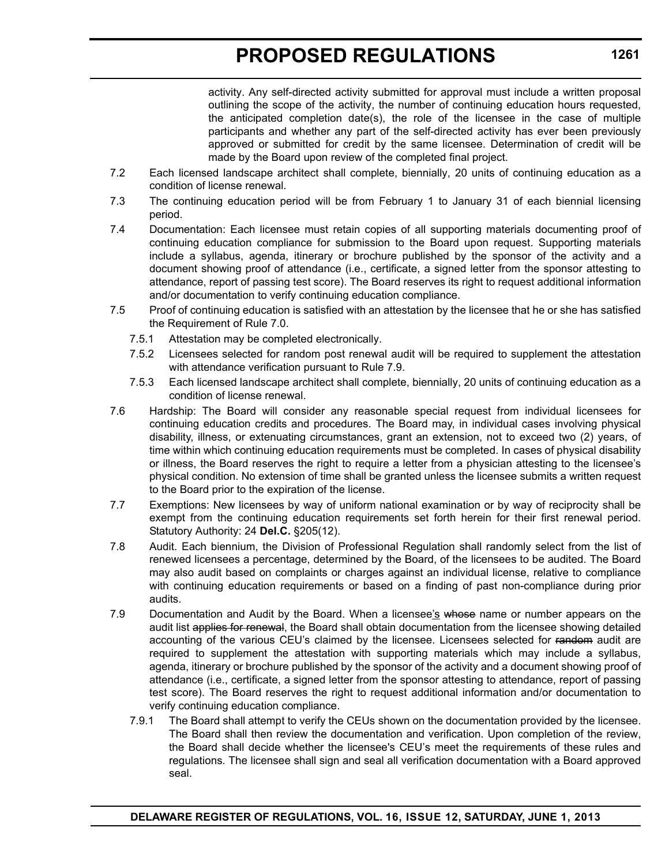activity. Any self-directed activity submitted for approval must include a written proposal outlining the scope of the activity, the number of continuing education hours requested, the anticipated completion date(s), the role of the licensee in the case of multiple participants and whether any part of the self-directed activity has ever been previously approved or submitted for credit by the same licensee. Determination of credit will be made by the Board upon review of the completed final project.

- 7.2 Each licensed landscape architect shall complete, biennially, 20 units of continuing education as a condition of license renewal.
- 7.3 The continuing education period will be from February 1 to January 31 of each biennial licensing period.
- 7.4 Documentation: Each licensee must retain copies of all supporting materials documenting proof of continuing education compliance for submission to the Board upon request. Supporting materials include a syllabus, agenda, itinerary or brochure published by the sponsor of the activity and a document showing proof of attendance (i.e., certificate, a signed letter from the sponsor attesting to attendance, report of passing test score). The Board reserves its right to request additional information and/or documentation to verify continuing education compliance.
- 7.5 Proof of continuing education is satisfied with an attestation by the licensee that he or she has satisfied the Requirement of Rule 7.0.
	- 7.5.1 Attestation may be completed electronically.
	- 7.5.2 Licensees selected for random post renewal audit will be required to supplement the attestation with attendance verification pursuant to Rule 7.9.
	- 7.5.3 Each licensed landscape architect shall complete, biennially, 20 units of continuing education as a condition of license renewal.
- 7.6 Hardship: The Board will consider any reasonable special request from individual licensees for continuing education credits and procedures. The Board may, in individual cases involving physical disability, illness, or extenuating circumstances, grant an extension, not to exceed two (2) years, of time within which continuing education requirements must be completed. In cases of physical disability or illness, the Board reserves the right to require a letter from a physician attesting to the licensee's physical condition. No extension of time shall be granted unless the licensee submits a written request to the Board prior to the expiration of the license.
- 7.7 Exemptions: New licensees by way of uniform national examination or by way of reciprocity shall be exempt from the continuing education requirements set forth herein for their first renewal period. Statutory Authority: 24 **Del.C.** §205(12).
- 7.8 Audit. Each biennium, the Division of Professional Regulation shall randomly select from the list of renewed licensees a percentage, determined by the Board, of the licensees to be audited. The Board may also audit based on complaints or charges against an individual license, relative to compliance with continuing education requirements or based on a finding of past non-compliance during prior audits.
- 7.9 Documentation and Audit by the Board. When a licensee's whose name or number appears on the audit list applies for renewal, the Board shall obtain documentation from the licensee showing detailed accounting of the various CEU's claimed by the licensee. Licensees selected for random audit are required to supplement the attestation with supporting materials which may include a syllabus, agenda, itinerary or brochure published by the sponsor of the activity and a document showing proof of attendance (i.e., certificate, a signed letter from the sponsor attesting to attendance, report of passing test score). The Board reserves the right to request additional information and/or documentation to verify continuing education compliance.
	- 7.9.1 The Board shall attempt to verify the CEUs shown on the documentation provided by the licensee. The Board shall then review the documentation and verification. Upon completion of the review, the Board shall decide whether the licensee's CEU's meet the requirements of these rules and regulations. The licensee shall sign and seal all verification documentation with a Board approved seal.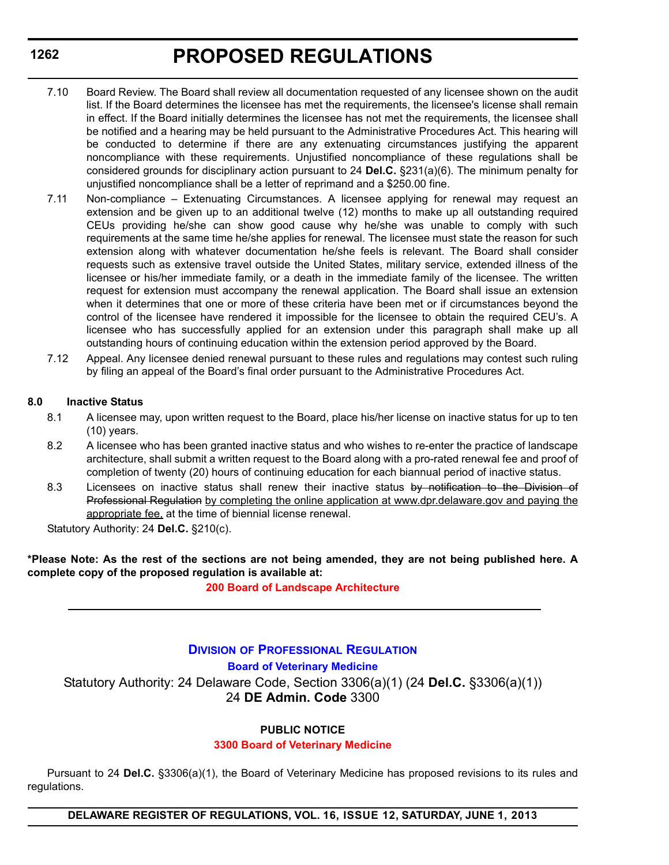- 7.10 Board Review. The Board shall review all documentation requested of any licensee shown on the audit list. If the Board determines the licensee has met the requirements, the licensee's license shall remain in effect. If the Board initially determines the licensee has not met the requirements, the licensee shall be notified and a hearing may be held pursuant to the Administrative Procedures Act. This hearing will be conducted to determine if there are any extenuating circumstances justifying the apparent noncompliance with these requirements. Unjustified noncompliance of these regulations shall be considered grounds for disciplinary action pursuant to 24 **Del.C.** §231(a)(6). The minimum penalty for unjustified noncompliance shall be a letter of reprimand and a \$250.00 fine.
- 7.11 Non-compliance Extenuating Circumstances. A licensee applying for renewal may request an extension and be given up to an additional twelve (12) months to make up all outstanding required CEUs providing he/she can show good cause why he/she was unable to comply with such requirements at the same time he/she applies for renewal. The licensee must state the reason for such extension along with whatever documentation he/she feels is relevant. The Board shall consider requests such as extensive travel outside the United States, military service, extended illness of the licensee or his/her immediate family, or a death in the immediate family of the licensee. The written request for extension must accompany the renewal application. The Board shall issue an extension when it determines that one or more of these criteria have been met or if circumstances beyond the control of the licensee have rendered it impossible for the licensee to obtain the required CEU's. A licensee who has successfully applied for an extension under this paragraph shall make up all outstanding hours of continuing education within the extension period approved by the Board.
- 7.12 Appeal. Any licensee denied renewal pursuant to these rules and regulations may contest such ruling by filing an appeal of the Board's final order pursuant to the Administrative Procedures Act.

### **8.0 Inactive Status**

- 8.1 A licensee may, upon written request to the Board, place his/her license on inactive status for up to ten (10) years.
- 8.2 A licensee who has been granted inactive status and who wishes to re-enter the practice of landscape architecture, shall submit a written request to the Board along with a pro-rated renewal fee and proof of completion of twenty (20) hours of continuing education for each biannual period of inactive status.
- 8.3 Licensees on inactive status shall renew their inactive status by notification to the Division of Professional Regulation by completing the online application at www.dpr.delaware.gov and paying the appropriate fee, at the time of biennial license renewal.

Statutory Authority: 24 **Del.C.** §210(c).

**\*Please Note: As the rest of the sections are not being amended, they are not being published here. A complete copy of the proposed regulation is available at:**

**[200 Board of Landscape Architecture](http://regulations.delaware.gov/register/june2013/proposed/16 DE Reg 1259 06-01-13.htm)**

### **DIVISION [OF PROFESSIONAL REGULATION](http://dpr.delaware.gov/) Board of Veterinary Medicine** Statutory Authority: 24 Delaware Code, Section 3306(a)(1) (24 **Del.C.** §3306(a)(1)) 24 **DE Admin. Code** 3300

### **PUBLIC NOTICE**

### **[3300 Board of Veterinary Medicine](#page-3-0)**

Pursuant to 24 **Del.C.** §3306(a)(1), the Board of Veterinary Medicine has proposed revisions to its rules and regulations.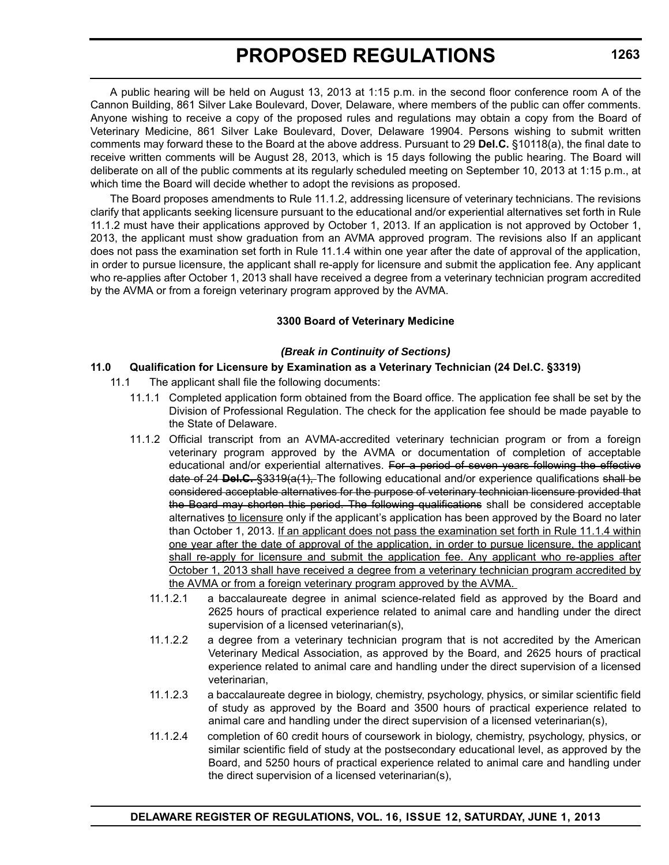A public hearing will be held on August 13, 2013 at 1:15 p.m. in the second floor conference room A of the Cannon Building, 861 Silver Lake Boulevard, Dover, Delaware, where members of the public can offer comments. Anyone wishing to receive a copy of the proposed rules and regulations may obtain a copy from the Board of Veterinary Medicine, 861 Silver Lake Boulevard, Dover, Delaware 19904. Persons wishing to submit written comments may forward these to the Board at the above address. Pursuant to 29 **Del.C.** §10118(a), the final date to receive written comments will be August 28, 2013, which is 15 days following the public hearing. The Board will deliberate on all of the public comments at its regularly scheduled meeting on September 10, 2013 at 1:15 p.m., at which time the Board will decide whether to adopt the revisions as proposed.

The Board proposes amendments to Rule 11.1.2, addressing licensure of veterinary technicians. The revisions clarify that applicants seeking licensure pursuant to the educational and/or experiential alternatives set forth in Rule 11.1.2 must have their applications approved by October 1, 2013. If an application is not approved by October 1, 2013, the applicant must show graduation from an AVMA approved program. The revisions also If an applicant does not pass the examination set forth in Rule 11.1.4 within one year after the date of approval of the application, in order to pursue licensure, the applicant shall re-apply for licensure and submit the application fee. Any applicant who re-applies after October 1, 2013 shall have received a degree from a veterinary technician program accredited by the AVMA or from a foreign veterinary program approved by the AVMA.

### **3300 Board of Veterinary Medicine**

### *(Break in Continuity of Sections)*

### **11.0 Qualification for Licensure by Examination as a Veterinary Technician (24 Del.C. §3319)**

- 11.1 The applicant shall file the following documents:
	- 11.1.1 Completed application form obtained from the Board office. The application fee shall be set by the Division of Professional Regulation. The check for the application fee should be made payable to the State of Delaware.
	- 11.1.2 Official transcript from an AVMA-accredited veterinary technician program or from a foreign veterinary program approved by the AVMA or documentation of completion of acceptable educational and/or experiential alternatives. For a period of seven years following the effective date of 24 **Del.C.** §3319(a(1), The following educational and/or experience qualifications shall be considered acceptable alternatives for the purpose of veterinary technician licensure provided that the Board may shorten this period. The following qualifications shall be considered acceptable alternatives to licensure only if the applicant's application has been approved by the Board no later than October 1, 2013. If an applicant does not pass the examination set forth in Rule 11.1.4 within one year after the date of approval of the application, in order to pursue licensure, the applicant shall re-apply for licensure and submit the application fee. Any applicant who re-applies after October 1, 2013 shall have received a degree from a veterinary technician program accredited by the AVMA or from a foreign veterinary program approved by the AVMA.
		- 11.1.2.1 a baccalaureate degree in animal science-related field as approved by the Board and 2625 hours of practical experience related to animal care and handling under the direct supervision of a licensed veterinarian(s),
		- 11.1.2.2 a degree from a veterinary technician program that is not accredited by the American Veterinary Medical Association, as approved by the Board, and 2625 hours of practical experience related to animal care and handling under the direct supervision of a licensed veterinarian,
		- 11.1.2.3 a baccalaureate degree in biology, chemistry, psychology, physics, or similar scientific field of study as approved by the Board and 3500 hours of practical experience related to animal care and handling under the direct supervision of a licensed veterinarian(s),
		- 11.1.2.4 completion of 60 credit hours of coursework in biology, chemistry, psychology, physics, or similar scientific field of study at the postsecondary educational level, as approved by the Board, and 5250 hours of practical experience related to animal care and handling under the direct supervision of a licensed veterinarian(s),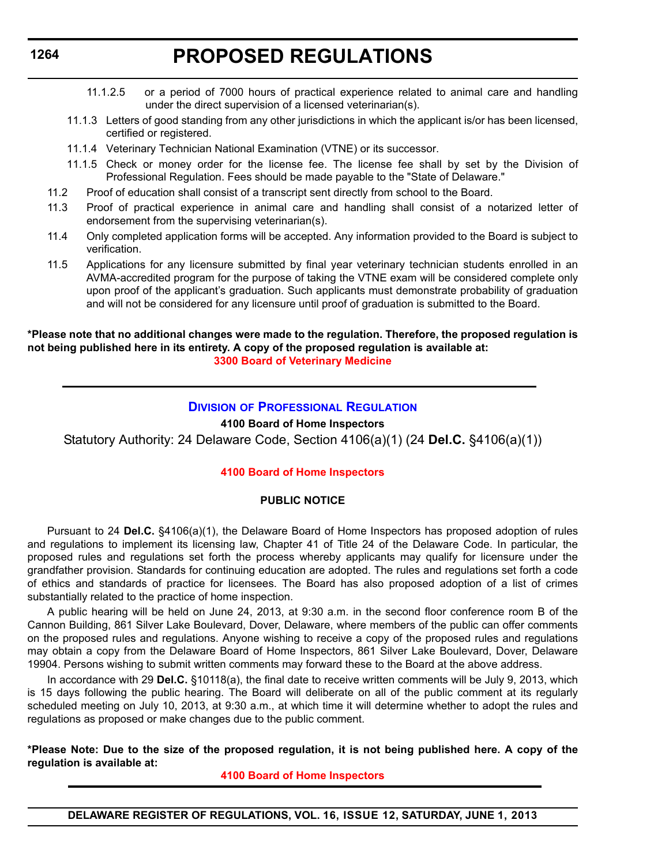- 11.1.2.5 or a period of 7000 hours of practical experience related to animal care and handling under the direct supervision of a licensed veterinarian(s).
- 11.1.3 Letters of good standing from any other jurisdictions in which the applicant is/or has been licensed, certified or registered.
- 11.1.4 Veterinary Technician National Examination (VTNE) or its successor.
- 11.1.5 Check or money order for the license fee. The license fee shall by set by the Division of Professional Regulation. Fees should be made payable to the "State of Delaware."
- 11.2 Proof of education shall consist of a transcript sent directly from school to the Board.
- 11.3 Proof of practical experience in animal care and handling shall consist of a notarized letter of endorsement from the supervising veterinarian(s).
- 11.4 Only completed application forms will be accepted. Any information provided to the Board is subject to verification.
- 11.5 Applications for any licensure submitted by final year veterinary technician students enrolled in an AVMA-accredited program for the purpose of taking the VTNE exam will be considered complete only upon proof of the applicant's graduation. Such applicants must demonstrate probability of graduation and will not be considered for any licensure until proof of graduation is submitted to the Board.

### **\*Please note that no additional changes were made to the regulation. Therefore, the proposed regulation is not being published here in its entirety. A copy of the proposed regulation is available at: [3300 Board of Veterinary Medicine](http://regulations.delaware.gov/register/june2013/final/16 DE Reg 1262 06-01-13.htm)**

### **DIVISION [OF PROFESSIONAL REGULATION](http://dpr.delaware.gov/)**

### **4100 Board of Home Inspectors**

Statutory Authority: 24 Delaware Code, Section 4106(a)(1) (24 **Del.C.** §4106(a)(1))

### **[4100 Board of Home Inspectors](#page-3-0)**

### **PUBLIC NOTICE**

Pursuant to 24 **Del.C.** §4106(a)(1), the Delaware Board of Home Inspectors has proposed adoption of rules and regulations to implement its licensing law, Chapter 41 of Title 24 of the Delaware Code. In particular, the proposed rules and regulations set forth the process whereby applicants may qualify for licensure under the grandfather provision. Standards for continuing education are adopted. The rules and regulations set forth a code of ethics and standards of practice for licensees. The Board has also proposed adoption of a list of crimes substantially related to the practice of home inspection.

A public hearing will be held on June 24, 2013, at 9:30 a.m. in the second floor conference room B of the Cannon Building, 861 Silver Lake Boulevard, Dover, Delaware, where members of the public can offer comments on the proposed rules and regulations. Anyone wishing to receive a copy of the proposed rules and regulations may obtain a copy from the Delaware Board of Home Inspectors, 861 Silver Lake Boulevard, Dover, Delaware 19904. Persons wishing to submit written comments may forward these to the Board at the above address.

In accordance with 29 **Del.C.** §10118(a), the final date to receive written comments will be July 9, 2013, which is 15 days following the public hearing. The Board will deliberate on all of the public comment at its regularly scheduled meeting on July 10, 2013, at 9:30 a.m., at which time it will determine whether to adopt the rules and regulations as proposed or make changes due to the public comment.

**\*Please Note: Due to the size of the proposed regulation, it is not being published here. A copy of the regulation is available at:**

**[4100 Board of Home Inspectors](http://regulations.delaware.gov/register/june2013/proposed/16 DE Reg 1264 06-01-13.htm)**

**DELAWARE REGISTER OF REGULATIONS, VOL. 16, ISSUE 12, SATURDAY, JUNE 1, 2013**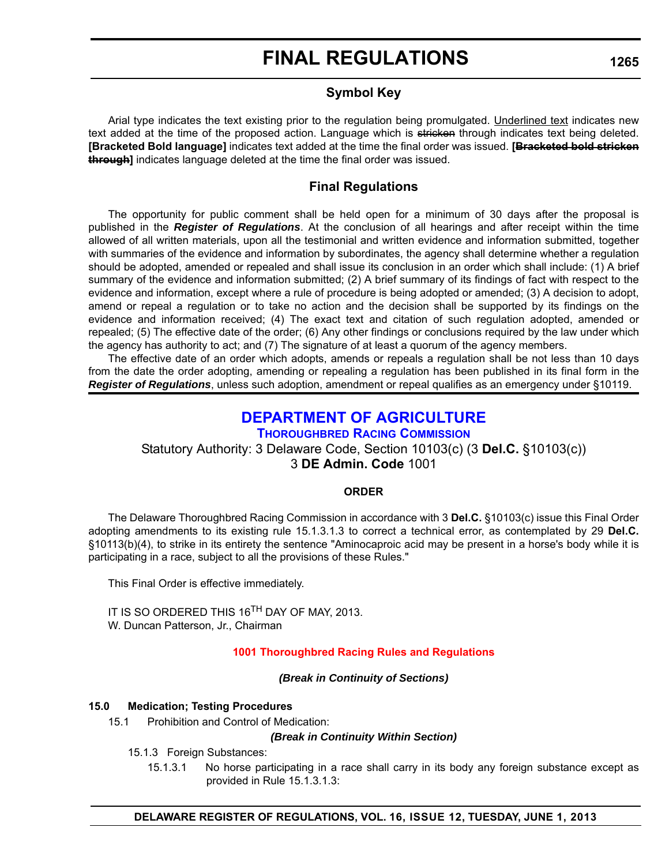### **Symbol Key**

Arial type indicates the text existing prior to the regulation being promulgated. Underlined text indicates new text added at the time of the proposed action. Language which is stricken through indicates text being deleted. **[Bracketed Bold language]** indicates text added at the time the final order was issued. **[Bracketed bold stricken through]** indicates language deleted at the time the final order was issued.

### **Final Regulations**

The opportunity for public comment shall be held open for a minimum of 30 days after the proposal is published in the *Register of Regulations*. At the conclusion of all hearings and after receipt within the time allowed of all written materials, upon all the testimonial and written evidence and information submitted, together with summaries of the evidence and information by subordinates, the agency shall determine whether a regulation should be adopted, amended or repealed and shall issue its conclusion in an order which shall include: (1) A brief summary of the evidence and information submitted; (2) A brief summary of its findings of fact with respect to the evidence and information, except where a rule of procedure is being adopted or amended; (3) A decision to adopt, amend or repeal a regulation or to take no action and the decision shall be supported by its findings on the evidence and information received; (4) The exact text and citation of such regulation adopted, amended or repealed; (5) The effective date of the order; (6) Any other findings or conclusions required by the law under which the agency has authority to act; and (7) The signature of at least a quorum of the agency members.

The effective date of an order which adopts, amends or repeals a regulation shall be not less than 10 days from the date the order adopting, amending or repealing a regulation has been published in its final form in the *Register of Regulations*, unless such adoption, amendment or repeal qualifies as an emergency under §10119.

## **[DEPARTMENT OF AGRICULTURE](http://dda.delaware.gov/thoroughbred/)**

### **THOROUGHBRED RACING COMMISSION**

Statutory Authority: 3 Delaware Code, Section 10103(c) (3 **Del.C.** §10103(c)) 3 **DE Admin. Code** 1001

### **ORDER**

The Delaware Thoroughbred Racing Commission in accordance with 3 **Del.C.** §10103(c) issue this Final Order adopting amendments to its existing rule 15.1.3.1.3 to correct a technical error, as contemplated by 29 **Del.C.** §10113(b)(4), to strike in its entirety the sentence "Aminocaproic acid may be present in a horse's body while it is participating in a race, subject to all the provisions of these Rules."

This Final Order is effective immediately.

IT IS SO ORDERED THIS 16<sup>TH</sup> DAY OF MAY, 2013. W. Duncan Patterson, Jr., Chairman

### **[1001 Thoroughbred Racing Rules and Regulations](#page-3-0)**

### *(Break in Continuity of Sections)*

### **15.0 Medication; Testing Procedures**

15.1 Prohibition and Control of Medication:

### *(Break in Continuity Within Section)*

- 15.1.3 Foreign Substances:
	- 15.1.3.1 No horse participating in a race shall carry in its body any foreign substance except as provided in Rule 15.1.3.1.3: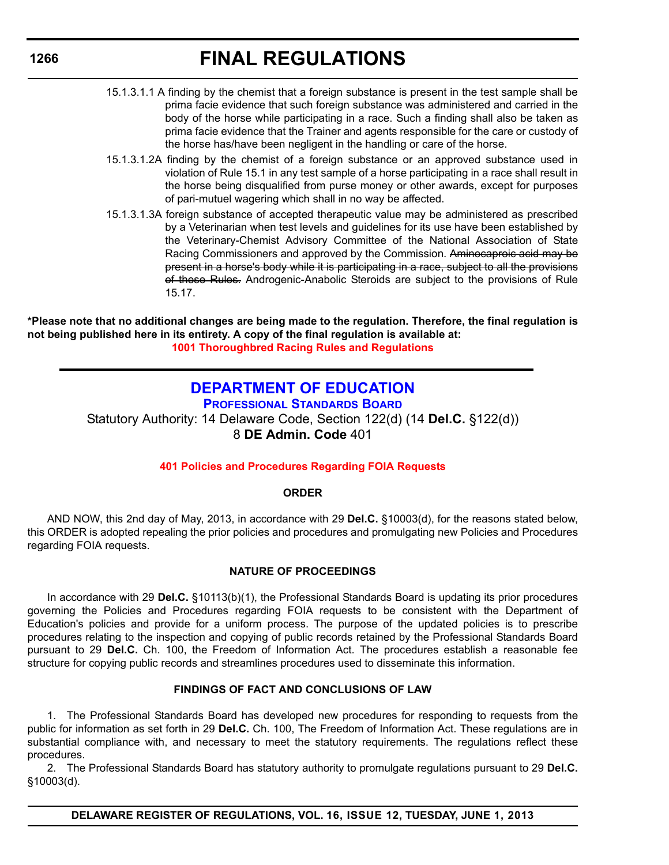- 15.1.3.1.1 A finding by the chemist that a foreign substance is present in the test sample shall be prima facie evidence that such foreign substance was administered and carried in the body of the horse while participating in a race. Such a finding shall also be taken as prima facie evidence that the Trainer and agents responsible for the care or custody of the horse has/have been negligent in the handling or care of the horse.
- 15.1.3.1.2A finding by the chemist of a foreign substance or an approved substance used in violation of Rule 15.1 in any test sample of a horse participating in a race shall result in the horse being disqualified from purse money or other awards, except for purposes of pari-mutuel wagering which shall in no way be affected.
- 15.1.3.1.3A foreign substance of accepted therapeutic value may be administered as prescribed by a Veterinarian when test levels and guidelines for its use have been established by the Veterinary-Chemist Advisory Committee of the National Association of State Racing Commissioners and approved by the Commission. Aminocaproic acid may be present in a horse's body while it is participating in a race, subject to all the provisions of these Rules. Androgenic-Anabolic Steroids are subject to the provisions of Rule 15.17.

**\*Please note that no additional changes are being made to the regulation. Therefore, the final regulation is not being published here in its entirety. A copy of the final regulation is available at: [1001 Thoroughbred Racing Rules and Regulations](http://regulations.delaware.gov/register/june2013/final/16 DE Reg 1265 06-01-13.htm)**

## **[DEPARTMENT OF EDUCATION](http://www.doe.k12.de.us/)**

**PROFESSIONAL STANDARDS BOARD** Statutory Authority: 14 Delaware Code, Section 122(d) (14 **Del.C.** §122(d)) 8 **DE Admin. Code** 401

### **[401 Policies and Procedures Regarding FOIA Requests](#page-4-0)**

### **ORDER**

AND NOW, this 2nd day of May, 2013, in accordance with 29 **Del.C.** §10003(d), for the reasons stated below, this ORDER is adopted repealing the prior policies and procedures and promulgating new Policies and Procedures regarding FOIA requests.

### **NATURE OF PROCEEDINGS**

In accordance with 29 **Del.C.** §10113(b)(1), the Professional Standards Board is updating its prior procedures governing the Policies and Procedures regarding FOIA requests to be consistent with the Department of Education's policies and provide for a uniform process. The purpose of the updated policies is to prescribe procedures relating to the inspection and copying of public records retained by the Professional Standards Board pursuant to 29 **Del.C.** Ch. 100, the Freedom of Information Act. The procedures establish a reasonable fee structure for copying public records and streamlines procedures used to disseminate this information.

### **FINDINGS OF FACT AND CONCLUSIONS OF LAW**

1. The Professional Standards Board has developed new procedures for responding to requests from the public for information as set forth in 29 **Del.C.** Ch. 100, The Freedom of Information Act. These regulations are in substantial compliance with, and necessary to meet the statutory requirements. The regulations reflect these procedures.

2. The Professional Standards Board has statutory authority to promulgate regulations pursuant to 29 **Del.C.** §10003(d).

**DELAWARE REGISTER OF REGULATIONS, VOL. 16, ISSUE 12, TUESDAY, JUNE 1, 2013**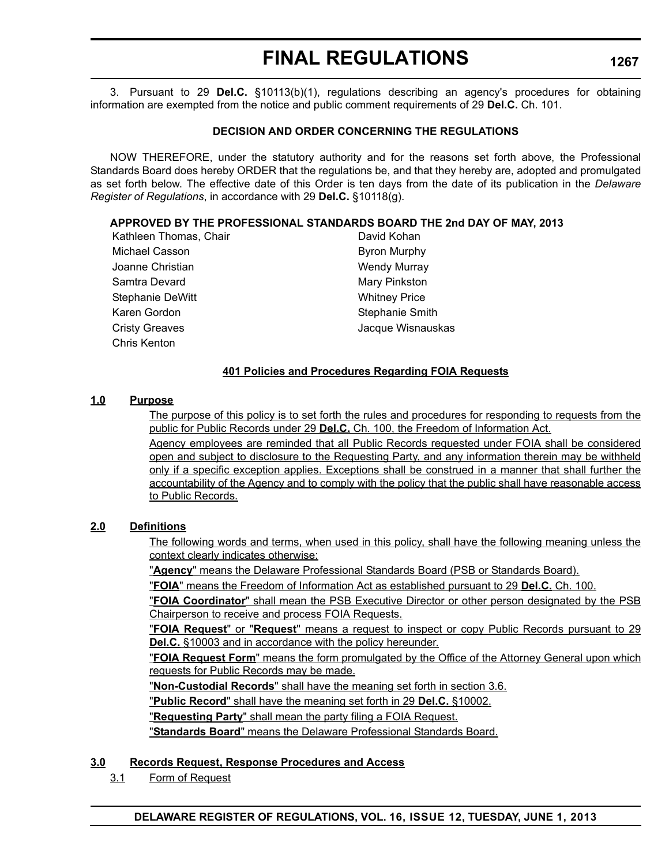3. Pursuant to 29 **Del.C.** §10113(b)(1), regulations describing an agency's procedures for obtaining information are exempted from the notice and public comment requirements of 29 **Del.C.** Ch. 101.

### **DECISION AND ORDER CONCERNING THE REGULATIONS**

NOW THEREFORE, under the statutory authority and for the reasons set forth above, the Professional Standards Board does hereby ORDER that the regulations be, and that they hereby are, adopted and promulgated as set forth below. The effective date of this Order is ten days from the date of its publication in the *Delaware Register of Regulations*, in accordance with 29 **Del.C.** §10118(g).

### **APPROVED BY THE PROFESSIONAL STANDARDS BOARD THE 2nd DAY OF MAY, 2013**

Kathleen Thomas, Chair **David Kohan** Michael Casson **Byron Murphy** Joanne Christian New York 1999 Wendy Murray Samtra Devard **Mary Pinkston** Mary Pinkston Stephanie DeWitt Whitney Price Karen Gordon Stephanie Smith Cristy Greaves **Cristy Greaves Jacque Wisnauskas** Chris Kenton

### **401 Policies and Procedures Regarding FOIA Requests**

### **1.0 Purpose**

The purpose of this policy is to set forth the rules and procedures for responding to requests from the public for Public Records under 29 **Del.C.** Ch. 100, the Freedom of Information Act.

Agency employees are reminded that all Public Records requested under FOIA shall be considered open and subject to disclosure to the Requesting Party, and any information therein may be withheld only if a specific exception applies. Exceptions shall be construed in a manner that shall further the accountability of the Agency and to comply with the policy that the public shall have reasonable access to Public Records.

### **2.0 Definitions**

The following words and terms, when used in this policy, shall have the following meaning unless the context clearly indicates otherwise:

"**Agency**" means the Delaware Professional Standards Board (PSB or Standards Board).

"**FOIA**" means the Freedom of Information Act as established pursuant to 29 **Del.C.** Ch. 100.

"**FOIA Coordinator**" shall mean the PSB Executive Director or other person designated by the PSB Chairperson to receive and process FOIA Requests.

"**FOIA Request**" or "**Request**" means a request to inspect or copy Public Records pursuant to 29 **Del.C.** §10003 and in accordance with the policy hereunder.

"**FOIA Request Form**" means the form promulgated by the Office of the Attorney General upon which requests for Public Records may be made.

"**Non-Custodial Records**" shall have the meaning set forth in section 3.6.

"**Public Record**" shall have the meaning set forth in 29 **Del.C.** §10002.

"**Requesting Party**" shall mean the party filing a FOIA Request.

"**Standards Board**" means the Delaware Professional Standards Board.

### **3.0 Records Request, Response Procedures and Access**

3.1 Form of Request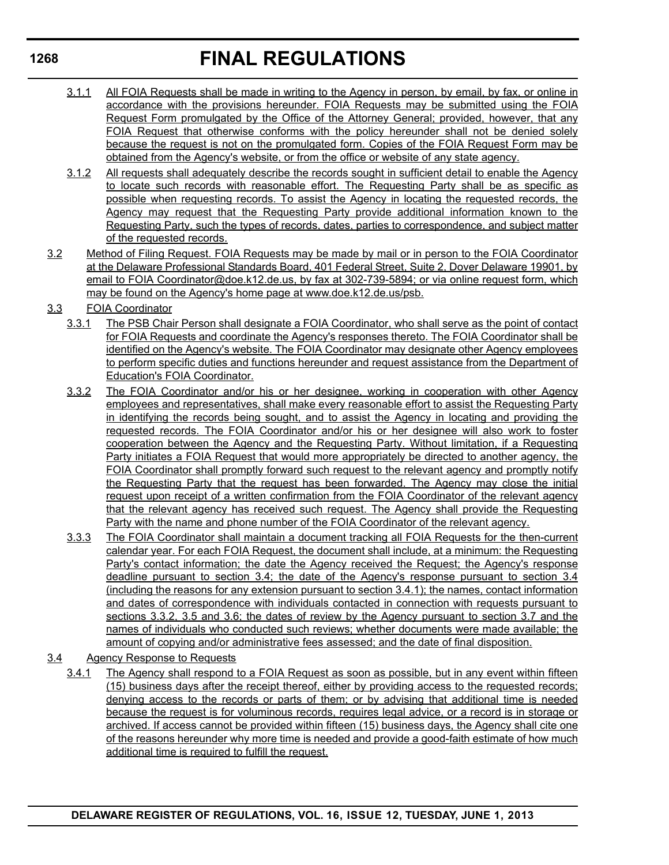- 3.1.1 All FOIA Requests shall be made in writing to the Agency in person, by email, by fax, or online in accordance with the provisions hereunder. FOIA Requests may be submitted using the FOIA Request Form promulgated by the Office of the Attorney General; provided, however, that any FOIA Request that otherwise conforms with the policy hereunder shall not be denied solely because the request is not on the promulgated form. Copies of the FOIA Request Form may be obtained from the Agency's website, or from the office or website of any state agency.
- 3.1.2 All requests shall adequately describe the records sought in sufficient detail to enable the Agency to locate such records with reasonable effort. The Requesting Party shall be as specific as possible when requesting records. To assist the Agency in locating the requested records, the Agency may request that the Requesting Party provide additional information known to the Requesting Party, such the types of records, dates, parties to correspondence, and subject matter of the requested records.
- 3.2 Method of Filing Request. FOIA Requests may be made by mail or in person to the FOIA Coordinator at the Delaware Professional Standards Board, 401 Federal Street, Suite 2, Dover Delaware 19901, by email to FOIA Coordinator@doe.k12.de.us, by fax at 302-739-5894; or via online request form, which may be found on the Agency's home page at www.doe.k12.de.us/psb.
- 3.3 FOIA Coordinator
	- 3.3.1 The PSB Chair Person shall designate a FOIA Coordinator, who shall serve as the point of contact for FOIA Requests and coordinate the Agency's responses thereto. The FOIA Coordinator shall be identified on the Agency's website. The FOIA Coordinator may designate other Agency employees to perform specific duties and functions hereunder and request assistance from the Department of Education's FOIA Coordinator.
	- 3.3.2 The FOIA Coordinator and/or his or her designee, working in cooperation with other Agency employees and representatives, shall make every reasonable effort to assist the Requesting Party in identifying the records being sought, and to assist the Agency in locating and providing the requested records. The FOIA Coordinator and/or his or her designee will also work to foster cooperation between the Agency and the Requesting Party. Without limitation, if a Requesting Party initiates a FOIA Request that would more appropriately be directed to another agency, the FOIA Coordinator shall promptly forward such request to the relevant agency and promptly notify the Requesting Party that the request has been forwarded. The Agency may close the initial request upon receipt of a written confirmation from the FOIA Coordinator of the relevant agency that the relevant agency has received such request. The Agency shall provide the Requesting Party with the name and phone number of the FOIA Coordinator of the relevant agency.
	- 3.3.3 The FOIA Coordinator shall maintain a document tracking all FOIA Requests for the then-current calendar year. For each FOIA Request, the document shall include, at a minimum: the Requesting Party's contact information; the date the Agency received the Request; the Agency's response deadline pursuant to section 3.4; the date of the Agency's response pursuant to section 3.4 (including the reasons for any extension pursuant to section 3.4.1); the names, contact information and dates of correspondence with individuals contacted in connection with requests pursuant to sections 3.3.2, 3.5 and 3.6; the dates of review by the Agency pursuant to section 3.7 and the names of individuals who conducted such reviews; whether documents were made available; the amount of copying and/or administrative fees assessed; and the date of final disposition.
- 3.4 Agency Response to Requests
	- 3.4.1 The Agency shall respond to a FOIA Request as soon as possible, but in any event within fifteen (15) business days after the receipt thereof, either by providing access to the requested records; denying access to the records or parts of them; or by advising that additional time is needed because the request is for voluminous records, requires legal advice, or a record is in storage or archived. If access cannot be provided within fifteen (15) business days, the Agency shall cite one of the reasons hereunder why more time is needed and provide a good-faith estimate of how much additional time is required to fulfill the request.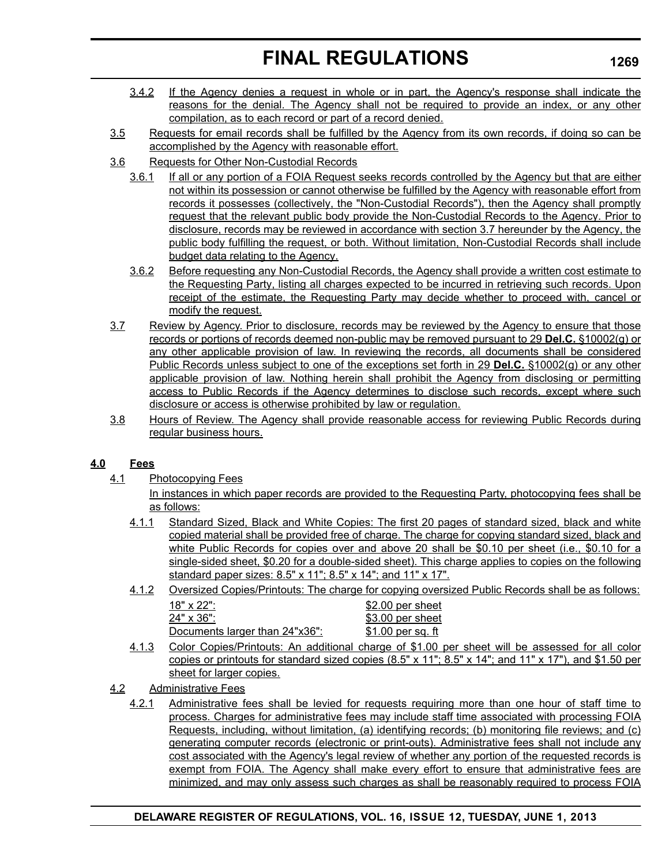- 3.4.2 If the Agency denies a request in whole or in part, the Agency's response shall indicate the reasons for the denial. The Agency shall not be required to provide an index, or any other compilation, as to each record or part of a record denied.
- 3.5 Requests for email records shall be fulfilled by the Agency from its own records, if doing so can be accomplished by the Agency with reasonable effort.
- 3.6 Requests for Other Non-Custodial Records
	- 3.6.1 If all or any portion of a FOIA Request seeks records controlled by the Agency but that are either not within its possession or cannot otherwise be fulfilled by the Agency with reasonable effort from records it possesses (collectively, the "Non-Custodial Records"), then the Agency shall promptly request that the relevant public body provide the Non-Custodial Records to the Agency. Prior to disclosure, records may be reviewed in accordance with section 3.7 hereunder by the Agency, the public body fulfilling the request, or both. Without limitation, Non-Custodial Records shall include budget data relating to the Agency.
	- 3.6.2 Before requesting any Non-Custodial Records, the Agency shall provide a written cost estimate to the Requesting Party, listing all charges expected to be incurred in retrieving such records. Upon receipt of the estimate, the Requesting Party may decide whether to proceed with, cancel or modify the request.
- 3.7 Review by Agency. Prior to disclosure, records may be reviewed by the Agency to ensure that those records or portions of records deemed non-public may be removed pursuant to 29 **Del.C.** §10002(g) or any other applicable provision of law. In reviewing the records, all documents shall be considered Public Records unless subject to one of the exceptions set forth in 29 **Del.C.** §10002(g) or any other applicable provision of law. Nothing herein shall prohibit the Agency from disclosing or permitting access to Public Records if the Agency determines to disclose such records, except where such disclosure or access is otherwise prohibited by law or regulation.
- 3.8 Hours of Review. The Agency shall provide reasonable access for reviewing Public Records during regular business hours.

### **4.0 Fees**

4.1 Photocopying Fees

In instances in which paper records are provided to the Requesting Party, photocopying fees shall be as follows:

- 4.1.1 Standard Sized, Black and White Copies: The first 20 pages of standard sized, black and white copied material shall be provided free of charge. The charge for copying standard sized, black and white Public Records for copies over and above 20 shall be \$0.10 per sheet (i.e., \$0.10 for a single-sided sheet, \$0.20 for a double-sided sheet). This charge applies to copies on the following standard paper sizes: 8.5" x 11"; 8.5" x 14"; and 11" x 17".
- 4.1.2 Oversized Copies/Printouts: The charge for copying oversized Public Records shall be as follows:

| 18" x 22":                     | \$2.00 per sheet   |
|--------------------------------|--------------------|
| $24" \times 36"$ :             | \$3.00 per sheet   |
| Documents larger than 24"x36": | $$1.00$ per sq. ft |
|                                |                    |

- 4.1.3 Color Copies/Printouts: An additional charge of \$1.00 per sheet will be assessed for all color copies or printouts for standard sized copies (8.5" x 11"; 8.5" x 14"; and 11" x 17"), and \$1.50 per sheet for larger copies.
- 4.2 Administrative Fees
	- 4.2.1 Administrative fees shall be levied for requests requiring more than one hour of staff time to process. Charges for administrative fees may include staff time associated with processing FOIA Requests, including, without limitation, (a) identifying records; (b) monitoring file reviews; and (c) generating computer records (electronic or print-outs). Administrative fees shall not include any cost associated with the Agency's legal review of whether any portion of the requested records is exempt from FOIA. The Agency shall make every effort to ensure that administrative fees are minimized, and may only assess such charges as shall be reasonably required to process FOIA

### **DELAWARE REGISTER OF REGULATIONS, VOL. 16, ISSUE 12, TUESDAY, JUNE 1, 2013**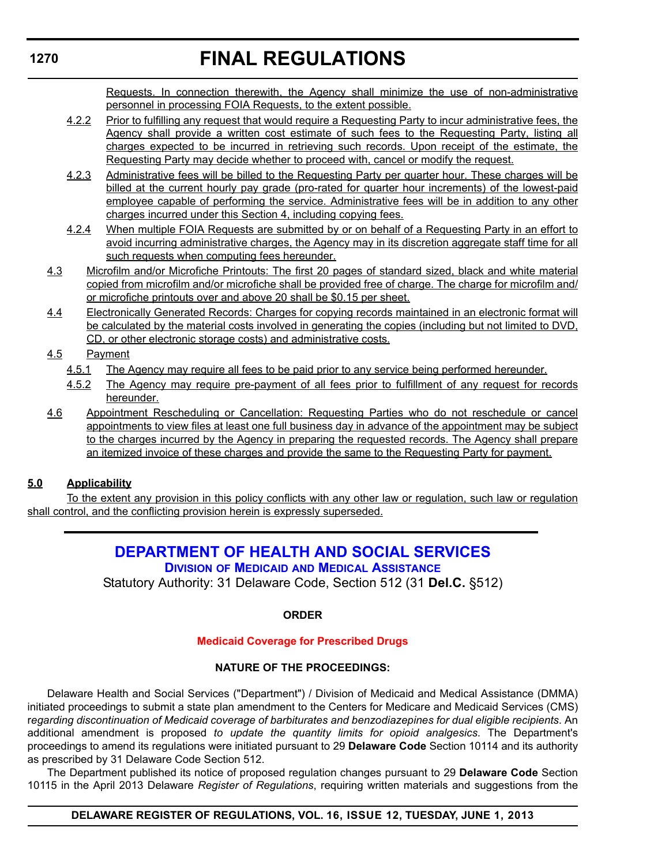Requests. In connection therewith, the Agency shall minimize the use of non-administrative personnel in processing FOIA Requests, to the extent possible.

- 4.2.2 Prior to fulfilling any request that would require a Requesting Party to incur administrative fees, the Agency shall provide a written cost estimate of such fees to the Requesting Party, listing all charges expected to be incurred in retrieving such records. Upon receipt of the estimate, the Requesting Party may decide whether to proceed with, cancel or modify the request.
- 4.2.3 Administrative fees will be billed to the Requesting Party per quarter hour. These charges will be billed at the current hourly pay grade (pro-rated for quarter hour increments) of the lowest-paid employee capable of performing the service. Administrative fees will be in addition to any other charges incurred under this Section 4, including copying fees.
- 4.2.4 When multiple FOIA Requests are submitted by or on behalf of a Requesting Party in an effort to avoid incurring administrative charges, the Agency may in its discretion aggregate staff time for all such requests when computing fees hereunder.
- 4.3 Microfilm and/or Microfiche Printouts: The first 20 pages of standard sized, black and white material copied from microfilm and/or microfiche shall be provided free of charge. The charge for microfilm and/ or microfiche printouts over and above 20 shall be \$0.15 per sheet.
- 4.4 Electronically Generated Records: Charges for copying records maintained in an electronic format will be calculated by the material costs involved in generating the copies (including but not limited to DVD, CD, or other electronic storage costs) and administrative costs.

### 4.5 Payment

- 4.5.1 The Agency may require all fees to be paid prior to any service being performed hereunder.
- 4.5.2 The Agency may require pre-payment of all fees prior to fulfillment of any request for records hereunder.
- 4.6 Appointment Rescheduling or Cancellation: Requesting Parties who do not reschedule or cancel appointments to view files at least one full business day in advance of the appointment may be subject to the charges incurred by the Agency in preparing the requested records. The Agency shall prepare an itemized invoice of these charges and provide the same to the Requesting Party for payment.

### **5.0 Applicability**

To the extent any provision in this policy conflicts with any other law or regulation, such law or regulation shall control, and the conflicting provision herein is expressly superseded.

### **[DEPARTMENT OF HEALTH AND SOCIAL SERVICES](http://www.dhss.delaware.gov/dhss/dmma/) DIVISION OF MEDICAID AND MEDICAL ASSISTANCE**

Statutory Authority: 31 Delaware Code, Section 512 (31 **Del.C.** §512)

### **ORDER**

### **[Medicaid Coverage for Prescribed Drugs](#page-4-0)**

### **NATURE OF THE PROCEEDINGS:**

Delaware Health and Social Services ("Department") / Division of Medicaid and Medical Assistance (DMMA) initiated proceedings to submit a state plan amendment to the Centers for Medicare and Medicaid Services (CMS) r*egarding discontinuation of Medicaid coverage of barbiturates and benzodiazepines for dual eligible recipients*. An additional amendment is proposed *to update the quantity limits for opioid analgesics*. The Department's proceedings to amend its regulations were initiated pursuant to 29 **Delaware Code** Section 10114 and its authority as prescribed by 31 Delaware Code Section 512.

The Department published its notice of proposed regulation changes pursuant to 29 **Delaware Code** Section 10115 in the April 2013 Delaware *Register of Regulations*, requiring written materials and suggestions from the

**DELAWARE REGISTER OF REGULATIONS, VOL. 16, ISSUE 12, TUESDAY, JUNE 1, 2013**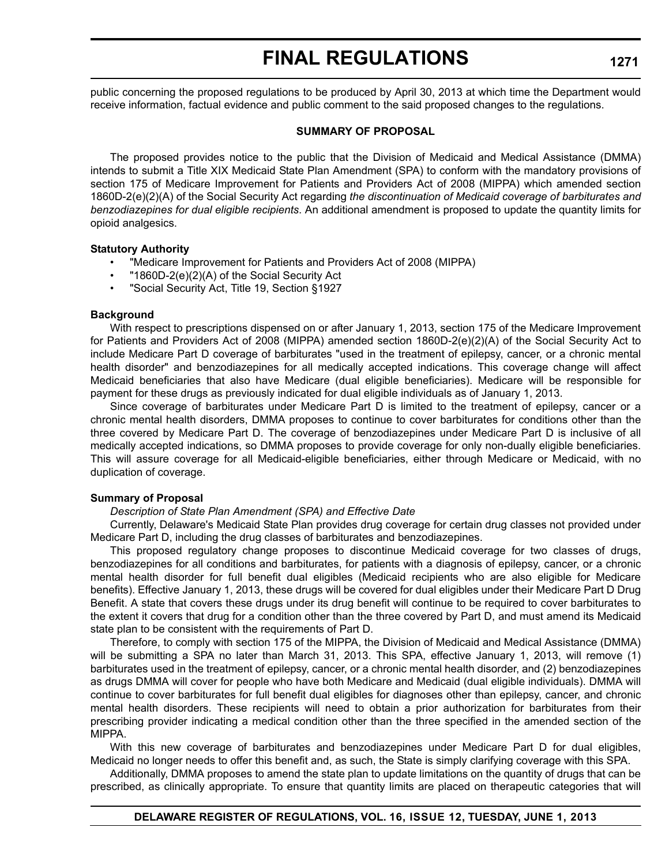public concerning the proposed regulations to be produced by April 30, 2013 at which time the Department would receive information, factual evidence and public comment to the said proposed changes to the regulations.

#### **SUMMARY OF PROPOSAL**

The proposed provides notice to the public that the Division of Medicaid and Medical Assistance (DMMA) intends to submit a Title XIX Medicaid State Plan Amendment (SPA) to conform with the mandatory provisions of section 175 of Medicare Improvement for Patients and Providers Act of 2008 (MIPPA) which amended section 1860D-2(e)(2)(A) of the Social Security Act regarding *the discontinuation of Medicaid coverage of barbiturates and benzodiazepines for dual eligible recipients*. An additional amendment is proposed to update the quantity limits for opioid analgesics.

### **Statutory Authority**

- "Medicare Improvement for Patients and Providers Act of 2008 (MIPPA)
- "1860D-2(e)(2)(A) of the Social Security Act
- "Social Security Act, Title 19, Section §1927

### **Background**

With respect to prescriptions dispensed on or after January 1, 2013, section 175 of the Medicare Improvement for Patients and Providers Act of 2008 (MIPPA) amended section 1860D-2(e)(2)(A) of the Social Security Act to include Medicare Part D coverage of barbiturates "used in the treatment of epilepsy, cancer, or a chronic mental health disorder" and benzodiazepines for all medically accepted indications. This coverage change will affect Medicaid beneficiaries that also have Medicare (dual eligible beneficiaries). Medicare will be responsible for payment for these drugs as previously indicated for dual eligible individuals as of January 1, 2013.

Since coverage of barbiturates under Medicare Part D is limited to the treatment of epilepsy, cancer or a chronic mental health disorders, DMMA proposes to continue to cover barbiturates for conditions other than the three covered by Medicare Part D. The coverage of benzodiazepines under Medicare Part D is inclusive of all medically accepted indications, so DMMA proposes to provide coverage for only non-dually eligible beneficiaries. This will assure coverage for all Medicaid-eligible beneficiaries, either through Medicare or Medicaid, with no duplication of coverage.

### **Summary of Proposal**

### *Description of State Plan Amendment (SPA) and Effective Date*

Currently, Delaware's Medicaid State Plan provides drug coverage for certain drug classes not provided under Medicare Part D, including the drug classes of barbiturates and benzodiazepines.

This proposed regulatory change proposes to discontinue Medicaid coverage for two classes of drugs, benzodiazepines for all conditions and barbiturates, for patients with a diagnosis of epilepsy, cancer, or a chronic mental health disorder for full benefit dual eligibles (Medicaid recipients who are also eligible for Medicare benefits). Effective January 1, 2013, these drugs will be covered for dual eligibles under their Medicare Part D Drug Benefit. A state that covers these drugs under its drug benefit will continue to be required to cover barbiturates to the extent it covers that drug for a condition other than the three covered by Part D, and must amend its Medicaid state plan to be consistent with the requirements of Part D.

Therefore, to comply with section 175 of the MIPPA, the Division of Medicaid and Medical Assistance (DMMA) will be submitting a SPA no later than March 31, 2013. This SPA, effective January 1, 2013, will remove (1) barbiturates used in the treatment of epilepsy, cancer, or a chronic mental health disorder, and (2) benzodiazepines as drugs DMMA will cover for people who have both Medicare and Medicaid (dual eligible individuals). DMMA will continue to cover barbiturates for full benefit dual eligibles for diagnoses other than epilepsy, cancer, and chronic mental health disorders. These recipients will need to obtain a prior authorization for barbiturates from their prescribing provider indicating a medical condition other than the three specified in the amended section of the MIPPA.

With this new coverage of barbiturates and benzodiazepines under Medicare Part D for dual eligibles, Medicaid no longer needs to offer this benefit and, as such, the State is simply clarifying coverage with this SPA.

Additionally, DMMA proposes to amend the state plan to update limitations on the quantity of drugs that can be prescribed, as clinically appropriate. To ensure that quantity limits are placed on therapeutic categories that will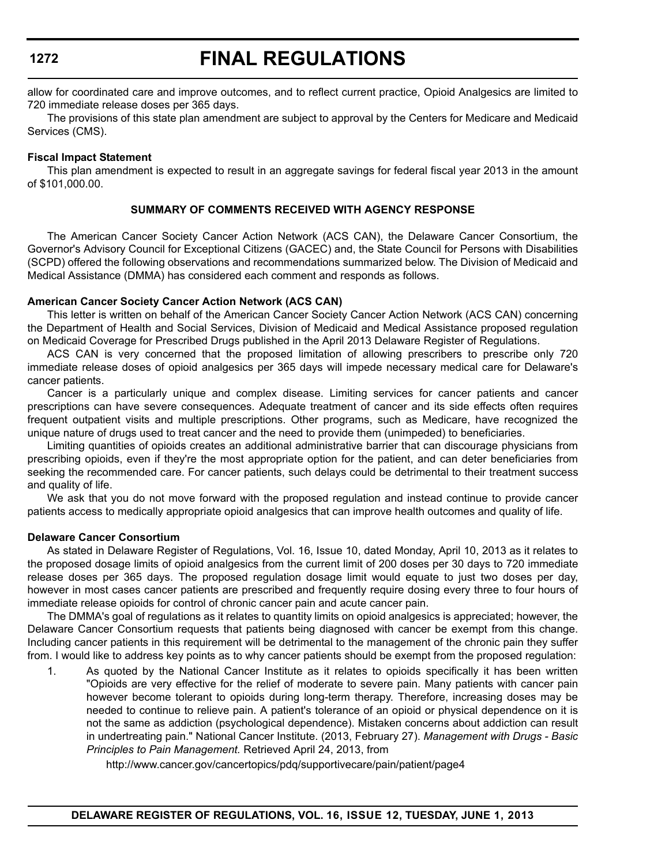# **FINAL REGULATIONS**

allow for coordinated care and improve outcomes, and to reflect current practice, Opioid Analgesics are limited to 720 immediate release doses per 365 days.

The provisions of this state plan amendment are subject to approval by the Centers for Medicare and Medicaid Services (CMS).

### **Fiscal Impact Statement**

This plan amendment is expected to result in an aggregate savings for federal fiscal year 2013 in the amount of \$101,000.00.

### **SUMMARY OF COMMENTS RECEIVED WITH AGENCY RESPONSE**

The American Cancer Society Cancer Action Network (ACS CAN), the Delaware Cancer Consortium, the Governor's Advisory Council for Exceptional Citizens (GACEC) and, the State Council for Persons with Disabilities (SCPD) offered the following observations and recommendations summarized below. The Division of Medicaid and Medical Assistance (DMMA) has considered each comment and responds as follows.

### **American Cancer Society Cancer Action Network (ACS CAN)**

This letter is written on behalf of the American Cancer Society Cancer Action Network (ACS CAN) concerning the Department of Health and Social Services, Division of Medicaid and Medical Assistance proposed regulation on Medicaid Coverage for Prescribed Drugs published in the April 2013 Delaware Register of Regulations.

ACS CAN is very concerned that the proposed limitation of allowing prescribers to prescribe only 720 immediate release doses of opioid analgesics per 365 days will impede necessary medical care for Delaware's cancer patients.

Cancer is a particularly unique and complex disease. Limiting services for cancer patients and cancer prescriptions can have severe consequences. Adequate treatment of cancer and its side effects often requires frequent outpatient visits and multiple prescriptions. Other programs, such as Medicare, have recognized the unique nature of drugs used to treat cancer and the need to provide them (unimpeded) to beneficiaries.

Limiting quantities of opioids creates an additional administrative barrier that can discourage physicians from prescribing opioids, even if they're the most appropriate option for the patient, and can deter beneficiaries from seeking the recommended care. For cancer patients, such delays could be detrimental to their treatment success and quality of life.

We ask that you do not move forward with the proposed regulation and instead continue to provide cancer patients access to medically appropriate opioid analgesics that can improve health outcomes and quality of life.

### **Delaware Cancer Consortium**

As stated in Delaware Register of Regulations, Vol. 16, Issue 10, dated Monday, April 10, 2013 as it relates to the proposed dosage limits of opioid analgesics from the current limit of 200 doses per 30 days to 720 immediate release doses per 365 days. The proposed regulation dosage limit would equate to just two doses per day, however in most cases cancer patients are prescribed and frequently require dosing every three to four hours of immediate release opioids for control of chronic cancer pain and acute cancer pain.

The DMMA's goal of regulations as it relates to quantity limits on opioid analgesics is appreciated; however, the Delaware Cancer Consortium requests that patients being diagnosed with cancer be exempt from this change. Including cancer patients in this requirement will be detrimental to the management of the chronic pain they suffer from. I would like to address key points as to why cancer patients should be exempt from the proposed regulation:

1. As quoted by the National Cancer Institute as it relates to opioids specifically it has been written "Opioids are very effective for the relief of moderate to severe pain. Many patients with cancer pain however become tolerant to opioids during long-term therapy. Therefore, increasing doses may be needed to continue to relieve pain. A patient's tolerance of an opioid or physical dependence on it is not the same as addiction (psychological dependence). Mistaken concerns about addiction can result in undertreating pain." National Cancer Institute. (2013, February 27). *Management with Drugs - Basic Principles to Pain Management.* Retrieved April 24, 2013, from

http://www.cancer.gov/cancertopics/pdq/supportivecare/pain/patient/page4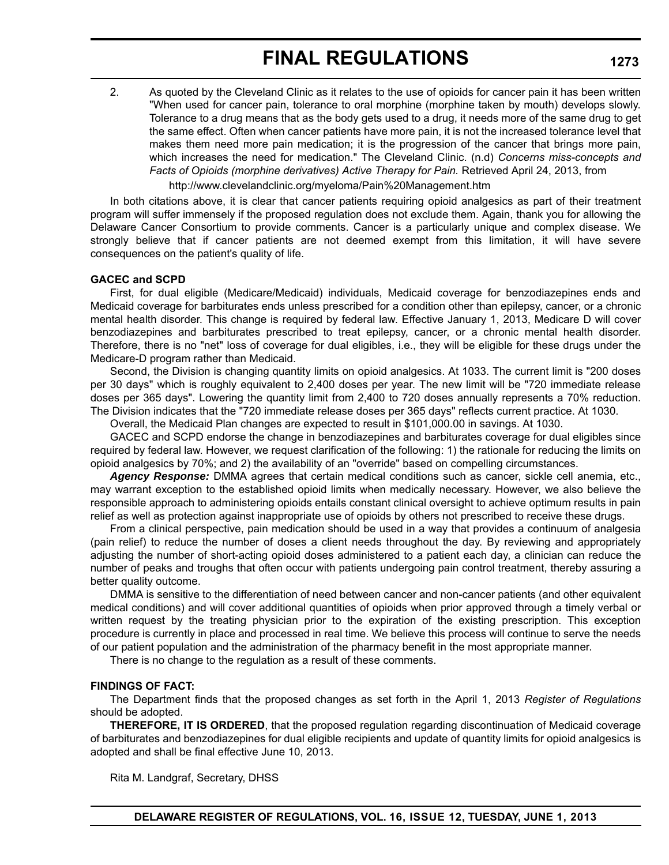2. As quoted by the Cleveland Clinic as it relates to the use of opioids for cancer pain it has been written "When used for cancer pain, tolerance to oral morphine (morphine taken by mouth) develops slowly. Tolerance to a drug means that as the body gets used to a drug, it needs more of the same drug to get the same effect. Often when cancer patients have more pain, it is not the increased tolerance level that makes them need more pain medication; it is the progression of the cancer that brings more pain, which increases the need for medication." The Cleveland Clinic. (n.d) *Concerns miss-concepts and* Facts of Opioids (morphine derivatives) Active Therapy for Pain. Retrieved April 24, 2013, from

http://www.clevelandclinic.org/myeloma/Pain%20Management.htm

In both citations above, it is clear that cancer patients requiring opioid analgesics as part of their treatment program will suffer immensely if the proposed regulation does not exclude them. Again, thank you for allowing the Delaware Cancer Consortium to provide comments. Cancer is a particularly unique and complex disease. We strongly believe that if cancer patients are not deemed exempt from this limitation, it will have severe consequences on the patient's quality of life.

### **GACEC and SCPD**

First, for dual eligible (Medicare/Medicaid) individuals, Medicaid coverage for benzodiazepines ends and Medicaid coverage for barbiturates ends unless prescribed for a condition other than epilepsy, cancer, or a chronic mental health disorder. This change is required by federal law. Effective January 1, 2013, Medicare D will cover benzodiazepines and barbiturates prescribed to treat epilepsy, cancer, or a chronic mental health disorder. Therefore, there is no "net" loss of coverage for dual eligibles, i.e., they will be eligible for these drugs under the Medicare-D program rather than Medicaid.

Second, the Division is changing quantity limits on opioid analgesics. At 1033. The current limit is "200 doses per 30 days" which is roughly equivalent to 2,400 doses per year. The new limit will be "720 immediate release doses per 365 days". Lowering the quantity limit from 2,400 to 720 doses annually represents a 70% reduction. The Division indicates that the "720 immediate release doses per 365 days" reflects current practice. At 1030.

Overall, the Medicaid Plan changes are expected to result in \$101,000.00 in savings. At 1030.

GACEC and SCPD endorse the change in benzodiazepines and barbiturates coverage for dual eligibles since required by federal law. However, we request clarification of the following: 1) the rationale for reducing the limits on opioid analgesics by 70%; and 2) the availability of an "override" based on compelling circumstances.

*Agency Response:* DMMA agrees that certain medical conditions such as cancer, sickle cell anemia, etc., may warrant exception to the established opioid limits when medically necessary. However, we also believe the responsible approach to administering opioids entails constant clinical oversight to achieve optimum results in pain relief as well as protection against inappropriate use of opioids by others not prescribed to receive these drugs.

From a clinical perspective, pain medication should be used in a way that provides a continuum of analgesia (pain relief) to reduce the number of doses a client needs throughout the day. By reviewing and appropriately adjusting the number of short-acting opioid doses administered to a patient each day, a clinician can reduce the number of peaks and troughs that often occur with patients undergoing pain control treatment, thereby assuring a better quality outcome.

DMMA is sensitive to the differentiation of need between cancer and non-cancer patients (and other equivalent medical conditions) and will cover additional quantities of opioids when prior approved through a timely verbal or written request by the treating physician prior to the expiration of the existing prescription. This exception procedure is currently in place and processed in real time. We believe this process will continue to serve the needs of our patient population and the administration of the pharmacy benefit in the most appropriate manner.

There is no change to the regulation as a result of these comments.

### **FINDINGS OF FACT:**

The Department finds that the proposed changes as set forth in the April 1, 2013 *Register of Regulations* should be adopted.

**THEREFORE, IT IS ORDERED**, that the proposed regulation regarding discontinuation of Medicaid coverage of barbiturates and benzodiazepines for dual eligible recipients and update of quantity limits for opioid analgesics is adopted and shall be final effective June 10, 2013.

Rita M. Landgraf, Secretary, DHSS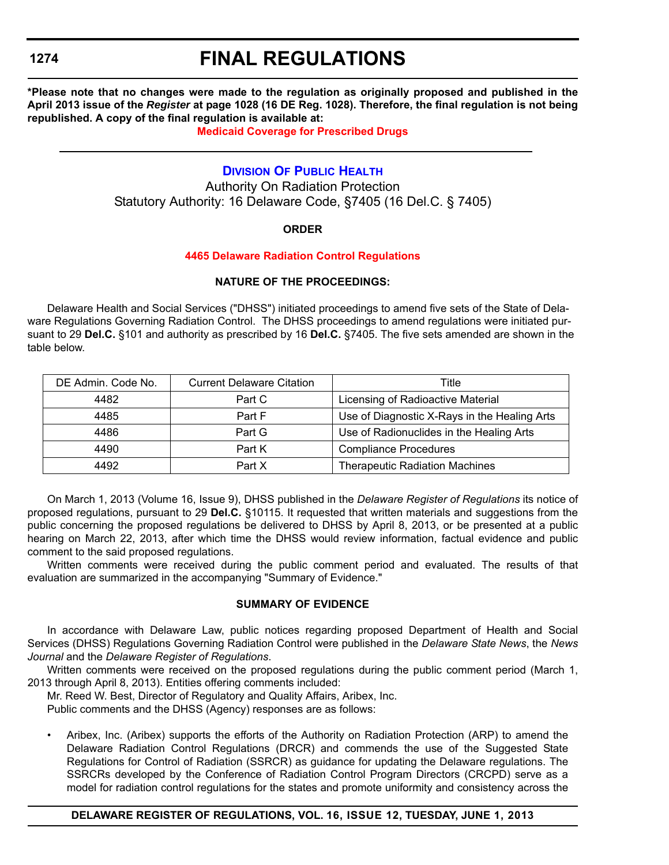# **FINAL REGULATIONS**

**\*Please note that no changes were made to the regulation as originally proposed and published in the April 2013 issue of the** *Register* **at page 1028 (16 DE Reg. 1028). Therefore, the final regulation is not being republished. A copy of the final regulation is available at:**

### **[Medicaid Coverage for Prescribed Drugs](http://regulations.delaware.gov/register/june2013/final/16 DE Reg 1270 06-01-13.htm)**

### **[DIVISION OF PUBLIC HEALTH](http://www.dhss.delaware.gov/dhss/dph/index.html)**

Authority On Radiation Protection Statutory Authority: 16 Delaware Code, §7405 (16 Del.C. § 7405)

### **ORDER**

### **[4465 Delaware Radiation Control Regulations](#page-4-0)**

### **NATURE OF THE PROCEEDINGS:**

Delaware Health and Social Services ("DHSS") initiated proceedings to amend five sets of the State of Delaware Regulations Governing Radiation Control. The DHSS proceedings to amend regulations were initiated pursuant to 29 **Del.C.** §101 and authority as prescribed by 16 **Del.C.** §7405. The five sets amended are shown in the table below.

| DE Admin. Code No. | <b>Current Delaware Citation</b> | Title                                        |  |
|--------------------|----------------------------------|----------------------------------------------|--|
| 4482               | Part C                           | Licensing of Radioactive Material            |  |
| 4485               | Part F                           | Use of Diagnostic X-Rays in the Healing Arts |  |
| 4486               | Part G                           | Use of Radionuclides in the Healing Arts     |  |
| 4490<br>Part K     |                                  | <b>Compliance Procedures</b>                 |  |
| 4492               | Part X                           | <b>Therapeutic Radiation Machines</b>        |  |

On March 1, 2013 (Volume 16, Issue 9), DHSS published in the *Delaware Register of Regulations* its notice of proposed regulations, pursuant to 29 **Del.C.** §10115. It requested that written materials and suggestions from the public concerning the proposed regulations be delivered to DHSS by April 8, 2013, or be presented at a public hearing on March 22, 2013, after which time the DHSS would review information, factual evidence and public comment to the said proposed regulations.

Written comments were received during the public comment period and evaluated. The results of that evaluation are summarized in the accompanying "Summary of Evidence."

### **SUMMARY OF EVIDENCE**

In accordance with Delaware Law, public notices regarding proposed Department of Health and Social Services (DHSS) Regulations Governing Radiation Control were published in the *Delaware State News*, the *News Journal* and the *Delaware Register of Regulations*.

Written comments were received on the proposed regulations during the public comment period (March 1, 2013 through April 8, 2013). Entities offering comments included:

Mr. Reed W. Best, Director of Regulatory and Quality Affairs, Aribex, Inc.

Public comments and the DHSS (Agency) responses are as follows:

• Aribex, Inc. (Aribex) supports the efforts of the Authority on Radiation Protection (ARP) to amend the Delaware Radiation Control Regulations (DRCR) and commends the use of the Suggested State Regulations for Control of Radiation (SSRCR) as guidance for updating the Delaware regulations. The SSRCRs developed by the Conference of Radiation Control Program Directors (CRCPD) serve as a model for radiation control regulations for the states and promote uniformity and consistency across the

### **DELAWARE REGISTER OF REGULATIONS, VOL. 16, ISSUE 12, TUESDAY, JUNE 1, 2013**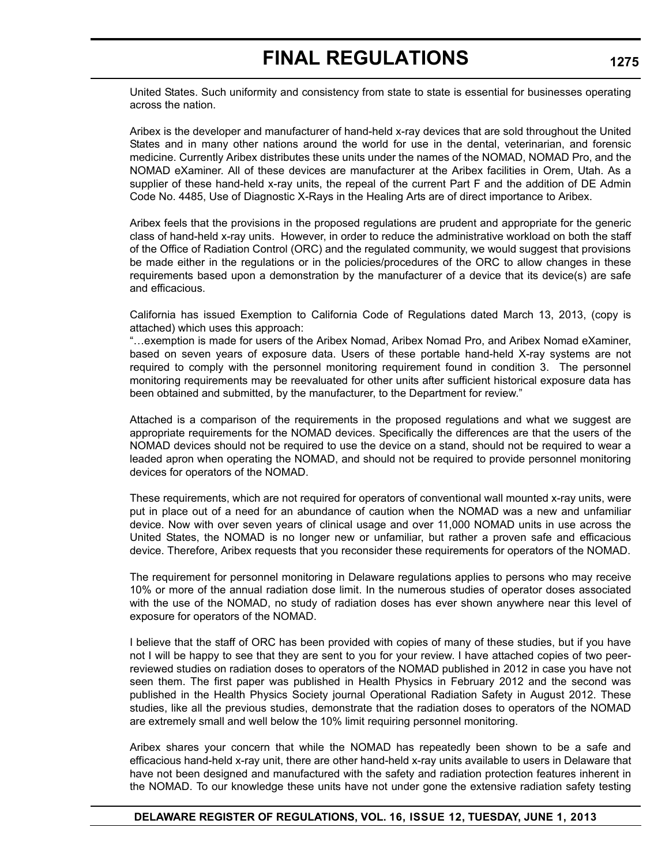United States. Such uniformity and consistency from state to state is essential for businesses operating across the nation.

Aribex is the developer and manufacturer of hand-held x-ray devices that are sold throughout the United States and in many other nations around the world for use in the dental, veterinarian, and forensic medicine. Currently Aribex distributes these units under the names of the NOMAD, NOMAD Pro, and the NOMAD eXaminer. All of these devices are manufacturer at the Aribex facilities in Orem, Utah. As a supplier of these hand-held x-ray units, the repeal of the current Part F and the addition of DE Admin Code No. 4485, Use of Diagnostic X-Rays in the Healing Arts are of direct importance to Aribex.

Aribex feels that the provisions in the proposed regulations are prudent and appropriate for the generic class of hand-held x-ray units. However, in order to reduce the administrative workload on both the staff of the Office of Radiation Control (ORC) and the regulated community, we would suggest that provisions be made either in the regulations or in the policies/procedures of the ORC to allow changes in these requirements based upon a demonstration by the manufacturer of a device that its device(s) are safe and efficacious.

California has issued Exemption to California Code of Regulations dated March 13, 2013, (copy is attached) which uses this approach:

"…exemption is made for users of the Aribex Nomad, Aribex Nomad Pro, and Aribex Nomad eXaminer, based on seven years of exposure data. Users of these portable hand-held X-ray systems are not required to comply with the personnel monitoring requirement found in condition 3. The personnel monitoring requirements may be reevaluated for other units after sufficient historical exposure data has been obtained and submitted, by the manufacturer, to the Department for review."

Attached is a comparison of the requirements in the proposed regulations and what we suggest are appropriate requirements for the NOMAD devices. Specifically the differences are that the users of the NOMAD devices should not be required to use the device on a stand, should not be required to wear a leaded apron when operating the NOMAD, and should not be required to provide personnel monitoring devices for operators of the NOMAD.

These requirements, which are not required for operators of conventional wall mounted x-ray units, were put in place out of a need for an abundance of caution when the NOMAD was a new and unfamiliar device. Now with over seven years of clinical usage and over 11,000 NOMAD units in use across the United States, the NOMAD is no longer new or unfamiliar, but rather a proven safe and efficacious device. Therefore, Aribex requests that you reconsider these requirements for operators of the NOMAD.

The requirement for personnel monitoring in Delaware regulations applies to persons who may receive 10% or more of the annual radiation dose limit. In the numerous studies of operator doses associated with the use of the NOMAD, no study of radiation doses has ever shown anywhere near this level of exposure for operators of the NOMAD.

I believe that the staff of ORC has been provided with copies of many of these studies, but if you have not I will be happy to see that they are sent to you for your review. I have attached copies of two peerreviewed studies on radiation doses to operators of the NOMAD published in 2012 in case you have not seen them. The first paper was published in Health Physics in February 2012 and the second was published in the Health Physics Society journal Operational Radiation Safety in August 2012. These studies, like all the previous studies, demonstrate that the radiation doses to operators of the NOMAD are extremely small and well below the 10% limit requiring personnel monitoring.

Aribex shares your concern that while the NOMAD has repeatedly been shown to be a safe and efficacious hand-held x-ray unit, there are other hand-held x-ray units available to users in Delaware that have not been designed and manufactured with the safety and radiation protection features inherent in the NOMAD. To our knowledge these units have not under gone the extensive radiation safety testing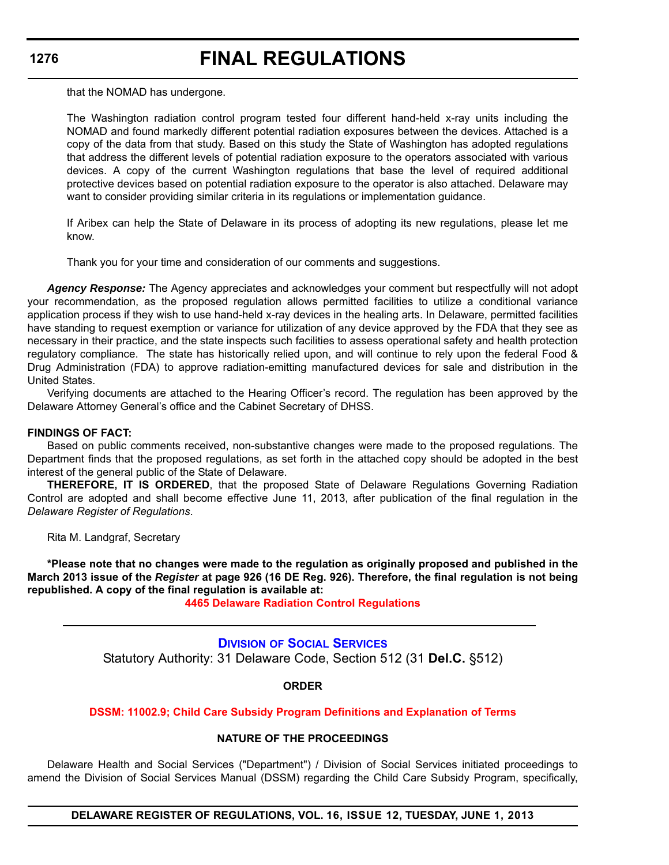# **FINAL REGULATIONS**

that the NOMAD has undergone.

The Washington radiation control program tested four different hand-held x-ray units including the NOMAD and found markedly different potential radiation exposures between the devices. Attached is a copy of the data from that study. Based on this study the State of Washington has adopted regulations that address the different levels of potential radiation exposure to the operators associated with various devices. A copy of the current Washington regulations that base the level of required additional protective devices based on potential radiation exposure to the operator is also attached. Delaware may want to consider providing similar criteria in its regulations or implementation guidance.

If Aribex can help the State of Delaware in its process of adopting its new regulations, please let me know.

Thank you for your time and consideration of our comments and suggestions.

*Agency Response:* The Agency appreciates and acknowledges your comment but respectfully will not adopt your recommendation, as the proposed regulation allows permitted facilities to utilize a conditional variance application process if they wish to use hand-held x-ray devices in the healing arts. In Delaware, permitted facilities have standing to request exemption or variance for utilization of any device approved by the FDA that they see as necessary in their practice, and the state inspects such facilities to assess operational safety and health protection regulatory compliance. The state has historically relied upon, and will continue to rely upon the federal Food & Drug Administration (FDA) to approve radiation-emitting manufactured devices for sale and distribution in the United States.

Verifying documents are attached to the Hearing Officer's record. The regulation has been approved by the Delaware Attorney General's office and the Cabinet Secretary of DHSS.

### **FINDINGS OF FACT:**

Based on public comments received, non-substantive changes were made to the proposed regulations. The Department finds that the proposed regulations, as set forth in the attached copy should be adopted in the best interest of the general public of the State of Delaware.

**THEREFORE, IT IS ORDERED**, that the proposed State of Delaware Regulations Governing Radiation Control are adopted and shall become effective June 11, 2013, after publication of the final regulation in the *Delaware Register of Regulations*.

Rita M. Landgraf, Secretary

**\*Please note that no changes were made to the regulation as originally proposed and published in the March 2013 issue of the** *Register* **at page 926 (16 DE Reg. 926). Therefore, the final regulation is not being republished. A copy of the final regulation is available at:**

**[4465 Delaware Radiation Control Regulations](http://regulations.delaware.gov/register/june2013/final/16 DE Reg 1274 06-01-13.htm)**

**DIVISION [OF SOCIAL SERVICES](http://www.dhss.delaware.gov/dhss/dss/index.html)** Statutory Authority: 31 Delaware Code, Section 512 (31 **Del.C.** §512)

### **ORDER**

### **[DSSM: 11002.9; Child Care Subsidy Program Definitions and Explanation of Terms](#page-4-0)**

### **NATURE OF THE PROCEEDINGS**

Delaware Health and Social Services ("Department") / Division of Social Services initiated proceedings to amend the Division of Social Services Manual (DSSM) regarding the Child Care Subsidy Program, specifically,

**DELAWARE REGISTER OF REGULATIONS, VOL. 16, ISSUE 12, TUESDAY, JUNE 1, 2013**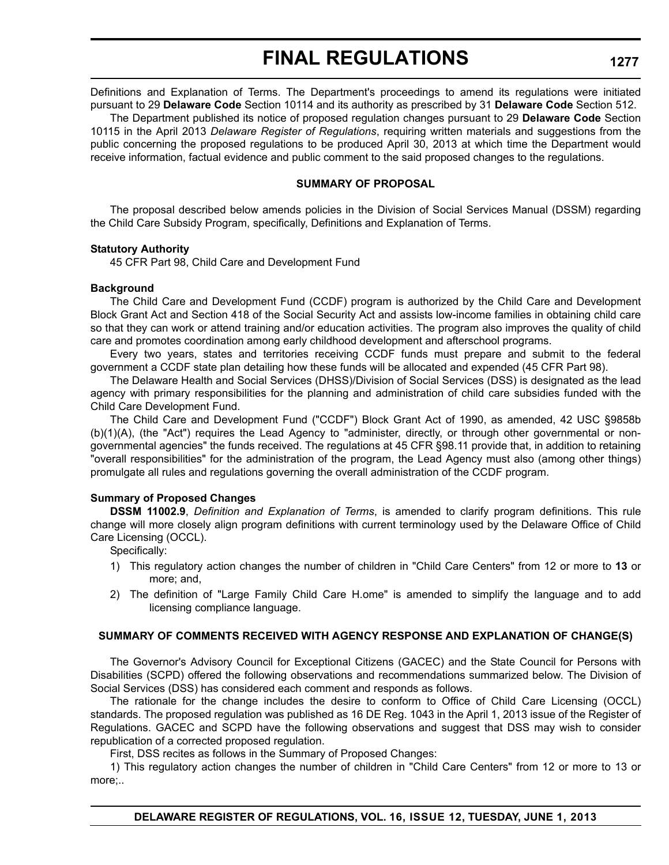Definitions and Explanation of Terms. The Department's proceedings to amend its regulations were initiated pursuant to 29 **Delaware Code** Section 10114 and its authority as prescribed by 31 **Delaware Code** Section 512.

The Department published its notice of proposed regulation changes pursuant to 29 **Delaware Code** Section 10115 in the April 2013 *Delaware Register of Regulations*, requiring written materials and suggestions from the public concerning the proposed regulations to be produced April 30, 2013 at which time the Department would receive information, factual evidence and public comment to the said proposed changes to the regulations.

### **SUMMARY OF PROPOSAL**

The proposal described below amends policies in the Division of Social Services Manual (DSSM) regarding the Child Care Subsidy Program, specifically, Definitions and Explanation of Terms.

### **Statutory Authority**

45 CFR Part 98, Child Care and Development Fund

### **Background**

The Child Care and Development Fund (CCDF) program is authorized by the Child Care and Development Block Grant Act and Section 418 of the Social Security Act and assists low-income families in obtaining child care so that they can work or attend training and/or education activities. The program also improves the quality of child care and promotes coordination among early childhood development and afterschool programs.

Every two years, states and territories receiving CCDF funds must prepare and submit to the federal government a CCDF state plan detailing how these funds will be allocated and expended (45 CFR Part 98).

The Delaware Health and Social Services (DHSS)/Division of Social Services (DSS) is designated as the lead agency with primary responsibilities for the planning and administration of child care subsidies funded with the Child Care Development Fund.

The Child Care and Development Fund ("CCDF") Block Grant Act of 1990, as amended, 42 USC §9858b (b)(1)(A), (the "Act") requires the Lead Agency to "administer, directly, or through other governmental or nongovernmental agencies" the funds received. The regulations at 45 CFR §98.11 provide that, in addition to retaining "overall responsibilities" for the administration of the program, the Lead Agency must also (among other things) promulgate all rules and regulations governing the overall administration of the CCDF program.

### **Summary of Proposed Changes**

**DSSM 11002.9**, *Definition and Explanation of Terms*, is amended to clarify program definitions. This rule change will more closely align program definitions with current terminology used by the Delaware Office of Child Care Licensing (OCCL).

Specifically:

- 1) This regulatory action changes the number of children in "Child Care Centers" from 12 or more to **13** or more; and,
- 2) The definition of "Large Family Child Care H.ome" is amended to simplify the language and to add licensing compliance language.

### **SUMMARY OF COMMENTS RECEIVED WITH AGENCY RESPONSE AND EXPLANATION OF CHANGE(S)**

The Governor's Advisory Council for Exceptional Citizens (GACEC) and the State Council for Persons with Disabilities (SCPD) offered the following observations and recommendations summarized below. The Division of Social Services (DSS) has considered each comment and responds as follows.

The rationale for the change includes the desire to conform to Office of Child Care Licensing (OCCL) standards. The proposed regulation was published as 16 DE Reg. 1043 in the April 1, 2013 issue of the Register of Regulations. GACEC and SCPD have the following observations and suggest that DSS may wish to consider republication of a corrected proposed regulation.

First, DSS recites as follows in the Summary of Proposed Changes:

1) This regulatory action changes the number of children in "Child Care Centers" from 12 or more to 13 or more;..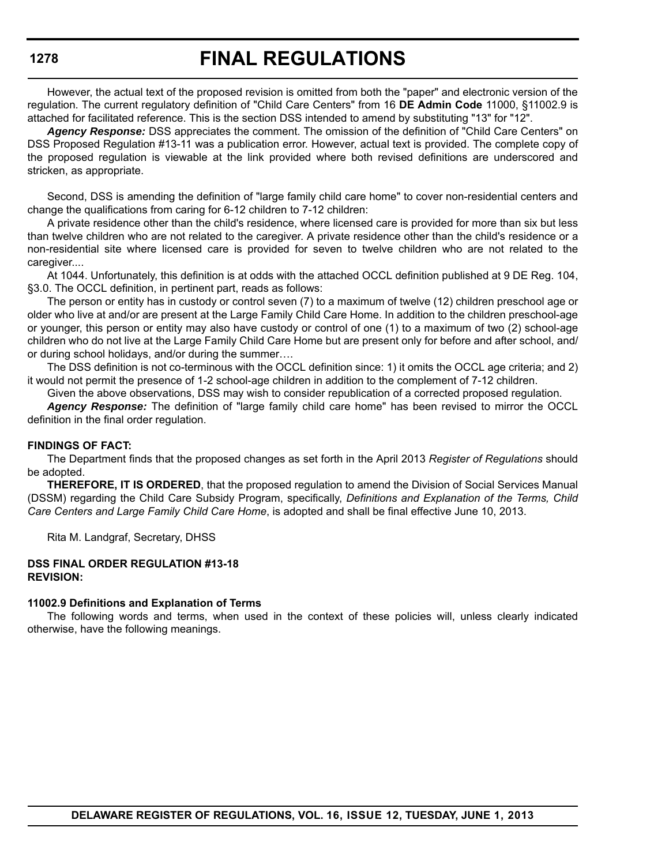However, the actual text of the proposed revision is omitted from both the "paper" and electronic version of the regulation. The current regulatory definition of "Child Care Centers" from 16 **DE Admin Code** 11000, §11002.9 is attached for facilitated reference. This is the section DSS intended to amend by substituting "13" for "12".

*Agency Response:* DSS appreciates the comment. The omission of the definition of "Child Care Centers" on DSS Proposed Regulation #13-11 was a publication error. However, actual text is provided. The complete copy of the proposed regulation is viewable at the link provided where both revised definitions are underscored and stricken, as appropriate.

Second, DSS is amending the definition of "large family child care home" to cover non-residential centers and change the qualifications from caring for 6-12 children to 7-12 children:

A private residence other than the child's residence, where licensed care is provided for more than six but less than twelve children who are not related to the caregiver. A private residence other than the child's residence or a non-residential site where licensed care is provided for seven to twelve children who are not related to the caregiver....

At 1044. Unfortunately, this definition is at odds with the attached OCCL definition published at 9 DE Reg. 104, §3.0. The OCCL definition, in pertinent part, reads as follows:

The person or entity has in custody or control seven (7) to a maximum of twelve (12) children preschool age or older who live at and/or are present at the Large Family Child Care Home. In addition to the children preschool-age or younger, this person or entity may also have custody or control of one (1) to a maximum of two (2) school-age children who do not live at the Large Family Child Care Home but are present only for before and after school, and/ or during school holidays, and/or during the summer….

The DSS definition is not co-terminous with the OCCL definition since: 1) it omits the OCCL age criteria; and 2) it would not permit the presence of 1-2 school-age children in addition to the complement of 7-12 children.

Given the above observations, DSS may wish to consider republication of a corrected proposed regulation.

*Agency Response:* The definition of "large family child care home" has been revised to mirror the OCCL definition in the final order regulation.

### **FINDINGS OF FACT:**

The Department finds that the proposed changes as set forth in the April 2013 *Register of Regulations* should be adopted.

**THEREFORE, IT IS ORDERED**, that the proposed regulation to amend the Division of Social Services Manual (DSSM) regarding the Child Care Subsidy Program, specifically, *Definitions and Explanation of the Terms, Child Care Centers and Large Family Child Care Home*, is adopted and shall be final effective June 10, 2013.

Rita M. Landgraf, Secretary, DHSS

### **DSS FINAL ORDER REGULATION #13-18 REVISION:**

#### **11002.9 Definitions and Explanation of Terms**

The following words and terms, when used in the context of these policies will, unless clearly indicated otherwise, have the following meanings.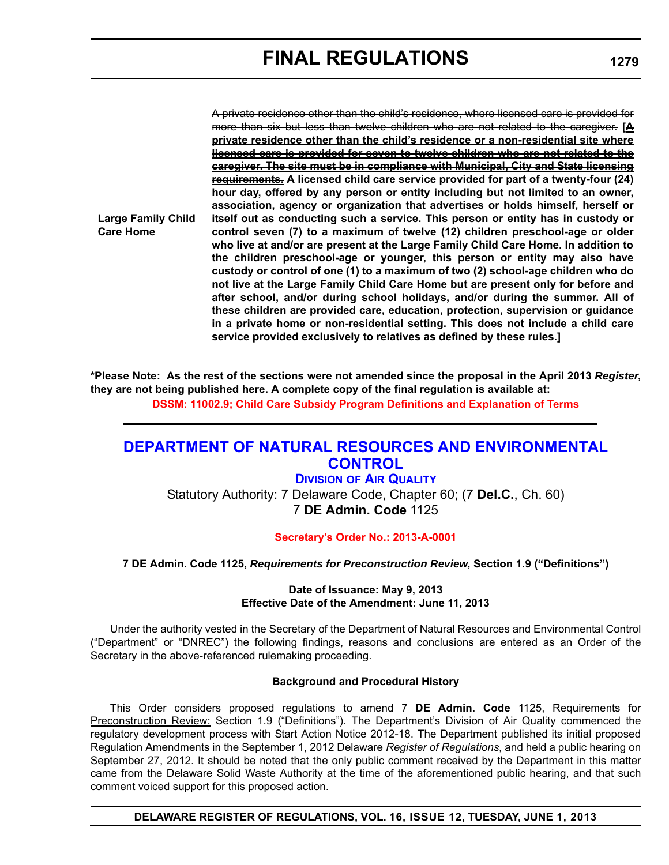**Large Family Child Care Home**

A private residence other than the child's residence, where licensed care is provided for more than six but less than twelve children who are not related to the caregiver. **[A private residence other than the child's residence or a non-residential site where licensed care is provided for seven to twelve children who are not related to the caregiver. The site must be in compliance with Municipal, City and State licensing requirements. A licensed child care service provided for part of a twenty-four (24) hour day, offered by any person or entity including but not limited to an owner, association, agency or organization that advertises or holds himself, herself or itself out as conducting such a service. This person or entity has in custody or control seven (7) to a maximum of twelve (12) children preschool-age or older who live at and/or are present at the Large Family Child Care Home. In addition to the children preschool-age or younger, this person or entity may also have custody or control of one (1) to a maximum of two (2) school-age children who do not live at the Large Family Child Care Home but are present only for before and after school, and/or during school holidays, and/or during the summer. All of these children are provided care, education, protection, supervision or guidance in a private home or non-residential setting. This does not include a child care service provided exclusively to relatives as defined by these rules.]**

**\*Please Note: As the rest of the sections were not amended since the proposal in the April 2013** *Register***, they are not being published here. A complete copy of the final regulation is available at:**

**[DSSM: 11002.9; Child Care Subsidy Program Definitions and Explanation of Terms](http://regulations.delaware.gov/register/june2013/final/16 DE Reg 1276 06-01-13.htm)**

## **[DEPARTMENT OF NATURAL RESOURCES AND ENVIRONMENTAL](http://www.dnrec.delaware.gov/whs/awm/AQM/Pages/Default.aspx)  CONTROL**

**DIVISION OF AIR QUALITY** Statutory Authority: 7 Delaware Code, Chapter 60; (7 **Del.C.**, Ch. 60) 7 **DE Admin. Code** 1125

**[Secretary's Order No.: 2013-A-0001](#page-4-0)**

**7 DE Admin. Code 1125,** *Requirements for Preconstruction Review***, Section 1.9 ("Definitions")**

**Date of Issuance: May 9, 2013 Effective Date of the Amendment: June 11, 2013**

Under the authority vested in the Secretary of the Department of Natural Resources and Environmental Control ("Department" or "DNREC") the following findings, reasons and conclusions are entered as an Order of the Secretary in the above-referenced rulemaking proceeding.

### **Background and Procedural History**

This Order considers proposed regulations to amend 7 **DE Admin. Code** 1125, Requirements for Preconstruction Review: Section 1.9 ("Definitions"). The Department's Division of Air Quality commenced the regulatory development process with Start Action Notice 2012-18. The Department published its initial proposed Regulation Amendments in the September 1, 2012 Delaware *Register of Regulations*, and held a public hearing on September 27, 2012. It should be noted that the only public comment received by the Department in this matter came from the Delaware Solid Waste Authority at the time of the aforementioned public hearing, and that such comment voiced support for this proposed action.

**DELAWARE REGISTER OF REGULATIONS, VOL. 16, ISSUE 12, TUESDAY, JUNE 1, 2013**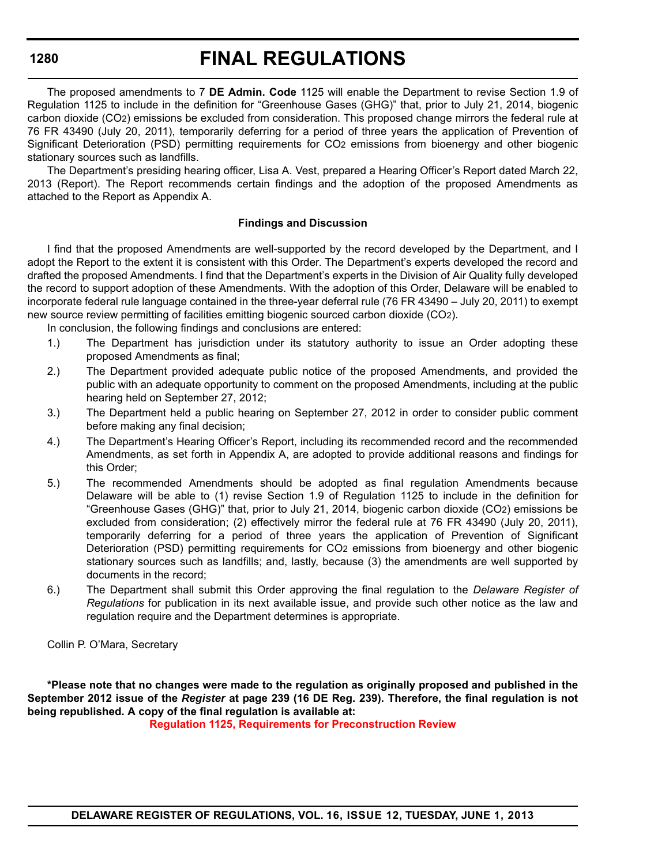# **FINAL REGULATIONS**

The proposed amendments to 7 **DE Admin. Code** 1125 will enable the Department to revise Section 1.9 of Regulation 1125 to include in the definition for "Greenhouse Gases (GHG)" that, prior to July 21, 2014, biogenic carbon dioxide (CO2) emissions be excluded from consideration. This proposed change mirrors the federal rule at 76 FR 43490 (July 20, 2011), temporarily deferring for a period of three years the application of Prevention of Significant Deterioration (PSD) permitting requirements for CO2 emissions from bioenergy and other biogenic stationary sources such as landfills.

The Department's presiding hearing officer, Lisa A. Vest, prepared a Hearing Officer's Report dated March 22, 2013 (Report). The Report recommends certain findings and the adoption of the proposed Amendments as attached to the Report as Appendix A.

### **Findings and Discussion**

I find that the proposed Amendments are well-supported by the record developed by the Department, and I adopt the Report to the extent it is consistent with this Order. The Department's experts developed the record and drafted the proposed Amendments. I find that the Department's experts in the Division of Air Quality fully developed the record to support adoption of these Amendments. With the adoption of this Order, Delaware will be enabled to incorporate federal rule language contained in the three-year deferral rule (76 FR 43490 – July 20, 2011) to exempt new source review permitting of facilities emitting biogenic sourced carbon dioxide (CO2).

In conclusion, the following findings and conclusions are entered:

- 1.) The Department has jurisdiction under its statutory authority to issue an Order adopting these proposed Amendments as final;
- 2.) The Department provided adequate public notice of the proposed Amendments, and provided the public with an adequate opportunity to comment on the proposed Amendments, including at the public hearing held on September 27, 2012;
- 3.) The Department held a public hearing on September 27, 2012 in order to consider public comment before making any final decision;
- 4.) The Department's Hearing Officer's Report, including its recommended record and the recommended Amendments, as set forth in Appendix A, are adopted to provide additional reasons and findings for this Order;
- 5.) The recommended Amendments should be adopted as final regulation Amendments because Delaware will be able to (1) revise Section 1.9 of Regulation 1125 to include in the definition for "Greenhouse Gases (GHG)" that, prior to July 21, 2014, biogenic carbon dioxide (CO2) emissions be excluded from consideration; (2) effectively mirror the federal rule at 76 FR 43490 (July 20, 2011), temporarily deferring for a period of three years the application of Prevention of Significant Deterioration (PSD) permitting requirements for CO2 emissions from bioenergy and other biogenic stationary sources such as landfills; and, lastly, because (3) the amendments are well supported by documents in the record;
- 6.) The Department shall submit this Order approving the final regulation to the *Delaware Register of Regulations* for publication in its next available issue, and provide such other notice as the law and regulation require and the Department determines is appropriate.

Collin P. O'Mara, Secretary

**\*Please note that no changes were made to the regulation as originally proposed and published in the September 2012 issue of the** *Register* **at page 239 (16 DE Reg. 239). Therefore, the final regulation is not being republished. A copy of the final regulation is available at:**

**[Regulation 1125, Requirements for Preconstruction Review](http://regulations.delaware.gov/register/june2013/final/16 DE Reg 1279 06-01-13.htm)**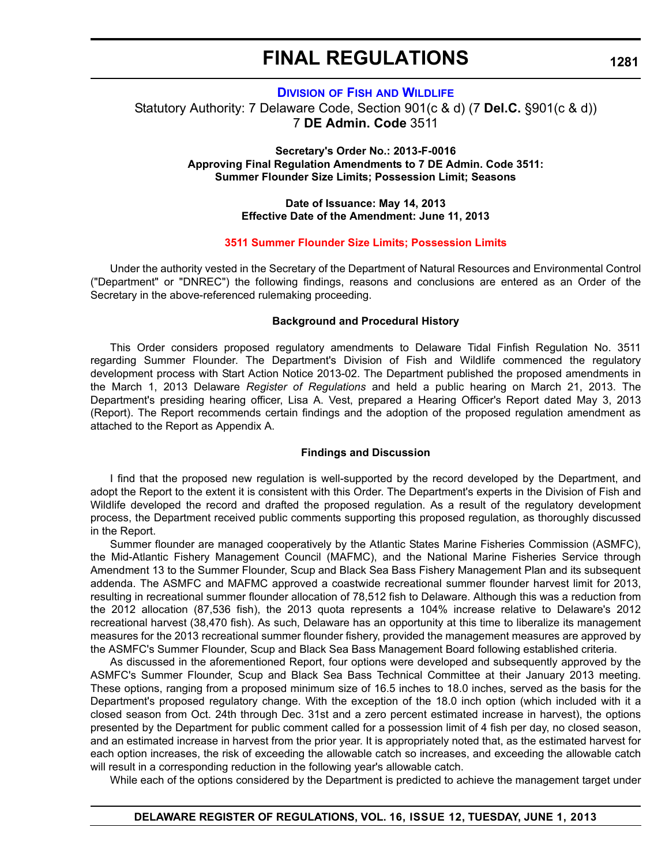### **DIVISION OF FISH [AND WILDLIFE](http://www.dnrec.delaware.gov/fw/Pages/FWPortal.aspx)**

Statutory Authority: 7 Delaware Code, Section 901(c & d) (7 **Del.C.** §901(c & d)) 7 **DE Admin. Code** 3511

### **Secretary's Order No.: 2013-F-0016 Approving Final Regulation Amendments to 7 DE Admin. Code 3511: Summer Flounder Size Limits; Possession Limit; Seasons**

### **Date of Issuance: May 14, 2013 Effective Date of the Amendment: June 11, 2013**

#### **[3511 Summer Flounder Size Limits; Possession Limits](#page-4-0)**

Under the authority vested in the Secretary of the Department of Natural Resources and Environmental Control ("Department" or "DNREC") the following findings, reasons and conclusions are entered as an Order of the Secretary in the above-referenced rulemaking proceeding.

#### **Background and Procedural History**

This Order considers proposed regulatory amendments to Delaware Tidal Finfish Regulation No. 3511 regarding Summer Flounder. The Department's Division of Fish and Wildlife commenced the regulatory development process with Start Action Notice 2013-02. The Department published the proposed amendments in the March 1, 2013 Delaware *Register of Regulations* and held a public hearing on March 21, 2013. The Department's presiding hearing officer, Lisa A. Vest, prepared a Hearing Officer's Report dated May 3, 2013 (Report). The Report recommends certain findings and the adoption of the proposed regulation amendment as attached to the Report as Appendix A.

#### **Findings and Discussion**

I find that the proposed new regulation is well-supported by the record developed by the Department, and adopt the Report to the extent it is consistent with this Order. The Department's experts in the Division of Fish and Wildlife developed the record and drafted the proposed regulation. As a result of the regulatory development process, the Department received public comments supporting this proposed regulation, as thoroughly discussed in the Report.

Summer flounder are managed cooperatively by the Atlantic States Marine Fisheries Commission (ASMFC), the Mid-Atlantic Fishery Management Council (MAFMC), and the National Marine Fisheries Service through Amendment 13 to the Summer Flounder, Scup and Black Sea Bass Fishery Management Plan and its subsequent addenda. The ASMFC and MAFMC approved a coastwide recreational summer flounder harvest limit for 2013, resulting in recreational summer flounder allocation of 78,512 fish to Delaware. Although this was a reduction from the 2012 allocation (87,536 fish), the 2013 quota represents a 104% increase relative to Delaware's 2012 recreational harvest (38,470 fish). As such, Delaware has an opportunity at this time to liberalize its management measures for the 2013 recreational summer flounder fishery, provided the management measures are approved by the ASMFC's Summer Flounder, Scup and Black Sea Bass Management Board following established criteria.

As discussed in the aforementioned Report, four options were developed and subsequently approved by the ASMFC's Summer Flounder, Scup and Black Sea Bass Technical Committee at their January 2013 meeting. These options, ranging from a proposed minimum size of 16.5 inches to 18.0 inches, served as the basis for the Department's proposed regulatory change. With the exception of the 18.0 inch option (which included with it a closed season from Oct. 24th through Dec. 31st and a zero percent estimated increase in harvest), the options presented by the Department for public comment called for a possession limit of 4 fish per day, no closed season, and an estimated increase in harvest from the prior year. It is appropriately noted that, as the estimated harvest for each option increases, the risk of exceeding the allowable catch so increases, and exceeding the allowable catch will result in a corresponding reduction in the following year's allowable catch.

While each of the options considered by the Department is predicted to achieve the management target under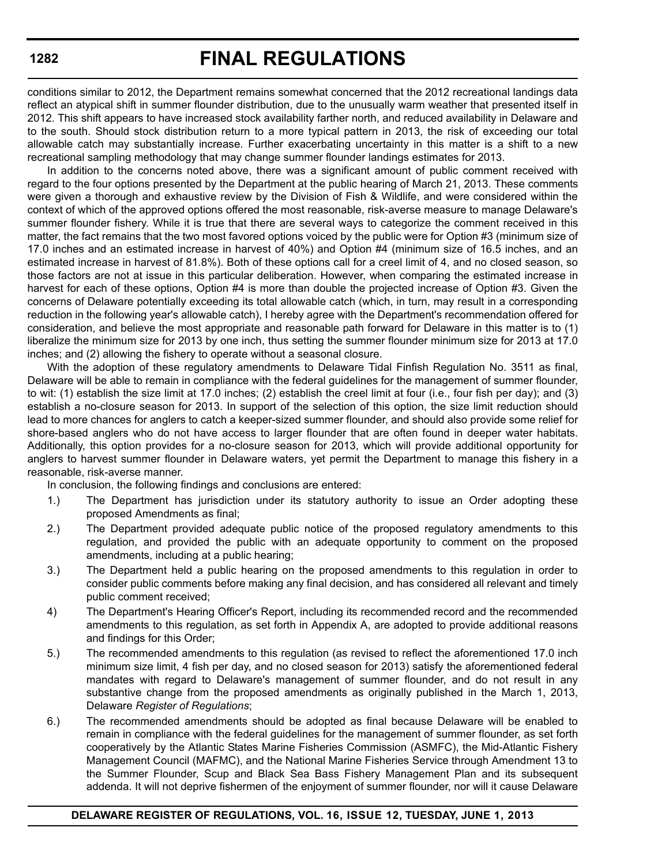conditions similar to 2012, the Department remains somewhat concerned that the 2012 recreational landings data reflect an atypical shift in summer flounder distribution, due to the unusually warm weather that presented itself in 2012. This shift appears to have increased stock availability farther north, and reduced availability in Delaware and to the south. Should stock distribution return to a more typical pattern in 2013, the risk of exceeding our total allowable catch may substantially increase. Further exacerbating uncertainty in this matter is a shift to a new recreational sampling methodology that may change summer flounder landings estimates for 2013.

In addition to the concerns noted above, there was a significant amount of public comment received with regard to the four options presented by the Department at the public hearing of March 21, 2013. These comments were given a thorough and exhaustive review by the Division of Fish & Wildlife, and were considered within the context of which of the approved options offered the most reasonable, risk-averse measure to manage Delaware's summer flounder fishery. While it is true that there are several ways to categorize the comment received in this matter, the fact remains that the two most favored options voiced by the public were for Option #3 (minimum size of 17.0 inches and an estimated increase in harvest of 40%) and Option #4 (minimum size of 16.5 inches, and an estimated increase in harvest of 81.8%). Both of these options call for a creel limit of 4, and no closed season, so those factors are not at issue in this particular deliberation. However, when comparing the estimated increase in harvest for each of these options, Option #4 is more than double the projected increase of Option #3. Given the concerns of Delaware potentially exceeding its total allowable catch (which, in turn, may result in a corresponding reduction in the following year's allowable catch), I hereby agree with the Department's recommendation offered for consideration, and believe the most appropriate and reasonable path forward for Delaware in this matter is to (1) liberalize the minimum size for 2013 by one inch, thus setting the summer flounder minimum size for 2013 at 17.0 inches; and (2) allowing the fishery to operate without a seasonal closure.

With the adoption of these regulatory amendments to Delaware Tidal Finfish Regulation No. 3511 as final, Delaware will be able to remain in compliance with the federal guidelines for the management of summer flounder, to wit: (1) establish the size limit at 17.0 inches; (2) establish the creel limit at four (i.e., four fish per day); and (3) establish a no-closure season for 2013. In support of the selection of this option, the size limit reduction should lead to more chances for anglers to catch a keeper-sized summer flounder, and should also provide some relief for shore-based anglers who do not have access to larger flounder that are often found in deeper water habitats. Additionally, this option provides for a no-closure season for 2013, which will provide additional opportunity for anglers to harvest summer flounder in Delaware waters, yet permit the Department to manage this fishery in a reasonable, risk-averse manner.

In conclusion, the following findings and conclusions are entered:

- 1.) The Department has jurisdiction under its statutory authority to issue an Order adopting these proposed Amendments as final;
- 2.) The Department provided adequate public notice of the proposed regulatory amendments to this regulation, and provided the public with an adequate opportunity to comment on the proposed amendments, including at a public hearing;
- 3.) The Department held a public hearing on the proposed amendments to this regulation in order to consider public comments before making any final decision, and has considered all relevant and timely public comment received;
- 4) The Department's Hearing Officer's Report, including its recommended record and the recommended amendments to this regulation, as set forth in Appendix A, are adopted to provide additional reasons and findings for this Order;
- 5.) The recommended amendments to this regulation (as revised to reflect the aforementioned 17.0 inch minimum size limit, 4 fish per day, and no closed season for 2013) satisfy the aforementioned federal mandates with regard to Delaware's management of summer flounder, and do not result in any substantive change from the proposed amendments as originally published in the March 1, 2013, Delaware *Register of Regulations*;
- 6.) The recommended amendments should be adopted as final because Delaware will be enabled to remain in compliance with the federal guidelines for the management of summer flounder, as set forth cooperatively by the Atlantic States Marine Fisheries Commission (ASMFC), the Mid-Atlantic Fishery Management Council (MAFMC), and the National Marine Fisheries Service through Amendment 13 to the Summer Flounder, Scup and Black Sea Bass Fishery Management Plan and its subsequent addenda. It will not deprive fishermen of the enjoyment of summer flounder, nor will it cause Delaware

### **DELAWARE REGISTER OF REGULATIONS, VOL. 16, ISSUE 12, TUESDAY, JUNE 1, 2013**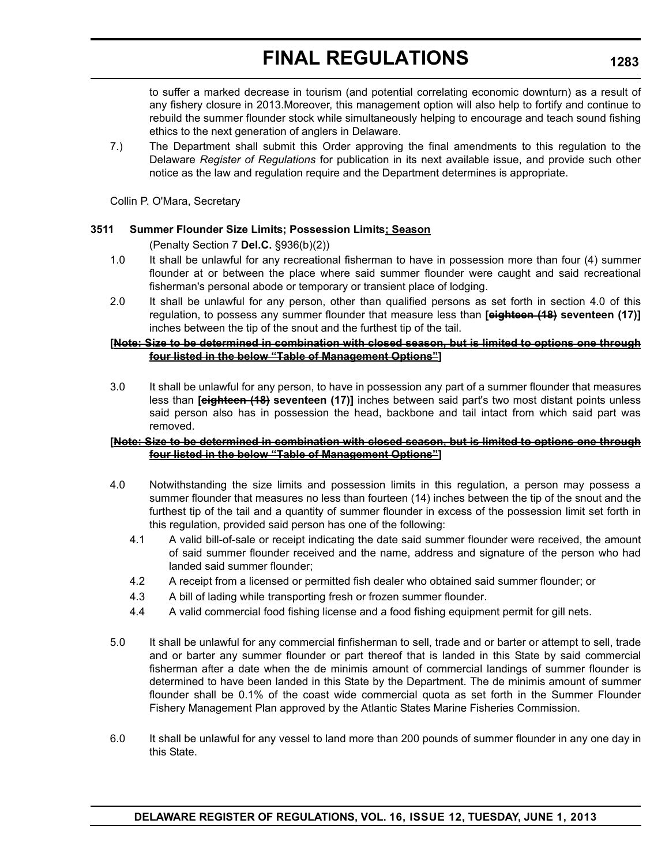to suffer a marked decrease in tourism (and potential correlating economic downturn) as a result of any fishery closure in 2013.Moreover, this management option will also help to fortify and continue to rebuild the summer flounder stock while simultaneously helping to encourage and teach sound fishing ethics to the next generation of anglers in Delaware.

7.) The Department shall submit this Order approving the final amendments to this regulation to the Delaware *Register of Regulations* for publication in its next available issue, and provide such other notice as the law and regulation require and the Department determines is appropriate.

Collin P. O'Mara, Secretary

### **3511 Summer Flounder Size Limits; Possession Limits; Season**

(Penalty Section 7 **Del.C.** §936(b)(2))

- 1.0 It shall be unlawful for any recreational fisherman to have in possession more than four (4) summer flounder at or between the place where said summer flounder were caught and said recreational fisherman's personal abode or temporary or transient place of lodging.
- 2.0 It shall be unlawful for any person, other than qualified persons as set forth in section 4.0 of this regulation, to possess any summer flounder that measure less than **[eighteen (18) seventeen (17)]** inches between the tip of the snout and the furthest tip of the tail.

### **[Note: Size to be determined in combination with closed season, but is limited to options one through four listed in the below "Table of Management Options"]**

3.0 It shall be unlawful for any person, to have in possession any part of a summer flounder that measures less than **[eighteen (18) seventeen (17)]** inches between said part's two most distant points unless said person also has in possession the head, backbone and tail intact from which said part was removed.

### **[Note: Size to be determined in combination with closed season, but is limited to options one through four listed in the below "Table of Management Options"]**

- 4.0 Notwithstanding the size limits and possession limits in this regulation, a person may possess a summer flounder that measures no less than fourteen (14) inches between the tip of the snout and the furthest tip of the tail and a quantity of summer flounder in excess of the possession limit set forth in this regulation, provided said person has one of the following:
	- 4.1 A valid bill-of-sale or receipt indicating the date said summer flounder were received, the amount of said summer flounder received and the name, address and signature of the person who had landed said summer flounder;
	- 4.2 A receipt from a licensed or permitted fish dealer who obtained said summer flounder; or
	- 4.3 A bill of lading while transporting fresh or frozen summer flounder.
	- 4.4 A valid commercial food fishing license and a food fishing equipment permit for gill nets.
- 5.0 It shall be unlawful for any commercial finfisherman to sell, trade and or barter or attempt to sell, trade and or barter any summer flounder or part thereof that is landed in this State by said commercial fisherman after a date when the de minimis amount of commercial landings of summer flounder is determined to have been landed in this State by the Department. The de minimis amount of summer flounder shall be 0.1% of the coast wide commercial quota as set forth in the Summer Flounder Fishery Management Plan approved by the Atlantic States Marine Fisheries Commission.
- 6.0 It shall be unlawful for any vessel to land more than 200 pounds of summer flounder in any one day in this State.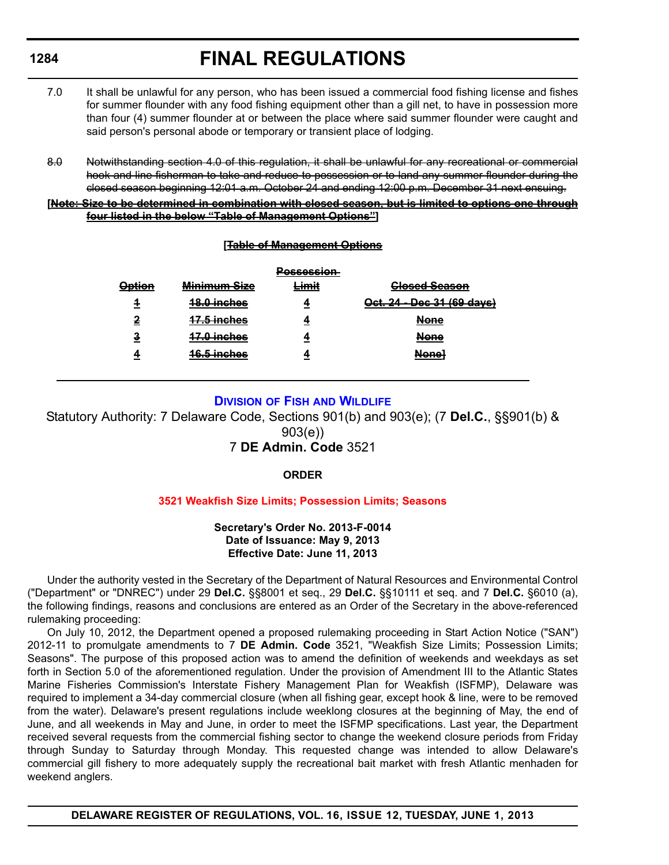- 7.0 It shall be unlawful for any person, who has been issued a commercial food fishing license and fishes for summer flounder with any food fishing equipment other than a gill net, to have in possession more than four (4) summer flounder at or between the place where said summer flounder were caught and said person's personal abode or temporary or transient place of lodging.
- 8.0 Notwithstanding section 4.0 of this regulation, it shall be unlawful for any recreational or commercial hook and line fisherman to take and reduce to possession or to land any summer flounder during the closed season beginning 12:01 a.m. October 24 and ending 12:00 p.m. December 31 next ensuing.

### **[Note: Size to be determined in combination with closed season, but is limited to options one through four listed in the below "Table of Management Options"]**

### **[Table of Management Options**

|                             |                                        | Daeeneeian<br><del>voocoonom</del> |                                           |
|-----------------------------|----------------------------------------|------------------------------------|-------------------------------------------|
| Ontion<br><del>option</del> | Minimum Sizo<br>mmmun vicv             | imit                               | Closed Sesson<br><del>olooca ocason</del> |
| 4                           | $19.0$ inches<br><del>10.V Monco</del> |                                    | Oct. 24 - Dec 31 (69 days)                |
| 2                           | 17 E inchoe<br><del>H.vmonos</del>     |                                    | ممملا<br>nono                             |
| <u>3</u>                    | 17 Ninchoe<br><del>m.v.monos</del>     |                                    | <b>Nono</b><br>попо                       |
| Δ                           | 16 E inchoe<br>סטווטוורטוס             |                                    | Nono1<br>попо                             |
|                             |                                        |                                    |                                           |

### **DIVISION OF FISH [AND WILDLIFE](http://www.dnrec.delaware.gov/fw/Pages/FWPortal.aspx)**

Statutory Authority: 7 Delaware Code, Sections 901(b) and 903(e); (7 **Del.C.**, §§901(b) & 903(e))

## 7 **DE Admin. Code** 3521

### **ORDER**

### **[3521 Weakfish Size Limits; Possession Limits; Seasons](#page-4-0)**

### **Secretary's Order No. 2013-F-0014 Date of Issuance: May 9, 2013 Effective Date: June 11, 2013**

Under the authority vested in the Secretary of the Department of Natural Resources and Environmental Control ("Department" or "DNREC") under 29 **Del.C.** §§8001 et seq., 29 **Del.C.** §§10111 et seq. and 7 **Del.C.** §6010 (a), the following findings, reasons and conclusions are entered as an Order of the Secretary in the above-referenced rulemaking proceeding:

On July 10, 2012, the Department opened a proposed rulemaking proceeding in Start Action Notice ("SAN") 2012-11 to promulgate amendments to 7 **DE Admin. Code** 3521, "Weakfish Size Limits; Possession Limits; Seasons". The purpose of this proposed action was to amend the definition of weekends and weekdays as set forth in Section 5.0 of the aforementioned regulation. Under the provision of Amendment III to the Atlantic States Marine Fisheries Commission's Interstate Fishery Management Plan for Weakfish (ISFMP), Delaware was required to implement a 34-day commercial closure (when all fishing gear, except hook & line, were to be removed from the water). Delaware's present regulations include weeklong closures at the beginning of May, the end of June, and all weekends in May and June, in order to meet the ISFMP specifications. Last year, the Department received several requests from the commercial fishing sector to change the weekend closure periods from Friday through Sunday to Saturday through Monday. This requested change was intended to allow Delaware's commercial gill fishery to more adequately supply the recreational bait market with fresh Atlantic menhaden for weekend anglers.

**DELAWARE REGISTER OF REGULATIONS, VOL. 16, ISSUE 12, TUESDAY, JUNE 1, 2013**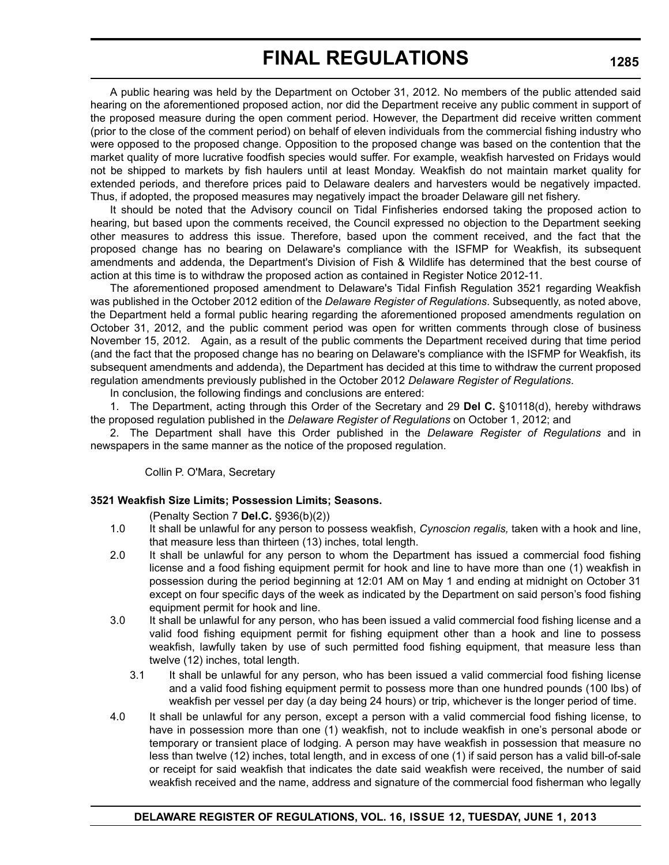A public hearing was held by the Department on October 31, 2012. No members of the public attended said hearing on the aforementioned proposed action, nor did the Department receive any public comment in support of the proposed measure during the open comment period. However, the Department did receive written comment (prior to the close of the comment period) on behalf of eleven individuals from the commercial fishing industry who were opposed to the proposed change. Opposition to the proposed change was based on the contention that the market quality of more lucrative foodfish species would suffer. For example, weakfish harvested on Fridays would not be shipped to markets by fish haulers until at least Monday. Weakfish do not maintain market quality for extended periods, and therefore prices paid to Delaware dealers and harvesters would be negatively impacted. Thus, if adopted, the proposed measures may negatively impact the broader Delaware gill net fishery.

It should be noted that the Advisory council on Tidal Finfisheries endorsed taking the proposed action to hearing, but based upon the comments received, the Council expressed no objection to the Department seeking other measures to address this issue. Therefore, based upon the comment received, and the fact that the proposed change has no bearing on Delaware's compliance with the ISFMP for Weakfish, its subsequent amendments and addenda, the Department's Division of Fish & Wildlife has determined that the best course of action at this time is to withdraw the proposed action as contained in Register Notice 2012-11.

The aforementioned proposed amendment to Delaware's Tidal Finfish Regulation 3521 regarding Weakfish was published in the October 2012 edition of the *Delaware Register of Regulations*. Subsequently, as noted above, the Department held a formal public hearing regarding the aforementioned proposed amendments regulation on October 31, 2012, and the public comment period was open for written comments through close of business November 15, 2012. Again, as a result of the public comments the Department received during that time period (and the fact that the proposed change has no bearing on Delaware's compliance with the ISFMP for Weakfish, its subsequent amendments and addenda), the Department has decided at this time to withdraw the current proposed regulation amendments previously published in the October 2012 *Delaware Register of Regulations*.

In conclusion, the following findings and conclusions are entered:

1. The Department, acting through this Order of the Secretary and 29 **Del C.** §10118(d), hereby withdraws the proposed regulation published in the *Delaware Register of Regulations* on October 1, 2012; and

2. The Department shall have this Order published in the *Delaware Register of Regulations* and in newspapers in the same manner as the notice of the proposed regulation.

Collin P. O'Mara, Secretary

#### **3521 Weakfish Size Limits; Possession Limits; Seasons.**

(Penalty Section 7 **Del.C.** §936(b)(2))

- 1.0 It shall be unlawful for any person to possess weakfish, *Cynoscion regalis,* taken with a hook and line, that measure less than thirteen (13) inches, total length.
- 2.0 It shall be unlawful for any person to whom the Department has issued a commercial food fishing license and a food fishing equipment permit for hook and line to have more than one (1) weakfish in possession during the period beginning at 12:01 AM on May 1 and ending at midnight on October 31 except on four specific days of the week as indicated by the Department on said person's food fishing equipment permit for hook and line.
- 3.0 It shall be unlawful for any person, who has been issued a valid commercial food fishing license and a valid food fishing equipment permit for fishing equipment other than a hook and line to possess weakfish, lawfully taken by use of such permitted food fishing equipment, that measure less than twelve (12) inches, total length.
	- 3.1 It shall be unlawful for any person, who has been issued a valid commercial food fishing license and a valid food fishing equipment permit to possess more than one hundred pounds (100 lbs) of weakfish per vessel per day (a day being 24 hours) or trip, whichever is the longer period of time.
- 4.0 It shall be unlawful for any person, except a person with a valid commercial food fishing license, to have in possession more than one (1) weakfish, not to include weakfish in one's personal abode or temporary or transient place of lodging. A person may have weakfish in possession that measure no less than twelve (12) inches, total length, and in excess of one (1) if said person has a valid bill-of-sale or receipt for said weakfish that indicates the date said weakfish were received, the number of said weakfish received and the name, address and signature of the commercial food fisherman who legally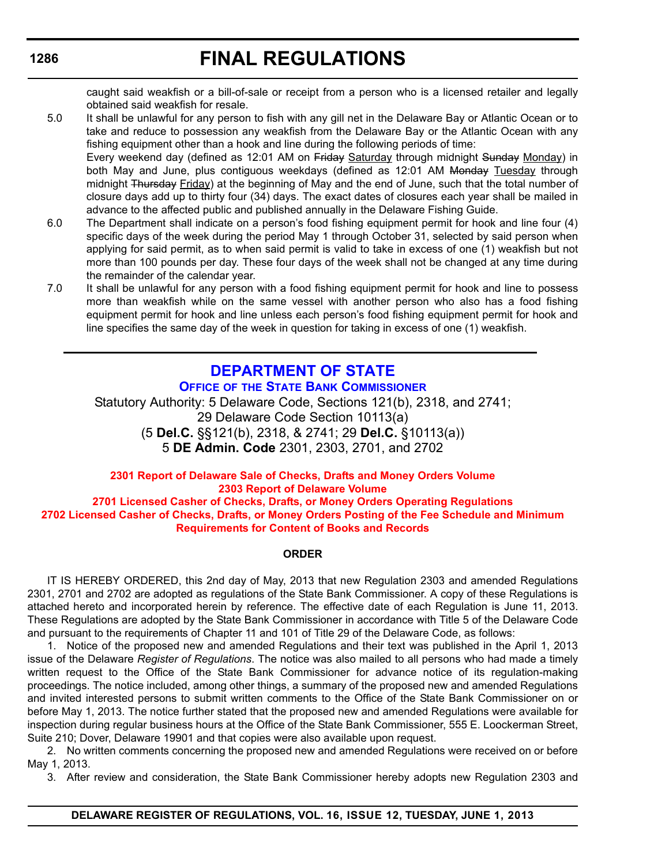# **FINAL REGULATIONS**

caught said weakfish or a bill-of-sale or receipt from a person who is a licensed retailer and legally obtained said weakfish for resale.

- 5.0 It shall be unlawful for any person to fish with any gill net in the Delaware Bay or Atlantic Ocean or to take and reduce to possession any weakfish from the Delaware Bay or the Atlantic Ocean with any fishing equipment other than a hook and line during the following periods of time: Every weekend day (defined as 12:01 AM on Friday Saturday through midnight Sunday Monday) in both May and June, plus contiguous weekdays (defined as 12:01 AM Monday Tuesday through midnight Thursday Friday) at the beginning of May and the end of June, such that the total number of closure days add up to thirty four (34) days. The exact dates of closures each year shall be mailed in advance to the affected public and published annually in the Delaware Fishing Guide.
- 6.0 The Department shall indicate on a person's food fishing equipment permit for hook and line four (4) specific days of the week during the period May 1 through October 31, selected by said person when applying for said permit, as to when said permit is valid to take in excess of one (1) weakfish but not more than 100 pounds per day. These four days of the week shall not be changed at any time during the remainder of the calendar year.
- 7.0 It shall be unlawful for any person with a food fishing equipment permit for hook and line to possess more than weakfish while on the same vessel with another person who also has a food fishing equipment permit for hook and line unless each person's food fishing equipment permit for hook and line specifies the same day of the week in question for taking in excess of one (1) weakfish.

# **[DEPARTMENT OF STATE](http://banking.delaware.gov/) OFFICE OF THE STATE BANK COMMISSIONER**

Statutory Authority: 5 Delaware Code, Sections 121(b), 2318, and 2741; 29 Delaware Code Section 10113(a) (5 **Del.C.** §§121(b), 2318, & 2741; 29 **Del.C.** §10113(a)) 5 **DE Admin. Code** 2301, 2303, 2701, and 2702

#### **2301 Report of Delaware Sale of Checks, Drafts and Money Orders Volume 2303 Report of Delaware Volume 2701 Licensed Casher of Checks, Drafts, or Money Orders Operating Regulations [2702 Licensed Casher of Checks, Drafts, or Money Orders Posting of the Fee Schedule and Minimum](#page-4-0)**

#### **Requirements for Content of Books and Records**

#### **ORDER**

IT IS HEREBY ORDERED, this 2nd day of May, 2013 that new Regulation 2303 and amended Regulations 2301, 2701 and 2702 are adopted as regulations of the State Bank Commissioner. A copy of these Regulations is attached hereto and incorporated herein by reference. The effective date of each Regulation is June 11, 2013. These Regulations are adopted by the State Bank Commissioner in accordance with Title 5 of the Delaware Code and pursuant to the requirements of Chapter 11 and 101 of Title 29 of the Delaware Code, as follows:

1. Notice of the proposed new and amended Regulations and their text was published in the April 1, 2013 issue of the Delaware *Register of Regulations*. The notice was also mailed to all persons who had made a timely written request to the Office of the State Bank Commissioner for advance notice of its regulation-making proceedings. The notice included, among other things, a summary of the proposed new and amended Regulations and invited interested persons to submit written comments to the Office of the State Bank Commissioner on or before May 1, 2013. The notice further stated that the proposed new and amended Regulations were available for inspection during regular business hours at the Office of the State Bank Commissioner, 555 E. Loockerman Street, Suite 210; Dover, Delaware 19901 and that copies were also available upon request.

2. No written comments concerning the proposed new and amended Regulations were received on or before May 1, 2013.

3. After review and consideration, the State Bank Commissioner hereby adopts new Regulation 2303 and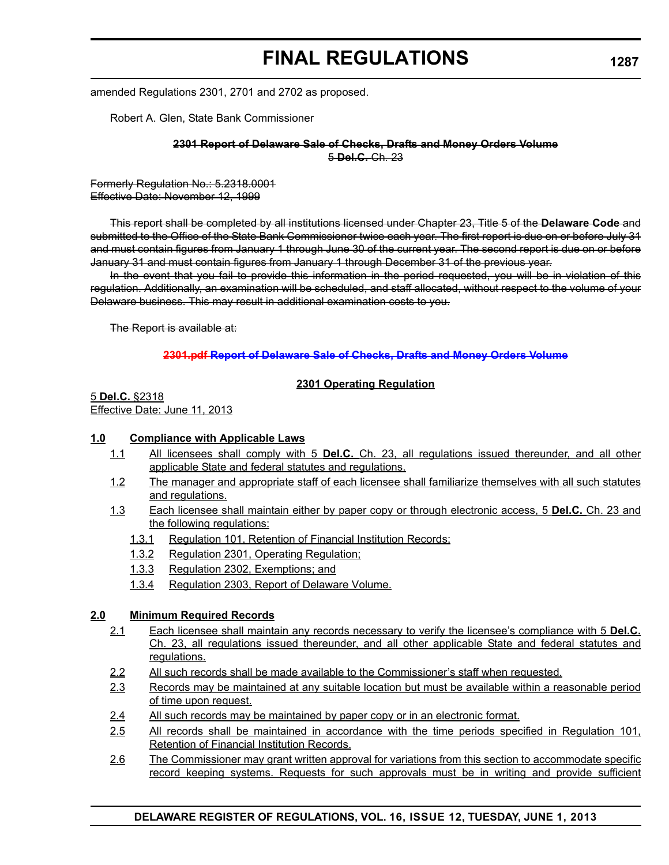amended Regulations 2301, 2701 and 2702 as proposed.

Robert A. Glen, State Bank Commissioner

**2301 Report of Delaware Sale of Checks, Drafts and Money Orders Volume** 5 **Del.C.** Ch. 23

Formerly Regulation No.: 5.2318.0001 Effective Date: November 12, 1999

This report shall be completed by all institutions licensed under Chapter 23, Title 5 of the **Delaware Code** and submitted to the Office of the State Bank Commissioner twice each year. The first report is due on or before July 31 and must contain figures from January 1 through June 30 of the current year. The second report is due on or before January 31 and must contain figures from January 1 through December 31 of the previous year.

In the event that you fail to provide this information in the period requested, you will be in violation of this regulation. Additionally, an examination will be scheduled, and staff allocated, without respect to the volume of your Delaware business. This may result in additional examination costs to you.

The Report is available at:

#### **2301.pdf Report of Delaware Sale of Checks, Drafts and Money Orders Volume**

#### **2301 Operating Regulation**

5 **Del.C.** §2318 Effective Date: June 11, 2013

#### **1.0 Compliance with Applicable Laws**

- 1.1 All licensees shall comply with 5 **Del.C.** Ch. 23, all regulations issued thereunder, and all other applicable State and federal statutes and regulations.
- 1.2 The manager and appropriate staff of each licensee shall familiarize themselves with all such statutes and regulations.
- 1.3 Each licensee shall maintain either by paper copy or through electronic access, 5 **Del.C.** Ch. 23 and the following regulations:
	- 1.3.1 Regulation 101, Retention of Financial Institution Records;
	- 1.3.2 Regulation 2301, Operating Regulation;
	- 1.3.3 Regulation 2302, Exemptions; and
	- 1.3.4 Regulation 2303, Report of Delaware Volume.

#### **2.0 Minimum Required Records**

- 2.1 Each licensee shall maintain any records necessary to verify the licensee's compliance with 5 **Del.C.** Ch. 23, all regulations issued thereunder, and all other applicable State and federal statutes and regulations.
- 2.2 All such records shall be made available to the Commissioner's staff when requested.
- 2.3 Records may be maintained at any suitable location but must be available within a reasonable period of time upon request.
- 2.4 All such records may be maintained by paper copy or in an electronic format.
- 2.5 All records shall be maintained in accordance with the time periods specified in Regulation 101, Retention of Financial Institution Records.
- 2.6 The Commissioner may grant written approval for variations from this section to accommodate specific record keeping systems. Requests for such approvals must be in writing and provide sufficient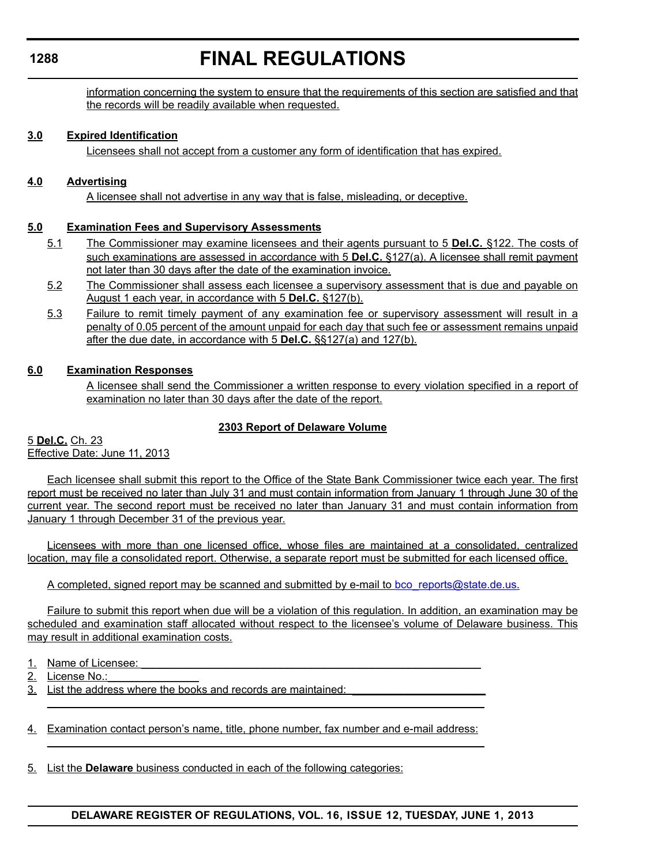information concerning the system to ensure that the requirements of this section are satisfied and that the records will be readily available when requested.

#### **3.0 Expired Identification**

Licensees shall not accept from a customer any form of identification that has expired.

#### **4.0 Advertising**

A licensee shall not advertise in any way that is false, misleading, or deceptive.

#### **5.0 Examination Fees and Supervisory Assessments**

- 5.1 The Commissioner may examine licensees and their agents pursuant to 5 **Del.C.** §122. The costs of such examinations are assessed in accordance with 5 **Del.C.** §127(a). A licensee shall remit payment not later than 30 days after the date of the examination invoice.
- 5.2 The Commissioner shall assess each licensee a supervisory assessment that is due and payable on August 1 each year, in accordance with 5 **Del.C.** §127(b).
- 5.3 Failure to remit timely payment of any examination fee or supervisory assessment will result in a penalty of 0.05 percent of the amount unpaid for each day that such fee or assessment remains unpaid after the due date, in accordance with 5 **Del.C.** §§127(a) and 127(b).

### **6.0 Examination Responses**

A licensee shall send the Commissioner a written response to every violation specified in a report of examination no later than 30 days after the date of the report.

### **2303 Report of Delaware Volume**

5 **Del.C.** Ch. 23 Effective Date: June 11, 2013

Each licensee shall submit this report to the Office of the State Bank Commissioner twice each year. The first report must be received no later than July 31 and must contain information from January 1 through June 30 of the current year. The second report must be received no later than January 31 and must contain information from January 1 through December 31 of the previous year.

Licensees with more than one licensed office, whose files are maintained at a consolidated, centralized location, may file a consolidated report. Otherwise, a separate report must be submitted for each licensed office.

A completed, signed report may be scanned and submitted by e-mail to [bco\\_reports@state.de.us](mailto:bco_reports@state.de.us).

Failure to submit this report when due will be a violation of this regulation. In addition, an examination may be scheduled and examination staff allocated without respect to the licensee's volume of Delaware business. This may result in additional examination costs.

- 1. Name of Licensee:
- 2. License No.:
- 3. List the address where the books and records are maintained:
- 4. Examination contact person's name, title, phone number, fax number and e-mail address:

 $\overline{\phantom{a}}$  , and the contribution of the contribution of the contribution of the contribution of the contribution of the contribution of the contribution of the contribution of the contribution of the contribution of the

 $\overline{\phantom{a}}$  , and the contribution of the contribution of the contribution of the contribution of the contribution of the contribution of the contribution of the contribution of the contribution of the contribution of the

5. List the **Delaware** business conducted in each of the following categories:

#### **1288**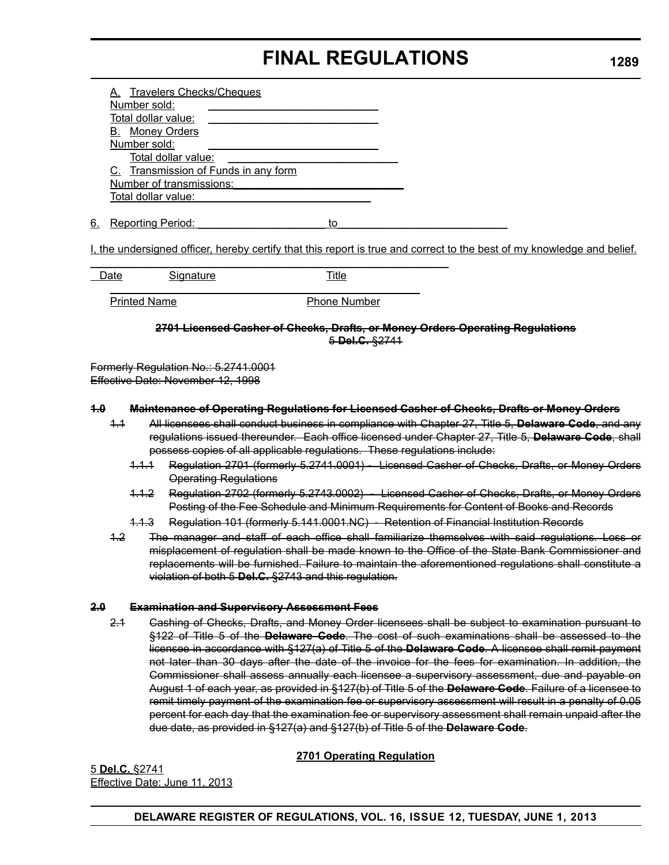|    | A. Travelers Checks/Cheques          |
|----|--------------------------------------|
|    | Number sold:                         |
|    | Total dollar value:                  |
|    | <b>B.</b> Money Orders               |
|    | Number sold:                         |
|    | Total dollar value:                  |
|    | C. Transmission of Funds in any form |
|    | Number of transmissions:             |
|    | Total dollar value:                  |
|    |                                      |
| 6. | <b>Reporting Period:</b>             |

I, the undersigned officer, hereby certify that this report is true and correct to the best of my knowledge and belief.

| Date                | <b>Signature</b> | Title               |  |
|---------------------|------------------|---------------------|--|
|                     |                  |                     |  |
| <b>Printed Name</b> |                  | <b>Phone Number</b> |  |

**2701 Licensed Casher of Checks, Drafts, or Money Orders Operating Regulations** 5 **Del.C.** §2741

Formerly Regulation No.: 5.2741.0001 Effective Date: November 12, 1998

#### **1.0 Maintenance of Operating Regulations for Licensed Casher of Checks, Drafts or Money Orders**

- 1.1 All licensees shall conduct business in compliance with Chapter 27, Title 5, **Delaware Code**, and any regulations issued thereunder. Each office licensed under Chapter 27, Title 5, **Delaware Code**, shall possess copies of all applicable regulations. These regulations include:
	- 1.1.1 Regulation 2701 (formerly 5.2741.0001) Licensed Casher of Checks, Drafts, or Money Orders Operating Regulations
	- 1.1.2 Regulation 2702 (formerly 5.2743.0002) Licensed Casher of Checks, Drafts, or Money Orders Posting of the Fee Schedule and Minimum Requirements for Content of Books and Records
	- 1.1.3 Regulation 101 (formerly 5.141.0001.NC) Retention of Financial Institution Records
- 1.2 The manager and staff of each office shall familiarize themselves with said regulations. Loss or misplacement of regulation shall be made known to the Office of the State Bank Commissioner and replacements will be furnished. Failure to maintain the aforementioned regulations shall constitute a violation of both 5 **Del.C.** §2743 and this regulation.

#### **2.0 Examination and Supervisory Assessment Fees**

2.1 Cashing of Checks, Drafts, and Money Order licensees shall be subject to examination pursuant to §122 of Title 5 of the **Delaware Code**. The cost of such examinations shall be assessed to the licensee in accordance with §127(a) of Title 5 of the **Delaware Code**. A licensee shall remit payment not later than 30 days after the date of the invoice for the fees for examination. In addition, the Commissioner shall assess annually each licensee a supervisory assessment, due and payable on August 1 of each year, as provided in §127(b) of Title 5 of the **Delaware Code**. Failure of a licensee to remit timely payment of the examination fee or supervisory assessment will result in a penalty of 0.05 percent for each day that the examination fee or supervisory assessment shall remain unpaid after the due date, as provided in §127(a) and §127(b) of Title 5 of the **Delaware Code**.

## **2701 Operating Regulation**

5 **Del.C.** §2741 Effective Date: June 11, 2013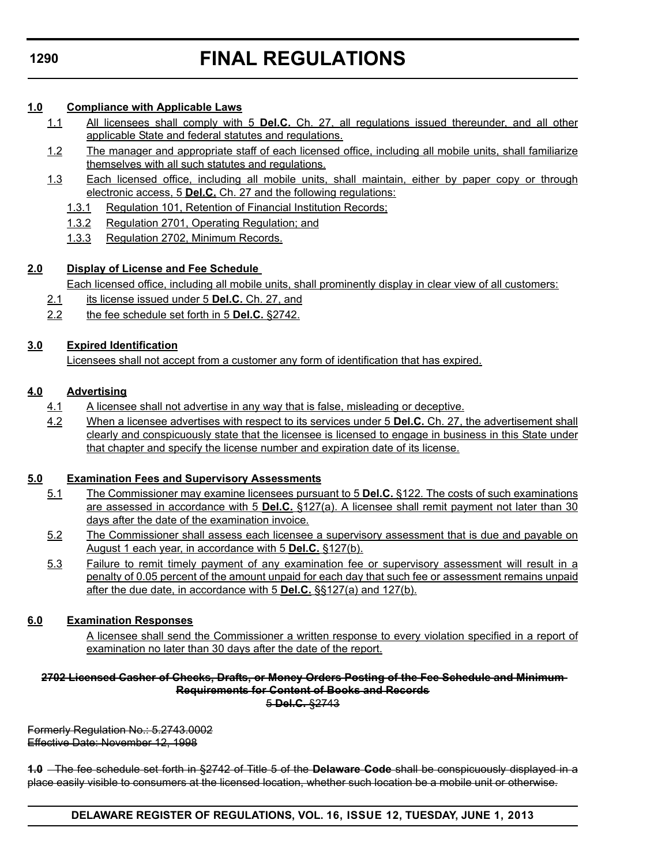# **FINAL REGULATIONS**

## **1.0 Compliance with Applicable Laws**

- 1.1 All licensees shall comply with 5 **Del.C.** Ch. 27, all regulations issued thereunder, and all other applicable State and federal statutes and regulations.
- 1.2 The manager and appropriate staff of each licensed office, including all mobile units, shall familiarize themselves with all such statutes and regulations.
- 1.3 Each licensed office, including all mobile units, shall maintain, either by paper copy or through electronic access, 5 **Del.C.** Ch. 27 and the following regulations:
	- 1.3.1 Regulation 101, Retention of Financial Institution Records;
	- 1.3.2 Regulation 2701, Operating Regulation; and
	- 1.3.3 Regulation 2702, Minimum Records.

# **2.0 Display of License and Fee Schedule**

Each licensed office, including all mobile units, shall prominently display in clear view of all customers:

- 2.1 its license issued under 5 **Del.C.** Ch. 27, and
- 2.2 the fee schedule set forth in 5 **Del.C.** §2742.

# **3.0 Expired Identification**

Licensees shall not accept from a customer any form of identification that has expired.

# **4.0 Advertising**

- 4.1 A licensee shall not advertise in any way that is false, misleading or deceptive.
- 4.2 When a licensee advertises with respect to its services under 5 **Del.C.** Ch. 27, the advertisement shall clearly and conspicuously state that the licensee is licensed to engage in business in this State under that chapter and specify the license number and expiration date of its license.

# **5.0 Examination Fees and Supervisory Assessments**

- 5.1 The Commissioner may examine licensees pursuant to 5 **Del.C.** §122. The costs of such examinations are assessed in accordance with 5 **Del.C.** §127(a). A licensee shall remit payment not later than 30 days after the date of the examination invoice.
- 5.2 The Commissioner shall assess each licensee a supervisory assessment that is due and payable on August 1 each year, in accordance with 5 **Del.C.** §127(b).
- 5.3 Failure to remit timely payment of any examination fee or supervisory assessment will result in a penalty of 0.05 percent of the amount unpaid for each day that such fee or assessment remains unpaid after the due date, in accordance with 5 **Del.C.** §§127(a) and 127(b).

# **6.0 Examination Responses**

A licensee shall send the Commissioner a written response to every violation specified in a report of examination no later than 30 days after the date of the report.

#### **2702 Licensed Casher of Checks, Drafts, or Money Orders Posting of the Fee Schedule and Minimum Requirements for Content of Books and Records** 5 **Del.C.** §2743

Formerly Regulation No.: 5.2743.0002 Effective Date: November 12, 1998

**1.0** The fee schedule set forth in §2742 of Title 5 of the **Delaware Code** shall be conspicuously displayed in a place easily visible to consumers at the licensed location, whether such location be a mobile unit or otherwise.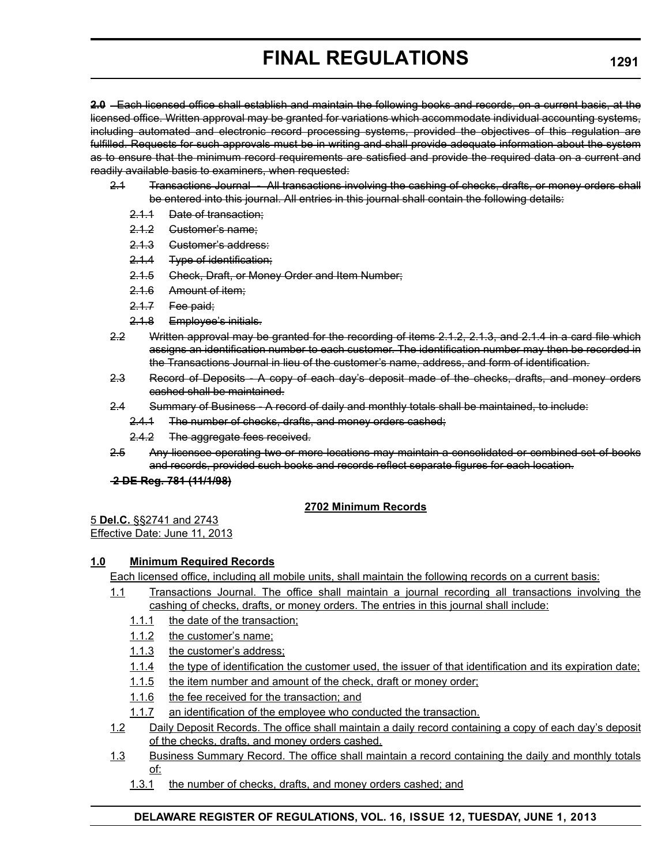**2.0** Each licensed office shall establish and maintain the following books and records, on a current basis, at the licensed office. Written approval may be granted for variations which accommodate individual accounting systems, including automated and electronic record processing systems, provided the objectives of this regulation are fulfilled. Requests for such approvals must be in writing and shall provide adequate information about the system as to ensure that the minimum record requirements are satisfied and provide the required data on a current and readily available basis to examiners, when requested:

- 2.1 Transactions Journal All transactions involving the cashing of checks, drafts, or money orders shall be entered into this journal. All entries in this journal shall contain the following details:
	- 2.1.1 Date of transaction;
	- 2.1.2 Customer's name;
	- 2.1.3 Customer's address:
	- 2.1.4 Type of identification;
	- 2.1.5 Check, Draft, or Money Order and Item Number;
	- 2.1.6 Amount of item;
	- 2.1.7 Fee paid;
	- 2.1.8 Employee's initials.
- 2.2 Written approval may be granted for the recording of items 2.1.2, 2.1.3, and 2.1.4 in a card file which assigns an identification number to each customer. The identification number may then be recorded in the Transactions Journal in lieu of the customer's name, address, and form of identification.
- 2.3 Record of Deposits A copy of each day's deposit made of the checks, drafts, and money orders cashed shall be maintained.
- 2.4 Summary of Business A record of daily and monthly totals shall be maintained, to include:
	- 2.4.1 The number of checks, drafts, and money orders cashed;
	- 2.4.2 The aggregate fees received.
- 2.5 Any licensee operating two or more locations may maintain a consolidated or combined set of books and records, provided such books and records reflect separate figures for each location.

## **2 DE Reg. 781 (11/1/98)**

## **2702 Minimum Records**

5 **Del.C.** §§2741 and 2743 Effective Date: June 11, 2013

## **1.0 Minimum Required Records**

Each licensed office, including all mobile units, shall maintain the following records on a current basis:

- 1.1 Transactions Journal. The office shall maintain a journal recording all transactions involving the cashing of checks, drafts, or money orders. The entries in this journal shall include:
	- 1.1.1 the date of the transaction;
	- 1.1.2 the customer's name;
	- 1.1.3 the customer's address;
	- 1.1.4 the type of identification the customer used, the issuer of that identification and its expiration date;
	- 1.1.5 the item number and amount of the check, draft or money order;
	- 1.1.6 the fee received for the transaction; and
	- 1.1.7 an identification of the employee who conducted the transaction.
- 1.2 Daily Deposit Records. The office shall maintain a daily record containing a copy of each day's deposit of the checks, drafts, and money orders cashed.
- 1.3 Business Summary Record. The office shall maintain a record containing the daily and monthly totals of:
	- 1.3.1 the number of checks, drafts, and money orders cashed; and

## **DELAWARE REGISTER OF REGULATIONS, VOL. 16, ISSUE 12, TUESDAY, JUNE 1, 2013**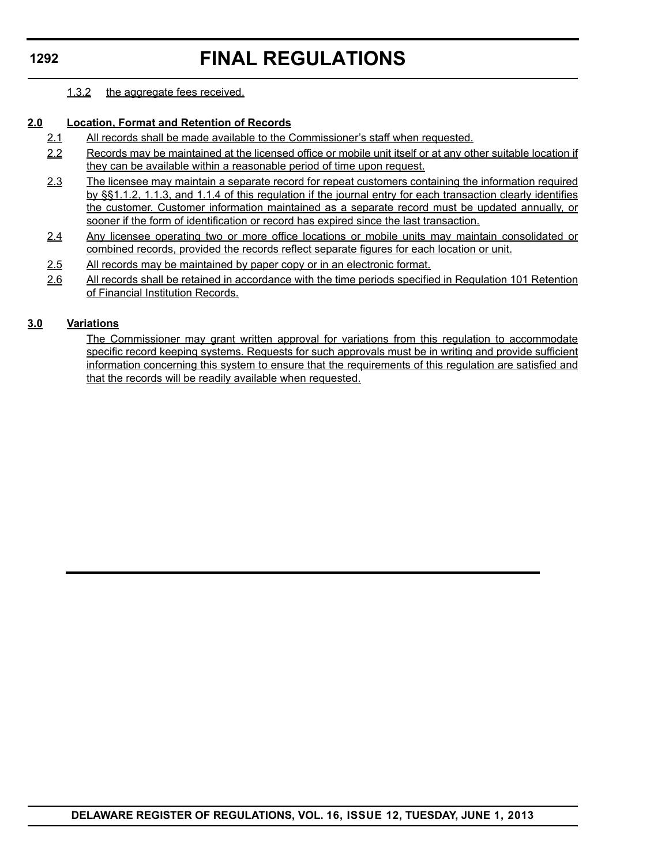# **FINAL REGULATIONS**

### 1.3.2 the aggregate fees received.

## **2.0 Location, Format and Retention of Records**

- 2.1 All records shall be made available to the Commissioner's staff when requested.
- 2.2 Records may be maintained at the licensed office or mobile unit itself or at any other suitable location if they can be available within a reasonable period of time upon request.
- 2.3 The licensee may maintain a separate record for repeat customers containing the information required by §§1.1.2, 1.1.3, and 1.1.4 of this regulation if the journal entry for each transaction clearly identifies the customer. Customer information maintained as a separate record must be updated annually, or sooner if the form of identification or record has expired since the last transaction.
- 2.4 Any licensee operating two or more office locations or mobile units may maintain consolidated or combined records, provided the records reflect separate figures for each location or unit.
- 2.5 All records may be maintained by paper copy or in an electronic format.
- 2.6 All records shall be retained in accordance with the time periods specified in Regulation 101 Retention of Financial Institution Records.

### **3.0 Variations**

The Commissioner may grant written approval for variations from this regulation to accommodate specific record keeping systems. Requests for such approvals must be in writing and provide sufficient information concerning this system to ensure that the requirements of this regulation are satisfied and that the records will be readily available when requested.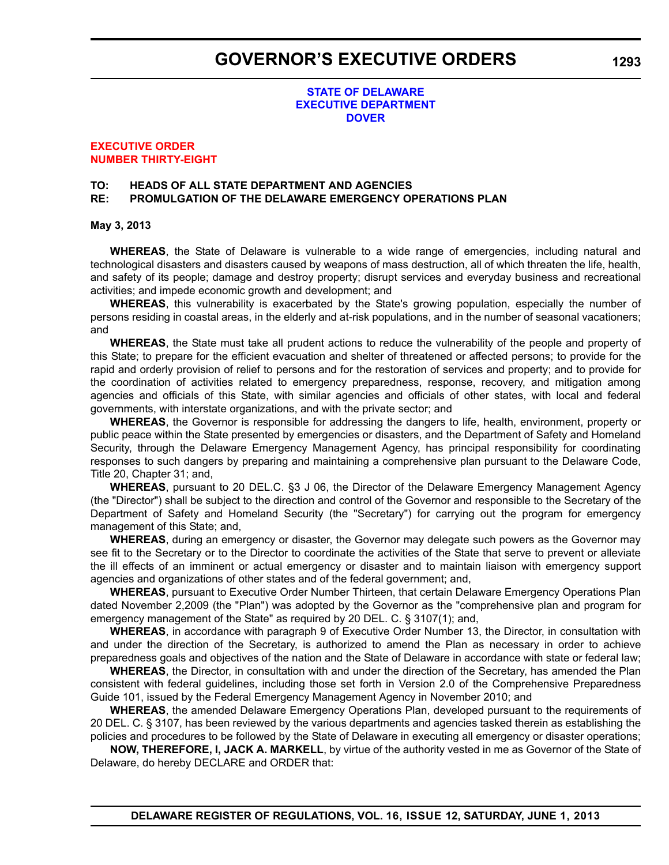#### **STATE OF DELAWARE [EXECUTIVE DEPARTMENT](http://governor.delaware.gov/orders/index.shtml) DOVER**

#### **EXECUTIVE ORDER [NUMBER THIRTY-EIGHT](#page-4-0)**

# **TO: HEADS OF ALL STATE DEPARTMENT AND AGENCIES**

# **RE: PROMULGATION OF THE DELAWARE EMERGENCY OPERATIONS PLAN**

#### **May 3, 2013**

**WHEREAS**, the State of Delaware is vulnerable to a wide range of emergencies, including natural and technological disasters and disasters caused by weapons of mass destruction, all of which threaten the life, health, and safety of its people; damage and destroy property; disrupt services and everyday business and recreational activities; and impede economic growth and development; and

**WHEREAS**, this vulnerability is exacerbated by the State's growing population, especially the number of persons residing in coastal areas, in the elderly and at-risk populations, and in the number of seasonal vacationers; and

**WHEREAS**, the State must take all prudent actions to reduce the vulnerability of the people and property of this State; to prepare for the efficient evacuation and shelter of threatened or affected persons; to provide for the rapid and orderly provision of relief to persons and for the restoration of services and property; and to provide for the coordination of activities related to emergency preparedness, response, recovery, and mitigation among agencies and officials of this State, with similar agencies and officials of other states, with local and federal governments, with interstate organizations, and with the private sector; and

**WHEREAS**, the Governor is responsible for addressing the dangers to life, health, environment, property or public peace within the State presented by emergencies or disasters, and the Department of Safety and Homeland Security, through the Delaware Emergency Management Agency, has principal responsibility for coordinating responses to such dangers by preparing and maintaining a comprehensive plan pursuant to the Delaware Code, Title 20, Chapter 31; and,

**WHEREAS**, pursuant to 20 DEL.C. §3 J 06, the Director of the Delaware Emergency Management Agency (the "Director") shall be subject to the direction and control of the Governor and responsible to the Secretary of the Department of Safety and Homeland Security (the "Secretary") for carrying out the program for emergency management of this State; and,

**WHEREAS**, during an emergency or disaster, the Governor may delegate such powers as the Governor may see fit to the Secretary or to the Director to coordinate the activities of the State that serve to prevent or alleviate the ill effects of an imminent or actual emergency or disaster and to maintain liaison with emergency support agencies and organizations of other states and of the federal government; and,

**WHEREAS**, pursuant to Executive Order Number Thirteen, that certain Delaware Emergency Operations Plan dated November 2,2009 (the "Plan") was adopted by the Governor as the "comprehensive plan and program for emergency management of the State" as required by 20 DEL. C. § 3107(1); and,

**WHEREAS**, in accordance with paragraph 9 of Executive Order Number 13, the Director, in consultation with and under the direction of the Secretary, is authorized to amend the Plan as necessary in order to achieve preparedness goals and objectives of the nation and the State of Delaware in accordance with state or federal law;

**WHEREAS**, the Director, in consultation with and under the direction of the Secretary, has amended the Plan consistent with federal guidelines, including those set forth in Version 2.0 of the Comprehensive Preparedness Guide 101, issued by the Federal Emergency Management Agency in November 2010; and

**WHEREAS**, the amended Delaware Emergency Operations Plan, developed pursuant to the requirements of 20 DEL. C. § 3107, has been reviewed by the various departments and agencies tasked therein as establishing the policies and procedures to be followed by the State of Delaware in executing all emergency or disaster operations;

**NOW, THEREFORE, I, JACK A. MARKELL**, by virtue of the authority vested in me as Governor of the State of Delaware, do hereby DECLARE and ORDER that: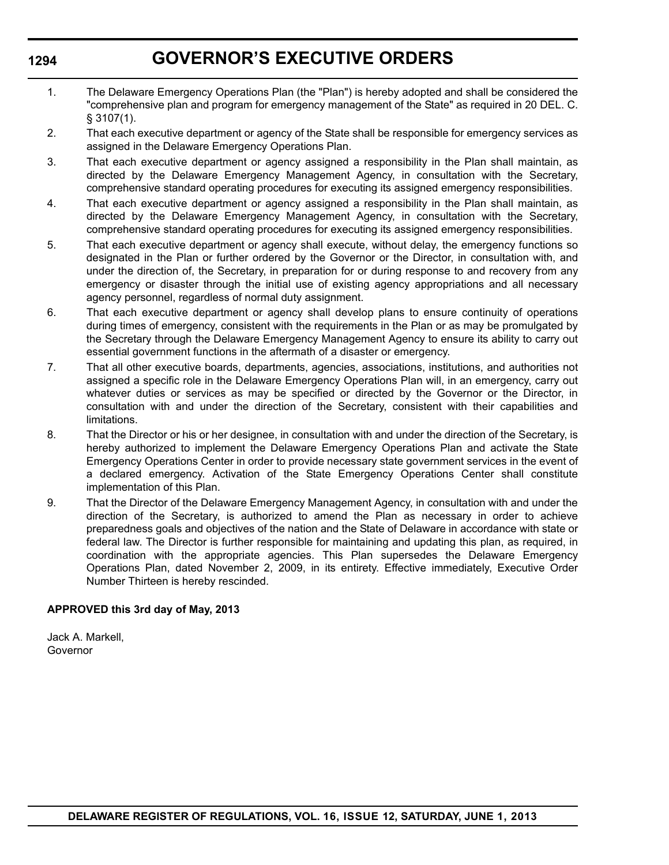# **GOVERNOR'S EXECUTIVE ORDERS**

- 1. The Delaware Emergency Operations Plan (the "Plan") is hereby adopted and shall be considered the "comprehensive plan and program for emergency management of the State" as required in 20 DEL. C. § 3107(1).
- 2. That each executive department or agency of the State shall be responsible for emergency services as assigned in the Delaware Emergency Operations Plan.
- 3. That each executive department or agency assigned a responsibility in the Plan shall maintain, as directed by the Delaware Emergency Management Agency, in consultation with the Secretary, comprehensive standard operating procedures for executing its assigned emergency responsibilities.
- 4. That each executive department or agency assigned a responsibility in the Plan shall maintain, as directed by the Delaware Emergency Management Agency, in consultation with the Secretary, comprehensive standard operating procedures for executing its assigned emergency responsibilities.
- 5. That each executive department or agency shall execute, without delay, the emergency functions so designated in the Plan or further ordered by the Governor or the Director, in consultation with, and under the direction of, the Secretary, in preparation for or during response to and recovery from any emergency or disaster through the initial use of existing agency appropriations and all necessary agency personnel, regardless of normal duty assignment.
- 6. That each executive department or agency shall develop plans to ensure continuity of operations during times of emergency, consistent with the requirements in the Plan or as may be promulgated by the Secretary through the Delaware Emergency Management Agency to ensure its ability to carry out essential government functions in the aftermath of a disaster or emergency.
- 7. That all other executive boards, departments, agencies, associations, institutions, and authorities not assigned a specific role in the Delaware Emergency Operations Plan will, in an emergency, carry out whatever duties or services as may be specified or directed by the Governor or the Director, in consultation with and under the direction of the Secretary, consistent with their capabilities and limitations.
- 8. That the Director or his or her designee, in consultation with and under the direction of the Secretary, is hereby authorized to implement the Delaware Emergency Operations Plan and activate the State Emergency Operations Center in order to provide necessary state government services in the event of a declared emergency. Activation of the State Emergency Operations Center shall constitute implementation of this Plan.
- 9. That the Director of the Delaware Emergency Management Agency, in consultation with and under the direction of the Secretary, is authorized to amend the Plan as necessary in order to achieve preparedness goals and objectives of the nation and the State of Delaware in accordance with state or federal law. The Director is further responsible for maintaining and updating this plan, as required, in coordination with the appropriate agencies. This Plan supersedes the Delaware Emergency Operations Plan, dated November 2, 2009, in its entirety. Effective immediately, Executive Order Number Thirteen is hereby rescinded.

## **APPROVED this 3rd day of May, 2013**

Jack A. Markell, Governor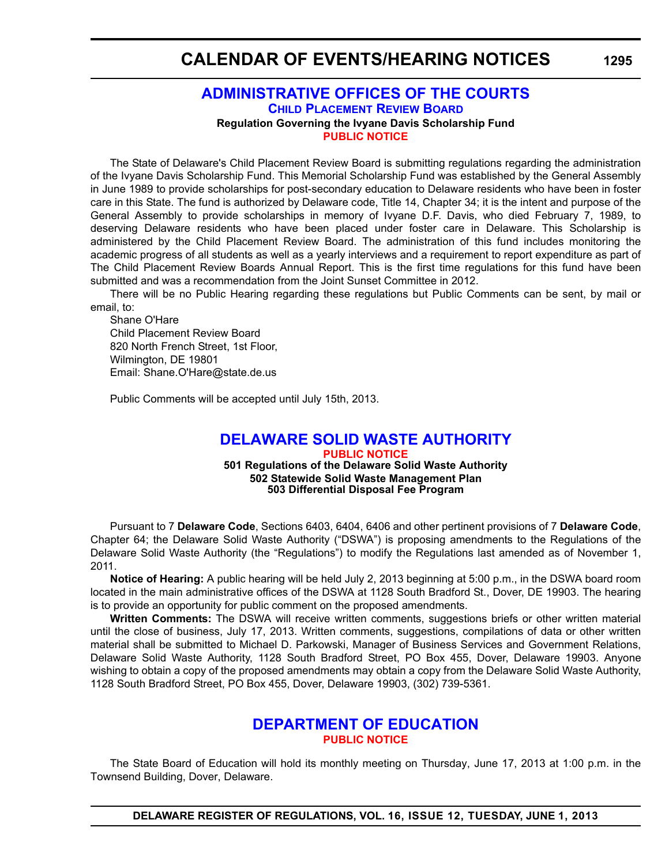# **CALENDAR OF EVENTS/HEARING NOTICES**

## **[ADMINISTRATIVE OFFICES OF THE COURTS](http://courts.delaware.gov/aoc/) CHILD PLACEMENT REVIEW BOARD Regulation Governing the Ivyane Davis Scholarship Fund [PUBLIC NOTICE](#page-4-0)**

The State of Delaware's Child Placement Review Board is submitting regulations regarding the administration of the Ivyane Davis Scholarship Fund. This Memorial Scholarship Fund was established by the General Assembly in June 1989 to provide scholarships for post-secondary education to Delaware residents who have been in foster care in this State. The fund is authorized by Delaware code, Title 14, Chapter 34; it is the intent and purpose of the General Assembly to provide scholarships in memory of Ivyane D.F. Davis, who died February 7, 1989, to deserving Delaware residents who have been placed under foster care in Delaware. This Scholarship is administered by the Child Placement Review Board. The administration of this fund includes monitoring the academic progress of all students as well as a yearly interviews and a requirement to report expenditure as part of The Child Placement Review Boards Annual Report. This is the first time regulations for this fund have been submitted and was a recommendation from the Joint Sunset Committee in 2012.

There will be no Public Hearing regarding these regulations but Public Comments can be sent, by mail or email, to:

Shane O'Hare Child Placement Review Board 820 North French Street, 1st Floor, Wilmington, DE 19801 Email: Shane.O'Hare@state.de.us

Public Comments will be accepted until July 15th, 2013.

# **[DELAWARE SOLID WASTE AUTHORITY](http://www.dswa.com/)**

**[PUBLIC NOTICE](#page-4-0) 501 Regulations of the Delaware Solid Waste Authority 502 Statewide Solid Waste Management Plan 503 Differential Disposal Fee Program**

Pursuant to 7 **Delaware Code**, Sections 6403, 6404, 6406 and other pertinent provisions of 7 **Delaware Code**, Chapter 64; the Delaware Solid Waste Authority ("DSWA") is proposing amendments to the Regulations of the Delaware Solid Waste Authority (the "Regulations") to modify the Regulations last amended as of November 1, 2011.

**Notice of Hearing:** A public hearing will be held July 2, 2013 beginning at 5:00 p.m., in the DSWA board room located in the main administrative offices of the DSWA at 1128 South Bradford St., Dover, DE 19903. The hearing is to provide an opportunity for public comment on the proposed amendments.

**Written Comments:** The DSWA will receive written comments, suggestions briefs or other written material until the close of business, July 17, 2013. Written comments, suggestions, compilations of data or other written material shall be submitted to Michael D. Parkowski, Manager of Business Services and Government Relations, Delaware Solid Waste Authority, 1128 South Bradford Street, PO Box 455, Dover, Delaware 19903. Anyone wishing to obtain a copy of the proposed amendments may obtain a copy from the Delaware Solid Waste Authority, 1128 South Bradford Street, PO Box 455, Dover, Delaware 19903, (302) 739-5361.

# **[DEPARTMENT OF EDUCATION](http://www.doe.k12.de.us/) [PUBLIC NOTICE](#page-4-0)**

The State Board of Education will hold its monthly meeting on Thursday, June 17, 2013 at 1:00 p.m. in the Townsend Building, Dover, Delaware.

**DELAWARE REGISTER OF REGULATIONS, VOL. 16, ISSUE 12, TUESDAY, JUNE 1, 2013**

**1295**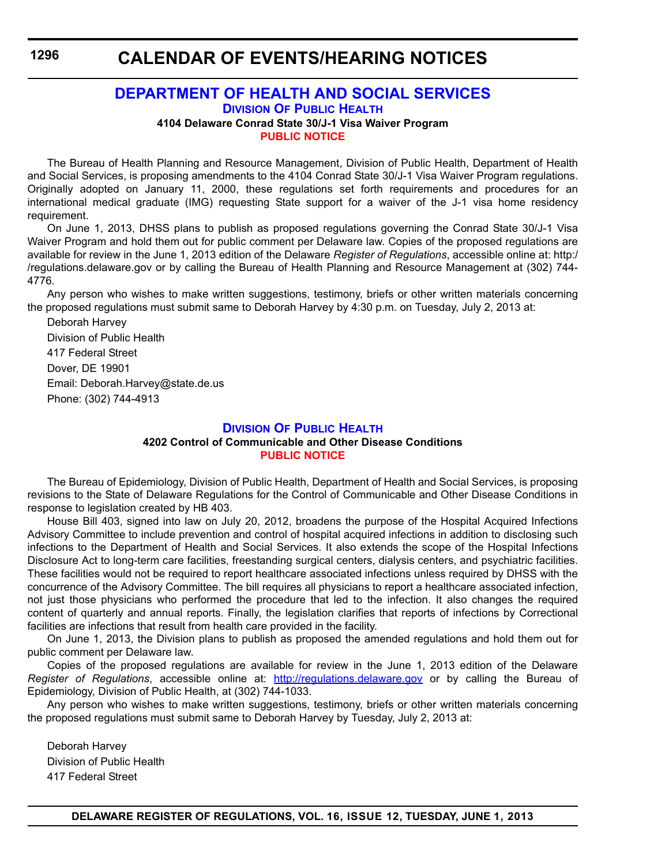# **CALENDAR OF EVENTS/HEARING NOTICES**

## **[DEPARTMENT OF HEALTH AND SOCIAL SERVICES](http://www.dhss.delaware.gov/dhss/dph/index.html) DIVISION OF PUBLIC HEALTH**

# **4104 Delaware Conrad State 30/J-1 Visa Waiver Program [PUBLIC NOTICE](#page-4-0)**

The Bureau of Health Planning and Resource Management, Division of Public Health, Department of Health and Social Services, is proposing amendments to the 4104 Conrad State 30/J-1 Visa Waiver Program regulations. Originally adopted on January 11, 2000, these regulations set forth requirements and procedures for an international medical graduate (IMG) requesting State support for a waiver of the J-1 visa home residency requirement.

On June 1, 2013, DHSS plans to publish as proposed regulations governing the Conrad State 30/J-1 Visa Waiver Program and hold them out for public comment per Delaware law. Copies of the proposed regulations are available for review in the June 1, 2013 edition of the Delaware *Register of Regulations*, accessible online at: http:/ /regulations.delaware.gov or by calling the Bureau of Health Planning and Resource Management at (302) 744- 4776.

Any person who wishes to make written suggestions, testimony, briefs or other written materials concerning the proposed regulations must submit same to Deborah Harvey by 4:30 p.m. on Tuesday, July 2, 2013 at:

Deborah Harvey Division of Public Health 417 Federal Street Dover, DE 19901 Email: Deborah.Harvey@state.de.us Phone: (302) 744-4913

# **[DIVISION OF PUBLIC HEALTH](http://www.dhss.delaware.gov/dhss/dph/index.html)**

#### **4202 Control of Communicable and Other Disease Conditions [PUBLIC NOTICE](#page-4-0)**

The Bureau of Epidemiology, Division of Public Health, Department of Health and Social Services, is proposing revisions to the State of Delaware Regulations for the Control of Communicable and Other Disease Conditions in response to legislation created by HB 403.

House Bill 403, signed into law on July 20, 2012, broadens the purpose of the Hospital Acquired Infections Advisory Committee to include prevention and control of hospital acquired infections in addition to disclosing such infections to the Department of Health and Social Services. It also extends the scope of the Hospital Infections Disclosure Act to long-term care facilities, freestanding surgical centers, dialysis centers, and psychiatric facilities. These facilities would not be required to report healthcare associated infections unless required by DHSS with the concurrence of the Advisory Committee. The bill requires all physicians to report a healthcare associated infection, not just those physicians who performed the procedure that led to the infection. It also changes the required content of quarterly and annual reports. Finally, the legislation clarifies that reports of infections by Correctional facilities are infections that result from health care provided in the facility.

On June 1, 2013, the Division plans to publish as proposed the amended regulations and hold them out for public comment per Delaware law.

Copies of the proposed regulations are available for review in the June 1, 2013 edition of the Delaware *Register of Regulations*, accessible online at: <http://regulations.delaware.gov>or by calling the Bureau of Epidemiology, Division of Public Health, at (302) 744-1033.

Any person who wishes to make written suggestions, testimony, briefs or other written materials concerning the proposed regulations must submit same to Deborah Harvey by Tuesday, July 2, 2013 at:

Deborah Harvey Division of Public Health 417 Federal Street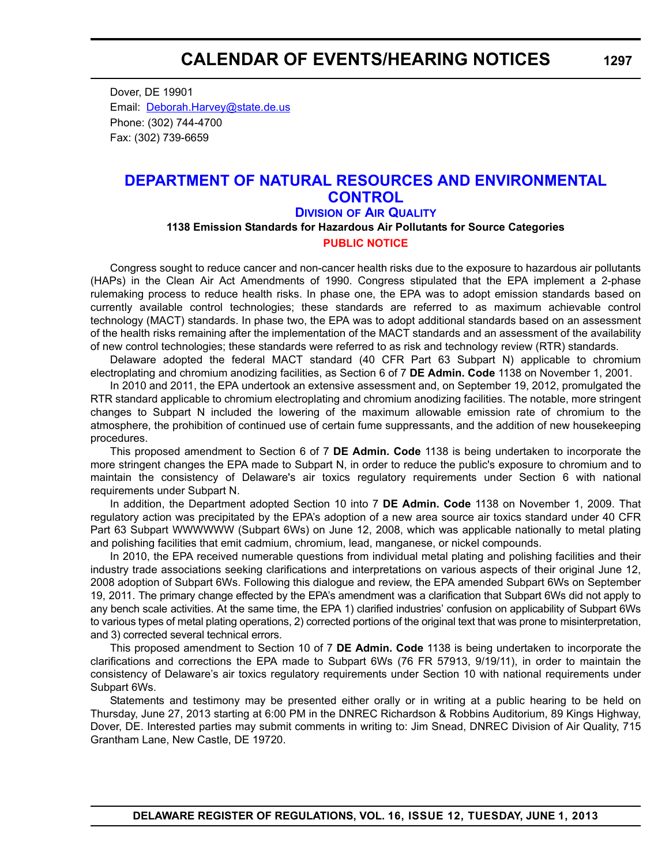Dover, DE 19901 Email: [Deborah.Harvey@state.de.us](mailto:Deborah.Harvey@state.de.us) Phone: (302) 744-4700 Fax: (302) 739-6659

# **[DEPARTMENT OF NATURAL RESOURCES AND ENVIRONMENTAL](http://www.dnrec.delaware.gov/whs/awm/AQM/Pages/Default.aspx)  CONTROL DIVISION OF AIR QUALITY**

**1138 Emission Standards for Hazardous Air Pollutants for Source Categories [PUBLIC NOTICE](#page-4-0)**

Congress sought to reduce cancer and non-cancer health risks due to the exposure to hazardous air pollutants (HAPs) in the Clean Air Act Amendments of 1990. Congress stipulated that the EPA implement a 2-phase rulemaking process to reduce health risks. In phase one, the EPA was to adopt emission standards based on currently available control technologies; these standards are referred to as maximum achievable control technology (MACT) standards. In phase two, the EPA was to adopt additional standards based on an assessment of the health risks remaining after the implementation of the MACT standards and an assessment of the availability of new control technologies; these standards were referred to as risk and technology review (RTR) standards.

Delaware adopted the federal MACT standard (40 CFR Part 63 Subpart N) applicable to chromium electroplating and chromium anodizing facilities, as Section 6 of 7 **DE Admin. Code** 1138 on November 1, 2001.

In 2010 and 2011, the EPA undertook an extensive assessment and, on September 19, 2012, promulgated the RTR standard applicable to chromium electroplating and chromium anodizing facilities. The notable, more stringent changes to Subpart N included the lowering of the maximum allowable emission rate of chromium to the atmosphere, the prohibition of continued use of certain fume suppressants, and the addition of new housekeeping procedures.

This proposed amendment to Section 6 of 7 **DE Admin. Code** 1138 is being undertaken to incorporate the more stringent changes the EPA made to Subpart N, in order to reduce the public's exposure to chromium and to maintain the consistency of Delaware's air toxics regulatory requirements under Section 6 with national requirements under Subpart N.

In addition, the Department adopted Section 10 into 7 **DE Admin. Code** 1138 on November 1, 2009. That regulatory action was precipitated by the EPA's adoption of a new area source air toxics standard under 40 CFR Part 63 Subpart WWWWWW (Subpart 6Ws) on June 12, 2008, which was applicable nationally to metal plating and polishing facilities that emit cadmium, chromium, lead, manganese, or nickel compounds.

In 2010, the EPA received numerable questions from individual metal plating and polishing facilities and their industry trade associations seeking clarifications and interpretations on various aspects of their original June 12, 2008 adoption of Subpart 6Ws. Following this dialogue and review, the EPA amended Subpart 6Ws on September 19, 2011. The primary change effected by the EPA's amendment was a clarification that Subpart 6Ws did not apply to any bench scale activities. At the same time, the EPA 1) clarified industries' confusion on applicability of Subpart 6Ws to various types of metal plating operations, 2) corrected portions of the original text that was prone to misinterpretation, and 3) corrected several technical errors.

This proposed amendment to Section 10 of 7 **DE Admin. Code** 1138 is being undertaken to incorporate the clarifications and corrections the EPA made to Subpart 6Ws (76 FR 57913, 9/19/11), in order to maintain the consistency of Delaware's air toxics regulatory requirements under Section 10 with national requirements under Subpart 6Ws.

Statements and testimony may be presented either orally or in writing at a public hearing to be held on Thursday, June 27, 2013 starting at 6:00 PM in the DNREC Richardson & Robbins Auditorium, 89 Kings Highway, Dover, DE. Interested parties may submit comments in writing to: Jim Snead, DNREC Division of Air Quality, 715 Grantham Lane, New Castle, DE 19720.

**DELAWARE REGISTER OF REGULATIONS, VOL. 16, ISSUE 12, TUESDAY, JUNE 1, 2013**

**1297**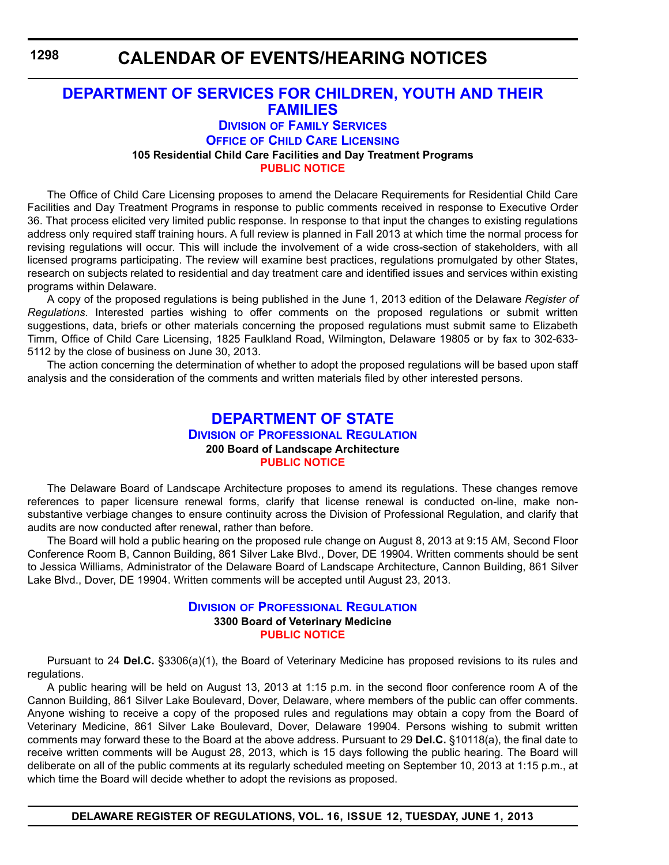# **CALENDAR OF EVENTS/HEARING NOTICES**

# **[DEPARTMENT OF SERVICES FOR CHILDREN, YOUTH AND THEIR](http://kids.delaware.gov/fs/fs.shtml)  FAMILIES**

# **DIVISION OF FAMILY SERVICES**

**OFFICE OF CHILD CARE LICENSING**

**105 Residential Child Care Facilities and Day Treatment Programs**

**[PUBLIC NOTICE](#page-4-0)**

The Office of Child Care Licensing proposes to amend the Delacare Requirements for Residential Child Care Facilities and Day Treatment Programs in response to public comments received in response to Executive Order 36. That process elicited very limited public response. In response to that input the changes to existing regulations address only required staff training hours. A full review is planned in Fall 2013 at which time the normal process for revising regulations will occur. This will include the involvement of a wide cross-section of stakeholders, with all licensed programs participating. The review will examine best practices, regulations promulgated by other States, research on subjects related to residential and day treatment care and identified issues and services within existing programs within Delaware.

A copy of the proposed regulations is being published in the June 1, 2013 edition of the Delaware *Register of Regulations*. Interested parties wishing to offer comments on the proposed regulations or submit written suggestions, data, briefs or other materials concerning the proposed regulations must submit same to Elizabeth Timm, Office of Child Care Licensing, 1825 Faulkland Road, Wilmington, Delaware 19805 or by fax to 302-633- 5112 by the close of business on June 30, 2013.

The action concerning the determination of whether to adopt the proposed regulations will be based upon staff analysis and the consideration of the comments and written materials filed by other interested persons.

# **[DEPARTMENT OF STATE](http://dpr.delaware.gov/) DIVISION OF PROFESSIONAL REGULATION 200 Board of Landscape Architecture [PUBLIC NOTICE](#page-4-0)**

The Delaware Board of Landscape Architecture proposes to amend its regulations. These changes remove references to paper licensure renewal forms, clarify that license renewal is conducted on-line, make nonsubstantive verbiage changes to ensure continuity across the Division of Professional Regulation, and clarify that audits are now conducted after renewal, rather than before.

The Board will hold a public hearing on the proposed rule change on August 8, 2013 at 9:15 AM, Second Floor Conference Room B, Cannon Building, 861 Silver Lake Blvd., Dover, DE 19904. Written comments should be sent to Jessica Williams, Administrator of the Delaware Board of Landscape Architecture, Cannon Building, 861 Silver Lake Blvd., Dover, DE 19904. Written comments will be accepted until August 23, 2013.

#### **DIVISION [OF PROFESSIONAL REGULATION](http://dpr.delaware.gov/) 3300 Board of Veterinary Medicine [PUBLIC NOTICE](#page-4-0)**

Pursuant to 24 **Del.C.** §3306(a)(1), the Board of Veterinary Medicine has proposed revisions to its rules and regulations.

A public hearing will be held on August 13, 2013 at 1:15 p.m. in the second floor conference room A of the Cannon Building, 861 Silver Lake Boulevard, Dover, Delaware, where members of the public can offer comments. Anyone wishing to receive a copy of the proposed rules and regulations may obtain a copy from the Board of Veterinary Medicine, 861 Silver Lake Boulevard, Dover, Delaware 19904. Persons wishing to submit written comments may forward these to the Board at the above address. Pursuant to 29 **Del.C.** §10118(a), the final date to receive written comments will be August 28, 2013, which is 15 days following the public hearing. The Board will deliberate on all of the public comments at its regularly scheduled meeting on September 10, 2013 at 1:15 p.m., at which time the Board will decide whether to adopt the revisions as proposed.